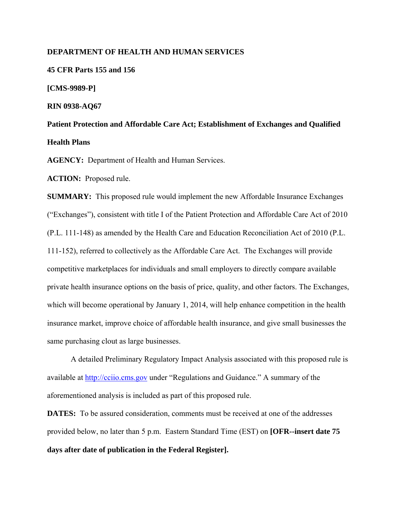### **DEPARTMENT OF HEALTH AND HUMAN SERVICES**

**45 CFR Parts 155 and 156** 

**[CMS-9989-P]** 

**RIN 0938-AQ67** 

**Patient Protection and Affordable Care Act; Establishment of Exchanges and Qualified Health Plans** 

**AGENCY:** Department of Health and Human Services.

**ACTION:** Proposed rule.

**SUMMARY:** This proposed rule would implement the new Affordable Insurance Exchanges ("Exchanges"), consistent with title I of the Patient Protection and Affordable Care Act of 2010 (P.L. 111-148) as amended by the Health Care and Education Reconciliation Act of 2010 (P.L. 111-152), referred to collectively as the Affordable Care Act. The Exchanges will provide competitive marketplaces for individuals and small employers to directly compare available private health insurance options on the basis of price, quality, and other factors. The Exchanges, which will become operational by January 1, 2014, will help enhance competition in the health insurance market, improve choice of affordable health insurance, and give small businesses the same purchasing clout as large businesses.

A detailed Preliminary Regulatory Impact Analysis associated with this proposed rule is available at http://cciio.cms.gov under "Regulations and Guidance." A summary of the aforementioned analysis is included as part of this proposed rule.

**DATES:** To be assured consideration, comments must be received at one of the addresses provided below, no later than 5 p.m. Eastern Standard Time (EST) on **[OFR--insert date 75 days after date of publication in the Federal Register].**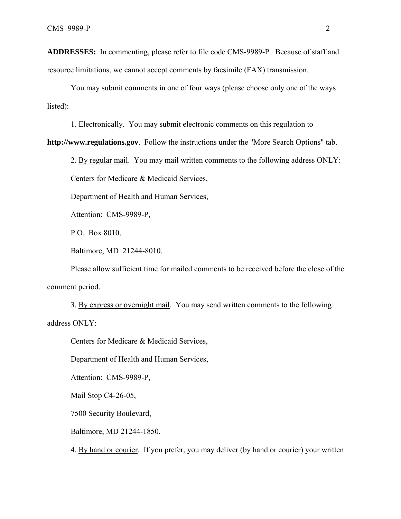**ADDRESSES:** In commenting, please refer to file code CMS-9989-P. Because of staff and resource limitations, we cannot accept comments by facsimile (FAX) transmission.

 You may submit comments in one of four ways (please choose only one of the ways listed):

1. Electronically. You may submit electronic comments on this regulation to

**http://www.regulations.gov**. Follow the instructions under the "More Search Options" tab.

2. By regular mail. You may mail written comments to the following address ONLY:

Centers for Medicare & Medicaid Services,

Department of Health and Human Services,

Attention: CMS-9989-P,

P.O. Box 8010,

Baltimore, MD 21244-8010.

Please allow sufficient time for mailed comments to be received before the close of the comment period.

3. By express or overnight mail. You may send written comments to the following address ONLY:

Centers for Medicare & Medicaid Services,

Department of Health and Human Services,

Attention: CMS-9989-P,

Mail Stop C4-26-05,

7500 Security Boulevard,

Baltimore, MD 21244-1850.

4. By hand or courier. If you prefer, you may deliver (by hand or courier) your written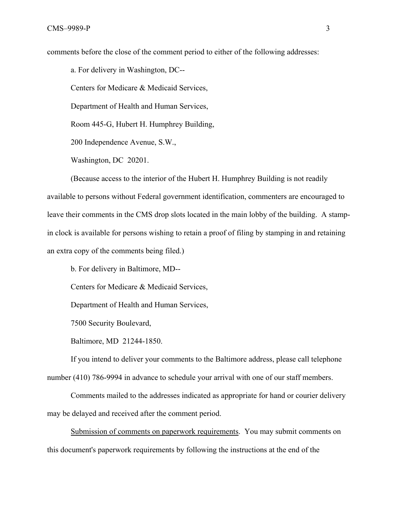comments before the close of the comment period to either of the following addresses:

a. For delivery in Washington, DC--

Centers for Medicare & Medicaid Services,

Department of Health and Human Services,

Room 445-G, Hubert H. Humphrey Building,

200 Independence Avenue, S.W.,

Washington, DC 20201.

(Because access to the interior of the Hubert H. Humphrey Building is not readily available to persons without Federal government identification, commenters are encouraged to leave their comments in the CMS drop slots located in the main lobby of the building. A stampin clock is available for persons wishing to retain a proof of filing by stamping in and retaining an extra copy of the comments being filed.)

b. For delivery in Baltimore, MD--

Centers for Medicare & Medicaid Services,

Department of Health and Human Services,

7500 Security Boulevard,

Baltimore, MD 21244-1850.

If you intend to deliver your comments to the Baltimore address, please call telephone number (410) 786-9994 in advance to schedule your arrival with one of our staff members.

 Comments mailed to the addresses indicated as appropriate for hand or courier delivery may be delayed and received after the comment period.

Submission of comments on paperwork requirements. You may submit comments on this document's paperwork requirements by following the instructions at the end of the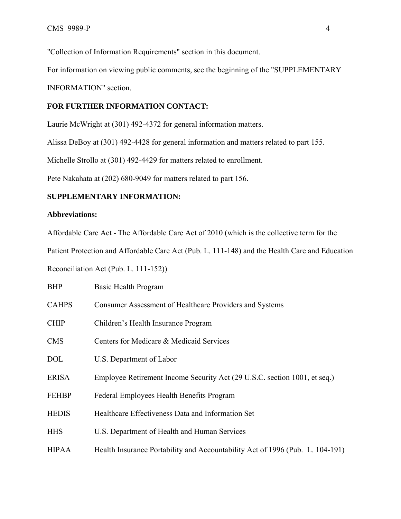"Collection of Information Requirements" section in this document.

For information on viewing public comments, see the beginning of the "SUPPLEMENTARY

INFORMATION" section.

# **FOR FURTHER INFORMATION CONTACT:**

Laurie McWright at (301) 492-4372 for general information matters.

Alissa DeBoy at (301) 492-4428 for general information and matters related to part 155.

Michelle Strollo at (301) 492-4429 for matters related to enrollment.

Pete Nakahata at (202) 680-9049 for matters related to part 156.

## **SUPPLEMENTARY INFORMATION:**

## **Abbreviations:**

Affordable Care Act - The Affordable Care Act of 2010 (which is the collective term for the

Patient Protection and Affordable Care Act (Pub. L. 111-148) and the Health Care and Education

Reconciliation Act (Pub. L. 111-152))

| <b>BHP</b>   | Basic Health Program                                                          |
|--------------|-------------------------------------------------------------------------------|
| <b>CAHPS</b> | Consumer Assessment of Healthcare Providers and Systems                       |
| <b>CHIP</b>  | Children's Health Insurance Program                                           |
| <b>CMS</b>   | Centers for Medicare & Medicaid Services                                      |
| <b>DOL</b>   | U.S. Department of Labor                                                      |
| <b>ERISA</b> | Employee Retirement Income Security Act (29 U.S.C. section 1001, et seq.)     |
| <b>FEHBP</b> | Federal Employees Health Benefits Program                                     |
| <b>HEDIS</b> | Healthcare Effectiveness Data and Information Set                             |
| <b>HHS</b>   | U.S. Department of Health and Human Services                                  |
| <b>HIPAA</b> | Health Insurance Portability and Accountability Act of 1996 (Pub. L. 104-191) |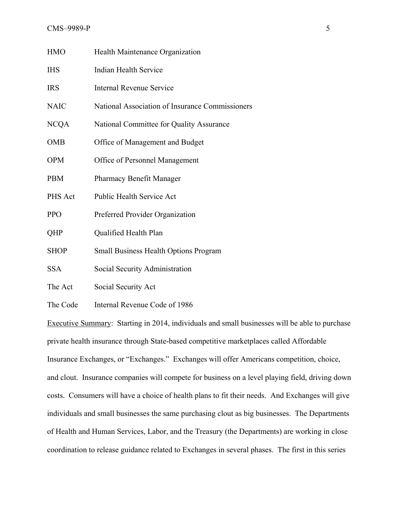#### CMS–9989-P 5

| <b>HMO</b>  | Health Maintenance Organization                 |
|-------------|-------------------------------------------------|
| <b>IHS</b>  | Indian Health Service                           |
| <b>IRS</b>  | <b>Internal Revenue Service</b>                 |
| <b>NAIC</b> | National Association of Insurance Commissioners |
| <b>NCQA</b> | National Committee for Quality Assurance        |
| <b>OMB</b>  | Office of Management and Budget                 |
| <b>OPM</b>  | Office of Personnel Management                  |
| <b>PBM</b>  | <b>Pharmacy Benefit Manager</b>                 |
| PHS Act     | Public Health Service Act                       |
| <b>PPO</b>  | Preferred Provider Organization                 |
| QHP         | Qualified Health Plan                           |
| <b>SHOP</b> | <b>Small Business Health Options Program</b>    |
| <b>SSA</b>  | Social Security Administration                  |
| The Act     | Social Security Act                             |
|             |                                                 |

The Code Internal Revenue Code of 1986

Executive Summary:Starting in 2014, individuals and small businesses will be able to purchase private health insurance through State-based competitive marketplaces called Affordable Insurance Exchanges, or "Exchanges." Exchanges will offer Americans competition, choice, and clout. Insurance companies will compete for business on a level playing field, driving down costs. Consumers will have a choice of health plans to fit their needs. And Exchanges will give individuals and small businesses the same purchasing clout as big businesses. The Departments of Health and Human Services, Labor, and the Treasury (the Departments) are working in close coordination to release guidance related to Exchanges in several phases. The first in this series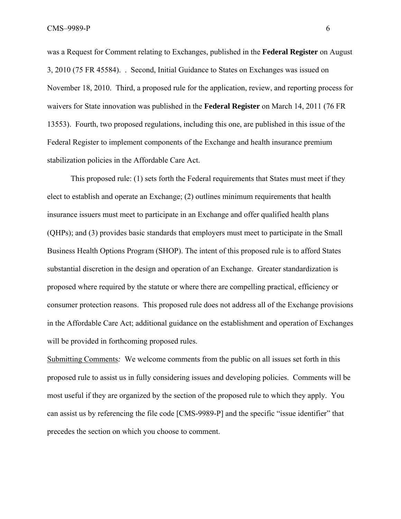was a Request for Comment relating to Exchanges, published in the **Federal Register** on August 3, 2010 (75 FR 45584). . Second, Initial Guidance to States on Exchanges was issued on November 18, 2010. Third, a proposed rule for the application, review, and reporting process for waivers for State innovation was published in the **Federal Register** on March 14, 2011 (76 FR 13553). Fourth, two proposed regulations, including this one, are published in this issue of the Federal Register to implement components of the Exchange and health insurance premium stabilization policies in the Affordable Care Act.

 This proposed rule: (1) sets forth the Federal requirements that States must meet if they elect to establish and operate an Exchange; (2) outlines minimum requirements that health insurance issuers must meet to participate in an Exchange and offer qualified health plans (QHPs); and (3) provides basic standards that employers must meet to participate in the Small Business Health Options Program (SHOP). The intent of this proposed rule is to afford States substantial discretion in the design and operation of an Exchange. Greater standardization is proposed where required by the statute or where there are compelling practical, efficiency or consumer protection reasons. This proposed rule does not address all of the Exchange provisions in the Affordable Care Act; additional guidance on the establishment and operation of Exchanges will be provided in forthcoming proposed rules.

Submitting Comments*:* We welcome comments from the public on all issues set forth in this proposed rule to assist us in fully considering issues and developing policies. Comments will be most useful if they are organized by the section of the proposed rule to which they apply. You can assist us by referencing the file code [CMS-9989-P] and the specific "issue identifier" that precedes the section on which you choose to comment.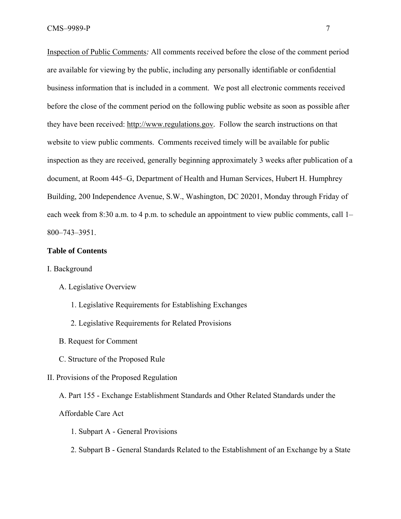Inspection of Public Comments*:* All comments received before the close of the comment period are available for viewing by the public, including any personally identifiable or confidential business information that is included in a comment. We post all electronic comments received before the close of the comment period on the following public website as soon as possible after they have been received: http://www.regulations.gov*.* Follow the search instructions on that website to view public comments. Comments received timely will be available for public inspection as they are received, generally beginning approximately 3 weeks after publication of a document, at Room 445–G, Department of Health and Human Services, Hubert H. Humphrey Building, 200 Independence Avenue, S.W., Washington, DC 20201, Monday through Friday of each week from 8:30 a.m. to 4 p.m. to schedule an appointment to view public comments, call 1– 800–743–3951.

#### **Table of Contents**

- I. Background
	- A. Legislative Overview
		- 1. Legislative Requirements for Establishing Exchanges
		- 2. Legislative Requirements for Related Provisions
	- B. Request for Comment
	- C. Structure of the Proposed Rule

### II. Provisions of the Proposed Regulation

A. Part 155 - Exchange Establishment Standards and Other Related Standards under the

## Affordable Care Act

- 1. Subpart A General Provisions
- 2. Subpart B General Standards Related to the Establishment of an Exchange by a State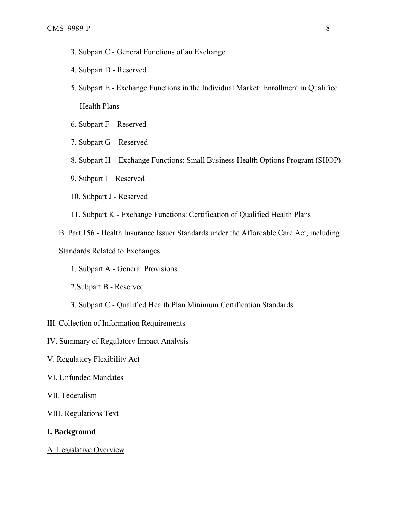- 3. Subpart C General Functions of an Exchange
- 4. Subpart D Reserved
- 5. Subpart E Exchange Functions in the Individual Market: Enrollment in Qualified Health Plans
- 6. Subpart F Reserved
- 7. Subpart G Reserved
- 8. Subpart H Exchange Functions: Small Business Health Options Program (SHOP)
- 9. Subpart I Reserved
- 10. Subpart J Reserved
- 11. Subpart K Exchange Functions: Certification of Qualified Health Plans
- B. Part 156 Health Insurance Issuer Standards under the Affordable Care Act, including

Standards Related to Exchanges

- 1. Subpart A General Provisions
- 2.Subpart B Reserved
- 3. Subpart C Qualified Health Plan Minimum Certification Standards
- III. Collection of Information Requirements
- IV. Summary of Regulatory Impact Analysis
- V. Regulatory Flexibility Act
- VI. Unfunded Mandates
- VII. Federalism
- VIII. Regulations Text

#### **I. Background**

A. Legislative Overview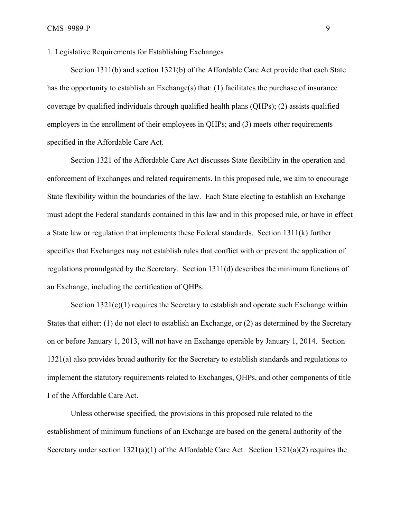1. Legislative Requirements for Establishing Exchanges

Section 1311(b) and section 1321(b) of the Affordable Care Act provide that each State has the opportunity to establish an Exchange(s) that: (1) facilitates the purchase of insurance coverage by qualified individuals through qualified health plans (QHPs); (2) assists qualified employers in the enrollment of their employees in QHPs; and (3) meets other requirements specified in the Affordable Care Act.

Section 1321 of the Affordable Care Act discusses State flexibility in the operation and enforcement of Exchanges and related requirements. In this proposed rule, we aim to encourage State flexibility within the boundaries of the law. Each State electing to establish an Exchange must adopt the Federal standards contained in this law and in this proposed rule, or have in effect a State law or regulation that implements these Federal standards. Section 1311(k) further specifies that Exchanges may not establish rules that conflict with or prevent the application of regulations promulgated by the Secretary. Section 1311(d) describes the minimum functions of an Exchange, including the certification of QHPs.

Section  $1321(c)(1)$  requires the Secretary to establish and operate such Exchange within States that either: (1) do not elect to establish an Exchange, or (2) as determined by the Secretary on or before January 1, 2013, will not have an Exchange operable by January 1, 2014. Section 1321(a) also provides broad authority for the Secretary to establish standards and regulations to implement the statutory requirements related to Exchanges, QHPs, and other components of title I of the Affordable Care Act.

Unless otherwise specified, the provisions in this proposed rule related to the establishment of minimum functions of an Exchange are based on the general authority of the Secretary under section 1321(a)(1) of the Affordable Care Act. Section 1321(a)(2) requires the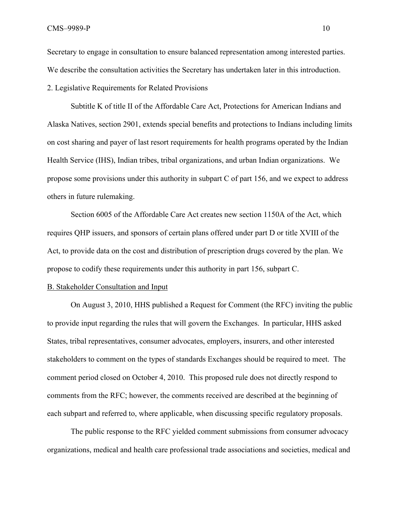Secretary to engage in consultation to ensure balanced representation among interested parties. We describe the consultation activities the Secretary has undertaken later in this introduction.

2. Legislative Requirements for Related Provisions

Subtitle K of title II of the Affordable Care Act, Protections for American Indians and Alaska Natives, section 2901, extends special benefits and protections to Indians including limits on cost sharing and payer of last resort requirements for health programs operated by the Indian Health Service (IHS), Indian tribes, tribal organizations, and urban Indian organizations. We propose some provisions under this authority in subpart C of part 156, and we expect to address others in future rulemaking.

Section 6005 of the Affordable Care Act creates new section 1150A of the Act, which requires QHP issuers, and sponsors of certain plans offered under part D or title XVIII of the Act, to provide data on the cost and distribution of prescription drugs covered by the plan. We propose to codify these requirements under this authority in part 156, subpart C.

#### B. Stakeholder Consultation and Input

On August 3, 2010, HHS published a Request for Comment (the RFC) inviting the public to provide input regarding the rules that will govern the Exchanges. In particular, HHS asked States, tribal representatives, consumer advocates, employers, insurers, and other interested stakeholders to comment on the types of standards Exchanges should be required to meet. The comment period closed on October 4, 2010. This proposed rule does not directly respond to comments from the RFC; however, the comments received are described at the beginning of each subpart and referred to, where applicable, when discussing specific regulatory proposals.

 The public response to the RFC yielded comment submissions from consumer advocacy organizations, medical and health care professional trade associations and societies, medical and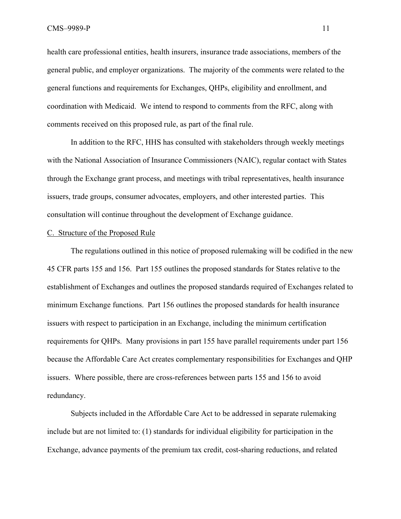health care professional entities, health insurers, insurance trade associations, members of the general public, and employer organizations. The majority of the comments were related to the general functions and requirements for Exchanges, QHPs, eligibility and enrollment, and coordination with Medicaid. We intend to respond to comments from the RFC, along with comments received on this proposed rule, as part of the final rule.

 In addition to the RFC, HHS has consulted with stakeholders through weekly meetings with the National Association of Insurance Commissioners (NAIC), regular contact with States through the Exchange grant process, and meetings with tribal representatives, health insurance issuers, trade groups, consumer advocates, employers, and other interested parties. This consultation will continue throughout the development of Exchange guidance.

#### C. Structure of the Proposed Rule

The regulations outlined in this notice of proposed rulemaking will be codified in the new 45 CFR parts 155 and 156. Part 155 outlines the proposed standards for States relative to the establishment of Exchanges and outlines the proposed standards required of Exchanges related to minimum Exchange functions. Part 156 outlines the proposed standards for health insurance issuers with respect to participation in an Exchange, including the minimum certification requirements for QHPs. Many provisions in part 155 have parallel requirements under part 156 because the Affordable Care Act creates complementary responsibilities for Exchanges and QHP issuers. Where possible, there are cross-references between parts 155 and 156 to avoid redundancy.

Subjects included in the Affordable Care Act to be addressed in separate rulemaking include but are not limited to: (1) standards for individual eligibility for participation in the Exchange, advance payments of the premium tax credit, cost-sharing reductions, and related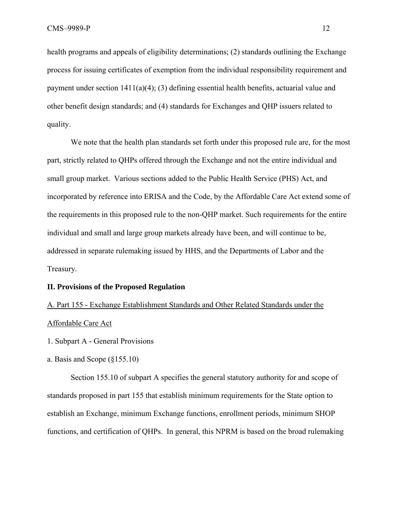health programs and appeals of eligibility determinations; (2) standards outlining the Exchange process for issuing certificates of exemption from the individual responsibility requirement and payment under section  $1411(a)(4)$ ; (3) defining essential health benefits, actuarial value and other benefit design standards; and (4) standards for Exchanges and QHP issuers related to quality.

We note that the health plan standards set forth under this proposed rule are, for the most part, strictly related to QHPs offered through the Exchange and not the entire individual and small group market. Various sections added to the Public Health Service (PHS) Act, and incorporated by reference into ERISA and the Code, by the Affordable Care Act extend some of the requirements in this proposed rule to the non-QHP market. Such requirements for the entire individual and small and large group markets already have been, and will continue to be, addressed in separate rulemaking issued by HHS, and the Departments of Labor and the Treasury.

#### **II. Provisions of the Proposed Regulation**

# A. Part 155 - Exchange Establishment Standards and Other Related Standards under the Affordable Care Act

- 1. Subpart A General Provisions
- a. Basis and Scope (§155.10)

Section 155.10 of subpart A specifies the general statutory authority for and scope of standards proposed in part 155 that establish minimum requirements for the State option to establish an Exchange, minimum Exchange functions, enrollment periods, minimum SHOP functions, and certification of QHPs. In general, this NPRM is based on the broad rulemaking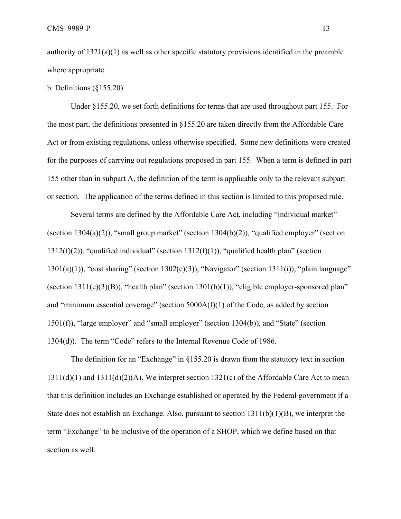authority of  $1321(a)(1)$  as well as other specific statutory provisions identified in the preamble where appropriate.

## b. Definitions (§155.20)

Under §155.20, we set forth definitions for terms that are used throughout part 155. For the most part, the definitions presented in §155.20 are taken directly from the Affordable Care Act or from existing regulations, unless otherwise specified. Some new definitions were created for the purposes of carrying out regulations proposed in part 155. When a term is defined in part 155 other than in subpart A, the definition of the term is applicable only to the relevant subpart or section. The application of the terms defined in this section is limited to this proposed rule.

Several terms are defined by the Affordable Care Act, including "individual market" (section  $1304(a)(2)$ ), "small group market" (section  $1304(b)(2)$ ), "qualified employer" (section 1312(f)(2)), "qualified individual" (section 1312(f)(1)), "qualified health plan" (section  $1301(a)(1)$ , "cost sharing" (section  $1302(c)(3)$ ), "Navigator" (section  $1311(i)$ ), "plain language" (section  $1311(e)(3)(B)$ ), "health plan" (section  $1301(b)(1)$ ), "eligible employer-sponsored plan" and "minimum essential coverage" (section 5000A(f)(1) of the Code, as added by section 1501(f)), "large employer" and "small employer" (section 1304(b)), and "State" (section 1304(d)). The term "Code" refers to the Internal Revenue Code of 1986.

The definition for an "Exchange" in §155.20 is drawn from the statutory text in section  $1311(d)(1)$  and  $1311(d)(2)(A)$ . We interpret section  $1321(c)$  of the Affordable Care Act to mean that this definition includes an Exchange established or operated by the Federal government if a State does not establish an Exchange. Also, pursuant to section  $1311(b)(1)(B)$ , we interpret the term "Exchange" to be inclusive of the operation of a SHOP, which we define based on that section as well.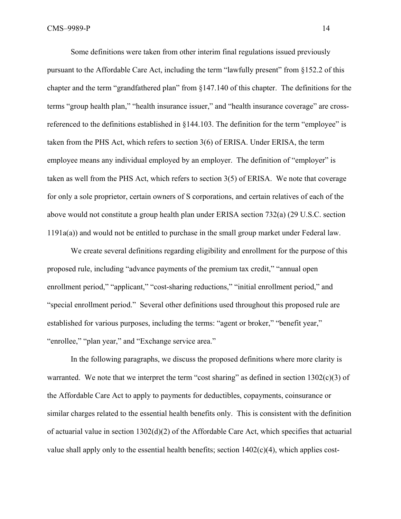Some definitions were taken from other interim final regulations issued previously pursuant to the Affordable Care Act, including the term "lawfully present" from §152.2 of this chapter and the term "grandfathered plan" from §147.140 of this chapter. The definitions for the terms "group health plan," "health insurance issuer," and "health insurance coverage" are crossreferenced to the definitions established in §144.103. The definition for the term "employee" is taken from the PHS Act, which refers to section 3(6) of ERISA. Under ERISA, the term employee means any individual employed by an employer. The definition of "employer" is taken as well from the PHS Act, which refers to section 3(5) of ERISA. We note that coverage for only a sole proprietor, certain owners of S corporations, and certain relatives of each of the above would not constitute a group health plan under ERISA section 732(a) (29 U.S.C. section 1191a(a)) and would not be entitled to purchase in the small group market under Federal law.

We create several definitions regarding eligibility and enrollment for the purpose of this proposed rule, including "advance payments of the premium tax credit," "annual open enrollment period," "applicant," "cost-sharing reductions," "initial enrollment period," and "special enrollment period." Several other definitions used throughout this proposed rule are established for various purposes, including the terms: "agent or broker," "benefit year," "enrollee," "plan year," and "Exchange service area."

In the following paragraphs, we discuss the proposed definitions where more clarity is warranted. We note that we interpret the term "cost sharing" as defined in section  $1302(c)(3)$  of the Affordable Care Act to apply to payments for deductibles, copayments, coinsurance or similar charges related to the essential health benefits only. This is consistent with the definition of actuarial value in section 1302(d)(2) of the Affordable Care Act, which specifies that actuarial value shall apply only to the essential health benefits; section  $1402(c)(4)$ , which applies cost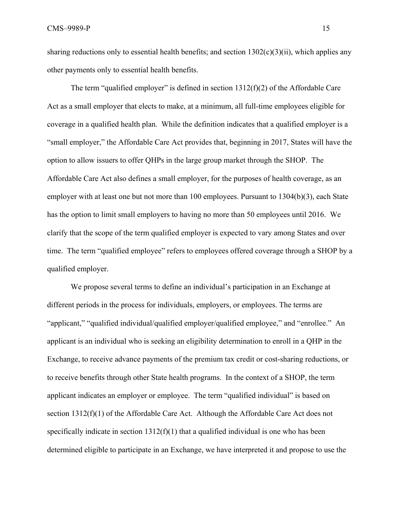sharing reductions only to essential health benefits; and section  $1302(c)(3)(ii)$ , which applies any other payments only to essential health benefits.

The term "qualified employer" is defined in section 1312(f)(2) of the Affordable Care Act as a small employer that elects to make, at a minimum, all full-time employees eligible for coverage in a qualified health plan. While the definition indicates that a qualified employer is a "small employer," the Affordable Care Act provides that, beginning in 2017, States will have the option to allow issuers to offer QHPs in the large group market through the SHOP. The Affordable Care Act also defines a small employer, for the purposes of health coverage, as an employer with at least one but not more than 100 employees. Pursuant to 1304(b)(3), each State has the option to limit small employers to having no more than 50 employees until 2016. We clarify that the scope of the term qualified employer is expected to vary among States and over time. The term "qualified employee" refers to employees offered coverage through a SHOP by a qualified employer.

We propose several terms to define an individual's participation in an Exchange at different periods in the process for individuals, employers, or employees. The terms are "applicant," "qualified individual/qualified employer/qualified employee," and "enrollee." An applicant is an individual who is seeking an eligibility determination to enroll in a QHP in the Exchange, to receive advance payments of the premium tax credit or cost-sharing reductions, or to receive benefits through other State health programs. In the context of a SHOP, the term applicant indicates an employer or employee. The term "qualified individual" is based on section 1312(f)(1) of the Affordable Care Act. Although the Affordable Care Act does not specifically indicate in section  $1312(f)(1)$  that a qualified individual is one who has been determined eligible to participate in an Exchange, we have interpreted it and propose to use the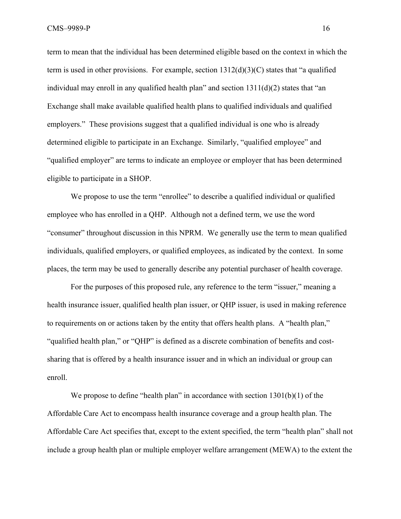CMS–9989-P 16

term to mean that the individual has been determined eligible based on the context in which the term is used in other provisions. For example, section  $1312(d)(3)(C)$  states that "a qualified individual may enroll in any qualified health plan" and section  $1311(d)(2)$  states that "an Exchange shall make available qualified health plans to qualified individuals and qualified employers." These provisions suggest that a qualified individual is one who is already determined eligible to participate in an Exchange. Similarly, "qualified employee" and "qualified employer" are terms to indicate an employee or employer that has been determined eligible to participate in a SHOP.

We propose to use the term "enrollee" to describe a qualified individual or qualified employee who has enrolled in a QHP. Although not a defined term, we use the word "consumer" throughout discussion in this NPRM. We generally use the term to mean qualified individuals, qualified employers, or qualified employees, as indicated by the context. In some places, the term may be used to generally describe any potential purchaser of health coverage.

For the purposes of this proposed rule, any reference to the term "issuer," meaning a health insurance issuer, qualified health plan issuer, or QHP issuer, is used in making reference to requirements on or actions taken by the entity that offers health plans. A "health plan," "qualified health plan," or "QHP" is defined as a discrete combination of benefits and costsharing that is offered by a health insurance issuer and in which an individual or group can enroll.

We propose to define "health plan" in accordance with section 1301(b)(1) of the Affordable Care Act to encompass health insurance coverage and a group health plan. The Affordable Care Act specifies that, except to the extent specified, the term "health plan" shall not include a group health plan or multiple employer welfare arrangement (MEWA) to the extent the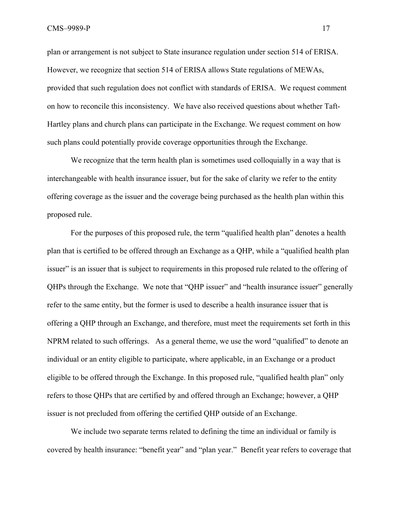plan or arrangement is not subject to State insurance regulation under section 514 of ERISA. However, we recognize that section 514 of ERISA allows State regulations of MEWAs, provided that such regulation does not conflict with standards of ERISA. We request comment on how to reconcile this inconsistency. We have also received questions about whether Taft-Hartley plans and church plans can participate in the Exchange. We request comment on how such plans could potentially provide coverage opportunities through the Exchange.

We recognize that the term health plan is sometimes used colloquially in a way that is interchangeable with health insurance issuer, but for the sake of clarity we refer to the entity offering coverage as the issuer and the coverage being purchased as the health plan within this proposed rule.

For the purposes of this proposed rule, the term "qualified health plan" denotes a health plan that is certified to be offered through an Exchange as a QHP, while a "qualified health plan issuer" is an issuer that is subject to requirements in this proposed rule related to the offering of QHPs through the Exchange. We note that "QHP issuer" and "health insurance issuer" generally refer to the same entity, but the former is used to describe a health insurance issuer that is offering a QHP through an Exchange, and therefore, must meet the requirements set forth in this NPRM related to such offerings. As a general theme, we use the word "qualified" to denote an individual or an entity eligible to participate, where applicable, in an Exchange or a product eligible to be offered through the Exchange. In this proposed rule, "qualified health plan" only refers to those QHPs that are certified by and offered through an Exchange; however, a QHP issuer is not precluded from offering the certified QHP outside of an Exchange.

We include two separate terms related to defining the time an individual or family is covered by health insurance: "benefit year" and "plan year." Benefit year refers to coverage that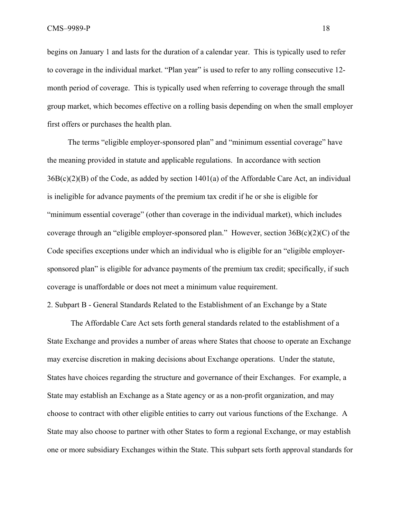CMS–9989-P 18

begins on January 1 and lasts for the duration of a calendar year. This is typically used to refer to coverage in the individual market. "Plan year" is used to refer to any rolling consecutive 12 month period of coverage. This is typically used when referring to coverage through the small group market, which becomes effective on a rolling basis depending on when the small employer first offers or purchases the health plan.

 The terms "eligible employer-sponsored plan" and "minimum essential coverage" have the meaning provided in statute and applicable regulations. In accordance with section 36B(c)(2)(B) of the Code, as added by section 1401(a) of the Affordable Care Act, an individual is ineligible for advance payments of the premium tax credit if he or she is eligible for "minimum essential coverage" (other than coverage in the individual market), which includes coverage through an "eligible employer-sponsored plan." However, section 36B(c)(2)(C) of the Code specifies exceptions under which an individual who is eligible for an "eligible employersponsored plan" is eligible for advance payments of the premium tax credit; specifically, if such coverage is unaffordable or does not meet a minimum value requirement.

2. Subpart B - General Standards Related to the Establishment of an Exchange by a State

The Affordable Care Act sets forth general standards related to the establishment of a State Exchange and provides a number of areas where States that choose to operate an Exchange may exercise discretion in making decisions about Exchange operations. Under the statute, States have choices regarding the structure and governance of their Exchanges. For example, a State may establish an Exchange as a State agency or as a non-profit organization, and may choose to contract with other eligible entities to carry out various functions of the Exchange. A State may also choose to partner with other States to form a regional Exchange, or may establish one or more subsidiary Exchanges within the State. This subpart sets forth approval standards for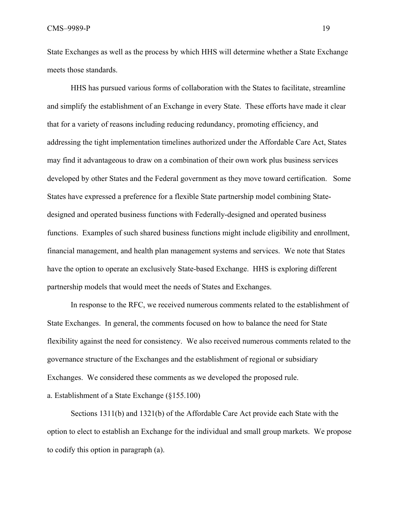CMS–9989-P 19

State Exchanges as well as the process by which HHS will determine whether a State Exchange meets those standards.

HHS has pursued various forms of collaboration with the States to facilitate, streamline and simplify the establishment of an Exchange in every State. These efforts have made it clear that for a variety of reasons including reducing redundancy, promoting efficiency, and addressing the tight implementation timelines authorized under the Affordable Care Act, States may find it advantageous to draw on a combination of their own work plus business services developed by other States and the Federal government as they move toward certification. Some States have expressed a preference for a flexible State partnership model combining Statedesigned and operated business functions with Federally-designed and operated business functions. Examples of such shared business functions might include eligibility and enrollment, financial management, and health plan management systems and services. We note that States have the option to operate an exclusively State-based Exchange. HHS is exploring different partnership models that would meet the needs of States and Exchanges.

In response to the RFC, we received numerous comments related to the establishment of State Exchanges. In general, the comments focused on how to balance the need for State flexibility against the need for consistency. We also received numerous comments related to the governance structure of the Exchanges and the establishment of regional or subsidiary Exchanges. We considered these comments as we developed the proposed rule. a. Establishment of a State Exchange (§155.100)

 Sections 1311(b) and 1321(b) of the Affordable Care Act provide each State with the option to elect to establish an Exchange for the individual and small group markets. We propose to codify this option in paragraph (a).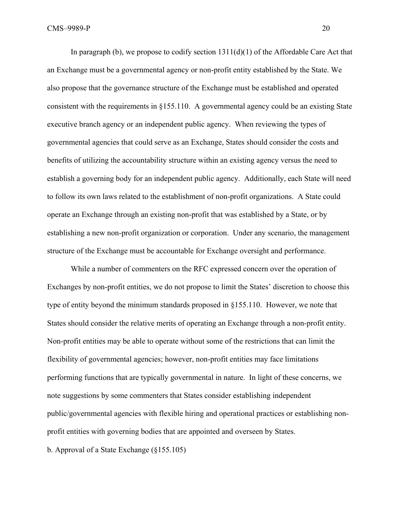In paragraph (b), we propose to codify section  $1311(d)(1)$  of the Affordable Care Act that an Exchange must be a governmental agency or non-profit entity established by the State. We also propose that the governance structure of the Exchange must be established and operated consistent with the requirements in §155.110. A governmental agency could be an existing State executive branch agency or an independent public agency. When reviewing the types of governmental agencies that could serve as an Exchange, States should consider the costs and benefits of utilizing the accountability structure within an existing agency versus the need to establish a governing body for an independent public agency. Additionally, each State will need to follow its own laws related to the establishment of non-profit organizations. A State could operate an Exchange through an existing non-profit that was established by a State, or by establishing a new non-profit organization or corporation. Under any scenario, the management structure of the Exchange must be accountable for Exchange oversight and performance.

While a number of commenters on the RFC expressed concern over the operation of Exchanges by non-profit entities, we do not propose to limit the States' discretion to choose this type of entity beyond the minimum standards proposed in §155.110. However, we note that States should consider the relative merits of operating an Exchange through a non-profit entity. Non-profit entities may be able to operate without some of the restrictions that can limit the flexibility of governmental agencies; however, non-profit entities may face limitations performing functions that are typically governmental in nature. In light of these concerns, we note suggestions by some commenters that States consider establishing independent public/governmental agencies with flexible hiring and operational practices or establishing nonprofit entities with governing bodies that are appointed and overseen by States.

b. Approval of a State Exchange (§155.105)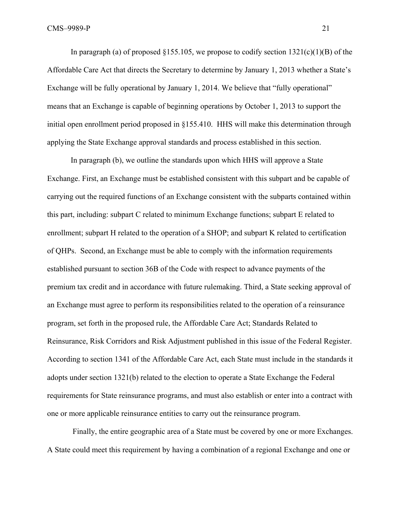In paragraph (a) of proposed §155.105*,* we propose to codify section 1321(c)(1)(B) of the Affordable Care Act that directs the Secretary to determine by January 1, 2013 whether a State's Exchange will be fully operational by January 1, 2014. We believe that "fully operational" means that an Exchange is capable of beginning operations by October 1, 2013 to support the initial open enrollment period proposed in §155.410. HHS will make this determination through applying the State Exchange approval standards and process established in this section.

In paragraph (b), we outline the standards upon which HHS will approve a State Exchange. First, an Exchange must be established consistent with this subpart and be capable of carrying out the required functions of an Exchange consistent with the subparts contained within this part, including: subpart C related to minimum Exchange functions; subpart E related to enrollment; subpart H related to the operation of a SHOP; and subpart K related to certification of QHPs. Second, an Exchange must be able to comply with the information requirements established pursuant to section 36B of the Code with respect to advance payments of the premium tax credit and in accordance with future rulemaking. Third, a State seeking approval of an Exchange must agree to perform its responsibilities related to the operation of a reinsurance program, set forth in the proposed rule, the Affordable Care Act; Standards Related to Reinsurance, Risk Corridors and Risk Adjustment published in this issue of the Federal Register. According to section 1341 of the Affordable Care Act, each State must include in the standards it adopts under section 1321(b) related to the election to operate a State Exchange the Federal requirements for State reinsurance programs, and must also establish or enter into a contract with one or more applicable reinsurance entities to carry out the reinsurance program.

 Finally, the entire geographic area of a State must be covered by one or more Exchanges. A State could meet this requirement by having a combination of a regional Exchange and one or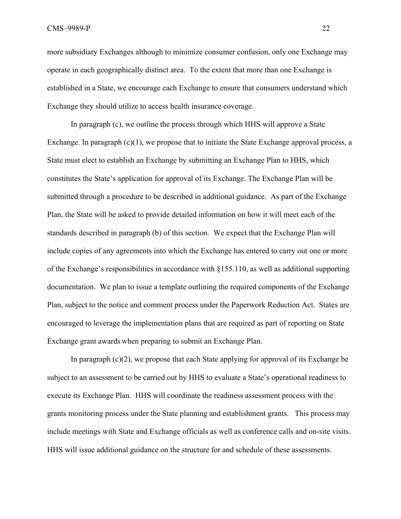CMS–9989-P 22

more subsidiary Exchanges although to minimize consumer confusion, only one Exchange may operate in each geographically distinct area. To the extent that more than one Exchange is established in a State, we encourage each Exchange to ensure that consumers understand which Exchange they should utilize to access health insurance coverage.

In paragraph (c), we outline the process through which HHS will approve a State Exchange. In paragraph  $(c)(1)$ , we propose that to initiate the State Exchange approval process, a State must elect to establish an Exchange by submitting an Exchange Plan to HHS, which constitutes the State's application for approval of its Exchange. The Exchange Plan will be submitted through a procedure to be described in additional guidance. As part of the Exchange Plan, the State will be asked to provide detailed information on how it will meet each of the standards described in paragraph (b) of this section. We expect that the Exchange Plan will include copies of any agreements into which the Exchange has entered to carry out one or more of the Exchange's responsibilities in accordance with §155.110, as well as additional supporting documentation. We plan to issue a template outlining the required components of the Exchange Plan, subject to the notice and comment process under the Paperwork Reduction Act. States are encouraged to leverage the implementation plans that are required as part of reporting on State Exchange grant awards when preparing to submit an Exchange Plan.

In paragraph  $(c)(2)$ , we propose that each State applying for approval of its Exchange be subject to an assessment to be carried out by HHS to evaluate a State's operational readiness to execute its Exchange Plan. HHS will coordinate the readiness assessment process with the grants monitoring process under the State planning and establishment grants. This process may include meetings with State and Exchange officials as well as conference calls and on-site visits. HHS will issue additional guidance on the structure for and schedule of these assessments.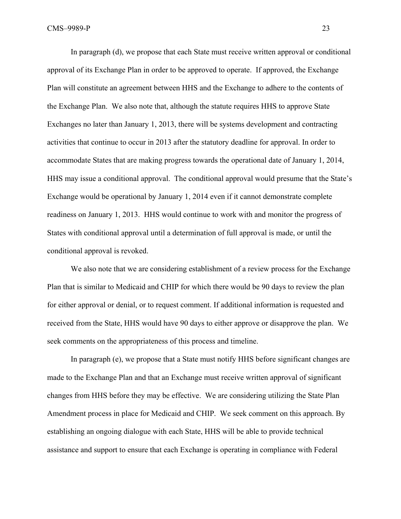In paragraph (d), we propose that each State must receive written approval or conditional approval of its Exchange Plan in order to be approved to operate. If approved, the Exchange Plan will constitute an agreement between HHS and the Exchange to adhere to the contents of the Exchange Plan. We also note that, although the statute requires HHS to approve State Exchanges no later than January 1, 2013, there will be systems development and contracting activities that continue to occur in 2013 after the statutory deadline for approval. In order to accommodate States that are making progress towards the operational date of January 1, 2014, HHS may issue a conditional approval. The conditional approval would presume that the State's Exchange would be operational by January 1, 2014 even if it cannot demonstrate complete readiness on January 1, 2013. HHS would continue to work with and monitor the progress of States with conditional approval until a determination of full approval is made, or until the conditional approval is revoked.

We also note that we are considering establishment of a review process for the Exchange Plan that is similar to Medicaid and CHIP for which there would be 90 days to review the plan for either approval or denial, or to request comment. If additional information is requested and received from the State, HHS would have 90 days to either approve or disapprove the plan. We seek comments on the appropriateness of this process and timeline.

 In paragraph (e), we propose that a State must notify HHS before significant changes are made to the Exchange Plan and that an Exchange must receive written approval of significant changes from HHS before they may be effective. We are considering utilizing the State Plan Amendment process in place for Medicaid and CHIP. We seek comment on this approach. By establishing an ongoing dialogue with each State, HHS will be able to provide technical assistance and support to ensure that each Exchange is operating in compliance with Federal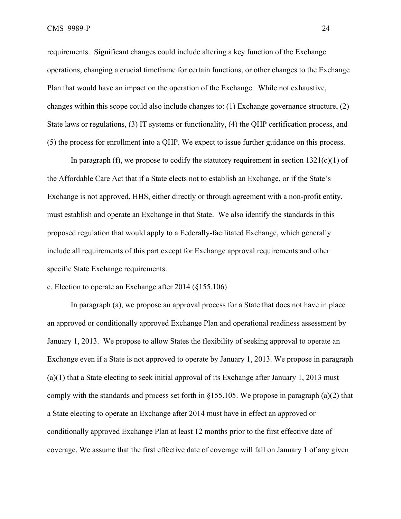requirements. Significant changes could include altering a key function of the Exchange operations, changing a crucial timeframe for certain functions, or other changes to the Exchange Plan that would have an impact on the operation of the Exchange. While not exhaustive, changes within this scope could also include changes to: (1) Exchange governance structure, (2) State laws or regulations, (3) IT systems or functionality, (4) the QHP certification process, and (5) the process for enrollment into a QHP. We expect to issue further guidance on this process.

In paragraph (f), we propose to codify the statutory requirement in section  $1321(c)(1)$  of the Affordable Care Act that if a State elects not to establish an Exchange, or if the State's Exchange is not approved, HHS, either directly or through agreement with a non-profit entity, must establish and operate an Exchange in that State. We also identify the standards in this proposed regulation that would apply to a Federally-facilitated Exchange, which generally include all requirements of this part except for Exchange approval requirements and other specific State Exchange requirements.

c. Election to operate an Exchange after 2014 (§155.106)

 In paragraph (a), we propose an approval process for a State that does not have in place an approved or conditionally approved Exchange Plan and operational readiness assessment by January 1, 2013. We propose to allow States the flexibility of seeking approval to operate an Exchange even if a State is not approved to operate by January 1, 2013. We propose in paragraph (a)(1) that a State electing to seek initial approval of its Exchange after January 1, 2013 must comply with the standards and process set forth in §155.105. We propose in paragraph (a)(2) that a State electing to operate an Exchange after 2014 must have in effect an approved or conditionally approved Exchange Plan at least 12 months prior to the first effective date of coverage. We assume that the first effective date of coverage will fall on January 1 of any given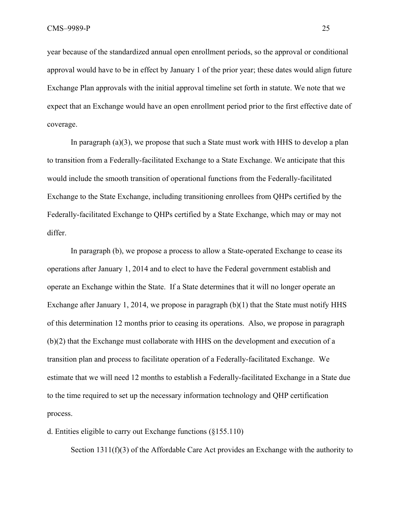year because of the standardized annual open enrollment periods, so the approval or conditional approval would have to be in effect by January 1 of the prior year; these dates would align future Exchange Plan approvals with the initial approval timeline set forth in statute. We note that we expect that an Exchange would have an open enrollment period prior to the first effective date of coverage.

In paragraph (a)(3), we propose that such a State must work with HHS to develop a plan to transition from a Federally-facilitated Exchange to a State Exchange. We anticipate that this would include the smooth transition of operational functions from the Federally-facilitated Exchange to the State Exchange, including transitioning enrollees from QHPs certified by the Federally-facilitated Exchange to QHPs certified by a State Exchange, which may or may not differ.

 In paragraph (b), we propose a process to allow a State-operated Exchange to cease its operations after January 1, 2014 and to elect to have the Federal government establish and operate an Exchange within the State. If a State determines that it will no longer operate an Exchange after January 1, 2014, we propose in paragraph  $(b)(1)$  that the State must notify HHS of this determination 12 months prior to ceasing its operations. Also, we propose in paragraph (b)(2) that the Exchange must collaborate with HHS on the development and execution of a transition plan and process to facilitate operation of a Federally-facilitated Exchange. We estimate that we will need 12 months to establish a Federally-facilitated Exchange in a State due to the time required to set up the necessary information technology and QHP certification process.

d. Entities eligible to carry out Exchange functions (§155.110)

Section  $1311(f)(3)$  of the Affordable Care Act provides an Exchange with the authority to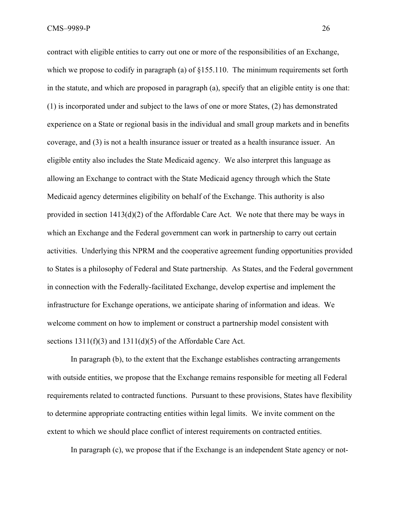CMS–9989-P 26

contract with eligible entities to carry out one or more of the responsibilities of an Exchange, which we propose to codify in paragraph (a) of  $\S155.110$ . The minimum requirements set forth in the statute, and which are proposed in paragraph (a), specify that an eligible entity is one that: (1) is incorporated under and subject to the laws of one or more States, (2) has demonstrated experience on a State or regional basis in the individual and small group markets and in benefits coverage, and (3) is not a health insurance issuer or treated as a health insurance issuer. An eligible entity also includes the State Medicaid agency. We also interpret this language as allowing an Exchange to contract with the State Medicaid agency through which the State Medicaid agency determines eligibility on behalf of the Exchange. This authority is also provided in section 1413(d)(2) of the Affordable Care Act. We note that there may be ways in which an Exchange and the Federal government can work in partnership to carry out certain activities. Underlying this NPRM and the cooperative agreement funding opportunities provided to States is a philosophy of Federal and State partnership. As States, and the Federal government in connection with the Federally-facilitated Exchange, develop expertise and implement the infrastructure for Exchange operations, we anticipate sharing of information and ideas. We welcome comment on how to implement or construct a partnership model consistent with sections 1311(f)(3) and 1311(d)(5) of the Affordable Care Act.

In paragraph (b), to the extent that the Exchange establishes contracting arrangements with outside entities, we propose that the Exchange remains responsible for meeting all Federal requirements related to contracted functions. Pursuant to these provisions, States have flexibility to determine appropriate contracting entities within legal limits. We invite comment on the extent to which we should place conflict of interest requirements on contracted entities.

In paragraph (c), we propose that if the Exchange is an independent State agency or not-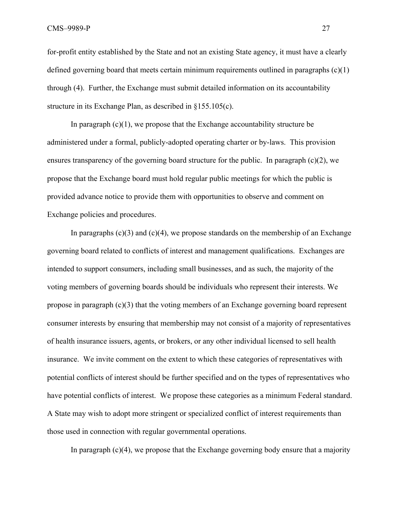for-profit entity established by the State and not an existing State agency, it must have a clearly defined governing board that meets certain minimum requirements outlined in paragraphs (c)(1) through (4). Further, the Exchange must submit detailed information on its accountability structure in its Exchange Plan, as described in §155.105(c).

In paragraph  $(c)(1)$ , we propose that the Exchange accountability structure be administered under a formal, publicly-adopted operating charter or by-laws. This provision ensures transparency of the governing board structure for the public. In paragraph  $(c)(2)$ , we propose that the Exchange board must hold regular public meetings for which the public is provided advance notice to provide them with opportunities to observe and comment on Exchange policies and procedures.

In paragraphs  $(c)(3)$  and  $(c)(4)$ , we propose standards on the membership of an Exchange governing board related to conflicts of interest and management qualifications. Exchanges are intended to support consumers, including small businesses, and as such, the majority of the voting members of governing boards should be individuals who represent their interests. We propose in paragraph  $(c)(3)$  that the voting members of an Exchange governing board represent consumer interests by ensuring that membership may not consist of a majority of representatives of health insurance issuers, agents, or brokers, or any other individual licensed to sell health insurance. We invite comment on the extent to which these categories of representatives with potential conflicts of interest should be further specified and on the types of representatives who have potential conflicts of interest. We propose these categories as a minimum Federal standard. A State may wish to adopt more stringent or specialized conflict of interest requirements than those used in connection with regular governmental operations.

In paragraph  $(c)(4)$ , we propose that the Exchange governing body ensure that a majority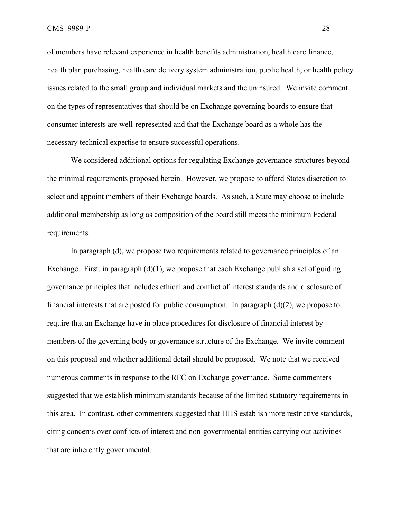of members have relevant experience in health benefits administration, health care finance, health plan purchasing, health care delivery system administration, public health, or health policy issues related to the small group and individual markets and the uninsured. We invite comment on the types of representatives that should be on Exchange governing boards to ensure that consumer interests are well-represented and that the Exchange board as a whole has the necessary technical expertise to ensure successful operations.

We considered additional options for regulating Exchange governance structures beyond the minimal requirements proposed herein. However, we propose to afford States discretion to select and appoint members of their Exchange boards. As such, a State may choose to include additional membership as long as composition of the board still meets the minimum Federal requirements.

 In paragraph (d), we propose two requirements related to governance principles of an Exchange. First, in paragraph  $(d)(1)$ , we propose that each Exchange publish a set of guiding governance principles that includes ethical and conflict of interest standards and disclosure of financial interests that are posted for public consumption. In paragraph  $(d)(2)$ , we propose to require that an Exchange have in place procedures for disclosure of financial interest by members of the governing body or governance structure of the Exchange. We invite comment on this proposal and whether additional detail should be proposed. We note that we received numerous comments in response to the RFC on Exchange governance. Some commenters suggested that we establish minimum standards because of the limited statutory requirements in this area. In contrast, other commenters suggested that HHS establish more restrictive standards, citing concerns over conflicts of interest and non-governmental entities carrying out activities that are inherently governmental.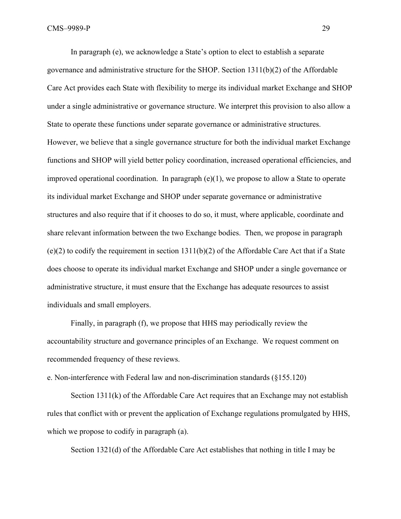In paragraph (e), we acknowledge a State's option to elect to establish a separate governance and administrative structure for the SHOP. Section 1311(b)(2) of the Affordable Care Act provides each State with flexibility to merge its individual market Exchange and SHOP under a single administrative or governance structure. We interpret this provision to also allow a State to operate these functions under separate governance or administrative structures. However, we believe that a single governance structure for both the individual market Exchange functions and SHOP will yield better policy coordination, increased operational efficiencies, and improved operational coordination. In paragraph (e)(1), we propose to allow a State to operate its individual market Exchange and SHOP under separate governance or administrative structures and also require that if it chooses to do so, it must, where applicable, coordinate and share relevant information between the two Exchange bodies. Then, we propose in paragraph  $(e)(2)$  to codify the requirement in section 1311(b)(2) of the Affordable Care Act that if a State does choose to operate its individual market Exchange and SHOP under a single governance or administrative structure, it must ensure that the Exchange has adequate resources to assist individuals and small employers.

Finally, in paragraph (f), we propose that HHS may periodically review the accountability structure and governance principles of an Exchange. We request comment on recommended frequency of these reviews.

e. Non-interference with Federal law and non-discrimination standards (§155.120)

 Section 1311(k) of the Affordable Care Act requires that an Exchange may not establish rules that conflict with or prevent the application of Exchange regulations promulgated by HHS, which we propose to codify in paragraph  $(a)$ .

Section 1321(d) of the Affordable Care Act establishes that nothing in title I may be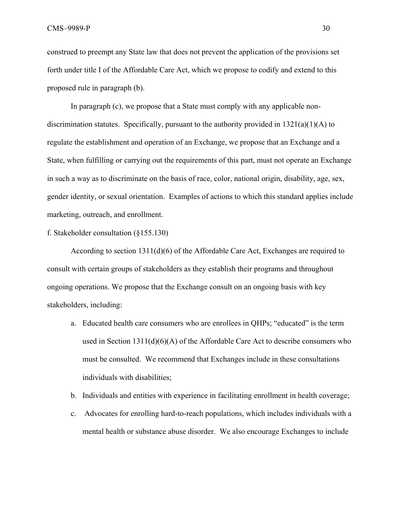construed to preempt any State law that does not prevent the application of the provisions set forth under title I of the Affordable Care Act, which we propose to codify and extend to this proposed rule in paragraph (b).

 In paragraph (c), we propose that a State must comply with any applicable nondiscrimination statutes. Specifically, pursuant to the authority provided in  $1321(a)(1)(A)$  to regulate the establishment and operation of an Exchange, we propose that an Exchange and a State, when fulfilling or carrying out the requirements of this part, must not operate an Exchange in such a way as to discriminate on the basis of race, color, national origin, disability, age, sex, gender identity, or sexual orientation. Examples of actions to which this standard applies include marketing, outreach, and enrollment.

f. Stakeholder consultation (§155.130)

According to section 1311(d)(6) of the Affordable Care Act, Exchanges are required to consult with certain groups of stakeholders as they establish their programs and throughout ongoing operations. We propose that the Exchange consult on an ongoing basis with key stakeholders, including:

- a. Educated health care consumers who are enrollees in QHPs; "educated" is the term used in Section 1311(d)(6)(A) of the Affordable Care Act to describe consumers who must be consulted. We recommend that Exchanges include in these consultations individuals with disabilities;
- b. Individuals and entities with experience in facilitating enrollment in health coverage;
- c. Advocates for enrolling hard-to-reach populations, which includes individuals with a mental health or substance abuse disorder. We also encourage Exchanges to include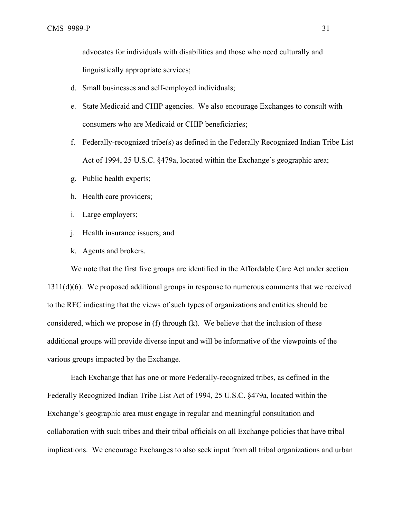advocates for individuals with disabilities and those who need culturally and linguistically appropriate services;

- d. Small businesses and self-employed individuals;
- e. State Medicaid and CHIP agencies. We also encourage Exchanges to consult with consumers who are Medicaid or CHIP beneficiaries;
- f. Federally-recognized tribe(s) as defined in the Federally Recognized Indian Tribe List Act of 1994, 25 U.S.C. §479a, located within the Exchange's geographic area;
- g. Public health experts;
- h. Health care providers;
- i. Large employers;
- j. Health insurance issuers; and
- k. Agents and brokers.

 We note that the first five groups are identified in the Affordable Care Act under section 1311(d)(6). We proposed additional groups in response to numerous comments that we received to the RFC indicating that the views of such types of organizations and entities should be considered, which we propose in (f) through (k). We believe that the inclusion of these additional groups will provide diverse input and will be informative of the viewpoints of the various groups impacted by the Exchange.

Each Exchange that has one or more Federally-recognized tribes, as defined in the Federally Recognized Indian Tribe List Act of 1994, 25 U.S.C. §479a, located within the Exchange's geographic area must engage in regular and meaningful consultation and collaboration with such tribes and their tribal officials on all Exchange policies that have tribal implications. We encourage Exchanges to also seek input from all tribal organizations and urban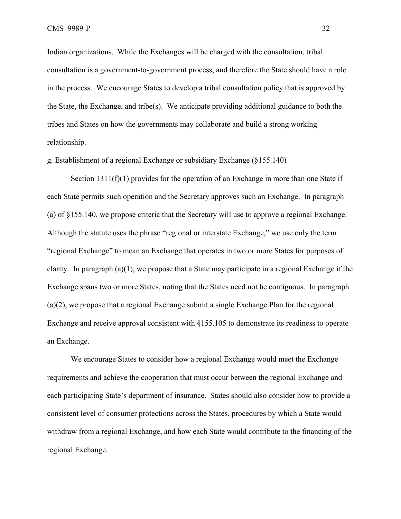Indian organizations. While the Exchanges will be charged with the consultation, tribal consultation is a government-to-government process, and therefore the State should have a role in the process. We encourage States to develop a tribal consultation policy that is approved by the State, the Exchange, and tribe(s). We anticipate providing additional guidance to both the tribes and States on how the governments may collaborate and build a strong working relationship.

g. Establishment of a regional Exchange or subsidiary Exchange (§155.140)

Section 1311(f)(1) provides for the operation of an Exchange in more than one State if each State permits such operation and the Secretary approves such an Exchange. In paragraph (a) of §155.140, we propose criteria that the Secretary will use to approve a regional Exchange. Although the statute uses the phrase "regional or interstate Exchange," we use only the term "regional Exchange" to mean an Exchange that operates in two or more States for purposes of clarity. In paragraph (a)(1), we propose that a State may participate in a regional Exchange if the Exchange spans two or more States, noting that the States need not be contiguous. In paragraph (a)(2), we propose that a regional Exchange submit a single Exchange Plan for the regional Exchange and receive approval consistent with §155.105 to demonstrate its readiness to operate an Exchange.

We encourage States to consider how a regional Exchange would meet the Exchange requirements and achieve the cooperation that must occur between the regional Exchange and each participating State's department of insurance. States should also consider how to provide a consistent level of consumer protections across the States, procedures by which a State would withdraw from a regional Exchange, and how each State would contribute to the financing of the regional Exchange.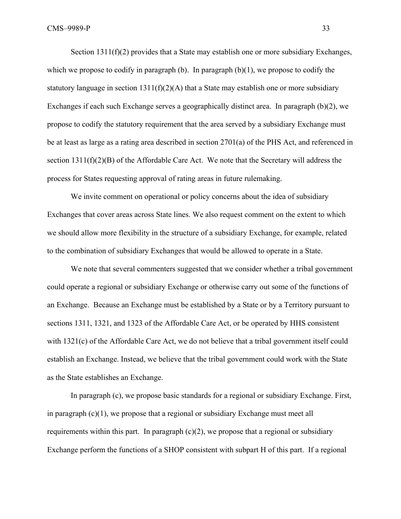Section  $1311(f)(2)$  provides that a State may establish one or more subsidiary Exchanges, which we propose to codify in paragraph (b). In paragraph  $(b)(1)$ , we propose to codify the statutory language in section  $1311(f)(2)(A)$  that a State may establish one or more subsidiary Exchanges if each such Exchange serves a geographically distinct area. In paragraph (b)(2), we propose to codify the statutory requirement that the area served by a subsidiary Exchange must be at least as large as a rating area described in section 2701(a) of the PHS Act, and referenced in section 1311(f)(2)(B) of the Affordable Care Act. We note that the Secretary will address the process for States requesting approval of rating areas in future rulemaking.

We invite comment on operational or policy concerns about the idea of subsidiary Exchanges that cover areas across State lines. We also request comment on the extent to which we should allow more flexibility in the structure of a subsidiary Exchange, for example, related to the combination of subsidiary Exchanges that would be allowed to operate in a State.

We note that several commenters suggested that we consider whether a tribal government could operate a regional or subsidiary Exchange or otherwise carry out some of the functions of an Exchange. Because an Exchange must be established by a State or by a Territory pursuant to sections 1311, 1321, and 1323 of the Affordable Care Act, or be operated by HHS consistent with 1321(c) of the Affordable Care Act, we do not believe that a tribal government itself could establish an Exchange. Instead, we believe that the tribal government could work with the State as the State establishes an Exchange.

In paragraph (c), we propose basic standards for a regional or subsidiary Exchange. First, in paragraph  $(c)(1)$ , we propose that a regional or subsidiary Exchange must meet all requirements within this part. In paragraph  $(c)(2)$ , we propose that a regional or subsidiary Exchange perform the functions of a SHOP consistent with subpart H of this part. If a regional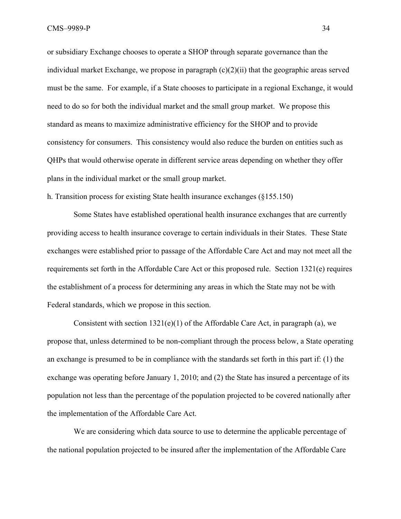or subsidiary Exchange chooses to operate a SHOP through separate governance than the individual market Exchange, we propose in paragraph (c)(2)(ii) that the geographic areas served must be the same. For example, if a State chooses to participate in a regional Exchange, it would need to do so for both the individual market and the small group market. We propose this standard as means to maximize administrative efficiency for the SHOP and to provide consistency for consumers. This consistency would also reduce the burden on entities such as QHPs that would otherwise operate in different service areas depending on whether they offer plans in the individual market or the small group market.

h. Transition process for existing State health insurance exchanges (§155.150)

 Some States have established operational health insurance exchanges that are currently providing access to health insurance coverage to certain individuals in their States. These State exchanges were established prior to passage of the Affordable Care Act and may not meet all the requirements set forth in the Affordable Care Act or this proposed rule. Section 1321(e) requires the establishment of a process for determining any areas in which the State may not be with Federal standards, which we propose in this section.

Consistent with section  $1321(e)(1)$  of the Affordable Care Act, in paragraph (a), we propose that, unless determined to be non-compliant through the process below, a State operating an exchange is presumed to be in compliance with the standards set forth in this part if: (1) the exchange was operating before January 1, 2010; and (2) the State has insured a percentage of its population not less than the percentage of the population projected to be covered nationally after the implementation of the Affordable Care Act.

 We are considering which data source to use to determine the applicable percentage of the national population projected to be insured after the implementation of the Affordable Care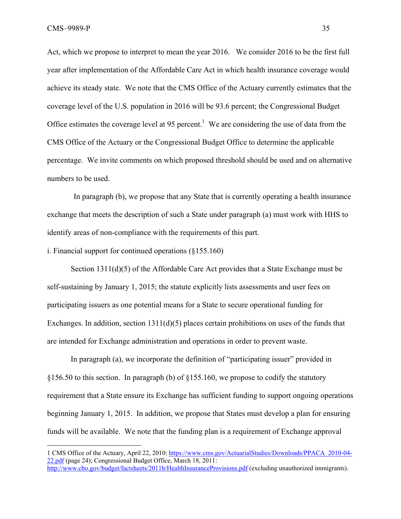$\overline{a}$ 

Act, which we propose to interpret to mean the year 2016. We consider 2016 to be the first full year after implementation of the Affordable Care Act in which health insurance coverage would achieve its steady state. We note that the CMS Office of the Actuary currently estimates that the coverage level of the U.S. population in 2016 will be 93.6 percent; the Congressional Budget Office estimates the coverage level at 95 percent.<sup>1</sup> We are considering the use of data from the CMS Office of the Actuary or the Congressional Budget Office to determine the applicable percentage. We invite comments on which proposed threshold should be used and on alternative numbers to be used.

 In paragraph (b), we propose that any State that is currently operating a health insurance exchange that meets the description of such a State under paragraph (a) must work with HHS to identify areas of non-compliance with the requirements of this part.

i. Financial support for continued operations (§155.160)

Section 1311(d)(5) of the Affordable Care Act provides that a State Exchange must be self-sustaining by January 1, 2015; the statute explicitly lists assessments and user fees on participating issuers as one potential means for a State to secure operational funding for Exchanges. In addition, section 1311(d)(5) places certain prohibitions on uses of the funds that are intended for Exchange administration and operations in order to prevent waste.

In paragraph (a), we incorporate the definition of "participating issuer" provided in §156.50 to this section. In paragraph (b) of §155.160, we propose to codify the statutory requirement that a State ensure its Exchange has sufficient funding to support ongoing operations beginning January 1, 2015. In addition, we propose that States must develop a plan for ensuring funds will be available. We note that the funding plan is a requirement of Exchange approval

<sup>1</sup> CMS Office of the Actuary, April 22, 2010: https://www.cms.gov/ActuarialStudies/Downloads/PPACA\_2010-04- 22.pdf (page 24); Congressional Budget Office, March 18, 2011: http://www.cbo.gov/budget/factsheets/2011b/HealthInsuranceProvisions.pdf (excluding unauthorized immigrants).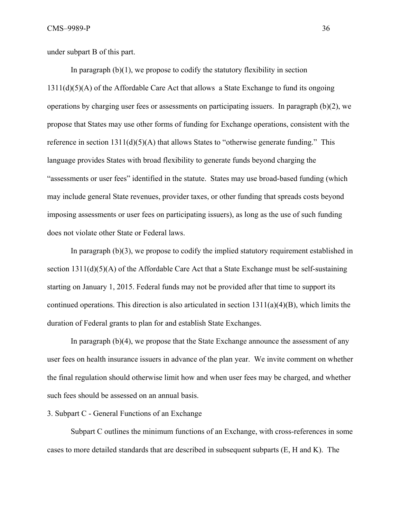under subpart B of this part.

In paragraph  $(b)(1)$ , we propose to codify the statutory flexibility in section 1311(d)(5)(A) of the Affordable Care Act that allows a State Exchange to fund its ongoing operations by charging user fees or assessments on participating issuers. In paragraph (b)(2), we propose that States may use other forms of funding for Exchange operations, consistent with the reference in section  $1311(d)(5)(A)$  that allows States to "otherwise generate funding." This language provides States with broad flexibility to generate funds beyond charging the "assessments or user fees" identified in the statute. States may use broad-based funding (which may include general State revenues, provider taxes, or other funding that spreads costs beyond imposing assessments or user fees on participating issuers), as long as the use of such funding does not violate other State or Federal laws.

In paragraph (b)(3), we propose to codify the implied statutory requirement established in section 1311(d)(5)(A) of the Affordable Care Act that a State Exchange must be self-sustaining starting on January 1, 2015. Federal funds may not be provided after that time to support its continued operations. This direction is also articulated in section  $1311(a)(4)(B)$ , which limits the duration of Federal grants to plan for and establish State Exchanges.

In paragraph (b)(4), we propose that the State Exchange announce the assessment of any user fees on health insurance issuers in advance of the plan year. We invite comment on whether the final regulation should otherwise limit how and when user fees may be charged, and whether such fees should be assessed on an annual basis.

3. Subpart C - General Functions of an Exchange

Subpart C outlines the minimum functions of an Exchange, with cross-references in some cases to more detailed standards that are described in subsequent subparts (E, H and K). The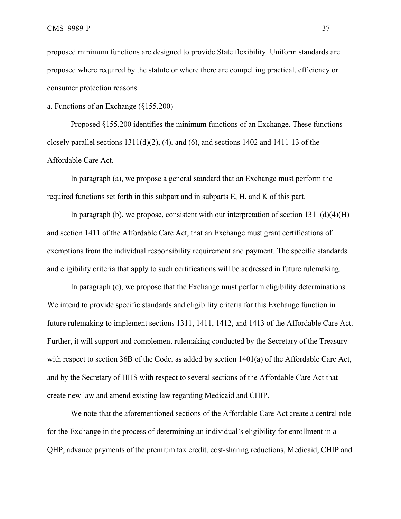proposed minimum functions are designed to provide State flexibility. Uniform standards are proposed where required by the statute or where there are compelling practical, efficiency or consumer protection reasons.

a. Functions of an Exchange (§155.200)

Proposed §155.200 identifies the minimum functions of an Exchange. These functions closely parallel sections  $1311(d)(2)$ , (4), and (6), and sections 1402 and 1411-13 of the Affordable Care Act.

In paragraph (a), we propose a general standard that an Exchange must perform the required functions set forth in this subpart and in subparts E, H, and K of this part.

In paragraph (b), we propose, consistent with our interpretation of section  $1311(d)(4)(H)$ and section 1411 of the Affordable Care Act, that an Exchange must grant certifications of exemptions from the individual responsibility requirement and payment. The specific standards and eligibility criteria that apply to such certifications will be addressed in future rulemaking.

In paragraph (c), we propose that the Exchange must perform eligibility determinations. We intend to provide specific standards and eligibility criteria for this Exchange function in future rulemaking to implement sections 1311, 1411, 1412, and 1413 of the Affordable Care Act. Further, it will support and complement rulemaking conducted by the Secretary of the Treasury with respect to section 36B of the Code, as added by section 1401(a) of the Affordable Care Act, and by the Secretary of HHS with respect to several sections of the Affordable Care Act that create new law and amend existing law regarding Medicaid and CHIP.

We note that the aforementioned sections of the Affordable Care Act create a central role for the Exchange in the process of determining an individual's eligibility for enrollment in a QHP, advance payments of the premium tax credit, cost-sharing reductions, Medicaid, CHIP and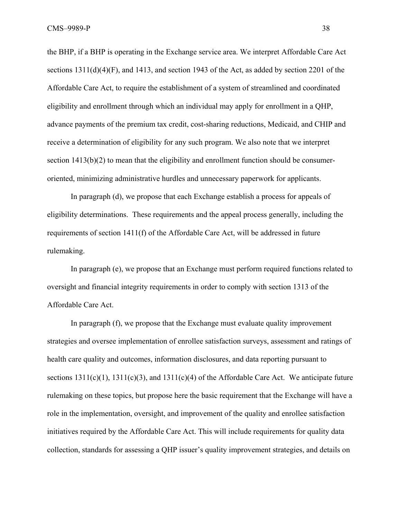the BHP, if a BHP is operating in the Exchange service area. We interpret Affordable Care Act sections  $1311(d)(4)(F)$ , and  $1413$ , and section 1943 of the Act, as added by section 2201 of the Affordable Care Act, to require the establishment of a system of streamlined and coordinated eligibility and enrollment through which an individual may apply for enrollment in a QHP, advance payments of the premium tax credit, cost-sharing reductions, Medicaid, and CHIP and receive a determination of eligibility for any such program. We also note that we interpret section 1413(b)(2) to mean that the eligibility and enrollment function should be consumeroriented, minimizing administrative hurdles and unnecessary paperwork for applicants.

In paragraph (d), we propose that each Exchange establish a process for appeals of eligibility determinations. These requirements and the appeal process generally, including the requirements of section 1411(f) of the Affordable Care Act, will be addressed in future rulemaking.

In paragraph (e), we propose that an Exchange must perform required functions related to oversight and financial integrity requirements in order to comply with section 1313 of the Affordable Care Act.

In paragraph (f), we propose that the Exchange must evaluate quality improvement strategies and oversee implementation of enrollee satisfaction surveys, assessment and ratings of health care quality and outcomes, information disclosures, and data reporting pursuant to sections  $1311(c)(1)$ ,  $1311(c)(3)$ , and  $1311(c)(4)$  of the Affordable Care Act. We anticipate future rulemaking on these topics, but propose here the basic requirement that the Exchange will have a role in the implementation, oversight, and improvement of the quality and enrollee satisfaction initiatives required by the Affordable Care Act. This will include requirements for quality data collection, standards for assessing a QHP issuer's quality improvement strategies, and details on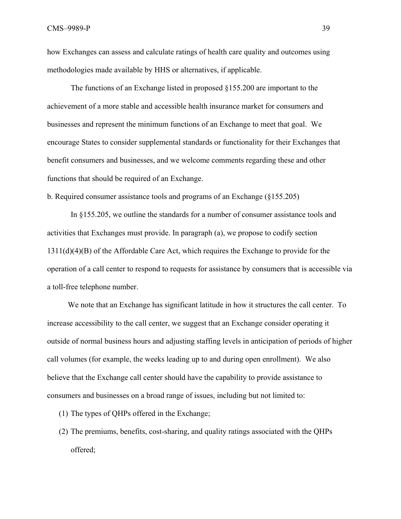how Exchanges can assess and calculate ratings of health care quality and outcomes using methodologies made available by HHS or alternatives, if applicable.

The functions of an Exchange listed in proposed §155.200 are important to the achievement of a more stable and accessible health insurance market for consumers and businesses and represent the minimum functions of an Exchange to meet that goal. We encourage States to consider supplemental standards or functionality for their Exchanges that benefit consumers and businesses, and we welcome comments regarding these and other functions that should be required of an Exchange.

b. Required consumer assistance tools and programs of an Exchange (§155.205)

 In §155.205, we outline the standards for a number of consumer assistance tools and activities that Exchanges must provide. In paragraph (a), we propose to codify section 1311(d)(4)(B) of the Affordable Care Act, which requires the Exchange to provide for the operation of a call center to respond to requests for assistance by consumers that is accessible via a toll-free telephone number.

We note that an Exchange has significant latitude in how it structures the call center. To increase accessibility to the call center, we suggest that an Exchange consider operating it outside of normal business hours and adjusting staffing levels in anticipation of periods of higher call volumes (for example, the weeks leading up to and during open enrollment). We also believe that the Exchange call center should have the capability to provide assistance to consumers and businesses on a broad range of issues, including but not limited to:

- (1) The types of QHPs offered in the Exchange;
- (2) The premiums, benefits, cost-sharing, and quality ratings associated with the QHPs offered;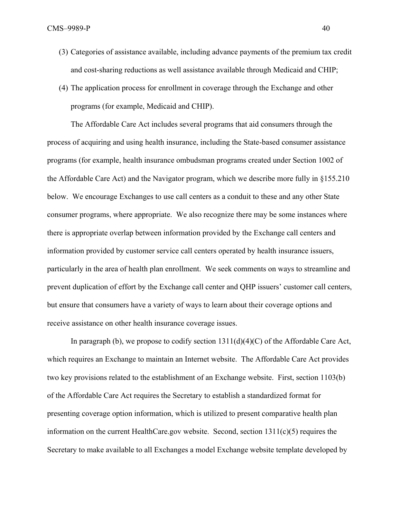- (3) Categories of assistance available, including advance payments of the premium tax credit and cost-sharing reductions as well assistance available through Medicaid and CHIP;
- (4) The application process for enrollment in coverage through the Exchange and other programs (for example, Medicaid and CHIP).

The Affordable Care Act includes several programs that aid consumers through the process of acquiring and using health insurance, including the State-based consumer assistance programs (for example, health insurance ombudsman programs created under Section 1002 of the Affordable Care Act) and the Navigator program, which we describe more fully in §155.210 below. We encourage Exchanges to use call centers as a conduit to these and any other State consumer programs, where appropriate. We also recognize there may be some instances where there is appropriate overlap between information provided by the Exchange call centers and information provided by customer service call centers operated by health insurance issuers, particularly in the area of health plan enrollment. We seek comments on ways to streamline and prevent duplication of effort by the Exchange call center and QHP issuers' customer call centers, but ensure that consumers have a variety of ways to learn about their coverage options and receive assistance on other health insurance coverage issues.

In paragraph (b), we propose to codify section  $1311(d)(4)(C)$  of the Affordable Care Act, which requires an Exchange to maintain an Internet website. The Affordable Care Act provides two key provisions related to the establishment of an Exchange website. First, section 1103(b) of the Affordable Care Act requires the Secretary to establish a standardized format for presenting coverage option information, which is utilized to present comparative health plan information on the current HealthCare.gov website. Second, section 1311(c)(5) requires the Secretary to make available to all Exchanges a model Exchange website template developed by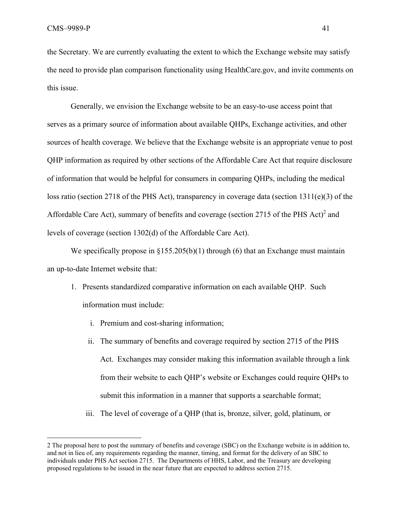<u>.</u>

the Secretary. We are currently evaluating the extent to which the Exchange website may satisfy the need to provide plan comparison functionality using HealthCare.gov, and invite comments on this issue.

Generally, we envision the Exchange website to be an easy-to-use access point that serves as a primary source of information about available QHPs, Exchange activities, and other sources of health coverage. We believe that the Exchange website is an appropriate venue to post QHP information as required by other sections of the Affordable Care Act that require disclosure of information that would be helpful for consumers in comparing QHPs, including the medical loss ratio (section 2718 of the PHS Act), transparency in coverage data (section 1311(e)(3) of the Affordable Care Act), summary of benefits and coverage (section 2715 of the PHS Act) $2$  and levels of coverage (section 1302(d) of the Affordable Care Act).

We specifically propose in  $\S 155.205(b)(1)$  through (6) that an Exchange must maintain an up-to-date Internet website that:

- 1. Presents standardized comparative information on each available QHP. Such information must include:
	- i. Premium and cost-sharing information;
	- ii. The summary of benefits and coverage required by section 2715 of the PHS Act. Exchanges may consider making this information available through a link from their website to each QHP's website or Exchanges could require QHPs to submit this information in a manner that supports a searchable format;
	- iii. The level of coverage of a QHP (that is, bronze, silver, gold, platinum, or

<sup>2</sup> The proposal here to post the summary of benefits and coverage (SBC) on the Exchange website is in addition to, and not in lieu of, any requirements regarding the manner, timing, and format for the delivery of an SBC to individuals under PHS Act section 2715. The Departments of HHS, Labor, and the Treasury are developing proposed regulations to be issued in the near future that are expected to address section 2715.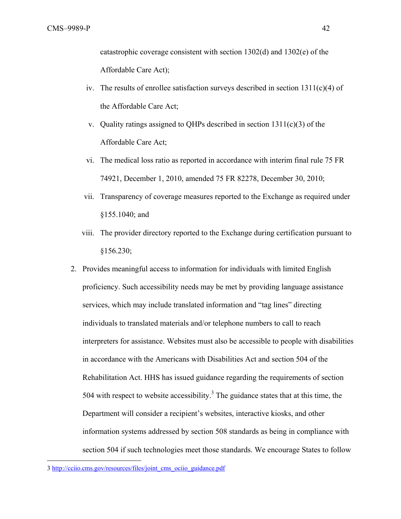catastrophic coverage consistent with section 1302(d) and 1302(e) of the Affordable Care Act);

- iv. The results of enrollee satisfaction surveys described in section  $1311(c)(4)$  of the Affordable Care Act;
- v. Quality ratings assigned to QHPs described in section  $1311(c)(3)$  of the Affordable Care Act;
- vi. The medical loss ratio as reported in accordance with interim final rule 75 FR 74921, December 1, 2010, amended 75 FR 82278, December 30, 2010;
- vii. Transparency of coverage measures reported to the Exchange as required under §155.1040; and
- viii. The provider directory reported to the Exchange during certification pursuant to §156.230;
- 2. Provides meaningful access to information for individuals with limited English proficiency. Such accessibility needs may be met by providing language assistance services, which may include translated information and "tag lines" directing individuals to translated materials and/or telephone numbers to call to reach interpreters for assistance. Websites must also be accessible to people with disabilities in accordance with the Americans with Disabilities Act and section 504 of the Rehabilitation Act. HHS has issued guidance regarding the requirements of section 504 with respect to website accessibility.<sup>3</sup> The guidance states that at this time, the Department will consider a recipient's websites, interactive kiosks, and other information systems addressed by section 508 standards as being in compliance with section 504 if such technologies meet those standards. We encourage States to follow

 $\overline{a}$ 

<sup>3</sup> http://cciio.cms.gov/resources/files/joint\_cms\_ociio\_guidance.pdf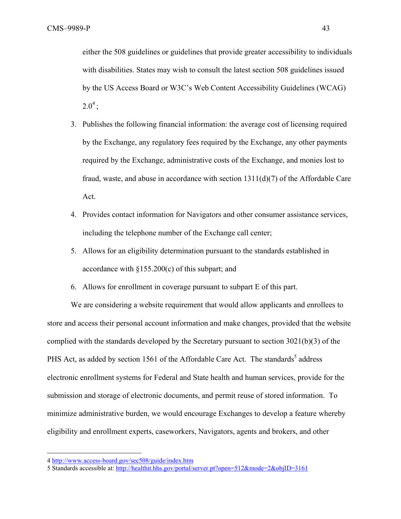either the 508 guidelines or guidelines that provide greater accessibility to individuals with disabilities. States may wish to consult the latest section 508 guidelines issued by the US Access Board or W3C's Web Content Accessibility Guidelines (WCAG)  $2.0^4$  :

- 3. Publishes the following financial information: the average cost of licensing required by the Exchange, any regulatory fees required by the Exchange, any other payments required by the Exchange, administrative costs of the Exchange, and monies lost to fraud, waste, and abuse in accordance with section 1311(d)(7) of the Affordable Care Act.
- 4. Provides contact information for Navigators and other consumer assistance services, including the telephone number of the Exchange call center;
- 5. Allows for an eligibility determination pursuant to the standards established in accordance with  $\S 155.200(c)$  of this subpart; and
- 6. Allows for enrollment in coverage pursuant to subpart E of this part.

We are considering a website requirement that would allow applicants and enrollees to store and access their personal account information and make changes, provided that the website complied with the standards developed by the Secretary pursuant to section 3021(b)(3) of the PHS Act, as added by section 1561 of the Affordable Care Act. The standards<sup>5</sup> address electronic enrollment systems for Federal and State health and human services, provide for the submission and storage of electronic documents, and permit reuse of stored information. To minimize administrative burden, we would encourage Exchanges to develop a feature whereby eligibility and enrollment experts, caseworkers, Navigators, agents and brokers, and other

 $\overline{a}$ 

<sup>4</sup> http://www.access-board.gov/sec508/guide/index.htm

<sup>5</sup> Standards accessible at: http://healthit.hhs.gov/portal/server.pt?open=512&mode=2&objID=3161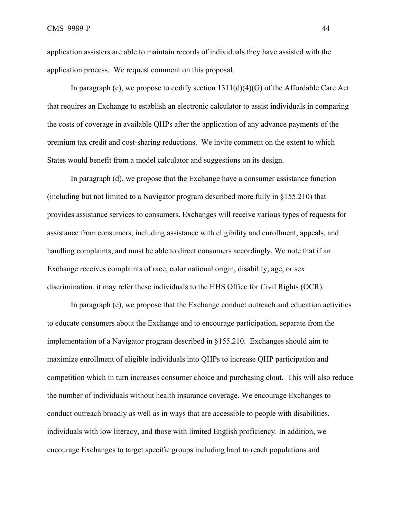application assisters are able to maintain records of individuals they have assisted with the application process. We request comment on this proposal.

In paragraph (c), we propose to codify section  $1311(d)(4)(G)$  of the Affordable Care Act that requires an Exchange to establish an electronic calculator to assist individuals in comparing the costs of coverage in available QHPs after the application of any advance payments of the premium tax credit and cost-sharing reductions. We invite comment on the extent to which States would benefit from a model calculator and suggestions on its design.

In paragraph (d), we propose that the Exchange have a consumer assistance function (including but not limited to a Navigator program described more fully in §155.210) that provides assistance services to consumers. Exchanges will receive various types of requests for assistance from consumers, including assistance with eligibility and enrollment, appeals, and handling complaints, and must be able to direct consumers accordingly. We note that if an Exchange receives complaints of race, color national origin, disability, age, or sex discrimination, it may refer these individuals to the HHS Office for Civil Rights (OCR).

In paragraph (e), we propose that the Exchange conduct outreach and education activities to educate consumers about the Exchange and to encourage participation, separate from the implementation of a Navigator program described in §155.210. Exchanges should aim to maximize enrollment of eligible individuals into QHPs to increase QHP participation and competition which in turn increases consumer choice and purchasing clout. This will also reduce the number of individuals without health insurance coverage. We encourage Exchanges to conduct outreach broadly as well as in ways that are accessible to people with disabilities, individuals with low literacy, and those with limited English proficiency. In addition, we encourage Exchanges to target specific groups including hard to reach populations and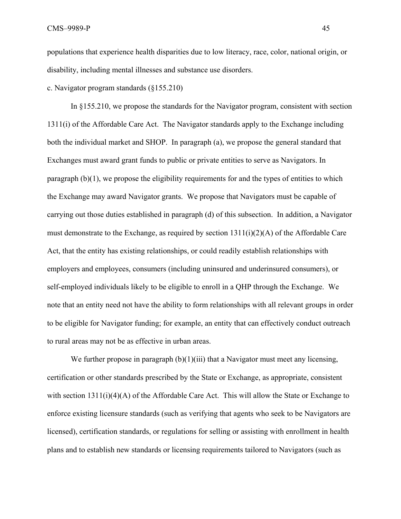populations that experience health disparities due to low literacy, race, color, national origin, or disability, including mental illnesses and substance use disorders.

c. Navigator program standards (§155.210)

In §155.210, we propose the standards for the Navigator program, consistent with section 1311(i) of the Affordable Care Act. The Navigator standards apply to the Exchange including both the individual market and SHOP. In paragraph (a), we propose the general standard that Exchanges must award grant funds to public or private entities to serve as Navigators. In paragraph (b)(1), we propose the eligibility requirements for and the types of entities to which the Exchange may award Navigator grants. We propose that Navigators must be capable of carrying out those duties established in paragraph (d) of this subsection. In addition, a Navigator must demonstrate to the Exchange, as required by section 1311(i)(2)(A) of the Affordable Care Act, that the entity has existing relationships, or could readily establish relationships with employers and employees, consumers (including uninsured and underinsured consumers), or self-employed individuals likely to be eligible to enroll in a QHP through the Exchange. We note that an entity need not have the ability to form relationships with all relevant groups in order to be eligible for Navigator funding; for example, an entity that can effectively conduct outreach to rural areas may not be as effective in urban areas.

We further propose in paragraph  $(b)(1)(iii)$  that a Navigator must meet any licensing, certification or other standards prescribed by the State or Exchange, as appropriate, consistent with section  $1311(i)(4)(A)$  of the Affordable Care Act. This will allow the State or Exchange to enforce existing licensure standards (such as verifying that agents who seek to be Navigators are licensed), certification standards, or regulations for selling or assisting with enrollment in health plans and to establish new standards or licensing requirements tailored to Navigators (such as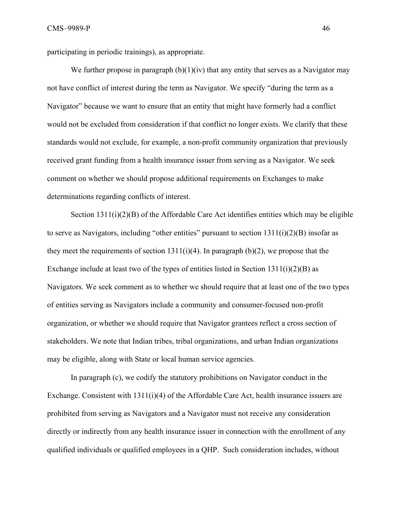participating in periodic trainings), as appropriate.

We further propose in paragraph  $(b)(1)(iv)$  that any entity that serves as a Navigator may not have conflict of interest during the term as Navigator. We specify "during the term as a Navigator" because we want to ensure that an entity that might have formerly had a conflict would not be excluded from consideration if that conflict no longer exists. We clarify that these standards would not exclude, for example, a non-profit community organization that previously received grant funding from a health insurance issuer from serving as a Navigator. We seek comment on whether we should propose additional requirements on Exchanges to make determinations regarding conflicts of interest.

Section 1311(i)(2)(B) of the Affordable Care Act identifies entities which may be eligible to serve as Navigators, including "other entities" pursuant to section 1311(i)(2)(B) insofar as they meet the requirements of section  $1311(i)(4)$ . In paragraph (b)(2), we propose that the Exchange include at least two of the types of entities listed in Section  $1311(i)(2)(B)$  as Navigators. We seek comment as to whether we should require that at least one of the two types of entities serving as Navigators include a community and consumer-focused non-profit organization, or whether we should require that Navigator grantees reflect a cross section of stakeholders. We note that Indian tribes, tribal organizations, and urban Indian organizations may be eligible, along with State or local human service agencies.

In paragraph (c), we codify the statutory prohibitions on Navigator conduct in the Exchange. Consistent with  $1311(i)(4)$  of the Affordable Care Act, health insurance issuers are prohibited from serving as Navigators and a Navigator must not receive any consideration directly or indirectly from any health insurance issuer in connection with the enrollment of any qualified individuals or qualified employees in a QHP. Such consideration includes, without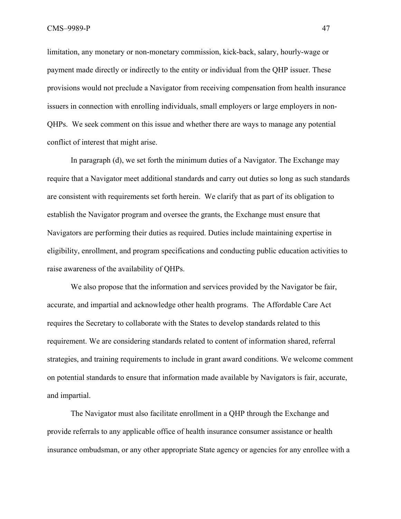limitation, any monetary or non-monetary commission, kick-back, salary, hourly-wage or payment made directly or indirectly to the entity or individual from the QHP issuer. These provisions would not preclude a Navigator from receiving compensation from health insurance issuers in connection with enrolling individuals, small employers or large employers in non-QHPs. We seek comment on this issue and whether there are ways to manage any potential conflict of interest that might arise.

In paragraph (d), we set forth the minimum duties of a Navigator. The Exchange may require that a Navigator meet additional standards and carry out duties so long as such standards are consistent with requirements set forth herein. We clarify that as part of its obligation to establish the Navigator program and oversee the grants, the Exchange must ensure that Navigators are performing their duties as required. Duties include maintaining expertise in eligibility, enrollment, and program specifications and conducting public education activities to raise awareness of the availability of QHPs.

We also propose that the information and services provided by the Navigator be fair, accurate, and impartial and acknowledge other health programs. The Affordable Care Act requires the Secretary to collaborate with the States to develop standards related to this requirement. We are considering standards related to content of information shared, referral strategies, and training requirements to include in grant award conditions. We welcome comment on potential standards to ensure that information made available by Navigators is fair, accurate, and impartial.

The Navigator must also facilitate enrollment in a QHP through the Exchange and provide referrals to any applicable office of health insurance consumer assistance or health insurance ombudsman, or any other appropriate State agency or agencies for any enrollee with a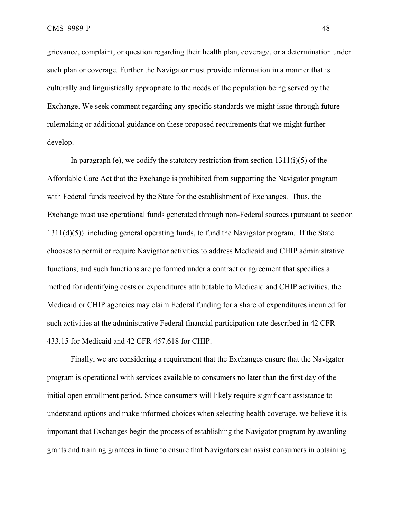grievance, complaint, or question regarding their health plan, coverage, or a determination under such plan or coverage. Further the Navigator must provide information in a manner that is culturally and linguistically appropriate to the needs of the population being served by the Exchange. We seek comment regarding any specific standards we might issue through future rulemaking or additional guidance on these proposed requirements that we might further develop.

In paragraph (e), we codify the statutory restriction from section  $1311(i)(5)$  of the Affordable Care Act that the Exchange is prohibited from supporting the Navigator program with Federal funds received by the State for the establishment of Exchanges. Thus, the Exchange must use operational funds generated through non-Federal sources (pursuant to section 1311(d)(5)) including general operating funds, to fund the Navigator program. If the State chooses to permit or require Navigator activities to address Medicaid and CHIP administrative functions, and such functions are performed under a contract or agreement that specifies a method for identifying costs or expenditures attributable to Medicaid and CHIP activities, the Medicaid or CHIP agencies may claim Federal funding for a share of expenditures incurred for such activities at the administrative Federal financial participation rate described in 42 CFR 433.15 for Medicaid and 42 CFR 457.618 for CHIP.

Finally, we are considering a requirement that the Exchanges ensure that the Navigator program is operational with services available to consumers no later than the first day of the initial open enrollment period. Since consumers will likely require significant assistance to understand options and make informed choices when selecting health coverage, we believe it is important that Exchanges begin the process of establishing the Navigator program by awarding grants and training grantees in time to ensure that Navigators can assist consumers in obtaining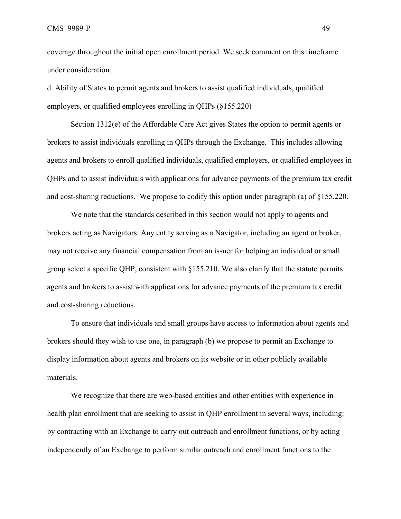coverage throughout the initial open enrollment period. We seek comment on this timeframe under consideration.

d. Ability of States to permit agents and brokers to assist qualified individuals, qualified employers, or qualified employees enrolling in QHPs (§155.220)

Section 1312(e) of the Affordable Care Act gives States the option to permit agents or brokers to assist individuals enrolling in QHPs through the Exchange. This includes allowing agents and brokers to enroll qualified individuals, qualified employers, or qualified employees in QHPs and to assist individuals with applications for advance payments of the premium tax credit and cost-sharing reductions. We propose to codify this option under paragraph (a) of §155.220.

We note that the standards described in this section would not apply to agents and brokers acting as Navigators. Any entity serving as a Navigator, including an agent or broker, may not receive any financial compensation from an issuer for helping an individual or small group select a specific QHP, consistent with §155.210. We also clarify that the statute permits agents and brokers to assist with applications for advance payments of the premium tax credit and cost-sharing reductions.

To ensure that individuals and small groups have access to information about agents and brokers should they wish to use one, in paragraph (b) we propose to permit an Exchange to display information about agents and brokers on its website or in other publicly available materials.

We recognize that there are web-based entities and other entities with experience in health plan enrollment that are seeking to assist in QHP enrollment in several ways, including: by contracting with an Exchange to carry out outreach and enrollment functions, or by acting independently of an Exchange to perform similar outreach and enrollment functions to the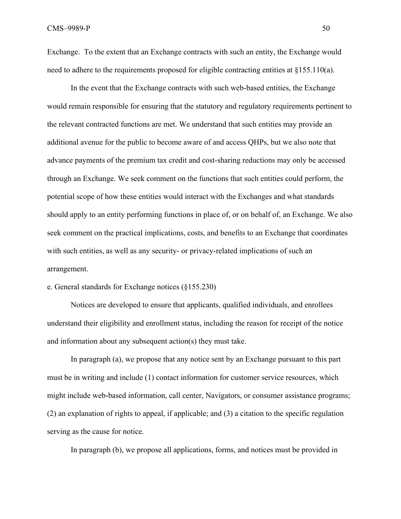Exchange. To the extent that an Exchange contracts with such an entity, the Exchange would need to adhere to the requirements proposed for eligible contracting entities at §155.110(a).

In the event that the Exchange contracts with such web-based entities, the Exchange would remain responsible for ensuring that the statutory and regulatory requirements pertinent to the relevant contracted functions are met. We understand that such entities may provide an additional avenue for the public to become aware of and access QHPs, but we also note that advance payments of the premium tax credit and cost-sharing reductions may only be accessed through an Exchange. We seek comment on the functions that such entities could perform, the potential scope of how these entities would interact with the Exchanges and what standards should apply to an entity performing functions in place of, or on behalf of, an Exchange. We also seek comment on the practical implications, costs, and benefits to an Exchange that coordinates with such entities, as well as any security- or privacy-related implications of such an arrangement.

## e. General standards for Exchange notices (§155.230)

 Notices are developed to ensure that applicants, qualified individuals, and enrollees understand their eligibility and enrollment status, including the reason for receipt of the notice and information about any subsequent action(s) they must take.

In paragraph (a), we propose that any notice sent by an Exchange pursuant to this part must be in writing and include (1) contact information for customer service resources, which might include web-based information, call center, Navigators, or consumer assistance programs; (2) an explanation of rights to appeal, if applicable; and (3) a citation to the specific regulation serving as the cause for notice.

In paragraph (b), we propose all applications, forms, and notices must be provided in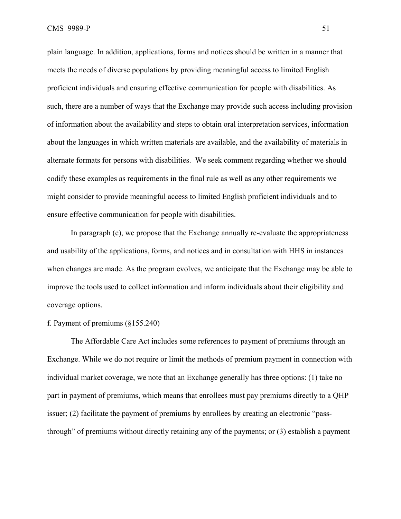plain language. In addition, applications, forms and notices should be written in a manner that meets the needs of diverse populations by providing meaningful access to limited English proficient individuals and ensuring effective communication for people with disabilities. As such, there are a number of ways that the Exchange may provide such access including provision of information about the availability and steps to obtain oral interpretation services, information about the languages in which written materials are available, and the availability of materials in alternate formats for persons with disabilities. We seek comment regarding whether we should codify these examples as requirements in the final rule as well as any other requirements we might consider to provide meaningful access to limited English proficient individuals and to ensure effective communication for people with disabilities.

 In paragraph (c), we propose that the Exchange annually re-evaluate the appropriateness and usability of the applications, forms, and notices and in consultation with HHS in instances when changes are made. As the program evolves, we anticipate that the Exchange may be able to improve the tools used to collect information and inform individuals about their eligibility and coverage options.

## f. Payment of premiums (§155.240)

The Affordable Care Act includes some references to payment of premiums through an Exchange. While we do not require or limit the methods of premium payment in connection with individual market coverage, we note that an Exchange generally has three options: (1) take no part in payment of premiums, which means that enrollees must pay premiums directly to a QHP issuer; (2) facilitate the payment of premiums by enrollees by creating an electronic "passthrough" of premiums without directly retaining any of the payments; or (3) establish a payment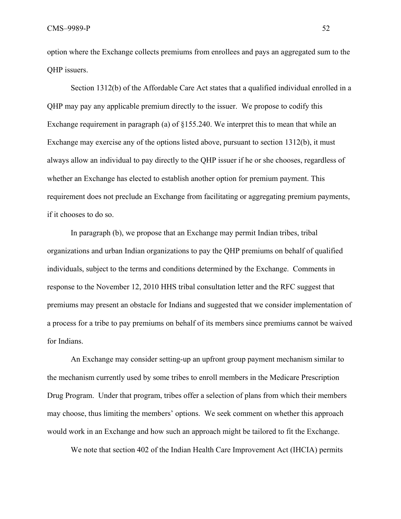option where the Exchange collects premiums from enrollees and pays an aggregated sum to the QHP issuers.

Section 1312(b) of the Affordable Care Act states that a qualified individual enrolled in a QHP may pay any applicable premium directly to the issuer. We propose to codify this Exchange requirement in paragraph (a) of §155.240. We interpret this to mean that while an Exchange may exercise any of the options listed above, pursuant to section 1312(b), it must always allow an individual to pay directly to the QHP issuer if he or she chooses, regardless of whether an Exchange has elected to establish another option for premium payment. This requirement does not preclude an Exchange from facilitating or aggregating premium payments, if it chooses to do so.

 In paragraph (b), we propose that an Exchange may permit Indian tribes, tribal organizations and urban Indian organizations to pay the QHP premiums on behalf of qualified individuals, subject to the terms and conditions determined by the Exchange. Comments in response to the November 12, 2010 HHS tribal consultation letter and the RFC suggest that premiums may present an obstacle for Indians and suggested that we consider implementation of a process for a tribe to pay premiums on behalf of its members since premiums cannot be waived for Indians.

 An Exchange may consider setting-up an upfront group payment mechanism similar to the mechanism currently used by some tribes to enroll members in the Medicare Prescription Drug Program. Under that program, tribes offer a selection of plans from which their members may choose, thus limiting the members' options. We seek comment on whether this approach would work in an Exchange and how such an approach might be tailored to fit the Exchange.

We note that section 402 of the Indian Health Care Improvement Act (IHCIA) permits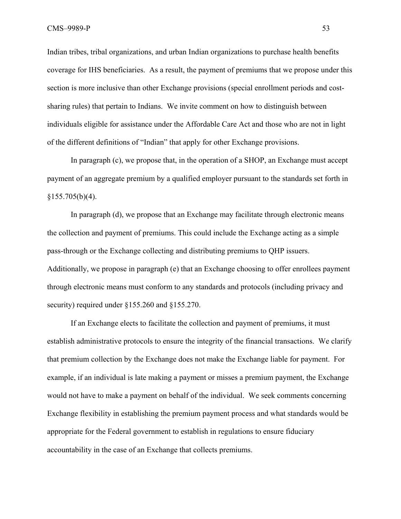Indian tribes, tribal organizations, and urban Indian organizations to purchase health benefits coverage for IHS beneficiaries. As a result, the payment of premiums that we propose under this section is more inclusive than other Exchange provisions (special enrollment periods and costsharing rules) that pertain to Indians. We invite comment on how to distinguish between individuals eligible for assistance under the Affordable Care Act and those who are not in light of the different definitions of "Indian" that apply for other Exchange provisions.

 In paragraph (c), we propose that, in the operation of a SHOP, an Exchange must accept payment of an aggregate premium by a qualified employer pursuant to the standards set forth in  $§155.705(b)(4).$ 

In paragraph (d), we propose that an Exchange may facilitate through electronic means the collection and payment of premiums. This could include the Exchange acting as a simple pass-through or the Exchange collecting and distributing premiums to QHP issuers. Additionally, we propose in paragraph (e) that an Exchange choosing to offer enrollees payment through electronic means must conform to any standards and protocols (including privacy and security) required under §155.260 and §155.270.

If an Exchange elects to facilitate the collection and payment of premiums, it must establish administrative protocols to ensure the integrity of the financial transactions. We clarify that premium collection by the Exchange does not make the Exchange liable for payment. For example, if an individual is late making a payment or misses a premium payment, the Exchange would not have to make a payment on behalf of the individual. We seek comments concerning Exchange flexibility in establishing the premium payment process and what standards would be appropriate for the Federal government to establish in regulations to ensure fiduciary accountability in the case of an Exchange that collects premiums.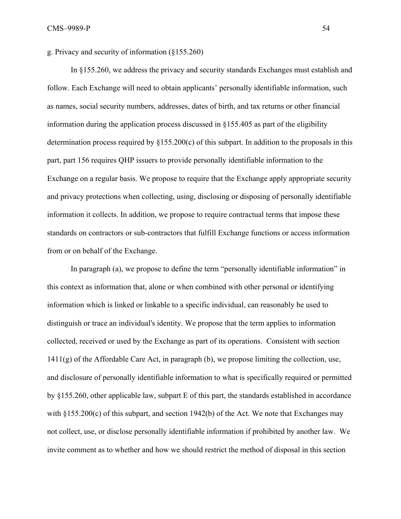g. Privacy and security of information (§155.260)

In §155.260, we address the privacy and security standards Exchanges must establish and follow. Each Exchange will need to obtain applicants' personally identifiable information, such as names, social security numbers, addresses, dates of birth, and tax returns or other financial information during the application process discussed in §155.405 as part of the eligibility determination process required by §155.200(c) of this subpart. In addition to the proposals in this part, part 156 requires QHP issuers to provide personally identifiable information to the Exchange on a regular basis. We propose to require that the Exchange apply appropriate security and privacy protections when collecting, using, disclosing or disposing of personally identifiable information it collects. In addition, we propose to require contractual terms that impose these standards on contractors or sub-contractors that fulfill Exchange functions or access information from or on behalf of the Exchange.

In paragraph (a), we propose to define the term "personally identifiable information" in this context as information that, alone or when combined with other personal or identifying information which is linked or linkable to a specific individual, can reasonably be used to distinguish or trace an individual's identity. We propose that the term applies to information collected, received or used by the Exchange as part of its operations. Consistent with section 1411(g) of the Affordable Care Act, in paragraph (b), we propose limiting the collection, use, and disclosure of personally identifiable information to what is specifically required or permitted by §155.260, other applicable law, subpart E of this part, the standards established in accordance with  $\S 155.200(c)$  of this subpart, and section 1942(b) of the Act. We note that Exchanges may not collect, use, or disclose personally identifiable information if prohibited by another law. We invite comment as to whether and how we should restrict the method of disposal in this section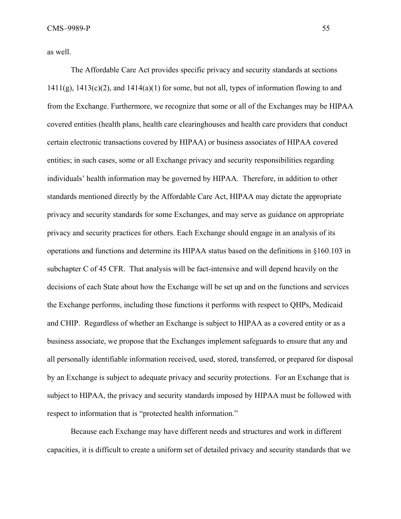as well.

The Affordable Care Act provides specific privacy and security standards at sections  $1411(g)$ ,  $1413(c)(2)$ , and  $1414(a)(1)$  for some, but not all, types of information flowing to and from the Exchange. Furthermore, we recognize that some or all of the Exchanges may be HIPAA covered entities (health plans, health care clearinghouses and health care providers that conduct certain electronic transactions covered by HIPAA) or business associates of HIPAA covered entities; in such cases, some or all Exchange privacy and security responsibilities regarding individuals' health information may be governed by HIPAA. Therefore, in addition to other standards mentioned directly by the Affordable Care Act, HIPAA may dictate the appropriate privacy and security standards for some Exchanges, and may serve as guidance on appropriate privacy and security practices for others. Each Exchange should engage in an analysis of its operations and functions and determine its HIPAA status based on the definitions in §160.103 in subchapter C of 45 CFR. That analysis will be fact-intensive and will depend heavily on the decisions of each State about how the Exchange will be set up and on the functions and services the Exchange performs, including those functions it performs with respect to QHPs, Medicaid and CHIP. Regardless of whether an Exchange is subject to HIPAA as a covered entity or as a business associate, we propose that the Exchanges implement safeguards to ensure that any and all personally identifiable information received, used, stored, transferred, or prepared for disposal by an Exchange is subject to adequate privacy and security protections. For an Exchange that is subject to HIPAA, the privacy and security standards imposed by HIPAA must be followed with respect to information that is "protected health information."

Because each Exchange may have different needs and structures and work in different capacities, it is difficult to create a uniform set of detailed privacy and security standards that we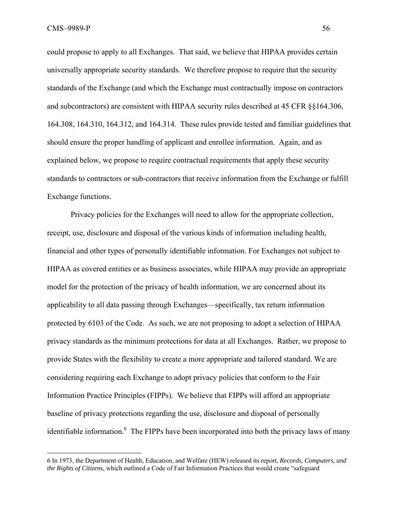CMS–9989-P 56

 $\overline{a}$ 

could propose to apply to all Exchanges. That said, we believe that HIPAA provides certain universally appropriate security standards. We therefore propose to require that the security standards of the Exchange (and which the Exchange must contractually impose on contractors and subcontractors) are consistent with HIPAA security rules described at 45 CFR §§164.306, 164.308, 164.310, 164.312, and 164.314. These rules provide tested and familiar guidelines that should ensure the proper handling of applicant and enrollee information. Again, and as explained below, we propose to require contractual requirements that apply these security standards to contractors or sub-contractors that receive information from the Exchange or fulfill Exchange functions.

Privacy policies for the Exchanges will need to allow for the appropriate collection, receipt, use, disclosure and disposal of the various kinds of information including health, financial and other types of personally identifiable information. For Exchanges not subject to HIPAA as covered entities or as business associates, while HIPAA may provide an appropriate model for the protection of the privacy of health information, we are concerned about its applicability to all data passing through Exchanges—specifically, tax return information protected by 6103 of the Code. As such, we are not proposing to adopt a selection of HIPAA privacy standards as the minimum protections for data at all Exchanges. Rather, we propose to provide States with the flexibility to create a more appropriate and tailored standard. We are considering requiring each Exchange to adopt privacy policies that conform to the Fair Information Practice Principles (FIPPs). We believe that FIPPs will afford an appropriate baseline of privacy protections regarding the use, disclosure and disposal of personally identifiable information.<sup>6</sup> The FIPPs have been incorporated into both the privacy laws of many

<sup>6</sup> In 1973, the Department of Health, Education, and Welfare (HEW) released its report, *Records, Computers, and the Rights of Citizens*, which outlined a Code of Fair Information Practices that would create "safeguard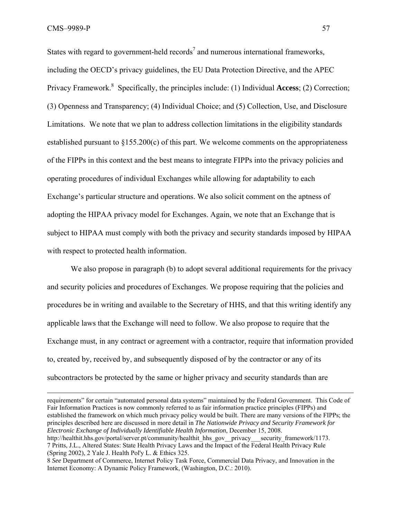States with regard to government-held records<sup>7</sup> and numerous international frameworks, including the OECD's privacy guidelines, the EU Data Protection Directive, and the APEC Privacy Framework.<sup>8</sup> Specifically, the principles include: (1) Individual **Access**; (2) Correction; (3) Openness and Transparency; (4) Individual Choice; and (5) Collection, Use, and Disclosure Limitations. We note that we plan to address collection limitations in the eligibility standards established pursuant to §155.200(c) of this part. We welcome comments on the appropriateness of the FIPPs in this context and the best means to integrate FIPPs into the privacy policies and operating procedures of individual Exchanges while allowing for adaptability to each Exchange's particular structure and operations. We also solicit comment on the aptness of adopting the HIPAA privacy model for Exchanges. Again, we note that an Exchange that is subject to HIPAA must comply with both the privacy and security standards imposed by HIPAA with respect to protected health information.

We also propose in paragraph (b) to adopt several additional requirements for the privacy and security policies and procedures of Exchanges. We propose requiring that the policies and procedures be in writing and available to the Secretary of HHS, and that this writing identify any applicable laws that the Exchange will need to follow. We also propose to require that the Exchange must, in any contract or agreement with a contractor, require that information provided to, created by, received by, and subsequently disposed of by the contractor or any of its subcontractors be protected by the same or higher privacy and security standards than are

 requirements" for certain "automated personal data systems" maintained by the Federal Government. This Code of Fair Information Practices is now commonly referred to as fair information practice principles (FIPPs) and established the framework on which much privacy policy would be built. There are many versions of the FIPPs; the principles described here are discussed in more detail in *The Nationwide Privacy and Security Framework for Electronic Exchange of Individually Identifiable Health Information*, December 15, 2008.

http://healthit.hhs.gov/portal/server.pt/community/healthit\_hhs\_gov\_\_privacy\_\_\_\_security\_framework/1173. 7 Pritts, J.L., Altered States: State Health Privacy Laws and the Impact of the Federal Health Privacy Rule (Spring 2002), 2 Yale J. Health Pol'y L. & Ethics 325.

<sup>8</sup> *See* Department of Commerce, Internet Policy Task Force, Commercial Data Privacy, and Innovation in the Internet Economy: A Dynamic Policy Framework, (Washington, D.C.: 2010).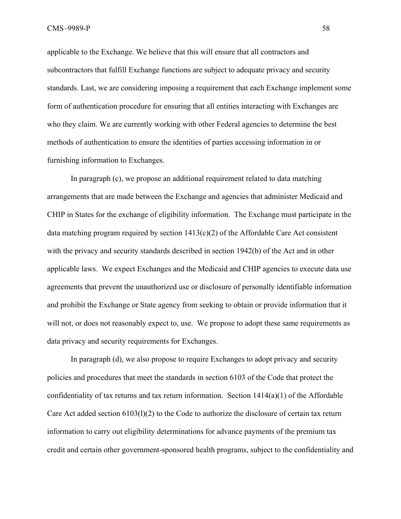applicable to the Exchange. We believe that this will ensure that all contractors and subcontractors that fulfill Exchange functions are subject to adequate privacy and security standards. Last, we are considering imposing a requirement that each Exchange implement some form of authentication procedure for ensuring that all entities interacting with Exchanges are who they claim. We are currently working with other Federal agencies to determine the best methods of authentication to ensure the identities of parties accessing information in or furnishing information to Exchanges.

In paragraph (c), we propose an additional requirement related to data matching arrangements that are made between the Exchange and agencies that administer Medicaid and CHIP in States for the exchange of eligibility information. The Exchange must participate in the data matching program required by section  $1413(c)(2)$  of the Affordable Care Act consistent with the privacy and security standards described in section 1942(b) of the Act and in other applicable laws. We expect Exchanges and the Medicaid and CHIP agencies to execute data use agreements that prevent the unauthorized use or disclosure of personally identifiable information and prohibit the Exchange or State agency from seeking to obtain or provide information that it will not, or does not reasonably expect to, use. We propose to adopt these same requirements as data privacy and security requirements for Exchanges.

In paragraph (d), we also propose to require Exchanges to adopt privacy and security policies and procedures that meet the standards in section 6103 of the Code that protect the confidentiality of tax returns and tax return information. Section  $1414(a)(1)$  of the Affordable Care Act added section 6103(l)(2) to the Code to authorize the disclosure of certain tax return information to carry out eligibility determinations for advance payments of the premium tax credit and certain other government-sponsored health programs, subject to the confidentiality and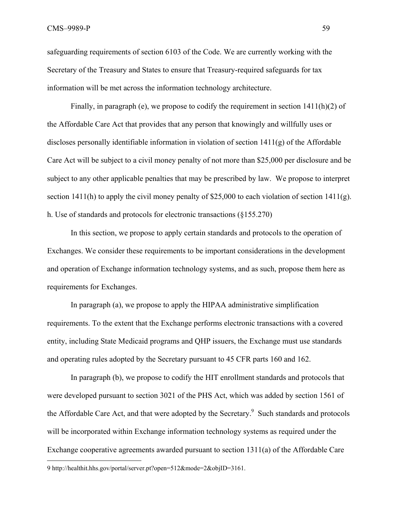safeguarding requirements of section 6103 of the Code. We are currently working with the Secretary of the Treasury and States to ensure that Treasury-required safeguards for tax information will be met across the information technology architecture.

Finally, in paragraph (e), we propose to codify the requirement in section 1411(h)(2) of the Affordable Care Act that provides that any person that knowingly and willfully uses or discloses personally identifiable information in violation of section 1411(g) of the Affordable Care Act will be subject to a civil money penalty of not more than \$25,000 per disclosure and be subject to any other applicable penalties that may be prescribed by law. We propose to interpret section 1411(h) to apply the civil money penalty of \$25,000 to each violation of section 1411(g). h. Use of standards and protocols for electronic transactions (§155.270)

 In this section, we propose to apply certain standards and protocols to the operation of Exchanges. We consider these requirements to be important considerations in the development and operation of Exchange information technology systems, and as such, propose them here as requirements for Exchanges.

In paragraph (a), we propose to apply the HIPAA administrative simplification requirements. To the extent that the Exchange performs electronic transactions with a covered entity, including State Medicaid programs and QHP issuers, the Exchange must use standards and operating rules adopted by the Secretary pursuant to 45 CFR parts 160 and 162.

In paragraph (b), we propose to codify the HIT enrollment standards and protocols that were developed pursuant to section 3021 of the PHS Act, which was added by section 1561 of the Affordable Care Act, and that were adopted by the Secretary.<sup>9</sup> Such standards and protocols will be incorporated within Exchange information technology systems as required under the Exchange cooperative agreements awarded pursuant to section 1311(a) of the Affordable Care

 $\overline{a}$ 

<sup>9</sup> http://healthit.hhs.gov/portal/server.pt?open=512&mode=2&objID=3161.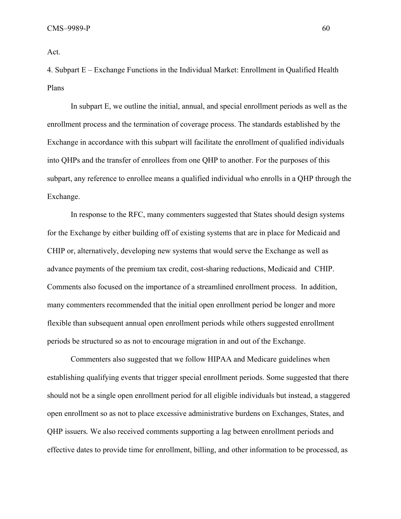Act.

4. Subpart E – Exchange Functions in the Individual Market: Enrollment in Qualified Health Plans

In subpart E, we outline the initial, annual, and special enrollment periods as well as the enrollment process and the termination of coverage process. The standards established by the Exchange in accordance with this subpart will facilitate the enrollment of qualified individuals into QHPs and the transfer of enrollees from one QHP to another. For the purposes of this subpart, any reference to enrollee means a qualified individual who enrolls in a QHP through the Exchange.

In response to the RFC, many commenters suggested that States should design systems for the Exchange by either building off of existing systems that are in place for Medicaid and CHIP or, alternatively, developing new systems that would serve the Exchange as well as advance payments of the premium tax credit, cost-sharing reductions, Medicaid and CHIP. Comments also focused on the importance of a streamlined enrollment process. In addition, many commenters recommended that the initial open enrollment period be longer and more flexible than subsequent annual open enrollment periods while others suggested enrollment periods be structured so as not to encourage migration in and out of the Exchange.

Commenters also suggested that we follow HIPAA and Medicare guidelines when establishing qualifying events that trigger special enrollment periods. Some suggested that there should not be a single open enrollment period for all eligible individuals but instead, a staggered open enrollment so as not to place excessive administrative burdens on Exchanges, States, and QHP issuers*.* We also received comments supporting a lag between enrollment periods and effective dates to provide time for enrollment, billing, and other information to be processed, as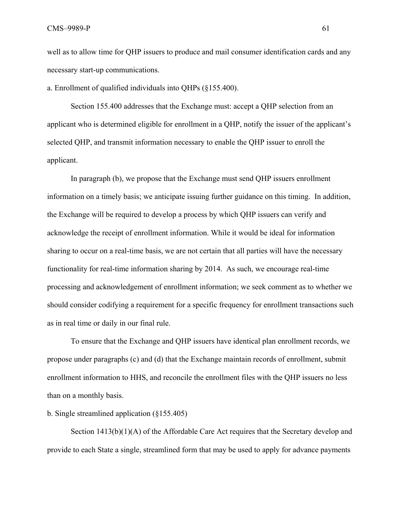well as to allow time for QHP issuers to produce and mail consumer identification cards and any necessary start-up communications.

a. Enrollment of qualified individuals into QHPs (§155.400).

Section 155.400 addresses that the Exchange must: accept a QHP selection from an applicant who is determined eligible for enrollment in a QHP, notify the issuer of the applicant's selected QHP, and transmit information necessary to enable the QHP issuer to enroll the applicant.

In paragraph (b), we propose that the Exchange must send QHP issuers enrollment information on a timely basis; we anticipate issuing further guidance on this timing. In addition, the Exchange will be required to develop a process by which QHP issuers can verify and acknowledge the receipt of enrollment information. While it would be ideal for information sharing to occur on a real-time basis, we are not certain that all parties will have the necessary functionality for real-time information sharing by 2014. As such, we encourage real-time processing and acknowledgement of enrollment information; we seek comment as to whether we should consider codifying a requirement for a specific frequency for enrollment transactions such as in real time or daily in our final rule.

To ensure that the Exchange and QHP issuers have identical plan enrollment records, we propose under paragraphs (c) and (d) that the Exchange maintain records of enrollment, submit enrollment information to HHS, and reconcile the enrollment files with the QHP issuers no less than on a monthly basis.

## b. Single streamlined application (§155.405)

Section 1413(b)(1)(A) of the Affordable Care Act requires that the Secretary develop and provide to each State a single, streamlined form that may be used to apply for advance payments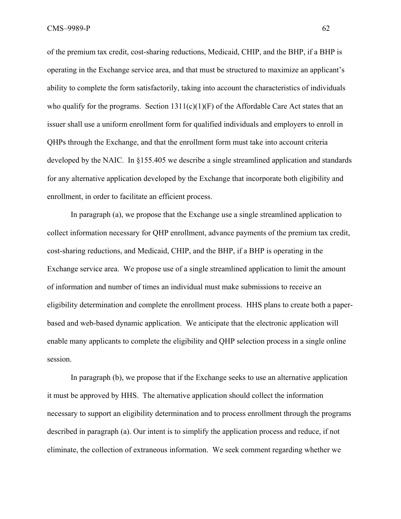CMS–9989-P 62

of the premium tax credit, cost-sharing reductions, Medicaid, CHIP, and the BHP, if a BHP is operating in the Exchange service area, and that must be structured to maximize an applicant's ability to complete the form satisfactorily, taking into account the characteristics of individuals who qualify for the programs. Section  $1311(c)(1)(F)$  of the Affordable Care Act states that an issuer shall use a uniform enrollment form for qualified individuals and employers to enroll in QHPs through the Exchange, and that the enrollment form must take into account criteria developed by the NAIC. In §155.405 we describe a single streamlined application and standards for any alternative application developed by the Exchange that incorporate both eligibility and enrollment, in order to facilitate an efficient process.

In paragraph (a), we propose that the Exchange use a single streamlined application to collect information necessary for QHP enrollment, advance payments of the premium tax credit, cost-sharing reductions, and Medicaid, CHIP, and the BHP, if a BHP is operating in the Exchange service area. We propose use of a single streamlined application to limit the amount of information and number of times an individual must make submissions to receive an eligibility determination and complete the enrollment process. HHS plans to create both a paperbased and web-based dynamic application. We anticipate that the electronic application will enable many applicants to complete the eligibility and QHP selection process in a single online session.

 In paragraph (b), we propose that if the Exchange seeks to use an alternative application it must be approved by HHS. The alternative application should collect the information necessary to support an eligibility determination and to process enrollment through the programs described in paragraph (a). Our intent is to simplify the application process and reduce, if not eliminate, the collection of extraneous information. We seek comment regarding whether we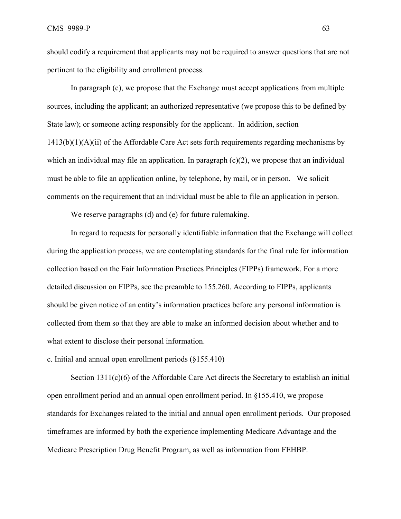should codify a requirement that applicants may not be required to answer questions that are not pertinent to the eligibility and enrollment process.

 In paragraph (c), we propose that the Exchange must accept applications from multiple sources, including the applicant; an authorized representative (we propose this to be defined by State law); or someone acting responsibly for the applicant. In addition, section 1413(b)(1)(A)(ii) of the Affordable Care Act sets forth requirements regarding mechanisms by which an individual may file an application. In paragraph  $(c)(2)$ , we propose that an individual must be able to file an application online, by telephone, by mail, or in person. We solicit comments on the requirement that an individual must be able to file an application in person.

We reserve paragraphs (d) and (e) for future rulemaking.

 In regard to requests for personally identifiable information that the Exchange will collect during the application process, we are contemplating standards for the final rule for information collection based on the Fair Information Practices Principles (FIPPs) framework. For a more detailed discussion on FIPPs, see the preamble to 155.260. According to FIPPs, applicants should be given notice of an entity's information practices before any personal information is collected from them so that they are able to make an informed decision about whether and to what extent to disclose their personal information.

c. Initial and annual open enrollment periods (§155.410)

Section 1311(c)(6) of the Affordable Care Act directs the Secretary to establish an initial open enrollment period and an annual open enrollment period. In §155.410, we propose standards for Exchanges related to the initial and annual open enrollment periods. Our proposed timeframes are informed by both the experience implementing Medicare Advantage and the Medicare Prescription Drug Benefit Program, as well as information from FEHBP.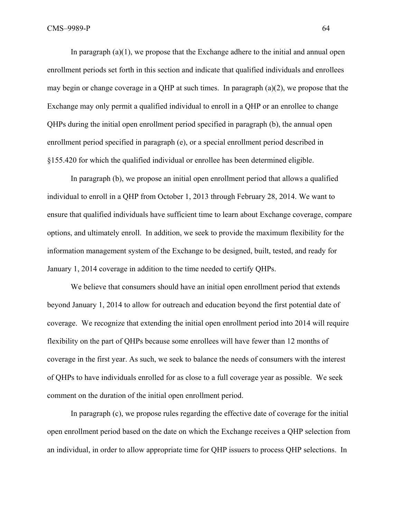In paragraph  $(a)(1)$ , we propose that the Exchange adhere to the initial and annual open enrollment periods set forth in this section and indicate that qualified individuals and enrollees may begin or change coverage in a QHP at such times. In paragraph (a)(2), we propose that the Exchange may only permit a qualified individual to enroll in a QHP or an enrollee to change QHPs during the initial open enrollment period specified in paragraph (b), the annual open enrollment period specified in paragraph (e), or a special enrollment period described in §155.420 for which the qualified individual or enrollee has been determined eligible.

In paragraph (b), we propose an initial open enrollment period that allows a qualified individual to enroll in a QHP from October 1, 2013 through February 28, 2014. We want to ensure that qualified individuals have sufficient time to learn about Exchange coverage, compare options, and ultimately enroll. In addition, we seek to provide the maximum flexibility for the information management system of the Exchange to be designed, built, tested, and ready for January 1, 2014 coverage in addition to the time needed to certify QHPs.

 We believe that consumers should have an initial open enrollment period that extends beyond January 1, 2014 to allow for outreach and education beyond the first potential date of coverage. We recognize that extending the initial open enrollment period into 2014 will require flexibility on the part of QHPs because some enrollees will have fewer than 12 months of coverage in the first year. As such, we seek to balance the needs of consumers with the interest of QHPs to have individuals enrolled for as close to a full coverage year as possible. We seek comment on the duration of the initial open enrollment period.

In paragraph (c), we propose rules regarding the effective date of coverage for the initial open enrollment period based on the date on which the Exchange receives a QHP selection from an individual, in order to allow appropriate time for QHP issuers to process QHP selections. In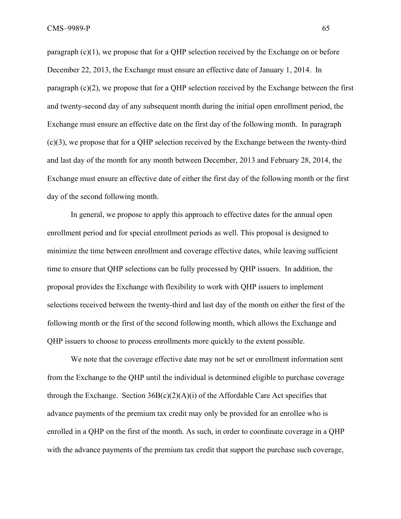paragraph  $(c)(1)$ , we propose that for a QHP selection received by the Exchange on or before December 22, 2013, the Exchange must ensure an effective date of January 1, 2014. In paragraph (c)(2), we propose that for a QHP selection received by the Exchange between the first and twenty-second day of any subsequent month during the initial open enrollment period, the Exchange must ensure an effective date on the first day of the following month. In paragraph (c)(3), we propose that for a QHP selection received by the Exchange between the twenty-third and last day of the month for any month between December, 2013 and February 28, 2014, the Exchange must ensure an effective date of either the first day of the following month or the first day of the second following month.

In general, we propose to apply this approach to effective dates for the annual open enrollment period and for special enrollment periods as well. This proposal is designed to minimize the time between enrollment and coverage effective dates, while leaving sufficient time to ensure that QHP selections can be fully processed by QHP issuers. In addition, the proposal provides the Exchange with flexibility to work with QHP issuers to implement selections received between the twenty-third and last day of the month on either the first of the following month or the first of the second following month, which allows the Exchange and QHP issuers to choose to process enrollments more quickly to the extent possible.

We note that the coverage effective date may not be set or enrollment information sent from the Exchange to the QHP until the individual is determined eligible to purchase coverage through the Exchange. Section  $36B(c)(2)(A)(i)$  of the Affordable Care Act specifies that advance payments of the premium tax credit may only be provided for an enrollee who is enrolled in a QHP on the first of the month. As such, in order to coordinate coverage in a QHP with the advance payments of the premium tax credit that support the purchase such coverage,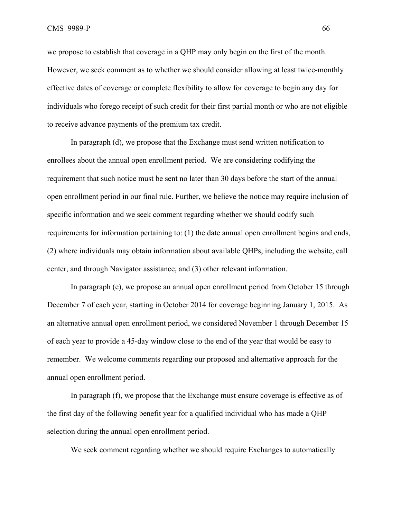CMS–9989-P 66

we propose to establish that coverage in a QHP may only begin on the first of the month. However, we seek comment as to whether we should consider allowing at least twice-monthly effective dates of coverage or complete flexibility to allow for coverage to begin any day for individuals who forego receipt of such credit for their first partial month or who are not eligible to receive advance payments of the premium tax credit.

 In paragraph (d), we propose that the Exchange must send written notification to enrollees about the annual open enrollment period. We are considering codifying the requirement that such notice must be sent no later than 30 days before the start of the annual open enrollment period in our final rule. Further, we believe the notice may require inclusion of specific information and we seek comment regarding whether we should codify such requirements for information pertaining to: (1) the date annual open enrollment begins and ends, (2) where individuals may obtain information about available QHPs, including the website, call center, and through Navigator assistance, and (3) other relevant information.

 In paragraph (e), we propose an annual open enrollment period from October 15 through December 7 of each year, starting in October 2014 for coverage beginning January 1, 2015. As an alternative annual open enrollment period, we considered November 1 through December 15 of each year to provide a 45-day window close to the end of the year that would be easy to remember. We welcome comments regarding our proposed and alternative approach for the annual open enrollment period.

In paragraph (f), we propose that the Exchange must ensure coverage is effective as of the first day of the following benefit year for a qualified individual who has made a QHP selection during the annual open enrollment period.

We seek comment regarding whether we should require Exchanges to automatically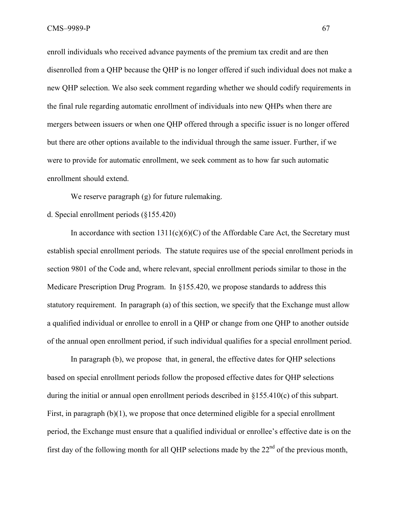enroll individuals who received advance payments of the premium tax credit and are then disenrolled from a QHP because the QHP is no longer offered if such individual does not make a new QHP selection. We also seek comment regarding whether we should codify requirements in the final rule regarding automatic enrollment of individuals into new QHPs when there are mergers between issuers or when one QHP offered through a specific issuer is no longer offered but there are other options available to the individual through the same issuer. Further, if we were to provide for automatic enrollment, we seek comment as to how far such automatic enrollment should extend.

We reserve paragraph (g) for future rulemaking.

## d. Special enrollment periods (§155.420)

In accordance with section  $1311(c)(6)(C)$  of the Affordable Care Act, the Secretary must establish special enrollment periods. The statute requires use of the special enrollment periods in section 9801 of the Code and, where relevant, special enrollment periods similar to those in the Medicare Prescription Drug Program. In §155.420, we propose standards to address this statutory requirement. In paragraph (a) of this section, we specify that the Exchange must allow a qualified individual or enrollee to enroll in a QHP or change from one QHP to another outside of the annual open enrollment period, if such individual qualifies for a special enrollment period.

In paragraph (b), we propose that, in general, the effective dates for QHP selections based on special enrollment periods follow the proposed effective dates for QHP selections during the initial or annual open enrollment periods described in §155.410(c) of this subpart. First, in paragraph (b)(1), we propose that once determined eligible for a special enrollment period, the Exchange must ensure that a qualified individual or enrollee's effective date is on the first day of the following month for all QHP selections made by the  $22<sup>nd</sup>$  of the previous month,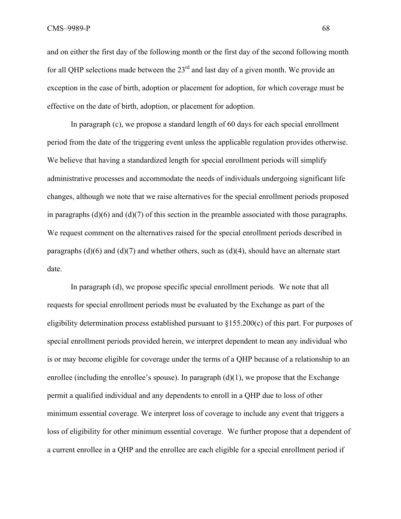and on either the first day of the following month or the first day of the second following month for all OHP selections made between the  $23<sup>rd</sup>$  and last day of a given month. We provide an exception in the case of birth, adoption or placement for adoption, for which coverage must be effective on the date of birth, adoption, or placement for adoption.

In paragraph (c), we propose a standard length of 60 days for each special enrollment period from the date of the triggering event unless the applicable regulation provides otherwise. We believe that having a standardized length for special enrollment periods will simplify administrative processes and accommodate the needs of individuals undergoing significant life changes, although we note that we raise alternatives for the special enrollment periods proposed in paragraphs  $(d)(6)$  and  $(d)(7)$  of this section in the preamble associated with those paragraphs. We request comment on the alternatives raised for the special enrollment periods described in paragraphs  $(d)(6)$  and  $(d)(7)$  and whether others, such as  $(d)(4)$ , should have an alternate start date.

 In paragraph (d), we propose specific special enrollment periods. We note that all requests for special enrollment periods must be evaluated by the Exchange as part of the eligibility determination process established pursuant to §155.200(c) of this part. For purposes of special enrollment periods provided herein, we interpret dependent to mean any individual who is or may become eligible for coverage under the terms of a QHP because of a relationship to an enrollee (including the enrollee's spouse). In paragraph  $(d)(1)$ , we propose that the Exchange permit a qualified individual and any dependents to enroll in a QHP due to loss of other minimum essential coverage. We interpret loss of coverage to include any event that triggers a loss of eligibility for other minimum essential coverage. We further propose that a dependent of a current enrollee in a QHP and the enrollee are each eligible for a special enrollment period if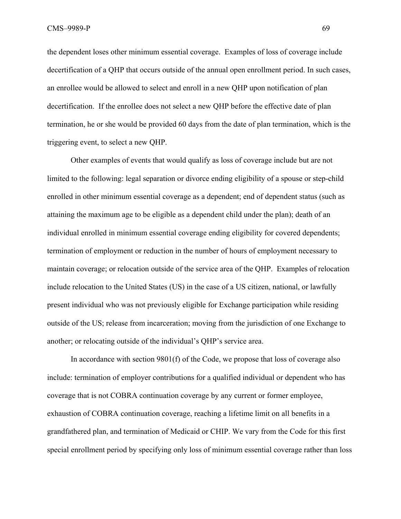the dependent loses other minimum essential coverage. Examples of loss of coverage include decertification of a QHP that occurs outside of the annual open enrollment period. In such cases, an enrollee would be allowed to select and enroll in a new QHP upon notification of plan decertification. If the enrollee does not select a new QHP before the effective date of plan termination, he or she would be provided 60 days from the date of plan termination, which is the triggering event, to select a new QHP.

Other examples of events that would qualify as loss of coverage include but are not limited to the following: legal separation or divorce ending eligibility of a spouse or step-child enrolled in other minimum essential coverage as a dependent; end of dependent status (such as attaining the maximum age to be eligible as a dependent child under the plan); death of an individual enrolled in minimum essential coverage ending eligibility for covered dependents; termination of employment or reduction in the number of hours of employment necessary to maintain coverage; or relocation outside of the service area of the QHP. Examples of relocation include relocation to the United States (US) in the case of a US citizen, national, or lawfully present individual who was not previously eligible for Exchange participation while residing outside of the US; release from incarceration; moving from the jurisdiction of one Exchange to another; or relocating outside of the individual's QHP's service area.

In accordance with section 9801(f) of the Code, we propose that loss of coverage also include: termination of employer contributions for a qualified individual or dependent who has coverage that is not COBRA continuation coverage by any current or former employee, exhaustion of COBRA continuation coverage, reaching a lifetime limit on all benefits in a grandfathered plan, and termination of Medicaid or CHIP. We vary from the Code for this first special enrollment period by specifying only loss of minimum essential coverage rather than loss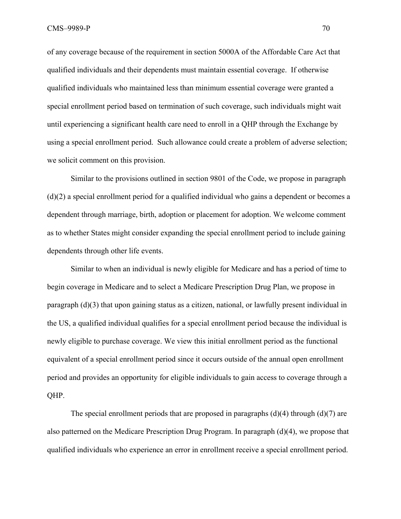of any coverage because of the requirement in section 5000A of the Affordable Care Act that qualified individuals and their dependents must maintain essential coverage. If otherwise qualified individuals who maintained less than minimum essential coverage were granted a special enrollment period based on termination of such coverage, such individuals might wait until experiencing a significant health care need to enroll in a QHP through the Exchange by using a special enrollment period. Such allowance could create a problem of adverse selection; we solicit comment on this provision.

Similar to the provisions outlined in section 9801 of the Code, we propose in paragraph (d)(2) a special enrollment period for a qualified individual who gains a dependent or becomes a dependent through marriage, birth, adoption or placement for adoption. We welcome comment as to whether States might consider expanding the special enrollment period to include gaining dependents through other life events.

Similar to when an individual is newly eligible for Medicare and has a period of time to begin coverage in Medicare and to select a Medicare Prescription Drug Plan, we propose in paragraph (d)(3) that upon gaining status as a citizen, national, or lawfully present individual in the US, a qualified individual qualifies for a special enrollment period because the individual is newly eligible to purchase coverage. We view this initial enrollment period as the functional equivalent of a special enrollment period since it occurs outside of the annual open enrollment period and provides an opportunity for eligible individuals to gain access to coverage through a QHP.

The special enrollment periods that are proposed in paragraphs  $(d)(4)$  through  $(d)(7)$  are also patterned on the Medicare Prescription Drug Program. In paragraph (d)(4), we propose that qualified individuals who experience an error in enrollment receive a special enrollment period.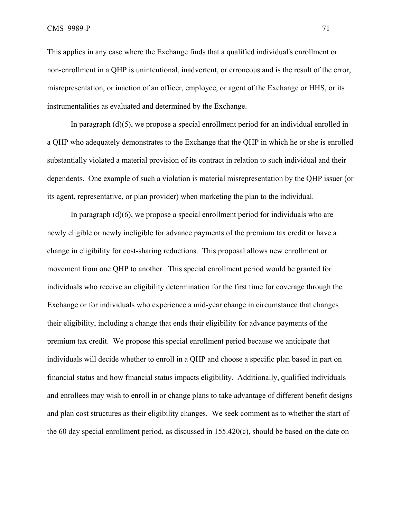This applies in any case where the Exchange finds that a qualified individual's enrollment or non-enrollment in a QHP is unintentional, inadvertent, or erroneous and is the result of the error, misrepresentation, or inaction of an officer, employee, or agent of the Exchange or HHS, or its instrumentalities as evaluated and determined by the Exchange.

In paragraph  $(d)(5)$ , we propose a special enrollment period for an individual enrolled in a QHP who adequately demonstrates to the Exchange that the QHP in which he or she is enrolled substantially violated a material provision of its contract in relation to such individual and their dependents. One example of such a violation is material misrepresentation by the QHP issuer (or its agent, representative, or plan provider) when marketing the plan to the individual.

In paragraph  $(d)(6)$ , we propose a special enrollment period for individuals who are newly eligible or newly ineligible for advance payments of the premium tax credit or have a change in eligibility for cost-sharing reductions. This proposal allows new enrollment or movement from one QHP to another. This special enrollment period would be granted for individuals who receive an eligibility determination for the first time for coverage through the Exchange or for individuals who experience a mid-year change in circumstance that changes their eligibility, including a change that ends their eligibility for advance payments of the premium tax credit. We propose this special enrollment period because we anticipate that individuals will decide whether to enroll in a QHP and choose a specific plan based in part on financial status and how financial status impacts eligibility. Additionally, qualified individuals and enrollees may wish to enroll in or change plans to take advantage of different benefit designs and plan cost structures as their eligibility changes. We seek comment as to whether the start of the 60 day special enrollment period, as discussed in 155.420(c), should be based on the date on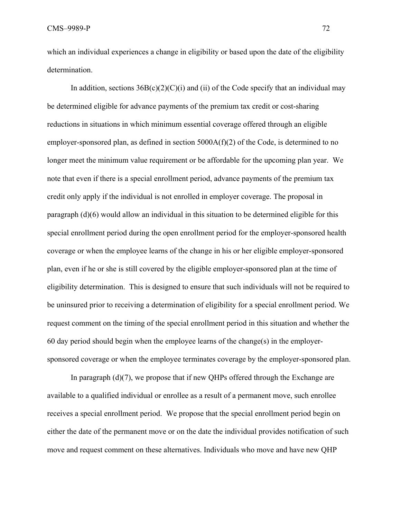which an individual experiences a change in eligibility or based upon the date of the eligibility determination.

In addition, sections  $36B(c)(2)(C)(i)$  and (ii) of the Code specify that an individual may be determined eligible for advance payments of the premium tax credit or cost-sharing reductions in situations in which minimum essential coverage offered through an eligible employer-sponsored plan, as defined in section 5000A(f)(2) of the Code, is determined to no longer meet the minimum value requirement or be affordable for the upcoming plan year. We note that even if there is a special enrollment period, advance payments of the premium tax credit only apply if the individual is not enrolled in employer coverage. The proposal in paragraph (d)(6) would allow an individual in this situation to be determined eligible for this special enrollment period during the open enrollment period for the employer-sponsored health coverage or when the employee learns of the change in his or her eligible employer-sponsored plan, even if he or she is still covered by the eligible employer-sponsored plan at the time of eligibility determination. This is designed to ensure that such individuals will not be required to be uninsured prior to receiving a determination of eligibility for a special enrollment period. We request comment on the timing of the special enrollment period in this situation and whether the 60 day period should begin when the employee learns of the change(s) in the employersponsored coverage or when the employee terminates coverage by the employer-sponsored plan.

In paragraph  $(d)(7)$ , we propose that if new QHPs offered through the Exchange are available to a qualified individual or enrollee as a result of a permanent move, such enrollee receives a special enrollment period. We propose that the special enrollment period begin on either the date of the permanent move or on the date the individual provides notification of such move and request comment on these alternatives. Individuals who move and have new QHP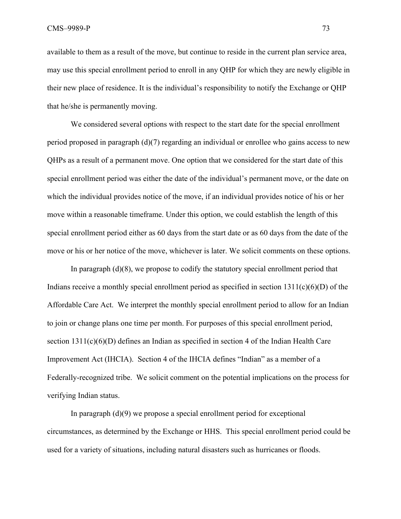available to them as a result of the move, but continue to reside in the current plan service area, may use this special enrollment period to enroll in any QHP for which they are newly eligible in their new place of residence. It is the individual's responsibility to notify the Exchange or QHP that he/she is permanently moving.

We considered several options with respect to the start date for the special enrollment period proposed in paragraph (d)(7) regarding an individual or enrollee who gains access to new QHPs as a result of a permanent move. One option that we considered for the start date of this special enrollment period was either the date of the individual's permanent move, or the date on which the individual provides notice of the move, if an individual provides notice of his or her move within a reasonable timeframe. Under this option, we could establish the length of this special enrollment period either as 60 days from the start date or as 60 days from the date of the move or his or her notice of the move, whichever is later. We solicit comments on these options.

In paragraph (d)(8), we propose to codify the statutory special enrollment period that Indians receive a monthly special enrollment period as specified in section  $1311(c)(6)(D)$  of the Affordable Care Act. We interpret the monthly special enrollment period to allow for an Indian to join or change plans one time per month. For purposes of this special enrollment period, section 1311(c)(6)(D) defines an Indian as specified in section 4 of the Indian Health Care Improvement Act (IHCIA). Section 4 of the IHCIA defines "Indian" as a member of a Federally-recognized tribe. We solicit comment on the potential implications on the process for verifying Indian status.

In paragraph  $(d)(9)$  we propose a special enrollment period for exceptional circumstances, as determined by the Exchange or HHS. This special enrollment period could be used for a variety of situations, including natural disasters such as hurricanes or floods.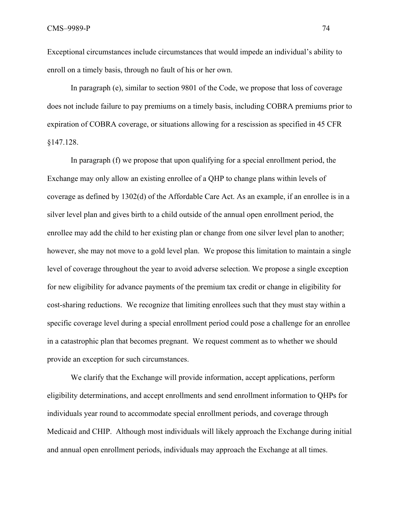Exceptional circumstances include circumstances that would impede an individual's ability to enroll on a timely basis, through no fault of his or her own.

In paragraph (e), similar to section 9801 of the Code, we propose that loss of coverage does not include failure to pay premiums on a timely basis, including COBRA premiums prior to expiration of COBRA coverage, or situations allowing for a rescission as specified in 45 CFR §147.128.

In paragraph (f) we propose that upon qualifying for a special enrollment period, the Exchange may only allow an existing enrollee of a QHP to change plans within levels of coverage as defined by 1302(d) of the Affordable Care Act. As an example, if an enrollee is in a silver level plan and gives birth to a child outside of the annual open enrollment period, the enrollee may add the child to her existing plan or change from one silver level plan to another; however, she may not move to a gold level plan. We propose this limitation to maintain a single level of coverage throughout the year to avoid adverse selection. We propose a single exception for new eligibility for advance payments of the premium tax credit or change in eligibility for cost-sharing reductions. We recognize that limiting enrollees such that they must stay within a specific coverage level during a special enrollment period could pose a challenge for an enrollee in a catastrophic plan that becomes pregnant. We request comment as to whether we should provide an exception for such circumstances.

We clarify that the Exchange will provide information, accept applications, perform eligibility determinations, and accept enrollments and send enrollment information to QHPs for individuals year round to accommodate special enrollment periods, and coverage through Medicaid and CHIP. Although most individuals will likely approach the Exchange during initial and annual open enrollment periods, individuals may approach the Exchange at all times.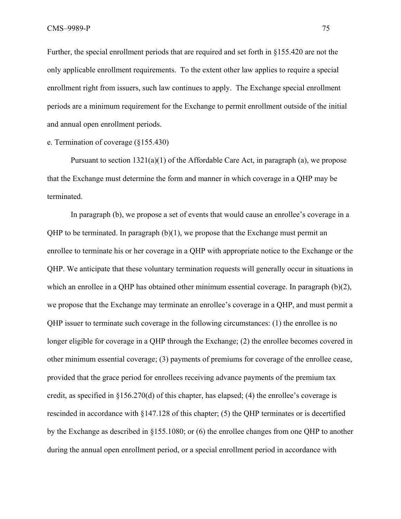Further, the special enrollment periods that are required and set forth in §155.420 are not the only applicable enrollment requirements. To the extent other law applies to require a special enrollment right from issuers, such law continues to apply. The Exchange special enrollment periods are a minimum requirement for the Exchange to permit enrollment outside of the initial and annual open enrollment periods.

## e. Termination of coverage (§155.430)

Pursuant to section  $1321(a)(1)$  of the Affordable Care Act, in paragraph (a), we propose that the Exchange must determine the form and manner in which coverage in a QHP may be terminated.

In paragraph (b), we propose a set of events that would cause an enrollee's coverage in a QHP to be terminated. In paragraph (b)(1), we propose that the Exchange must permit an enrollee to terminate his or her coverage in a QHP with appropriate notice to the Exchange or the QHP. We anticipate that these voluntary termination requests will generally occur in situations in which an enrollee in a QHP has obtained other minimum essential coverage. In paragraph  $(b)(2)$ , we propose that the Exchange may terminate an enrollee's coverage in a QHP, and must permit a QHP issuer to terminate such coverage in the following circumstances: (1) the enrollee is no longer eligible for coverage in a QHP through the Exchange; (2) the enrollee becomes covered in other minimum essential coverage; (3) payments of premiums for coverage of the enrollee cease, provided that the grace period for enrollees receiving advance payments of the premium tax credit, as specified in §156.270(d) of this chapter, has elapsed; (4) the enrollee's coverage is rescinded in accordance with §147.128 of this chapter; (5) the QHP terminates or is decertified by the Exchange as described in §155.1080; or (6) the enrollee changes from one QHP to another during the annual open enrollment period, or a special enrollment period in accordance with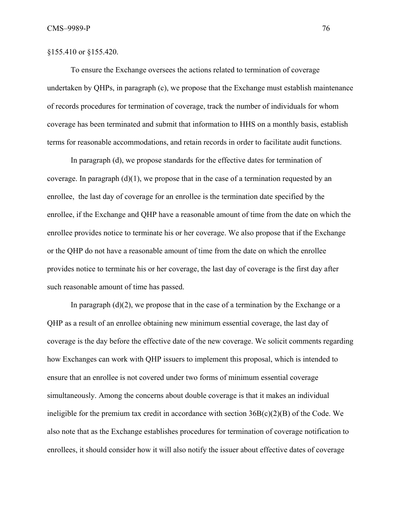## §155.410 or §155.420.

To ensure the Exchange oversees the actions related to termination of coverage undertaken by QHPs, in paragraph (c), we propose that the Exchange must establish maintenance of records procedures for termination of coverage, track the number of individuals for whom coverage has been terminated and submit that information to HHS on a monthly basis, establish terms for reasonable accommodations, and retain records in order to facilitate audit functions.

In paragraph (d), we propose standards for the effective dates for termination of coverage. In paragraph  $(d)(1)$ , we propose that in the case of a termination requested by an enrollee, the last day of coverage for an enrollee is the termination date specified by the enrollee, if the Exchange and QHP have a reasonable amount of time from the date on which the enrollee provides notice to terminate his or her coverage. We also propose that if the Exchange or the QHP do not have a reasonable amount of time from the date on which the enrollee provides notice to terminate his or her coverage, the last day of coverage is the first day after such reasonable amount of time has passed.

In paragraph  $(d)(2)$ , we propose that in the case of a termination by the Exchange or a QHP as a result of an enrollee obtaining new minimum essential coverage, the last day of coverage is the day before the effective date of the new coverage. We solicit comments regarding how Exchanges can work with QHP issuers to implement this proposal, which is intended to ensure that an enrollee is not covered under two forms of minimum essential coverage simultaneously. Among the concerns about double coverage is that it makes an individual ineligible for the premium tax credit in accordance with section  $36B(c)(2)(B)$  of the Code. We also note that as the Exchange establishes procedures for termination of coverage notification to enrollees, it should consider how it will also notify the issuer about effective dates of coverage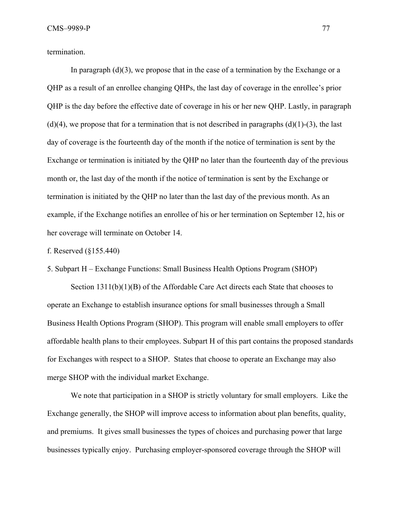termination.

In paragraph  $(d)(3)$ , we propose that in the case of a termination by the Exchange or a QHP as a result of an enrollee changing QHPs, the last day of coverage in the enrollee's prior QHP is the day before the effective date of coverage in his or her new QHP. Lastly, in paragraph  $(d)(4)$ , we propose that for a termination that is not described in paragraphs  $(d)(1)-(3)$ , the last day of coverage is the fourteenth day of the month if the notice of termination is sent by the Exchange or termination is initiated by the QHP no later than the fourteenth day of the previous month or, the last day of the month if the notice of termination is sent by the Exchange or termination is initiated by the QHP no later than the last day of the previous month. As an example, if the Exchange notifies an enrollee of his or her termination on September 12, his or her coverage will terminate on October 14.

f. Reserved (§155.440)

5. Subpart H – Exchange Functions: Small Business Health Options Program (SHOP)

Section  $1311(b)(1)(B)$  of the Affordable Care Act directs each State that chooses to operate an Exchange to establish insurance options for small businesses through a Small Business Health Options Program (SHOP). This program will enable small employers to offer affordable health plans to their employees. Subpart H of this part contains the proposed standards for Exchanges with respect to a SHOP. States that choose to operate an Exchange may also merge SHOP with the individual market Exchange.

We note that participation in a SHOP is strictly voluntary for small employers. Like the Exchange generally, the SHOP will improve access to information about plan benefits, quality, and premiums. It gives small businesses the types of choices and purchasing power that large businesses typically enjoy. Purchasing employer-sponsored coverage through the SHOP will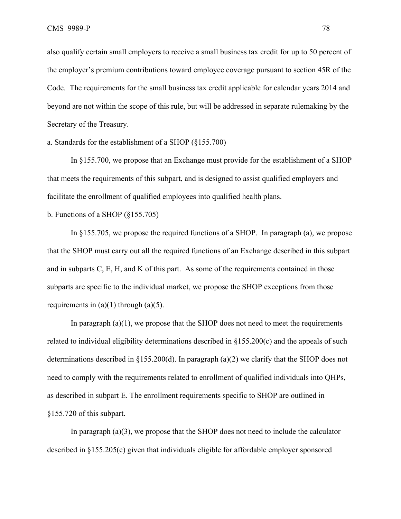also qualify certain small employers to receive a small business tax credit for up to 50 percent of the employer's premium contributions toward employee coverage pursuant to section 45R of the Code. The requirements for the small business tax credit applicable for calendar years 2014 and beyond are not within the scope of this rule, but will be addressed in separate rulemaking by the Secretary of the Treasury.

# a. Standards for the establishment of a SHOP (§155.700)

In §155.700, we propose that an Exchange must provide for the establishment of a SHOP that meets the requirements of this subpart, and is designed to assist qualified employers and facilitate the enrollment of qualified employees into qualified health plans.

b. Functions of a SHOP (§155.705)

 In §155.705, we propose the required functions of a SHOP. In paragraph (a), we propose that the SHOP must carry out all the required functions of an Exchange described in this subpart and in subparts C, E, H, and K of this part. As some of the requirements contained in those subparts are specific to the individual market, we propose the SHOP exceptions from those requirements in  $(a)(1)$  through  $(a)(5)$ .

In paragraph  $(a)(1)$ , we propose that the SHOP does not need to meet the requirements related to individual eligibility determinations described in §155.200(c) and the appeals of such determinations described in §155.200(d). In paragraph (a)(2) we clarify that the SHOP does not need to comply with the requirements related to enrollment of qualified individuals into QHPs, as described in subpart E. The enrollment requirements specific to SHOP are outlined in §155.720 of this subpart.

In paragraph (a)(3), we propose that the SHOP does not need to include the calculator described in §155.205(c) given that individuals eligible for affordable employer sponsored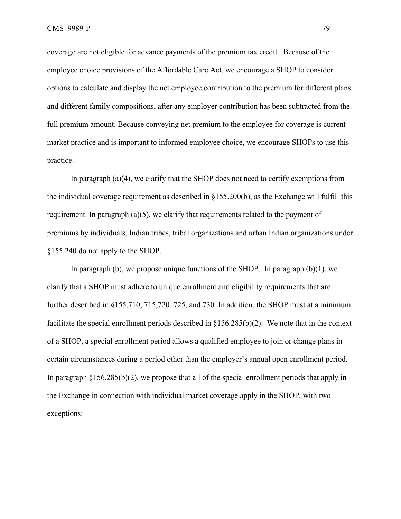coverage are not eligible for advance payments of the premium tax credit. Because of the employee choice provisions of the Affordable Care Act, we encourage a SHOP to consider options to calculate and display the net employee contribution to the premium for different plans and different family compositions, after any employer contribution has been subtracted from the full premium amount. Because conveying net premium to the employee for coverage is current market practice and is important to informed employee choice, we encourage SHOPs to use this practice.

In paragraph  $(a)(4)$ , we clarify that the SHOP does not need to certify exemptions from the individual coverage requirement as described in §155.200(b), as the Exchange will fulfill this requirement. In paragraph  $(a)(5)$ , we clarify that requirements related to the payment of premiums by individuals, Indian tribes, tribal organizations and urban Indian organizations under §155.240 do not apply to the SHOP.

In paragraph (b), we propose unique functions of the SHOP. In paragraph  $(b)(1)$ , we clarify that a SHOP must adhere to unique enrollment and eligibility requirements that are further described in §155.710, 715,720, 725, and 730. In addition, the SHOP must at a minimum facilitate the special enrollment periods described in §156.285(b)(2). We note that in the context of a SHOP, a special enrollment period allows a qualified employee to join or change plans in certain circumstances during a period other than the employer's annual open enrollment period. In paragraph  $§156.285(b)(2)$ , we propose that all of the special enrollment periods that apply in the Exchange in connection with individual market coverage apply in the SHOP, with two exceptions: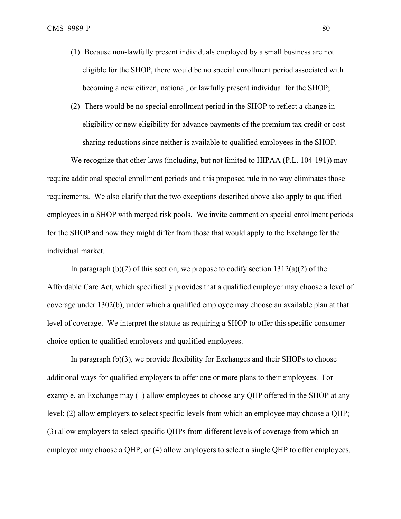- (1) Because non-lawfully present individuals employed by a small business are not eligible for the SHOP, there would be no special enrollment period associated with becoming a new citizen, national, or lawfully present individual for the SHOP;
- (2) There would be no special enrollment period in the SHOP to reflect a change in eligibility or new eligibility for advance payments of the premium tax credit or costsharing reductions since neither is available to qualified employees in the SHOP.

We recognize that other laws (including, but not limited to HIPAA (P.L. 104-191)) may require additional special enrollment periods and this proposed rule in no way eliminates those requirements. We also clarify that the two exceptions described above also apply to qualified employees in a SHOP with merged risk pools. We invite comment on special enrollment periods for the SHOP and how they might differ from those that would apply to the Exchange for the individual market.

In paragraph (b)(2) of this section, we propose to codify **s**ection 1312(a)(2) of the Affordable Care Act, which specifically provides that a qualified employer may choose a level of coverage under 1302(b), under which a qualified employee may choose an available plan at that level of coverage. We interpret the statute as requiring a SHOP to offer this specific consumer choice option to qualified employers and qualified employees.

In paragraph (b)(3), we provide flexibility for Exchanges and their SHOPs to choose additional ways for qualified employers to offer one or more plans to their employees. For example, an Exchange may (1) allow employees to choose any QHP offered in the SHOP at any level; (2) allow employers to select specific levels from which an employee may choose a QHP; (3) allow employers to select specific QHPs from different levels of coverage from which an employee may choose a QHP; or (4) allow employers to select a single QHP to offer employees.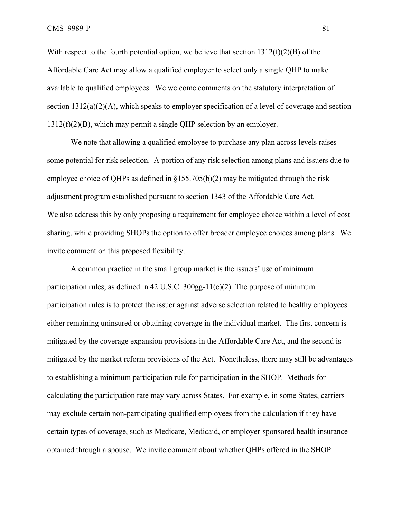With respect to the fourth potential option, we believe that section  $1312(f)(2)(B)$  of the Affordable Care Act may allow a qualified employer to select only a single QHP to make available to qualified employees. We welcome comments on the statutory interpretation of section 1312(a)(2)(A), which speaks to employer specification of a level of coverage and section 1312(f)(2)(B), which may permit a single QHP selection by an employer.

We note that allowing a qualified employee to purchase any plan across levels raises some potential for risk selection. A portion of any risk selection among plans and issuers due to employee choice of QHPs as defined in §155.705(b)(2) may be mitigated through the risk adjustment program established pursuant to section 1343 of the Affordable Care Act. We also address this by only proposing a requirement for employee choice within a level of cost sharing, while providing SHOPs the option to offer broader employee choices among plans. We invite comment on this proposed flexibility.

A common practice in the small group market is the issuers' use of minimum participation rules, as defined in 42 U.S.C.  $300gg-11(e)(2)$ . The purpose of minimum participation rules is to protect the issuer against adverse selection related to healthy employees either remaining uninsured or obtaining coverage in the individual market. The first concern is mitigated by the coverage expansion provisions in the Affordable Care Act, and the second is mitigated by the market reform provisions of the Act. Nonetheless, there may still be advantages to establishing a minimum participation rule for participation in the SHOP. Methods for calculating the participation rate may vary across States. For example, in some States, carriers may exclude certain non-participating qualified employees from the calculation if they have certain types of coverage, such as Medicare, Medicaid, or employer-sponsored health insurance obtained through a spouse. We invite comment about whether QHPs offered in the SHOP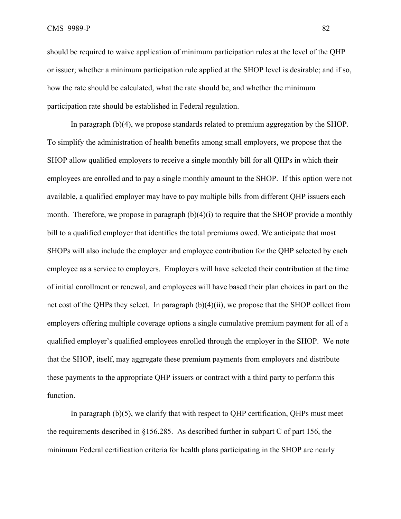should be required to waive application of minimum participation rules at the level of the QHP or issuer; whether a minimum participation rule applied at the SHOP level is desirable; and if so, how the rate should be calculated, what the rate should be, and whether the minimum participation rate should be established in Federal regulation.

 In paragraph (b)(4), we propose standards related to premium aggregation by the SHOP. To simplify the administration of health benefits among small employers, we propose that the SHOP allow qualified employers to receive a single monthly bill for all QHPs in which their employees are enrolled and to pay a single monthly amount to the SHOP. If this option were not available, a qualified employer may have to pay multiple bills from different QHP issuers each month. Therefore, we propose in paragraph  $(b)(4)(i)$  to require that the SHOP provide a monthly bill to a qualified employer that identifies the total premiums owed. We anticipate that most SHOPs will also include the employer and employee contribution for the QHP selected by each employee as a service to employers. Employers will have selected their contribution at the time of initial enrollment or renewal, and employees will have based their plan choices in part on the net cost of the QHPs they select. In paragraph (b)(4)(ii), we propose that the SHOP collect from employers offering multiple coverage options a single cumulative premium payment for all of a qualified employer's qualified employees enrolled through the employer in the SHOP. We note that the SHOP, itself, may aggregate these premium payments from employers and distribute these payments to the appropriate QHP issuers or contract with a third party to perform this function.

In paragraph (b)(5), we clarify that with respect to QHP certification, QHPs must meet the requirements described in §156.285. As described further in subpart C of part 156, the minimum Federal certification criteria for health plans participating in the SHOP are nearly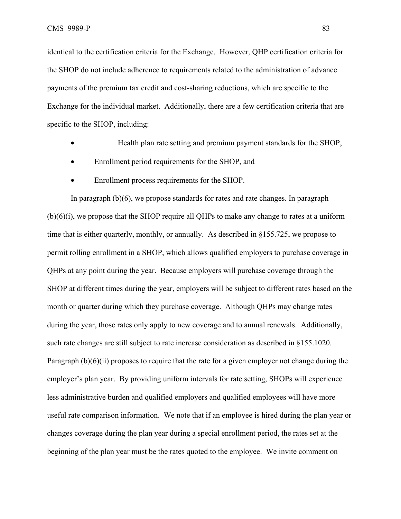identical to the certification criteria for the Exchange. However, QHP certification criteria for the SHOP do not include adherence to requirements related to the administration of advance payments of the premium tax credit and cost-sharing reductions, which are specific to the Exchange for the individual market. Additionally, there are a few certification criteria that are specific to the SHOP, including:

- Health plan rate setting and premium payment standards for the SHOP,
- Enrollment period requirements for the SHOP, and
- Enrollment process requirements for the SHOP.

In paragraph (b)(6), we propose standards for rates and rate changes. In paragraph  $(b)(6)(i)$ , we propose that the SHOP require all QHPs to make any change to rates at a uniform time that is either quarterly, monthly, or annually. As described in §155.725, we propose to permit rolling enrollment in a SHOP, which allows qualified employers to purchase coverage in QHPs at any point during the year. Because employers will purchase coverage through the SHOP at different times during the year, employers will be subject to different rates based on the month or quarter during which they purchase coverage. Although QHPs may change rates during the year, those rates only apply to new coverage and to annual renewals. Additionally, such rate changes are still subject to rate increase consideration as described in §155.1020. Paragraph  $(b)(6)(ii)$  proposes to require that the rate for a given employer not change during the employer's plan year. By providing uniform intervals for rate setting, SHOPs will experience less administrative burden and qualified employers and qualified employees will have more useful rate comparison information. We note that if an employee is hired during the plan year or changes coverage during the plan year during a special enrollment period, the rates set at the beginning of the plan year must be the rates quoted to the employee. We invite comment on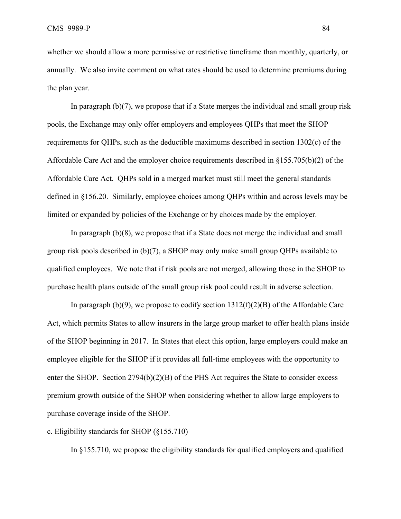whether we should allow a more permissive or restrictive timeframe than monthly, quarterly, or annually. We also invite comment on what rates should be used to determine premiums during the plan year.

In paragraph (b)(7), we propose that if a State merges the individual and small group risk pools, the Exchange may only offer employers and employees QHPs that meet the SHOP requirements for QHPs, such as the deductible maximums described in section 1302(c) of the Affordable Care Act and the employer choice requirements described in §155.705(b)(2) of the Affordable Care Act. QHPs sold in a merged market must still meet the general standards defined in §156.20. Similarly, employee choices among QHPs within and across levels may be limited or expanded by policies of the Exchange or by choices made by the employer.

 In paragraph (b)(8), we propose that if a State does not merge the individual and small group risk pools described in (b)(7), a SHOP may only make small group QHPs available to qualified employees. We note that if risk pools are not merged, allowing those in the SHOP to purchase health plans outside of the small group risk pool could result in adverse selection.

In paragraph (b)(9), we propose to codify section  $1312(f)(2)(B)$  of the Affordable Care Act, which permits States to allow insurers in the large group market to offer health plans inside of the SHOP beginning in 2017. In States that elect this option, large employers could make an employee eligible for the SHOP if it provides all full-time employees with the opportunity to enter the SHOP. Section 2794(b)(2)(B) of the PHS Act requires the State to consider excess premium growth outside of the SHOP when considering whether to allow large employers to purchase coverage inside of the SHOP.

### c. Eligibility standards for SHOP (§155.710)

In §155.710, we propose the eligibility standards for qualified employers and qualified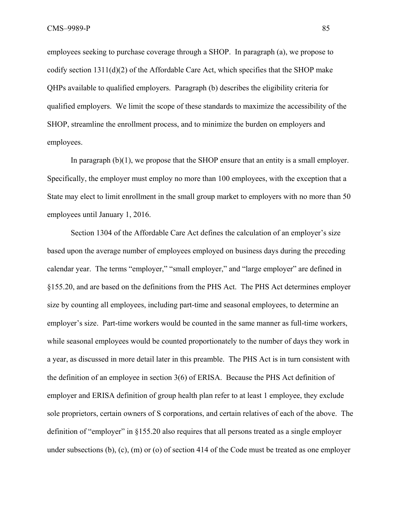employees seeking to purchase coverage through a SHOP. In paragraph (a), we propose to codify section 1311(d)(2) of the Affordable Care Act, which specifies that the SHOP make QHPs available to qualified employers. Paragraph (b) describes the eligibility criteria for qualified employers. We limit the scope of these standards to maximize the accessibility of the SHOP, streamline the enrollment process, and to minimize the burden on employers and employees.

In paragraph  $(b)(1)$ , we propose that the SHOP ensure that an entity is a small employer. Specifically, the employer must employ no more than 100 employees, with the exception that a State may elect to limit enrollment in the small group market to employers with no more than 50 employees until January 1, 2016.

Section 1304 of the Affordable Care Act defines the calculation of an employer's size based upon the average number of employees employed on business days during the preceding calendar year. The terms "employer," "small employer," and "large employer" are defined in §155.20, and are based on the definitions from the PHS Act. The PHS Act determines employer size by counting all employees, including part-time and seasonal employees, to determine an employer's size. Part-time workers would be counted in the same manner as full-time workers, while seasonal employees would be counted proportionately to the number of days they work in a year, as discussed in more detail later in this preamble. The PHS Act is in turn consistent with the definition of an employee in section 3(6) of ERISA. Because the PHS Act definition of employer and ERISA definition of group health plan refer to at least 1 employee, they exclude sole proprietors, certain owners of S corporations, and certain relatives of each of the above. The definition of "employer" in §155.20 also requires that all persons treated as a single employer under subsections (b), (c), (m) or (o) of section 414 of the Code must be treated as one employer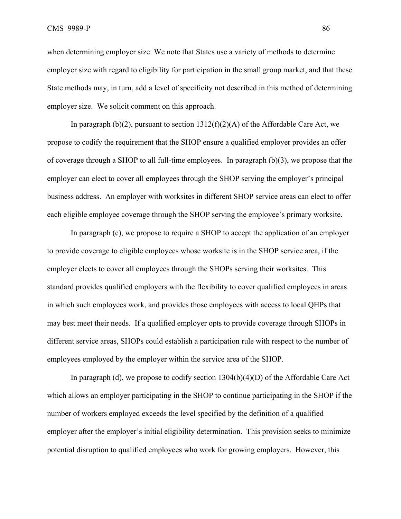when determining employer size. We note that States use a variety of methods to determine employer size with regard to eligibility for participation in the small group market, and that these State methods may, in turn, add a level of specificity not described in this method of determining employer size. We solicit comment on this approach.

In paragraph  $(b)(2)$ , pursuant to section  $1312(f)(2)(A)$  of the Affordable Care Act, we propose to codify the requirement that the SHOP ensure a qualified employer provides an offer of coverage through a SHOP to all full-time employees. In paragraph (b)(3), we propose that the employer can elect to cover all employees through the SHOP serving the employer's principal business address. An employer with worksites in different SHOP service areas can elect to offer each eligible employee coverage through the SHOP serving the employee's primary worksite.

In paragraph (c), we propose to require a SHOP to accept the application of an employer to provide coverage to eligible employees whose worksite is in the SHOP service area, if the employer elects to cover all employees through the SHOPs serving their worksites. This standard provides qualified employers with the flexibility to cover qualified employees in areas in which such employees work, and provides those employees with access to local QHPs that may best meet their needs. If a qualified employer opts to provide coverage through SHOPs in different service areas, SHOPs could establish a participation rule with respect to the number of employees employed by the employer within the service area of the SHOP.

In paragraph (d), we propose to codify section  $1304(b)(4)(D)$  of the Affordable Care Act which allows an employer participating in the SHOP to continue participating in the SHOP if the number of workers employed exceeds the level specified by the definition of a qualified employer after the employer's initial eligibility determination. This provision seeks to minimize potential disruption to qualified employees who work for growing employers. However, this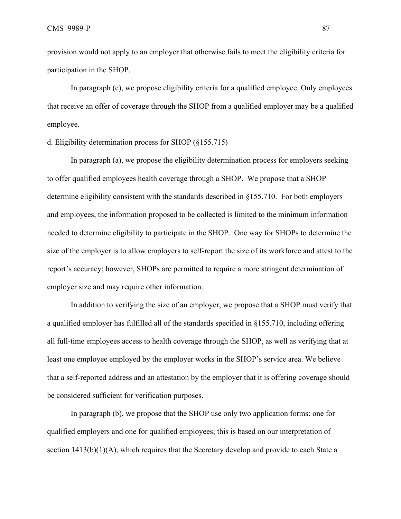provision would not apply to an employer that otherwise fails to meet the eligibility criteria for participation in the SHOP.

In paragraph (e), we propose eligibility criteria for a qualified employee. Only employees that receive an offer of coverage through the SHOP from a qualified employer may be a qualified employee.

# d. Eligibility determination process for SHOP (§155.715)

 In paragraph (a), we propose the eligibility determination process for employers seeking to offer qualified employees health coverage through a SHOP. We propose that a SHOP determine eligibility consistent with the standards described in §155.710. For both employers and employees, the information proposed to be collected is limited to the minimum information needed to determine eligibility to participate in the SHOP. One way for SHOPs to determine the size of the employer is to allow employers to self-report the size of its workforce and attest to the report's accuracy; however, SHOPs are permitted to require a more stringent determination of employer size and may require other information.

In addition to verifying the size of an employer, we propose that a SHOP must verify that a qualified employer has fulfilled all of the standards specified in §155.710, including offering all full-time employees access to health coverage through the SHOP, as well as verifying that at least one employee employed by the employer works in the SHOP's service area. We believe that a self-reported address and an attestation by the employer that it is offering coverage should be considered sufficient for verification purposes.

In paragraph (b), we propose that the SHOP use only two application forms: one for qualified employers and one for qualified employees; this is based on our interpretation of section  $1413(b)(1)(A)$ , which requires that the Secretary develop and provide to each State a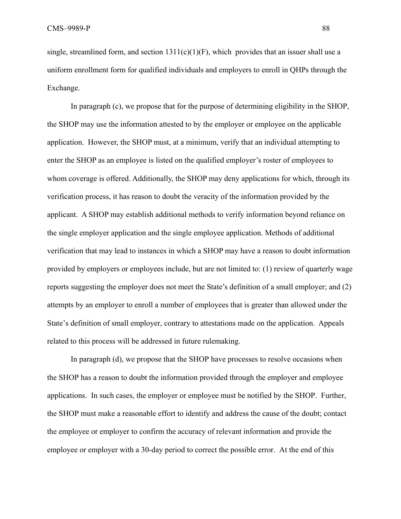single, streamlined form, and section  $1311(c)(1)(F)$ , which provides that an issuer shall use a uniform enrollment form for qualified individuals and employers to enroll in QHPs through the Exchange.

In paragraph (c), we propose that for the purpose of determining eligibility in the SHOP, the SHOP may use the information attested to by the employer or employee on the applicable application. However, the SHOP must, at a minimum, verify that an individual attempting to enter the SHOP as an employee is listed on the qualified employer's roster of employees to whom coverage is offered. Additionally, the SHOP may deny applications for which, through its verification process, it has reason to doubt the veracity of the information provided by the applicant. A SHOP may establish additional methods to verify information beyond reliance on the single employer application and the single employee application. Methods of additional verification that may lead to instances in which a SHOP may have a reason to doubt information provided by employers or employees include, but are not limited to: (1) review of quarterly wage reports suggesting the employer does not meet the State's definition of a small employer; and (2) attempts by an employer to enroll a number of employees that is greater than allowed under the State's definition of small employer, contrary to attestations made on the application. Appeals related to this process will be addressed in future rulemaking.

 In paragraph (d), we propose that the SHOP have processes to resolve occasions when the SHOP has a reason to doubt the information provided through the employer and employee applications. In such cases, the employer or employee must be notified by the SHOP. Further, the SHOP must make a reasonable effort to identify and address the cause of the doubt; contact the employee or employer to confirm the accuracy of relevant information and provide the employee or employer with a 30-day period to correct the possible error. At the end of this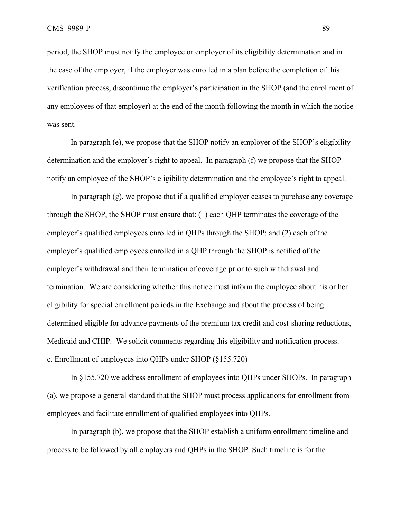period, the SHOP must notify the employee or employer of its eligibility determination and in the case of the employer, if the employer was enrolled in a plan before the completion of this verification process, discontinue the employer's participation in the SHOP (and the enrollment of any employees of that employer) at the end of the month following the month in which the notice was sent.

 In paragraph (e), we propose that the SHOP notify an employer of the SHOP's eligibility determination and the employer's right to appeal. In paragraph (f) we propose that the SHOP notify an employee of the SHOP's eligibility determination and the employee's right to appeal.

In paragraph (g), we propose that if a qualified employer ceases to purchase any coverage through the SHOP, the SHOP must ensure that: (1) each QHP terminates the coverage of the employer's qualified employees enrolled in QHPs through the SHOP; and (2) each of the employer's qualified employees enrolled in a QHP through the SHOP is notified of the employer's withdrawal and their termination of coverage prior to such withdrawal and termination. We are considering whether this notice must inform the employee about his or her eligibility for special enrollment periods in the Exchange and about the process of being determined eligible for advance payments of the premium tax credit and cost-sharing reductions, Medicaid and CHIP. We solicit comments regarding this eligibility and notification process. e. Enrollment of employees into QHPs under SHOP (§155.720)

 In §155.720 we address enrollment of employees into QHPs under SHOPs. In paragraph (a), we propose a general standard that the SHOP must process applications for enrollment from employees and facilitate enrollment of qualified employees into QHPs.

 In paragraph (b), we propose that the SHOP establish a uniform enrollment timeline and process to be followed by all employers and QHPs in the SHOP. Such timeline is for the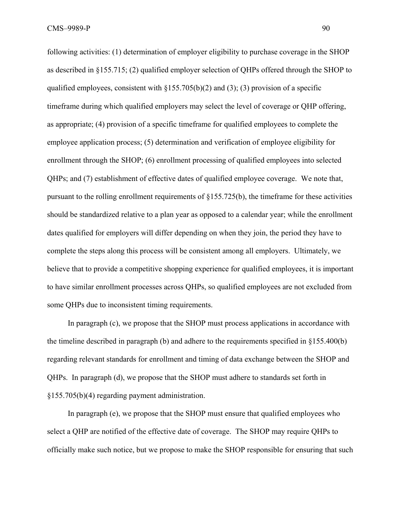following activities: (1) determination of employer eligibility to purchase coverage in the SHOP as described in §155.715; (2) qualified employer selection of QHPs offered through the SHOP to qualified employees, consistent with  $\S 155.705(b)(2)$  and (3); (3) provision of a specific timeframe during which qualified employers may select the level of coverage or QHP offering, as appropriate; (4) provision of a specific timeframe for qualified employees to complete the employee application process; (5) determination and verification of employee eligibility for enrollment through the SHOP; (6) enrollment processing of qualified employees into selected QHPs; and (7) establishment of effective dates of qualified employee coverage. We note that, pursuant to the rolling enrollment requirements of §155.725(b), the timeframe for these activities should be standardized relative to a plan year as opposed to a calendar year; while the enrollment dates qualified for employers will differ depending on when they join, the period they have to complete the steps along this process will be consistent among all employers. Ultimately, we believe that to provide a competitive shopping experience for qualified employees, it is important to have similar enrollment processes across QHPs, so qualified employees are not excluded from some QHPs due to inconsistent timing requirements.

 In paragraph (c), we propose that the SHOP must process applications in accordance with the timeline described in paragraph (b) and adhere to the requirements specified in §155.400(b) regarding relevant standards for enrollment and timing of data exchange between the SHOP and QHPs. In paragraph (d), we propose that the SHOP must adhere to standards set forth in §155.705(b)(4) regarding payment administration.

 In paragraph (e), we propose that the SHOP must ensure that qualified employees who select a QHP are notified of the effective date of coverage. The SHOP may require QHPs to officially make such notice, but we propose to make the SHOP responsible for ensuring that such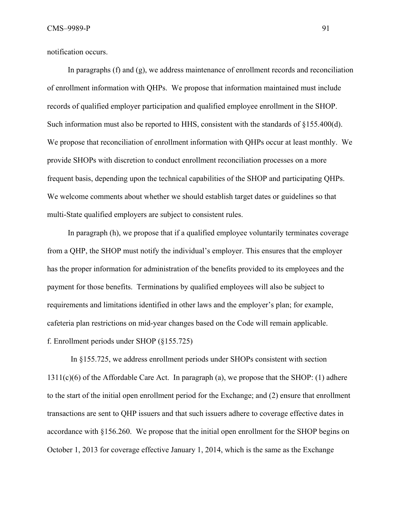notification occurs.

 In paragraphs (f) and (g), we address maintenance of enrollment records and reconciliation of enrollment information with QHPs. We propose that information maintained must include records of qualified employer participation and qualified employee enrollment in the SHOP. Such information must also be reported to HHS, consistent with the standards of §155.400(d). We propose that reconciliation of enrollment information with QHPs occur at least monthly. We provide SHOPs with discretion to conduct enrollment reconciliation processes on a more frequent basis, depending upon the technical capabilities of the SHOP and participating QHPs. We welcome comments about whether we should establish target dates or guidelines so that multi-State qualified employers are subject to consistent rules.

 In paragraph (h), we propose that if a qualified employee voluntarily terminates coverage from a QHP, the SHOP must notify the individual's employer. This ensures that the employer has the proper information for administration of the benefits provided to its employees and the payment for those benefits. Terminations by qualified employees will also be subject to requirements and limitations identified in other laws and the employer's plan; for example, cafeteria plan restrictions on mid-year changes based on the Code will remain applicable. f. Enrollment periods under SHOP (§155.725)

 In §155.725, we address enrollment periods under SHOPs consistent with section  $1311(c)(6)$  of the Affordable Care Act. In paragraph (a), we propose that the SHOP: (1) adhere to the start of the initial open enrollment period for the Exchange; and (2) ensure that enrollment transactions are sent to QHP issuers and that such issuers adhere to coverage effective dates in accordance with §156.260. We propose that the initial open enrollment for the SHOP begins on October 1, 2013 for coverage effective January 1, 2014, which is the same as the Exchange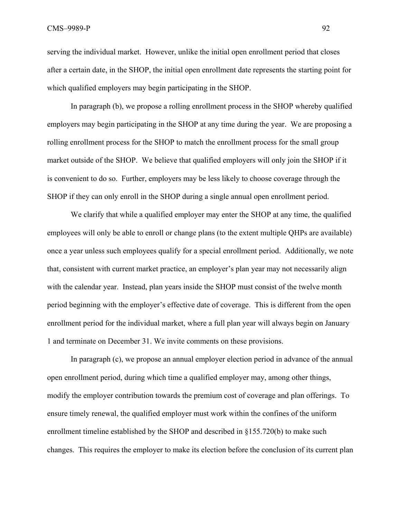serving the individual market. However, unlike the initial open enrollment period that closes after a certain date, in the SHOP, the initial open enrollment date represents the starting point for which qualified employers may begin participating in the SHOP.

 In paragraph (b), we propose a rolling enrollment process in the SHOP whereby qualified employers may begin participating in the SHOP at any time during the year. We are proposing a rolling enrollment process for the SHOP to match the enrollment process for the small group market outside of the SHOP. We believe that qualified employers will only join the SHOP if it is convenient to do so. Further, employers may be less likely to choose coverage through the SHOP if they can only enroll in the SHOP during a single annual open enrollment period.

We clarify that while a qualified employer may enter the SHOP at any time, the qualified employees will only be able to enroll or change plans (to the extent multiple QHPs are available) once a year unless such employees qualify for a special enrollment period. Additionally, we note that, consistent with current market practice, an employer's plan year may not necessarily align with the calendar year. Instead, plan years inside the SHOP must consist of the twelve month period beginning with the employer's effective date of coverage. This is different from the open enrollment period for the individual market, where a full plan year will always begin on January 1 and terminate on December 31. We invite comments on these provisions.

 In paragraph (c), we propose an annual employer election period in advance of the annual open enrollment period, during which time a qualified employer may, among other things, modify the employer contribution towards the premium cost of coverage and plan offerings. To ensure timely renewal, the qualified employer must work within the confines of the uniform enrollment timeline established by the SHOP and described in §155.720(b) to make such changes. This requires the employer to make its election before the conclusion of its current plan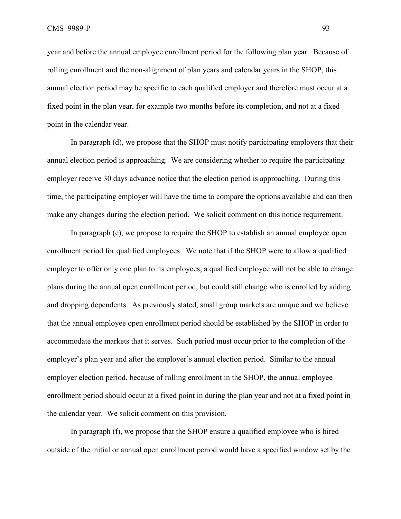year and before the annual employee enrollment period for the following plan year. Because of rolling enrollment and the non-alignment of plan years and calendar years in the SHOP, this annual election period may be specific to each qualified employer and therefore must occur at a fixed point in the plan year, for example two months before its completion, and not at a fixed point in the calendar year.

 In paragraph (d), we propose that the SHOP must notify participating employers that their annual election period is approaching. We are considering whether to require the participating employer receive 30 days advance notice that the election period is approaching. During this time, the participating employer will have the time to compare the options available and can then make any changes during the election period. We solicit comment on this notice requirement.

 In paragraph (e), we propose to require the SHOP to establish an annual employee open enrollment period for qualified employees. We note that if the SHOP were to allow a qualified employer to offer only one plan to its employees, a qualified employee will not be able to change plans during the annual open enrollment period, but could still change who is enrolled by adding and dropping dependents. As previously stated, small group markets are unique and we believe that the annual employee open enrollment period should be established by the SHOP in order to accommodate the markets that it serves. Such period must occur prior to the completion of the employer's plan year and after the employer's annual election period. Similar to the annual employer election period, because of rolling enrollment in the SHOP, the annual employee enrollment period should occur at a fixed point in during the plan year and not at a fixed point in the calendar year. We solicit comment on this provision.

 In paragraph (f), we propose that the SHOP ensure a qualified employee who is hired outside of the initial or annual open enrollment period would have a specified window set by the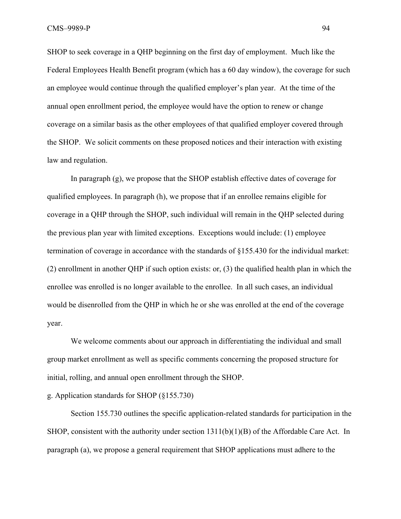SHOP to seek coverage in a QHP beginning on the first day of employment. Much like the Federal Employees Health Benefit program (which has a 60 day window), the coverage for such an employee would continue through the qualified employer's plan year. At the time of the annual open enrollment period, the employee would have the option to renew or change coverage on a similar basis as the other employees of that qualified employer covered through the SHOP. We solicit comments on these proposed notices and their interaction with existing law and regulation.

 In paragraph (g), we propose that the SHOP establish effective dates of coverage for qualified employees. In paragraph (h), we propose that if an enrollee remains eligible for coverage in a QHP through the SHOP, such individual will remain in the QHP selected during the previous plan year with limited exceptions. Exceptions would include: (1) employee termination of coverage in accordance with the standards of §155.430 for the individual market: (2) enrollment in another QHP if such option exists: or, (3) the qualified health plan in which the enrollee was enrolled is no longer available to the enrollee. In all such cases, an individual would be disenrolled from the QHP in which he or she was enrolled at the end of the coverage year.

 We welcome comments about our approach in differentiating the individual and small group market enrollment as well as specific comments concerning the proposed structure for initial, rolling, and annual open enrollment through the SHOP.

## g. Application standards for SHOP (§155.730)

 Section 155.730 outlines the specific application-related standards for participation in the SHOP, consistent with the authority under section 1311(b)(1)(B) of the Affordable Care Act. In paragraph (a), we propose a general requirement that SHOP applications must adhere to the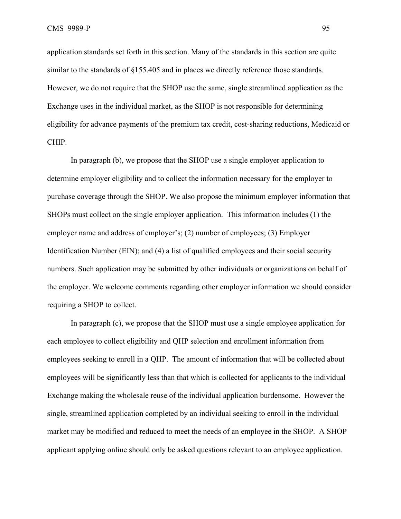application standards set forth in this section. Many of the standards in this section are quite similar to the standards of §155.405 and in places we directly reference those standards. However, we do not require that the SHOP use the same, single streamlined application as the Exchange uses in the individual market, as the SHOP is not responsible for determining eligibility for advance payments of the premium tax credit, cost-sharing reductions, Medicaid or CHIP.

 In paragraph (b), we propose that the SHOP use a single employer application to determine employer eligibility and to collect the information necessary for the employer to purchase coverage through the SHOP. We also propose the minimum employer information that SHOPs must collect on the single employer application. This information includes (1) the employer name and address of employer's; (2) number of employees; (3) Employer Identification Number (EIN); and (4) a list of qualified employees and their social security numbers. Such application may be submitted by other individuals or organizations on behalf of the employer. We welcome comments regarding other employer information we should consider requiring a SHOP to collect.

 In paragraph (c), we propose that the SHOP must use a single employee application for each employee to collect eligibility and QHP selection and enrollment information from employees seeking to enroll in a QHP. The amount of information that will be collected about employees will be significantly less than that which is collected for applicants to the individual Exchange making the wholesale reuse of the individual application burdensome. However the single, streamlined application completed by an individual seeking to enroll in the individual market may be modified and reduced to meet the needs of an employee in the SHOP. A SHOP applicant applying online should only be asked questions relevant to an employee application.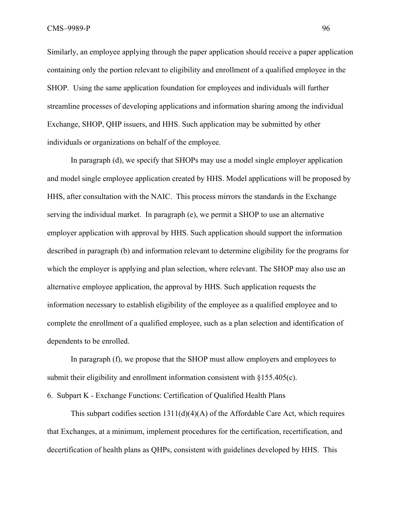Similarly, an employee applying through the paper application should receive a paper application containing only the portion relevant to eligibility and enrollment of a qualified employee in the SHOP. Using the same application foundation for employees and individuals will further streamline processes of developing applications and information sharing among the individual Exchange, SHOP, QHP issuers, and HHS. Such application may be submitted by other individuals or organizations on behalf of the employee.

 In paragraph (d), we specify that SHOPs may use a model single employer application and model single employee application created by HHS. Model applications will be proposed by HHS, after consultation with the NAIC. This process mirrors the standards in the Exchange serving the individual market. In paragraph (e), we permit a SHOP to use an alternative employer application with approval by HHS. Such application should support the information described in paragraph (b) and information relevant to determine eligibility for the programs for which the employer is applying and plan selection, where relevant. The SHOP may also use an alternative employee application, the approval by HHS. Such application requests the information necessary to establish eligibility of the employee as a qualified employee and to complete the enrollment of a qualified employee, such as a plan selection and identification of dependents to be enrolled.

 In paragraph (f), we propose that the SHOP must allow employers and employees to submit their eligibility and enrollment information consistent with §155.405(c).

6. Subpart K - Exchange Functions: Certification of Qualified Health Plans

This subpart codifies section  $1311(d)(4)(A)$  of the Affordable Care Act, which requires that Exchanges, at a minimum, implement procedures for the certification, recertification, and decertification of health plans as QHPs, consistent with guidelines developed by HHS. This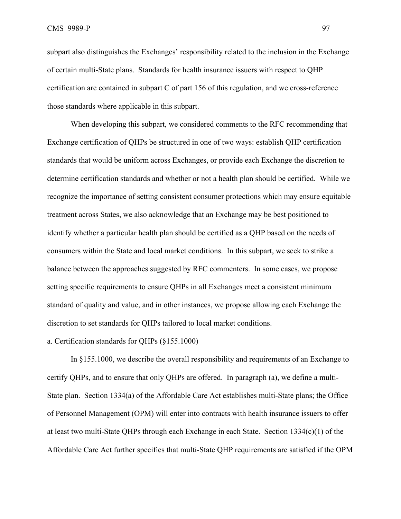subpart also distinguishes the Exchanges' responsibility related to the inclusion in the Exchange of certain multi-State plans. Standards for health insurance issuers with respect to QHP certification are contained in subpart C of part 156 of this regulation, and we cross-reference those standards where applicable in this subpart.

 When developing this subpart, we considered comments to the RFC recommending that Exchange certification of QHPs be structured in one of two ways: establish QHP certification standards that would be uniform across Exchanges, or provide each Exchange the discretion to determine certification standards and whether or not a health plan should be certified. While we recognize the importance of setting consistent consumer protections which may ensure equitable treatment across States, we also acknowledge that an Exchange may be best positioned to identify whether a particular health plan should be certified as a QHP based on the needs of consumers within the State and local market conditions. In this subpart, we seek to strike a balance between the approaches suggested by RFC commenters. In some cases, we propose setting specific requirements to ensure QHPs in all Exchanges meet a consistent minimum standard of quality and value, and in other instances, we propose allowing each Exchange the discretion to set standards for QHPs tailored to local market conditions.

### a. Certification standards for QHPs (§155.1000)

 In §155.1000, we describe the overall responsibility and requirements of an Exchange to certify QHPs, and to ensure that only QHPs are offered. In paragraph (a), we define a multi-State plan. Section 1334(a) of the Affordable Care Act establishes multi-State plans; the Office of Personnel Management (OPM) will enter into contracts with health insurance issuers to offer at least two multi-State QHPs through each Exchange in each State. Section 1334(c)(1) of the Affordable Care Act further specifies that multi-State QHP requirements are satisfied if the OPM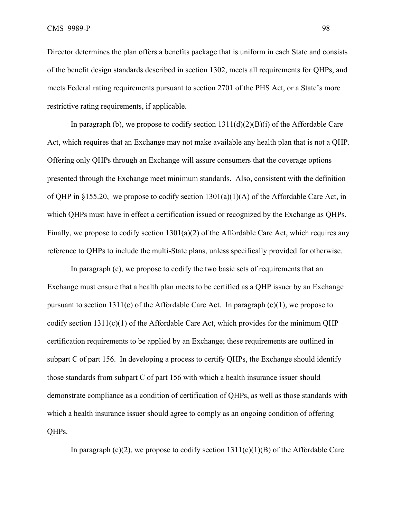Director determines the plan offers a benefits package that is uniform in each State and consists of the benefit design standards described in section 1302, meets all requirements for QHPs, and meets Federal rating requirements pursuant to section 2701 of the PHS Act, or a State's more restrictive rating requirements, if applicable.

In paragraph (b), we propose to codify section  $1311(d)(2)(B)(i)$  of the Affordable Care Act, which requires that an Exchange may not make available any health plan that is not a QHP. Offering only QHPs through an Exchange will assure consumers that the coverage options presented through the Exchange meet minimum standards. Also, consistent with the definition of QHP in §155.20, we propose to codify section  $1301(a)(1)(A)$  of the Affordable Care Act, in which QHPs must have in effect a certification issued or recognized by the Exchange as QHPs. Finally, we propose to codify section 1301(a)(2) of the Affordable Care Act, which requires any reference to QHPs to include the multi-State plans, unless specifically provided for otherwise.

In paragraph (c), we propose to codify the two basic sets of requirements that an Exchange must ensure that a health plan meets to be certified as a QHP issuer by an Exchange pursuant to section 1311(e) of the Affordable Care Act. In paragraph  $(c)(1)$ , we propose to codify section 1311(c)(1) of the Affordable Care Act, which provides for the minimum QHP certification requirements to be applied by an Exchange; these requirements are outlined in subpart C of part 156. In developing a process to certify QHPs, the Exchange should identify those standards from subpart C of part 156 with which a health insurance issuer should demonstrate compliance as a condition of certification of QHPs, as well as those standards with which a health insurance issuer should agree to comply as an ongoing condition of offering QHPs.

In paragraph (c)(2), we propose to codify section  $1311(e)(1)(B)$  of the Affordable Care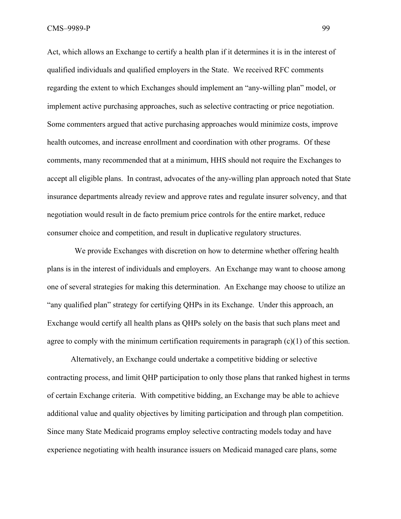Act, which allows an Exchange to certify a health plan if it determines it is in the interest of qualified individuals and qualified employers in the State. We received RFC comments regarding the extent to which Exchanges should implement an "any-willing plan" model, or implement active purchasing approaches, such as selective contracting or price negotiation. Some commenters argued that active purchasing approaches would minimize costs, improve health outcomes, and increase enrollment and coordination with other programs. Of these comments, many recommended that at a minimum, HHS should not require the Exchanges to accept all eligible plans. In contrast, advocates of the any-willing plan approach noted that State insurance departments already review and approve rates and regulate insurer solvency, and that negotiation would result in de facto premium price controls for the entire market, reduce consumer choice and competition, and result in duplicative regulatory structures.

 We provide Exchanges with discretion on how to determine whether offering health plans is in the interest of individuals and employers. An Exchange may want to choose among one of several strategies for making this determination. An Exchange may choose to utilize an "any qualified plan" strategy for certifying QHPs in its Exchange. Under this approach, an Exchange would certify all health plans as QHPs solely on the basis that such plans meet and agree to comply with the minimum certification requirements in paragraph (c)(1) of this section.

 Alternatively, an Exchange could undertake a competitive bidding or selective contracting process, and limit QHP participation to only those plans that ranked highest in terms of certain Exchange criteria. With competitive bidding, an Exchange may be able to achieve additional value and quality objectives by limiting participation and through plan competition. Since many State Medicaid programs employ selective contracting models today and have experience negotiating with health insurance issuers on Medicaid managed care plans, some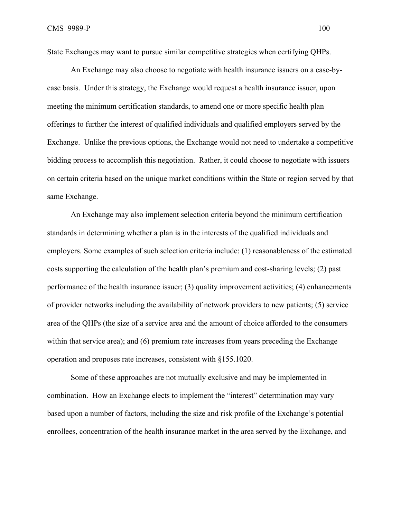State Exchanges may want to pursue similar competitive strategies when certifying QHPs.

 An Exchange may also choose to negotiate with health insurance issuers on a case-bycase basis. Under this strategy, the Exchange would request a health insurance issuer, upon meeting the minimum certification standards, to amend one or more specific health plan offerings to further the interest of qualified individuals and qualified employers served by the Exchange. Unlike the previous options, the Exchange would not need to undertake a competitive bidding process to accomplish this negotiation. Rather, it could choose to negotiate with issuers on certain criteria based on the unique market conditions within the State or region served by that same Exchange.

An Exchange may also implement selection criteria beyond the minimum certification standards in determining whether a plan is in the interests of the qualified individuals and employers. Some examples of such selection criteria include: (1) reasonableness of the estimated costs supporting the calculation of the health plan's premium and cost-sharing levels; (2) past performance of the health insurance issuer; (3) quality improvement activities; (4) enhancements of provider networks including the availability of network providers to new patients; (5) service area of the QHPs (the size of a service area and the amount of choice afforded to the consumers within that service area); and (6) premium rate increases from years preceding the Exchange operation and proposes rate increases, consistent with §155.1020.

Some of these approaches are not mutually exclusive and may be implemented in combination. How an Exchange elects to implement the "interest" determination may vary based upon a number of factors, including the size and risk profile of the Exchange's potential enrollees, concentration of the health insurance market in the area served by the Exchange, and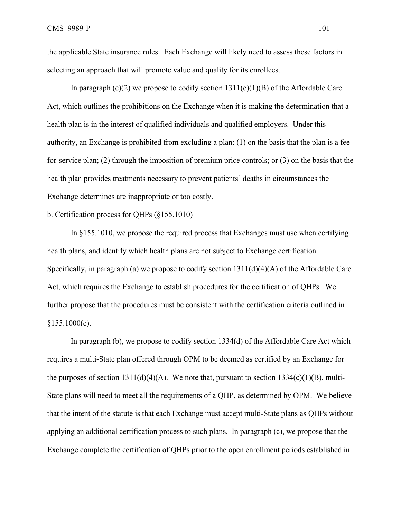the applicable State insurance rules. Each Exchange will likely need to assess these factors in selecting an approach that will promote value and quality for its enrollees.

In paragraph  $(c)(2)$  we propose to codify section  $1311(e)(1)(B)$  of the Affordable Care Act, which outlines the prohibitions on the Exchange when it is making the determination that a health plan is in the interest of qualified individuals and qualified employers. Under this authority, an Exchange is prohibited from excluding a plan: (1) on the basis that the plan is a feefor-service plan; (2) through the imposition of premium price controls; or (3) on the basis that the health plan provides treatments necessary to prevent patients' deaths in circumstances the Exchange determines are inappropriate or too costly.

## b. Certification process for QHPs (§155.1010)

 In §155.1010, we propose the required process that Exchanges must use when certifying health plans, and identify which health plans are not subject to Exchange certification. Specifically, in paragraph (a) we propose to codify section 1311(d)(4)(A) of the Affordable Care Act, which requires the Exchange to establish procedures for the certification of QHPs. We further propose that the procedures must be consistent with the certification criteria outlined in  $§155.1000(c)$ .

 In paragraph (b), we propose to codify section 1334(d) of the Affordable Care Act which requires a multi-State plan offered through OPM to be deemed as certified by an Exchange for the purposes of section  $1311(d)(4)(A)$ . We note that, pursuant to section  $1334(c)(1)(B)$ , multi-State plans will need to meet all the requirements of a QHP, as determined by OPM. We believe that the intent of the statute is that each Exchange must accept multi-State plans as QHPs without applying an additional certification process to such plans. In paragraph (c), we propose that the Exchange complete the certification of QHPs prior to the open enrollment periods established in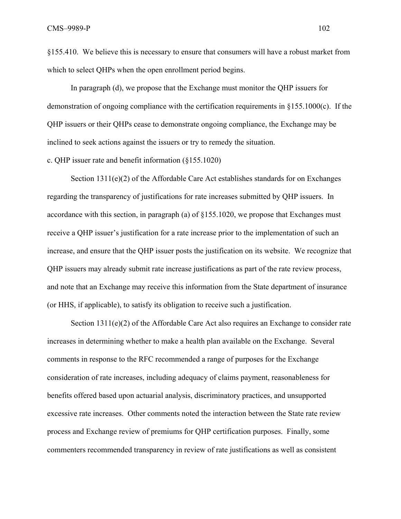§155.410. We believe this is necessary to ensure that consumers will have a robust market from which to select QHPs when the open enrollment period begins.

In paragraph (d), we propose that the Exchange must monitor the QHP issuers for demonstration of ongoing compliance with the certification requirements in  $\S 155.1000(c)$ . If the QHP issuers or their QHPs cease to demonstrate ongoing compliance, the Exchange may be inclined to seek actions against the issuers or try to remedy the situation.

c. QHP issuer rate and benefit information (§155.1020)

Section  $1311(e)(2)$  of the Affordable Care Act establishes standards for on Exchanges regarding the transparency of justifications for rate increases submitted by QHP issuers. In accordance with this section, in paragraph (a) of §155.1020, we propose that Exchanges must receive a QHP issuer's justification for a rate increase prior to the implementation of such an increase, and ensure that the QHP issuer posts the justification on its website. We recognize that QHP issuers may already submit rate increase justifications as part of the rate review process, and note that an Exchange may receive this information from the State department of insurance (or HHS, if applicable), to satisfy its obligation to receive such a justification.

Section 1311(e)(2) of the Affordable Care Act also requires an Exchange to consider rate increases in determining whether to make a health plan available on the Exchange. Several comments in response to the RFC recommended a range of purposes for the Exchange consideration of rate increases, including adequacy of claims payment, reasonableness for benefits offered based upon actuarial analysis, discriminatory practices, and unsupported excessive rate increases. Other comments noted the interaction between the State rate review process and Exchange review of premiums for QHP certification purposes. Finally, some commenters recommended transparency in review of rate justifications as well as consistent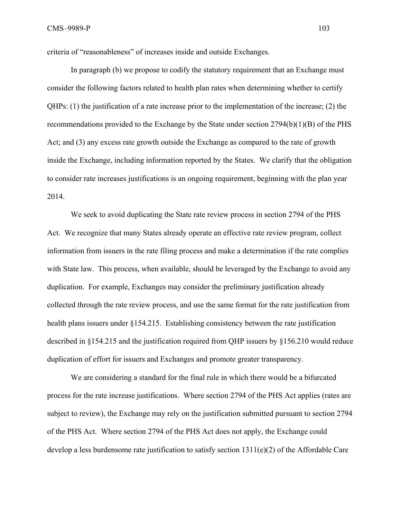criteria of "reasonableness" of increases inside and outside Exchanges.

In paragraph (b) we propose to codify the statutory requirement that an Exchange must consider the following factors related to health plan rates when determining whether to certify QHPs: (1) the justification of a rate increase prior to the implementation of the increase; (2) the recommendations provided to the Exchange by the State under section 2794(b)(1)(B) of the PHS Act; and (3) any excess rate growth outside the Exchange as compared to the rate of growth inside the Exchange, including information reported by the States. We clarify that the obligation to consider rate increases justifications is an ongoing requirement, beginning with the plan year 2014.

We seek to avoid duplicating the State rate review process in section 2794 of the PHS Act. We recognize that many States already operate an effective rate review program, collect information from issuers in the rate filing process and make a determination if the rate complies with State law. This process, when available, should be leveraged by the Exchange to avoid any duplication. For example, Exchanges may consider the preliminary justification already collected through the rate review process, and use the same format for the rate justification from health plans issuers under §154.215. Establishing consistency between the rate justification described in §154.215 and the justification required from QHP issuers by §156.210 would reduce duplication of effort for issuers and Exchanges and promote greater transparency.

We are considering a standard for the final rule in which there would be a bifurcated process for the rate increase justifications. Where section 2794 of the PHS Act applies (rates are subject to review), the Exchange may rely on the justification submitted pursuant to section 2794 of the PHS Act. Where section 2794 of the PHS Act does not apply, the Exchange could develop a less burdensome rate justification to satisfy section 1311(e)(2) of the Affordable Care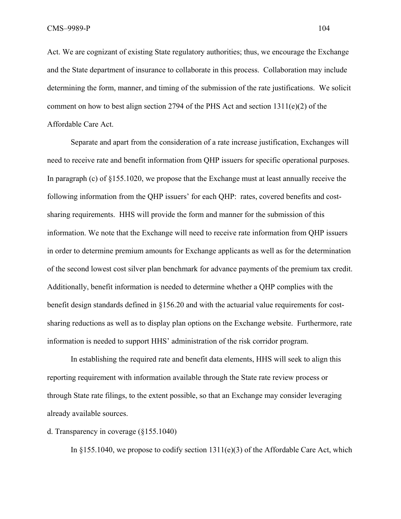Act. We are cognizant of existing State regulatory authorities; thus, we encourage the Exchange and the State department of insurance to collaborate in this process. Collaboration may include determining the form, manner, and timing of the submission of the rate justifications. We solicit comment on how to best align section 2794 of the PHS Act and section 1311(e)(2) of the Affordable Care Act.

Separate and apart from the consideration of a rate increase justification, Exchanges will need to receive rate and benefit information from QHP issuers for specific operational purposes. In paragraph (c) of §155.1020, we propose that the Exchange must at least annually receive the following information from the QHP issuers' for each QHP: rates, covered benefits and costsharing requirements. HHS will provide the form and manner for the submission of this information. We note that the Exchange will need to receive rate information from QHP issuers in order to determine premium amounts for Exchange applicants as well as for the determination of the second lowest cost silver plan benchmark for advance payments of the premium tax credit. Additionally, benefit information is needed to determine whether a QHP complies with the benefit design standards defined in §156.20 and with the actuarial value requirements for costsharing reductions as well as to display plan options on the Exchange website. Furthermore, rate information is needed to support HHS' administration of the risk corridor program.

In establishing the required rate and benefit data elements, HHS will seek to align this reporting requirement with information available through the State rate review process or through State rate filings, to the extent possible, so that an Exchange may consider leveraging already available sources.

### d. Transparency in coverage (§155.1040)

In  $\S 155.1040$ , we propose to codify section  $1311(e)(3)$  of the Affordable Care Act, which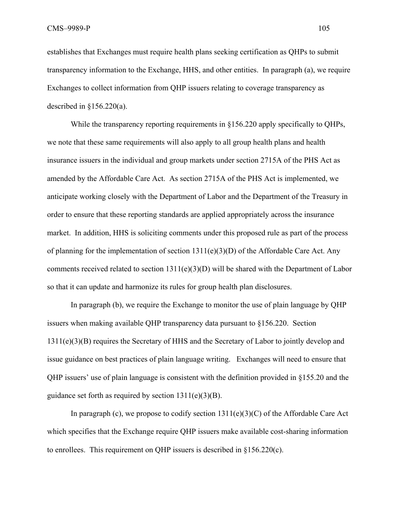establishes that Exchanges must require health plans seeking certification as QHPs to submit transparency information to the Exchange, HHS, and other entities. In paragraph (a), we require Exchanges to collect information from QHP issuers relating to coverage transparency as described in  $§156.220(a)$ .

While the transparency reporting requirements in  $\S 156.220$  apply specifically to OHPs, we note that these same requirements will also apply to all group health plans and health insurance issuers in the individual and group markets under section 2715A of the PHS Act as amended by the Affordable Care Act. As section 2715A of the PHS Act is implemented, we anticipate working closely with the Department of Labor and the Department of the Treasury in order to ensure that these reporting standards are applied appropriately across the insurance market. In addition, HHS is soliciting comments under this proposed rule as part of the process of planning for the implementation of section 1311(e)(3)(D) of the Affordable Care Act. Any comments received related to section 1311(e)(3)(D) will be shared with the Department of Labor so that it can update and harmonize its rules for group health plan disclosures.

 In paragraph (b), we require the Exchange to monitor the use of plain language by QHP issuers when making available QHP transparency data pursuant to §156.220. Section 1311(e)(3)(B) requires the Secretary of HHS and the Secretary of Labor to jointly develop and issue guidance on best practices of plain language writing. Exchanges will need to ensure that QHP issuers' use of plain language is consistent with the definition provided in §155.20 and the guidance set forth as required by section  $1311(e)(3)(B)$ .

In paragraph (c), we propose to codify section  $1311(e)(3)(C)$  of the Affordable Care Act which specifies that the Exchange require QHP issuers make available cost-sharing information to enrollees. This requirement on QHP issuers is described in §156.220(c).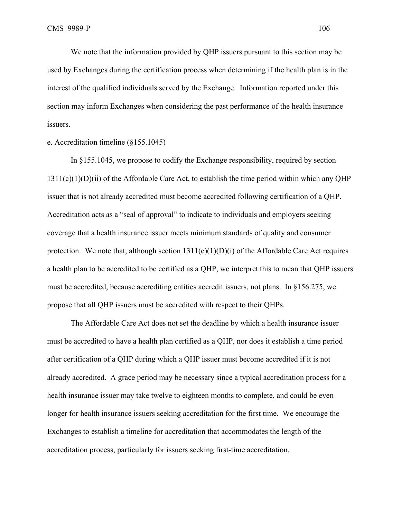We note that the information provided by QHP issuers pursuant to this section may be used by Exchanges during the certification process when determining if the health plan is in the interest of the qualified individuals served by the Exchange. Information reported under this section may inform Exchanges when considering the past performance of the health insurance issuers.

e. Accreditation timeline (§155.1045)

 In §155.1045, we propose to codify the Exchange responsibility, required by section  $1311(c)(1)(D)(ii)$  of the Affordable Care Act, to establish the time period within which any OHP issuer that is not already accredited must become accredited following certification of a QHP. Accreditation acts as a "seal of approval" to indicate to individuals and employers seeking coverage that a health insurance issuer meets minimum standards of quality and consumer protection. We note that, although section  $1311(c)(1)(D)(i)$  of the Affordable Care Act requires a health plan to be accredited to be certified as a QHP, we interpret this to mean that QHP issuers must be accredited, because accrediting entities accredit issuers, not plans. In  $\S156.275$ , we propose that all QHP issuers must be accredited with respect to their QHPs.

The Affordable Care Act does not set the deadline by which a health insurance issuer must be accredited to have a health plan certified as a QHP, nor does it establish a time period after certification of a QHP during which a QHP issuer must become accredited if it is not already accredited. A grace period may be necessary since a typical accreditation process for a health insurance issuer may take twelve to eighteen months to complete, and could be even longer for health insurance issuers seeking accreditation for the first time. We encourage the Exchanges to establish a timeline for accreditation that accommodates the length of the accreditation process, particularly for issuers seeking first-time accreditation.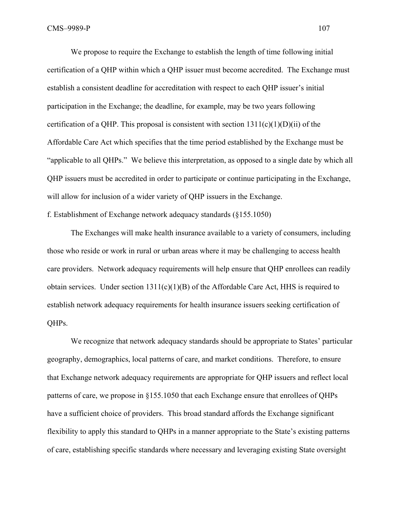We propose to require the Exchange to establish the length of time following initial certification of a QHP within which a QHP issuer must become accredited. The Exchange must establish a consistent deadline for accreditation with respect to each QHP issuer's initial participation in the Exchange; the deadline, for example, may be two years following certification of a QHP. This proposal is consistent with section  $1311(c)(1)(D)(ii)$  of the Affordable Care Act which specifies that the time period established by the Exchange must be "applicable to all QHPs." We believe this interpretation, as opposed to a single date by which all QHP issuers must be accredited in order to participate or continue participating in the Exchange, will allow for inclusion of a wider variety of QHP issuers in the Exchange.

f. Establishment of Exchange network adequacy standards (§155.1050)

 The Exchanges will make health insurance available to a variety of consumers, including those who reside or work in rural or urban areas where it may be challenging to access health care providers. Network adequacy requirements will help ensure that QHP enrollees can readily obtain services. Under section  $1311(c)(1)(B)$  of the Affordable Care Act, HHS is required to establish network adequacy requirements for health insurance issuers seeking certification of QHPs.

We recognize that network adequacy standards should be appropriate to States' particular geography, demographics, local patterns of care, and market conditions. Therefore, to ensure that Exchange network adequacy requirements are appropriate for QHP issuers and reflect local patterns of care, we propose in §155.1050 that each Exchange ensure that enrollees of QHPs have a sufficient choice of providers. This broad standard affords the Exchange significant flexibility to apply this standard to QHPs in a manner appropriate to the State's existing patterns of care, establishing specific standards where necessary and leveraging existing State oversight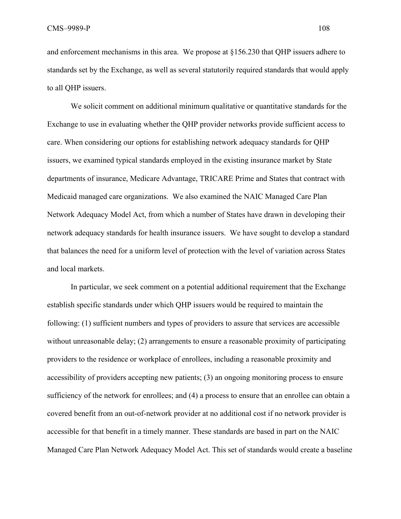and enforcement mechanisms in this area. We propose at §156.230 that QHP issuers adhere to standards set by the Exchange, as well as several statutorily required standards that would apply to all QHP issuers.

We solicit comment on additional minimum qualitative or quantitative standards for the Exchange to use in evaluating whether the QHP provider networks provide sufficient access to care. When considering our options for establishing network adequacy standards for QHP issuers, we examined typical standards employed in the existing insurance market by State departments of insurance, Medicare Advantage, TRICARE Prime and States that contract with Medicaid managed care organizations. We also examined the NAIC Managed Care Plan Network Adequacy Model Act, from which a number of States have drawn in developing their network adequacy standards for health insurance issuers. We have sought to develop a standard that balances the need for a uniform level of protection with the level of variation across States and local markets.

In particular, we seek comment on a potential additional requirement that the Exchange establish specific standards under which QHP issuers would be required to maintain the following: (1) sufficient numbers and types of providers to assure that services are accessible without unreasonable delay; (2) arrangements to ensure a reasonable proximity of participating providers to the residence or workplace of enrollees, including a reasonable proximity and accessibility of providers accepting new patients; (3) an ongoing monitoring process to ensure sufficiency of the network for enrollees; and (4) a process to ensure that an enrollee can obtain a covered benefit from an out-of-network provider at no additional cost if no network provider is accessible for that benefit in a timely manner. These standards are based in part on the NAIC Managed Care Plan Network Adequacy Model Act. This set of standards would create a baseline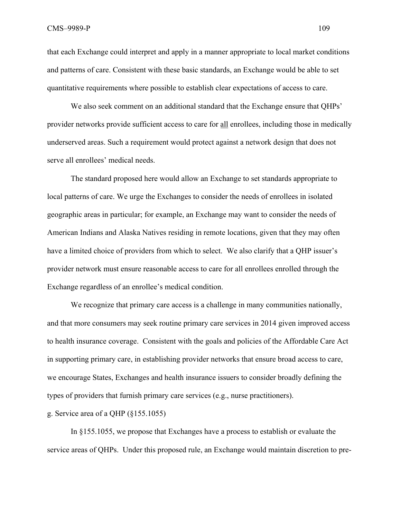that each Exchange could interpret and apply in a manner appropriate to local market conditions and patterns of care. Consistent with these basic standards, an Exchange would be able to set quantitative requirements where possible to establish clear expectations of access to care.

We also seek comment on an additional standard that the Exchange ensure that QHPs' provider networks provide sufficient access to care for all enrollees, including those in medically underserved areas. Such a requirement would protect against a network design that does not serve all enrollees' medical needs.

The standard proposed here would allow an Exchange to set standards appropriate to local patterns of care. We urge the Exchanges to consider the needs of enrollees in isolated geographic areas in particular; for example, an Exchange may want to consider the needs of American Indians and Alaska Natives residing in remote locations, given that they may often have a limited choice of providers from which to select. We also clarify that a QHP issuer's provider network must ensure reasonable access to care for all enrollees enrolled through the Exchange regardless of an enrollee's medical condition.

We recognize that primary care access is a challenge in many communities nationally, and that more consumers may seek routine primary care services in 2014 given improved access to health insurance coverage. Consistent with the goals and policies of the Affordable Care Act in supporting primary care, in establishing provider networks that ensure broad access to care, we encourage States, Exchanges and health insurance issuers to consider broadly defining the types of providers that furnish primary care services (e.g., nurse practitioners).

g. Service area of a QHP (§155.1055)

 In §155.1055, we propose that Exchanges have a process to establish or evaluate the service areas of QHPs. Under this proposed rule, an Exchange would maintain discretion to pre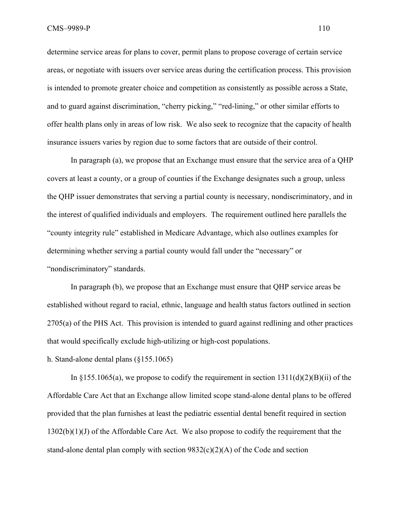determine service areas for plans to cover, permit plans to propose coverage of certain service areas, or negotiate with issuers over service areas during the certification process. This provision is intended to promote greater choice and competition as consistently as possible across a State, and to guard against discrimination, "cherry picking," "red-lining," or other similar efforts to offer health plans only in areas of low risk. We also seek to recognize that the capacity of health insurance issuers varies by region due to some factors that are outside of their control.

 In paragraph (a), we propose that an Exchange must ensure that the service area of a QHP covers at least a county, or a group of counties if the Exchange designates such a group, unless the QHP issuer demonstrates that serving a partial county is necessary, nondiscriminatory, and in the interest of qualified individuals and employers. The requirement outlined here parallels the "county integrity rule" established in Medicare Advantage, which also outlines examples for determining whether serving a partial county would fall under the "necessary" or "nondiscriminatory" standards.

 In paragraph (b), we propose that an Exchange must ensure that QHP service areas be established without regard to racial, ethnic, language and health status factors outlined in section 2705(a) of the PHS Act. This provision is intended to guard against redlining and other practices that would specifically exclude high-utilizing or high-cost populations.

h. Stand-alone dental plans (§155.1065)

In §155.1065(a), we propose to codify the requirement in section  $1311(d)(2)(B)(ii)$  of the Affordable Care Act that an Exchange allow limited scope stand-alone dental plans to be offered provided that the plan furnishes at least the pediatric essential dental benefit required in section  $1302(b)(1)(J)$  of the Affordable Care Act. We also propose to codify the requirement that the stand-alone dental plan comply with section  $9832(c)(2)(A)$  of the Code and section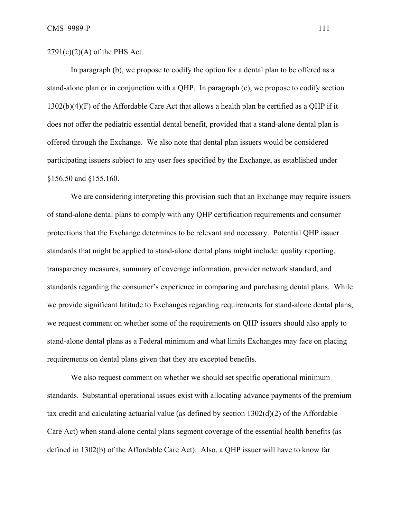$2791(c)(2)(A)$  of the PHS Act.

 In paragraph (b), we propose to codify the option for a dental plan to be offered as a stand-alone plan or in conjunction with a QHP. In paragraph (c), we propose to codify section 1302(b)(4)(F) of the Affordable Care Act that allows a health plan be certified as a QHP if it does not offer the pediatric essential dental benefit, provided that a stand-alone dental plan is offered through the Exchange. We also note that dental plan issuers would be considered participating issuers subject to any user fees specified by the Exchange, as established under §156.50 and §155.160.

 We are considering interpreting this provision such that an Exchange may require issuers of stand-alone dental plans to comply with any QHP certification requirements and consumer protections that the Exchange determines to be relevant and necessary. Potential QHP issuer standards that might be applied to stand-alone dental plans might include: quality reporting, transparency measures, summary of coverage information, provider network standard, and standards regarding the consumer's experience in comparing and purchasing dental plans. While we provide significant latitude to Exchanges regarding requirements for stand-alone dental plans, we request comment on whether some of the requirements on QHP issuers should also apply to stand-alone dental plans as a Federal minimum and what limits Exchanges may face on placing requirements on dental plans given that they are excepted benefits.

 We also request comment on whether we should set specific operational minimum standards. Substantial operational issues exist with allocating advance payments of the premium tax credit and calculating actuarial value (as defined by section 1302(d)(2) of the Affordable Care Act) when stand-alone dental plans segment coverage of the essential health benefits (as defined in 1302(b) of the Affordable Care Act). Also, a QHP issuer will have to know far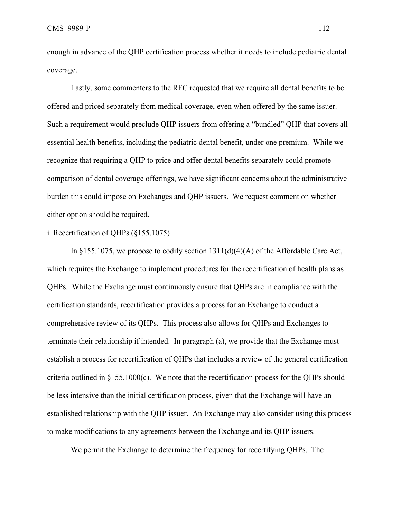enough in advance of the QHP certification process whether it needs to include pediatric dental coverage.

 Lastly, some commenters to the RFC requested that we require all dental benefits to be offered and priced separately from medical coverage, even when offered by the same issuer. Such a requirement would preclude QHP issuers from offering a "bundled" QHP that covers all essential health benefits, including the pediatric dental benefit, under one premium. While we recognize that requiring a QHP to price and offer dental benefits separately could promote comparison of dental coverage offerings, we have significant concerns about the administrative burden this could impose on Exchanges and QHP issuers. We request comment on whether either option should be required.

## i. Recertification of QHPs (§155.1075)

In  $\S 155.1075$ , we propose to codify section  $1311(d)(4)(A)$  of the Affordable Care Act, which requires the Exchange to implement procedures for the recertification of health plans as QHPs. While the Exchange must continuously ensure that QHPs are in compliance with the certification standards, recertification provides a process for an Exchange to conduct a comprehensive review of its QHPs. This process also allows for QHPs and Exchanges to terminate their relationship if intended. In paragraph (a), we provide that the Exchange must establish a process for recertification of QHPs that includes a review of the general certification criteria outlined in §155.1000(c). We note that the recertification process for the QHPs should be less intensive than the initial certification process, given that the Exchange will have an established relationship with the QHP issuer. An Exchange may also consider using this process to make modifications to any agreements between the Exchange and its QHP issuers.

We permit the Exchange to determine the frequency for recertifying QHPs. The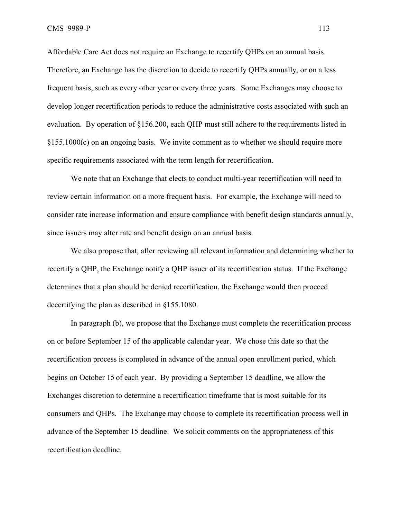Affordable Care Act does not require an Exchange to recertify QHPs on an annual basis. Therefore, an Exchange has the discretion to decide to recertify QHPs annually, or on a less frequent basis, such as every other year or every three years. Some Exchanges may choose to develop longer recertification periods to reduce the administrative costs associated with such an evaluation. By operation of §156.200, each QHP must still adhere to the requirements listed in §155.1000(c) on an ongoing basis. We invite comment as to whether we should require more specific requirements associated with the term length for recertification.

 We note that an Exchange that elects to conduct multi-year recertification will need to review certain information on a more frequent basis. For example, the Exchange will need to consider rate increase information and ensure compliance with benefit design standards annually, since issuers may alter rate and benefit design on an annual basis.

We also propose that, after reviewing all relevant information and determining whether to recertify a QHP, the Exchange notify a QHP issuer of its recertification status. If the Exchange determines that a plan should be denied recertification, the Exchange would then proceed decertifying the plan as described in §155.1080.

In paragraph (b), we propose that the Exchange must complete the recertification process on or before September 15 of the applicable calendar year. We chose this date so that the recertification process is completed in advance of the annual open enrollment period, which begins on October 15 of each year. By providing a September 15 deadline, we allow the Exchanges discretion to determine a recertification timeframe that is most suitable for its consumers and QHPs. The Exchange may choose to complete its recertification process well in advance of the September 15 deadline. We solicit comments on the appropriateness of this recertification deadline.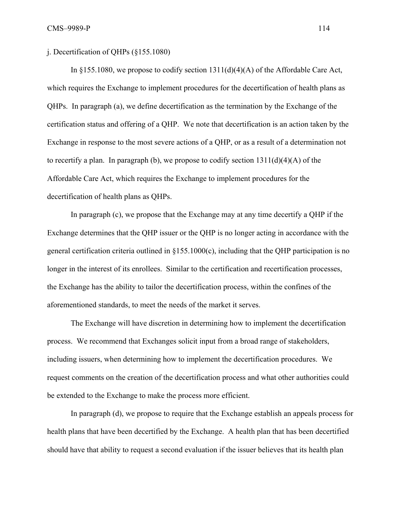## j. Decertification of QHPs (§155.1080)

In  $\S 155.1080$ , we propose to codify section  $1311(d)(4)(A)$  of the Affordable Care Act, which requires the Exchange to implement procedures for the decertification of health plans as QHPs. In paragraph (a), we define decertification as the termination by the Exchange of the certification status and offering of a QHP. We note that decertification is an action taken by the Exchange in response to the most severe actions of a QHP, or as a result of a determination not to recertify a plan. In paragraph (b), we propose to codify section  $1311(d)(4)(A)$  of the Affordable Care Act, which requires the Exchange to implement procedures for the decertification of health plans as QHPs.

 In paragraph (c), we propose that the Exchange may at any time decertify a QHP if the Exchange determines that the QHP issuer or the QHP is no longer acting in accordance with the general certification criteria outlined in §155.1000(c), including that the QHP participation is no longer in the interest of its enrollees. Similar to the certification and recertification processes, the Exchange has the ability to tailor the decertification process, within the confines of the aforementioned standards, to meet the needs of the market it serves.

 The Exchange will have discretion in determining how to implement the decertification process. We recommend that Exchanges solicit input from a broad range of stakeholders, including issuers, when determining how to implement the decertification procedures. We request comments on the creation of the decertification process and what other authorities could be extended to the Exchange to make the process more efficient.

 In paragraph (d), we propose to require that the Exchange establish an appeals process for health plans that have been decertified by the Exchange. A health plan that has been decertified should have that ability to request a second evaluation if the issuer believes that its health plan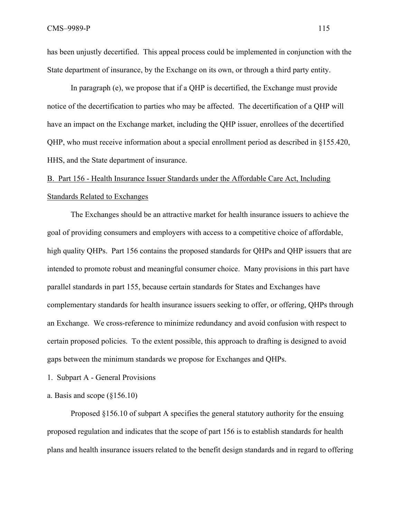has been unjustly decertified. This appeal process could be implemented in conjunction with the State department of insurance, by the Exchange on its own, or through a third party entity.

In paragraph (e), we propose that if a QHP is decertified, the Exchange must provide notice of the decertification to parties who may be affected. The decertification of a QHP will have an impact on the Exchange market, including the QHP issuer, enrollees of the decertified QHP, who must receive information about a special enrollment period as described in §155.420, HHS, and the State department of insurance.

# B. Part 156 - Health Insurance Issuer Standards under the Affordable Care Act, Including Standards Related to Exchanges

The Exchanges should be an attractive market for health insurance issuers to achieve the goal of providing consumers and employers with access to a competitive choice of affordable, high quality OHPs. Part 156 contains the proposed standards for QHPs and QHP issuers that are intended to promote robust and meaningful consumer choice. Many provisions in this part have parallel standards in part 155, because certain standards for States and Exchanges have complementary standards for health insurance issuers seeking to offer, or offering, QHPs through an Exchange. We cross-reference to minimize redundancy and avoid confusion with respect to certain proposed policies. To the extent possible, this approach to drafting is designed to avoid gaps between the minimum standards we propose for Exchanges and QHPs.

- 1. Subpart A General Provisions
- a. Basis and scope  $(\S156.10)$

Proposed §156.10 of subpart A specifies the general statutory authority for the ensuing proposed regulation and indicates that the scope of part 156 is to establish standards for health plans and health insurance issuers related to the benefit design standards and in regard to offering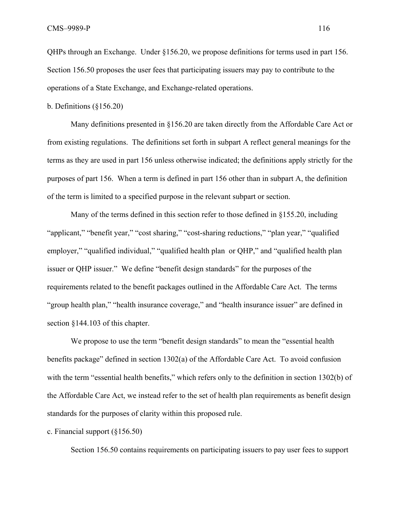QHPs through an Exchange. Under §156.20, we propose definitions for terms used in part 156. Section 156.50 proposes the user fees that participating issuers may pay to contribute to the operations of a State Exchange, and Exchange-related operations.

b. Definitions (§156.20)

Many definitions presented in §156.20 are taken directly from the Affordable Care Act or from existing regulations. The definitions set forth in subpart A reflect general meanings for the terms as they are used in part 156 unless otherwise indicated; the definitions apply strictly for the purposes of part 156. When a term is defined in part 156 other than in subpart A, the definition of the term is limited to a specified purpose in the relevant subpart or section.

 Many of the terms defined in this section refer to those defined in §155.20, including "applicant," "benefit year," "cost sharing," "cost-sharing reductions," "plan year," "qualified employer," "qualified individual," "qualified health plan or QHP," and "qualified health plan issuer or QHP issuer." We define "benefit design standards" for the purposes of the requirements related to the benefit packages outlined in the Affordable Care Act. The terms "group health plan," "health insurance coverage," and "health insurance issuer" are defined in section §144.103 of this chapter.

We propose to use the term "benefit design standards" to mean the "essential health" benefits package" defined in section 1302(a) of the Affordable Care Act. To avoid confusion with the term "essential health benefits," which refers only to the definition in section 1302(b) of the Affordable Care Act, we instead refer to the set of health plan requirements as benefit design standards for the purposes of clarity within this proposed rule.

c. Financial support (§156.50)

Section 156.50 contains requirements on participating issuers to pay user fees to support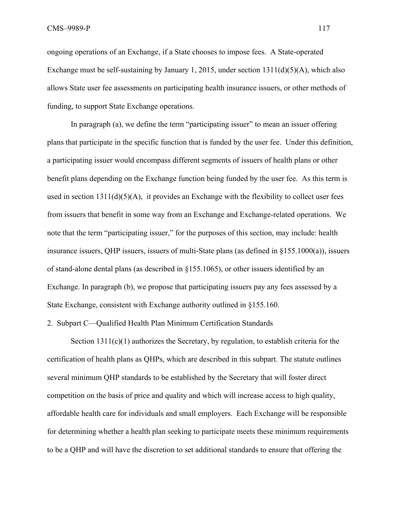ongoing operations of an Exchange, if a State chooses to impose fees. A State-operated Exchange must be self-sustaining by January 1, 2015, under section 1311(d)(5)(A), which also allows State user fee assessments on participating health insurance issuers, or other methods of funding, to support State Exchange operations.

In paragraph (a), we define the term "participating issuer" to mean an issuer offering plans that participate in the specific function that is funded by the user fee. Under this definition, a participating issuer would encompass different segments of issuers of health plans or other benefit plans depending on the Exchange function being funded by the user fee. As this term is used in section  $1311(d)(5)(A)$ , it provides an Exchange with the flexibility to collect user fees from issuers that benefit in some way from an Exchange and Exchange-related operations. We note that the term "participating issuer," for the purposes of this section, may include: health insurance issuers, QHP issuers, issuers of multi-State plans (as defined in §155.1000(a)), issuers of stand-alone dental plans (as described in §155.1065), or other issuers identified by an Exchange. In paragraph (b), we propose that participating issuers pay any fees assessed by a State Exchange, consistent with Exchange authority outlined in §155.160.

2. Subpart C—Qualified Health Plan Minimum Certification Standards

Section 1311(c)(1) authorizes the Secretary, by regulation, to establish criteria for the certification of health plans as QHPs, which are described in this subpart. The statute outlines several minimum QHP standards to be established by the Secretary that will foster direct competition on the basis of price and quality and which will increase access to high quality, affordable health care for individuals and small employers. Each Exchange will be responsible for determining whether a health plan seeking to participate meets these minimum requirements to be a QHP and will have the discretion to set additional standards to ensure that offering the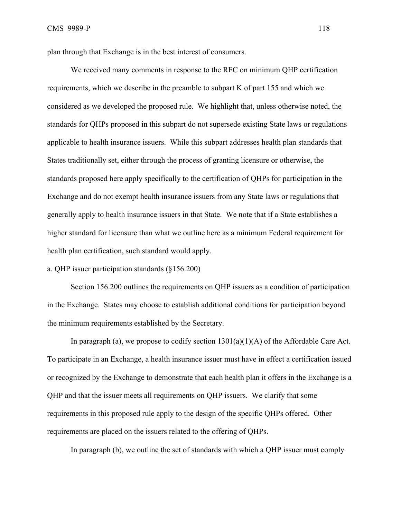plan through that Exchange is in the best interest of consumers.

 We received many comments in response to the RFC on minimum QHP certification requirements, which we describe in the preamble to subpart K of part 155 and which we considered as we developed the proposed rule. We highlight that, unless otherwise noted, the standards for QHPs proposed in this subpart do not supersede existing State laws or regulations applicable to health insurance issuers. While this subpart addresses health plan standards that States traditionally set, either through the process of granting licensure or otherwise, the standards proposed here apply specifically to the certification of QHPs for participation in the Exchange and do not exempt health insurance issuers from any State laws or regulations that generally apply to health insurance issuers in that State. We note that if a State establishes a higher standard for licensure than what we outline here as a minimum Federal requirement for health plan certification, such standard would apply.

a. QHP issuer participation standards (§156.200)

Section 156.200 outlines the requirements on QHP issuers as a condition of participation in the Exchange. States may choose to establish additional conditions for participation beyond the minimum requirements established by the Secretary.

In paragraph (a), we propose to codify section  $1301(a)(1)(A)$  of the Affordable Care Act. To participate in an Exchange, a health insurance issuer must have in effect a certification issued or recognized by the Exchange to demonstrate that each health plan it offers in the Exchange is a QHP and that the issuer meets all requirements on QHP issuers. We clarify that some requirements in this proposed rule apply to the design of the specific QHPs offered. Other requirements are placed on the issuers related to the offering of QHPs.

In paragraph (b), we outline the set of standards with which a QHP issuer must comply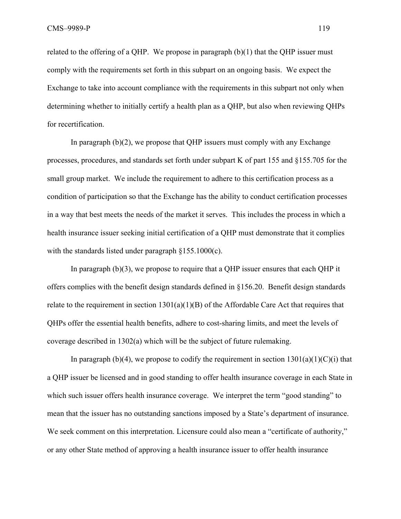related to the offering of a QHP. We propose in paragraph  $(b)(1)$  that the QHP issuer must comply with the requirements set forth in this subpart on an ongoing basis. We expect the Exchange to take into account compliance with the requirements in this subpart not only when determining whether to initially certify a health plan as a QHP, but also when reviewing QHPs for recertification.

In paragraph  $(b)(2)$ , we propose that QHP issuers must comply with any Exchange processes, procedures, and standards set forth under subpart K of part 155 and §155.705 for the small group market. We include the requirement to adhere to this certification process as a condition of participation so that the Exchange has the ability to conduct certification processes in a way that best meets the needs of the market it serves. This includes the process in which a health insurance issuer seeking initial certification of a QHP must demonstrate that it complies with the standards listed under paragraph §155.1000(c).

In paragraph (b)(3), we propose to require that a QHP issuer ensures that each QHP it offers complies with the benefit design standards defined in §156.20. Benefit design standards relate to the requirement in section  $1301(a)(1)(B)$  of the Affordable Care Act that requires that QHPs offer the essential health benefits, adhere to cost-sharing limits, and meet the levels of coverage described in 1302(a) which will be the subject of future rulemaking.

In paragraph (b)(4), we propose to codify the requirement in section  $1301(a)(1)(C)(i)$  that a QHP issuer be licensed and in good standing to offer health insurance coverage in each State in which such issuer offers health insurance coverage. We interpret the term "good standing" to mean that the issuer has no outstanding sanctions imposed by a State's department of insurance. We seek comment on this interpretation. Licensure could also mean a "certificate of authority," or any other State method of approving a health insurance issuer to offer health insurance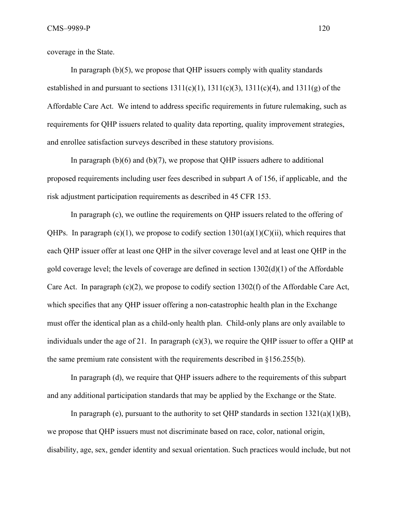coverage in the State.

In paragraph  $(b)(5)$ , we propose that QHP issuers comply with quality standards established in and pursuant to sections  $1311(c)(1)$ ,  $1311(c)(3)$ ,  $1311(c)(4)$ , and  $1311(g)$  of the Affordable Care Act. We intend to address specific requirements in future rulemaking, such as requirements for QHP issuers related to quality data reporting, quality improvement strategies, and enrollee satisfaction surveys described in these statutory provisions.

In paragraph  $(b)(6)$  and  $(b)(7)$ , we propose that QHP issuers adhere to additional proposed requirements including user fees described in subpart A of 156, if applicable, and the risk adjustment participation requirements as described in 45 CFR 153.

In paragraph (c), we outline the requirements on QHP issuers related to the offering of QHPs. In paragraph  $(c)(1)$ , we propose to codify section  $1301(a)(1)(C)(ii)$ , which requires that each QHP issuer offer at least one QHP in the silver coverage level and at least one QHP in the gold coverage level; the levels of coverage are defined in section 1302(d)(1) of the Affordable Care Act. In paragraph  $(c)(2)$ , we propose to codify section 1302(f) of the Affordable Care Act, which specifies that any QHP issuer offering a non-catastrophic health plan in the Exchange must offer the identical plan as a child-only health plan. Child-only plans are only available to individuals under the age of 21. In paragraph (c)(3), we require the QHP issuer to offer a QHP at the same premium rate consistent with the requirements described in §156.255(b).

In paragraph (d), we require that QHP issuers adhere to the requirements of this subpart and any additional participation standards that may be applied by the Exchange or the State.

In paragraph (e), pursuant to the authority to set QHP standards in section  $1321(a)(1)(B)$ , we propose that QHP issuers must not discriminate based on race, color, national origin, disability, age, sex, gender identity and sexual orientation. Such practices would include, but not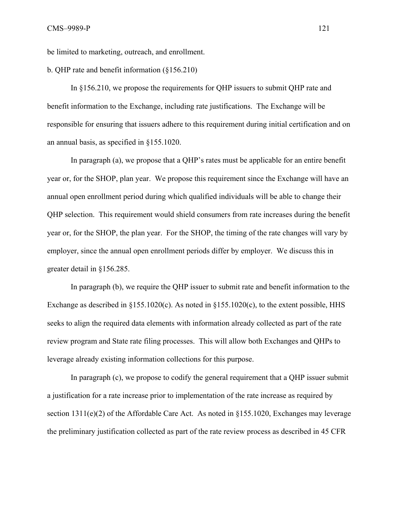be limited to marketing, outreach, and enrollment.

b. QHP rate and benefit information (§156.210)

In §156.210, we propose the requirements for QHP issuers to submit QHP rate and benefit information to the Exchange, including rate justifications. The Exchange will be responsible for ensuring that issuers adhere to this requirement during initial certification and on an annual basis, as specified in §155.1020.

 In paragraph (a), we propose that a QHP's rates must be applicable for an entire benefit year or, for the SHOP, plan year. We propose this requirement since the Exchange will have an annual open enrollment period during which qualified individuals will be able to change their QHP selection. This requirement would shield consumers from rate increases during the benefit year or, for the SHOP, the plan year. For the SHOP, the timing of the rate changes will vary by employer, since the annual open enrollment periods differ by employer. We discuss this in greater detail in §156.285.

 In paragraph (b), we require the QHP issuer to submit rate and benefit information to the Exchange as described in §155.1020(c). As noted in §155.1020(c), to the extent possible, HHS seeks to align the required data elements with information already collected as part of the rate review program and State rate filing processes. This will allow both Exchanges and QHPs to leverage already existing information collections for this purpose.

 In paragraph (c), we propose to codify the general requirement that a QHP issuer submit a justification for a rate increase prior to implementation of the rate increase as required by section  $1311(e)(2)$  of the Affordable Care Act. As noted in §155.1020, Exchanges may leverage the preliminary justification collected as part of the rate review process as described in 45 CFR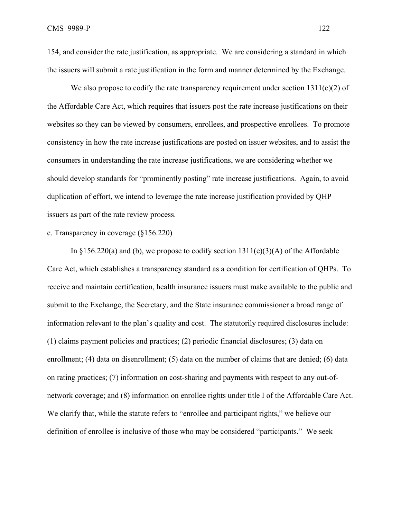154, and consider the rate justification, as appropriate. We are considering a standard in which the issuers will submit a rate justification in the form and manner determined by the Exchange.

We also propose to codify the rate transparency requirement under section  $1311(e)(2)$  of the Affordable Care Act, which requires that issuers post the rate increase justifications on their websites so they can be viewed by consumers, enrollees, and prospective enrollees. To promote consistency in how the rate increase justifications are posted on issuer websites, and to assist the consumers in understanding the rate increase justifications, we are considering whether we should develop standards for "prominently posting" rate increase justifications. Again, to avoid duplication of effort, we intend to leverage the rate increase justification provided by QHP issuers as part of the rate review process.

## c. Transparency in coverage (§156.220)

In  $\S 156.220(a)$  and (b), we propose to codify section  $1311(e)(3)(A)$  of the Affordable Care Act, which establishes a transparency standard as a condition for certification of QHPs. To receive and maintain certification, health insurance issuers must make available to the public and submit to the Exchange, the Secretary, and the State insurance commissioner a broad range of information relevant to the plan's quality and cost. The statutorily required disclosures include: (1) claims payment policies and practices; (2) periodic financial disclosures; (3) data on enrollment; (4) data on disenrollment; (5) data on the number of claims that are denied; (6) data on rating practices; (7) information on cost-sharing and payments with respect to any out-ofnetwork coverage; and (8) information on enrollee rights under title I of the Affordable Care Act. We clarify that, while the statute refers to "enrollee and participant rights," we believe our definition of enrollee is inclusive of those who may be considered "participants." We seek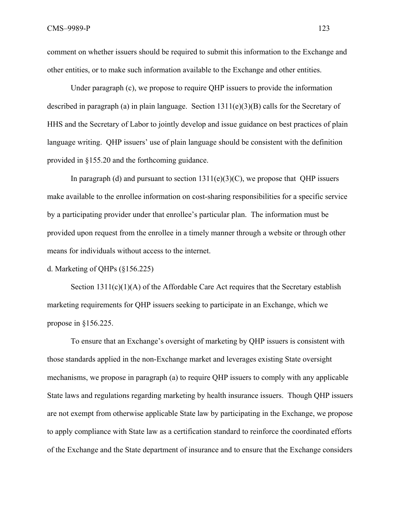comment on whether issuers should be required to submit this information to the Exchange and other entities, or to make such information available to the Exchange and other entities.

 Under paragraph (c), we propose to require QHP issuers to provide the information described in paragraph (a) in plain language. Section 1311(e)(3)(B) calls for the Secretary of HHS and the Secretary of Labor to jointly develop and issue guidance on best practices of plain language writing. QHP issuers' use of plain language should be consistent with the definition provided in §155.20 and the forthcoming guidance.

In paragraph (d) and pursuant to section  $1311(e)(3)(C)$ , we propose that QHP issuers make available to the enrollee information on cost-sharing responsibilities for a specific service by a participating provider under that enrollee's particular plan. The information must be provided upon request from the enrollee in a timely manner through a website or through other means for individuals without access to the internet.

d. Marketing of QHPs (§156.225)

Section  $1311(c)(1)(A)$  of the Affordable Care Act requires that the Secretary establish marketing requirements for QHP issuers seeking to participate in an Exchange, which we propose in §156.225.

To ensure that an Exchange's oversight of marketing by QHP issuers is consistent with those standards applied in the non-Exchange market and leverages existing State oversight mechanisms, we propose in paragraph (a) to require QHP issuers to comply with any applicable State laws and regulations regarding marketing by health insurance issuers. Though QHP issuers are not exempt from otherwise applicable State law by participating in the Exchange, we propose to apply compliance with State law as a certification standard to reinforce the coordinated efforts of the Exchange and the State department of insurance and to ensure that the Exchange considers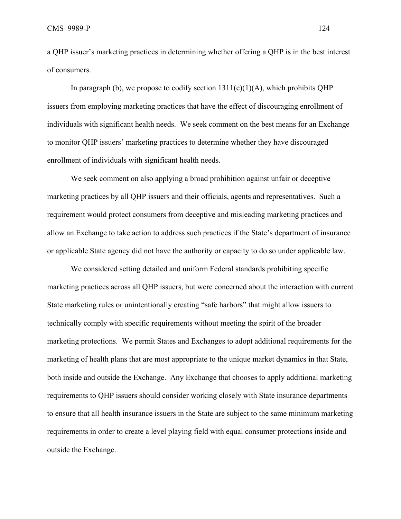a QHP issuer's marketing practices in determining whether offering a QHP is in the best interest of consumers.

In paragraph (b), we propose to codify section  $1311(c)(1)(A)$ , which prohibits OHP issuers from employing marketing practices that have the effect of discouraging enrollment of individuals with significant health needs. We seek comment on the best means for an Exchange to monitor QHP issuers' marketing practices to determine whether they have discouraged enrollment of individuals with significant health needs.

We seek comment on also applying a broad prohibition against unfair or deceptive marketing practices by all QHP issuers and their officials, agents and representatives. Such a requirement would protect consumers from deceptive and misleading marketing practices and allow an Exchange to take action to address such practices if the State's department of insurance or applicable State agency did not have the authority or capacity to do so under applicable law.

We considered setting detailed and uniform Federal standards prohibiting specific marketing practices across all QHP issuers, but were concerned about the interaction with current State marketing rules or unintentionally creating "safe harbors" that might allow issuers to technically comply with specific requirements without meeting the spirit of the broader marketing protections. We permit States and Exchanges to adopt additional requirements for the marketing of health plans that are most appropriate to the unique market dynamics in that State, both inside and outside the Exchange. Any Exchange that chooses to apply additional marketing requirements to QHP issuers should consider working closely with State insurance departments to ensure that all health insurance issuers in the State are subject to the same minimum marketing requirements in order to create a level playing field with equal consumer protections inside and outside the Exchange.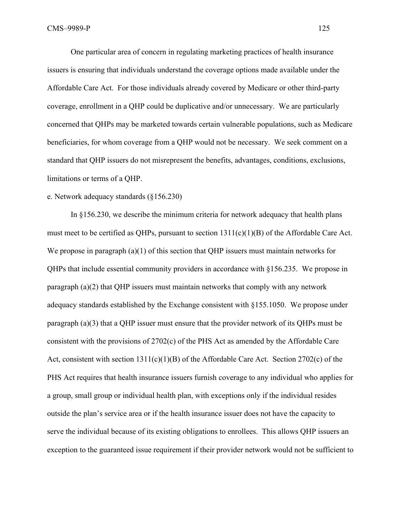One particular area of concern in regulating marketing practices of health insurance issuers is ensuring that individuals understand the coverage options made available under the Affordable Care Act. For those individuals already covered by Medicare or other third-party coverage, enrollment in a QHP could be duplicative and/or unnecessary. We are particularly concerned that QHPs may be marketed towards certain vulnerable populations, such as Medicare beneficiaries, for whom coverage from a QHP would not be necessary. We seek comment on a standard that QHP issuers do not misrepresent the benefits, advantages, conditions, exclusions, limitations or terms of a QHP.

### e. Network adequacy standards (§156.230)

In §156.230, we describe the minimum criteria for network adequacy that health plans must meet to be certified as QHPs, pursuant to section 1311(c)(1)(B) of the Affordable Care Act. We propose in paragraph (a)(1) of this section that QHP issuers must maintain networks for QHPs that include essential community providers in accordance with §156.235. We propose in paragraph (a)(2) that QHP issuers must maintain networks that comply with any network adequacy standards established by the Exchange consistent with §155.1050. We propose under paragraph (a)(3) that a QHP issuer must ensure that the provider network of its QHPs must be consistent with the provisions of 2702(c) of the PHS Act as amended by the Affordable Care Act, consistent with section  $1311(c)(1)(B)$  of the Affordable Care Act. Section 2702(c) of the PHS Act requires that health insurance issuers furnish coverage to any individual who applies for a group, small group or individual health plan, with exceptions only if the individual resides outside the plan's service area or if the health insurance issuer does not have the capacity to serve the individual because of its existing obligations to enrollees. This allows QHP issuers an exception to the guaranteed issue requirement if their provider network would not be sufficient to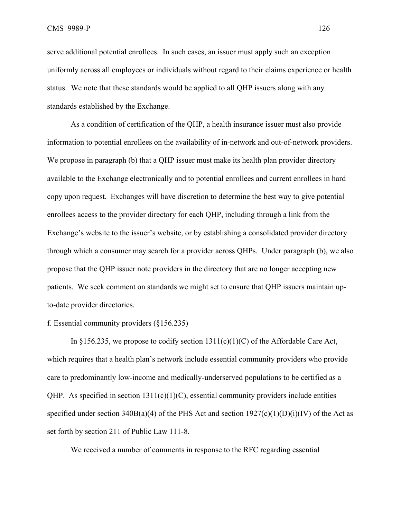serve additional potential enrollees. In such cases, an issuer must apply such an exception uniformly across all employees or individuals without regard to their claims experience or health status. We note that these standards would be applied to all QHP issuers along with any standards established by the Exchange.

 As a condition of certification of the QHP, a health insurance issuer must also provide information to potential enrollees on the availability of in-network and out-of-network providers. We propose in paragraph (b) that a QHP issuer must make its health plan provider directory available to the Exchange electronically and to potential enrollees and current enrollees in hard copy upon request. Exchanges will have discretion to determine the best way to give potential enrollees access to the provider directory for each QHP, including through a link from the Exchange's website to the issuer's website, or by establishing a consolidated provider directory through which a consumer may search for a provider across QHPs. Under paragraph (b), we also propose that the QHP issuer note providers in the directory that are no longer accepting new patients. We seek comment on standards we might set to ensure that QHP issuers maintain upto-date provider directories.

### f. Essential community providers (§156.235)

In §156.235, we propose to codify section  $1311(c)(1)(C)$  of the Affordable Care Act, which requires that a health plan's network include essential community providers who provide care to predominantly low-income and medically-underserved populations to be certified as a OHP. As specified in section  $1311(c)(1)(C)$ , essential community providers include entities specified under section 340B(a)(4) of the PHS Act and section  $1927(c)(1)(D)(i)(IV)$  of the Act as set forth by section 211 of Public Law 111-8.

We received a number of comments in response to the RFC regarding essential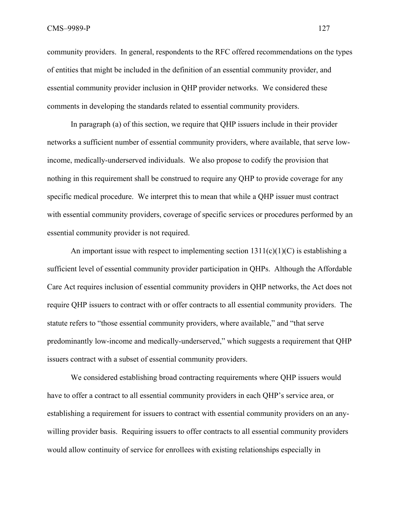community providers. In general, respondents to the RFC offered recommendations on the types of entities that might be included in the definition of an essential community provider, and essential community provider inclusion in QHP provider networks. We considered these comments in developing the standards related to essential community providers.

In paragraph (a) of this section, we require that QHP issuers include in their provider networks a sufficient number of essential community providers, where available, that serve lowincome, medically-underserved individuals. We also propose to codify the provision that nothing in this requirement shall be construed to require any QHP to provide coverage for any specific medical procedure. We interpret this to mean that while a QHP issuer must contract with essential community providers, coverage of specific services or procedures performed by an essential community provider is not required.

An important issue with respect to implementing section  $1311(c)(1)(C)$  is establishing a sufficient level of essential community provider participation in QHPs. Although the Affordable Care Act requires inclusion of essential community providers in QHP networks, the Act does not require QHP issuers to contract with or offer contracts to all essential community providers. The statute refers to "those essential community providers, where available," and "that serve predominantly low-income and medically-underserved," which suggests a requirement that QHP issuers contract with a subset of essential community providers.

We considered establishing broad contracting requirements where QHP issuers would have to offer a contract to all essential community providers in each QHP's service area, or establishing a requirement for issuers to contract with essential community providers on an anywilling provider basis. Requiring issuers to offer contracts to all essential community providers would allow continuity of service for enrollees with existing relationships especially in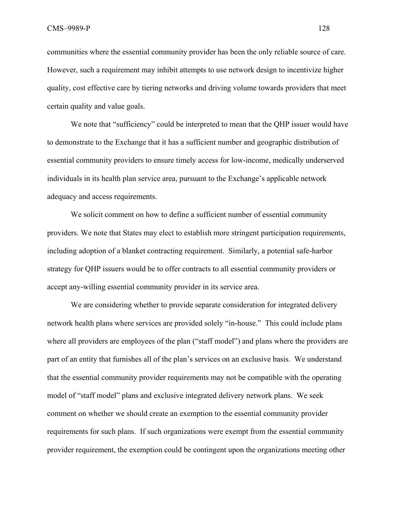communities where the essential community provider has been the only reliable source of care. However, such a requirement may inhibit attempts to use network design to incentivize higher quality, cost effective care by tiering networks and driving volume towards providers that meet certain quality and value goals.

We note that "sufficiency" could be interpreted to mean that the QHP issuer would have to demonstrate to the Exchange that it has a sufficient number and geographic distribution of essential community providers to ensure timely access for low-income, medically underserved individuals in its health plan service area, pursuant to the Exchange's applicable network adequacy and access requirements.

We solicit comment on how to define a sufficient number of essential community providers. We note that States may elect to establish more stringent participation requirements, including adoption of a blanket contracting requirement. Similarly, a potential safe-harbor strategy for QHP issuers would be to offer contracts to all essential community providers or accept any-willing essential community provider in its service area.

We are considering whether to provide separate consideration for integrated delivery network health plans where services are provided solely "in-house." This could include plans where all providers are employees of the plan ("staff model") and plans where the providers are part of an entity that furnishes all of the plan's services on an exclusive basis. We understand that the essential community provider requirements may not be compatible with the operating model of "staff model" plans and exclusive integrated delivery network plans. We seek comment on whether we should create an exemption to the essential community provider requirements for such plans. If such organizations were exempt from the essential community provider requirement, the exemption could be contingent upon the organizations meeting other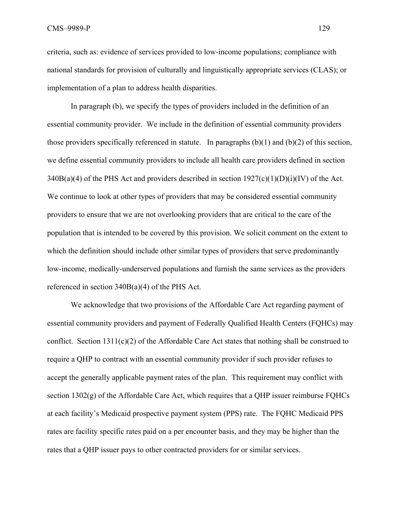criteria, such as: evidence of services provided to low-income populations; compliance with national standards for provision of culturally and linguistically appropriate services (CLAS); or implementation of a plan to address health disparities.

In paragraph (b), we specify the types of providers included in the definition of an essential community provider. We include in the definition of essential community providers those providers specifically referenced in statute. In paragraphs (b)(1) and (b)(2) of this section, we define essential community providers to include all health care providers defined in section  $340B(a)(4)$  of the PHS Act and providers described in section  $1927(c)(1)(D)(i)(IV)$  of the Act. We continue to look at other types of providers that may be considered essential community providers to ensure that we are not overlooking providers that are critical to the care of the population that is intended to be covered by this provision. We solicit comment on the extent to which the definition should include other similar types of providers that serve predominantly low-income, medically-underserved populations and furnish the same services as the providers referenced in section 340B(a)(4) of the PHS Act.

We acknowledge that two provisions of the Affordable Care Act regarding payment of essential community providers and payment of Federally Qualified Health Centers (FQHCs) may conflict. Section 1311(c)(2) of the Affordable Care Act states that nothing shall be construed to require a QHP to contract with an essential community provider if such provider refuses to accept the generally applicable payment rates of the plan. This requirement may conflict with section 1302(g) of the Affordable Care Act, which requires that a QHP issuer reimburse FQHCs at each facility's Medicaid prospective payment system (PPS) rate. The FQHC Medicaid PPS rates are facility specific rates paid on a per encounter basis, and they may be higher than the rates that a QHP issuer pays to other contracted providers for or similar services.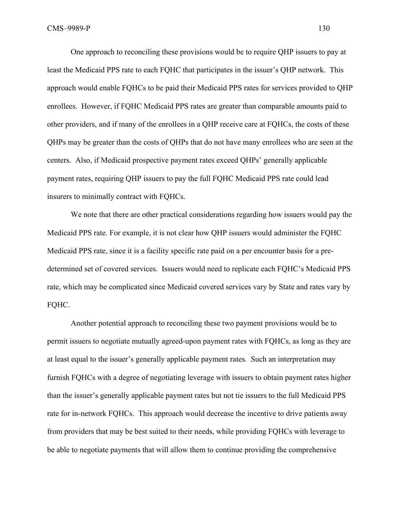One approach to reconciling these provisions would be to require QHP issuers to pay at least the Medicaid PPS rate to each FQHC that participates in the issuer's QHP network. This approach would enable FQHCs to be paid their Medicaid PPS rates for services provided to QHP enrollees. However, if FQHC Medicaid PPS rates are greater than comparable amounts paid to other providers, and if many of the enrollees in a QHP receive care at FQHCs, the costs of these QHPs may be greater than the costs of QHPs that do not have many enrollees who are seen at the centers. Also, if Medicaid prospective payment rates exceed QHPs' generally applicable payment rates, requiring QHP issuers to pay the full FQHC Medicaid PPS rate could lead insurers to minimally contract with FQHCs.

We note that there are other practical considerations regarding how issuers would pay the Medicaid PPS rate. For example, it is not clear how QHP issuers would administer the FQHC Medicaid PPS rate, since it is a facility specific rate paid on a per encounter basis for a predetermined set of covered services. Issuers would need to replicate each FQHC's Medicaid PPS rate, which may be complicated since Medicaid covered services vary by State and rates vary by FQHC.

Another potential approach to reconciling these two payment provisions would be to permit issuers to negotiate mutually agreed-upon payment rates with FQHCs, as long as they are at least equal to the issuer's generally applicable payment rates. Such an interpretation may furnish FQHCs with a degree of negotiating leverage with issuers to obtain payment rates higher than the issuer's generally applicable payment rates but not tie issuers to the full Medicaid PPS rate for in-network FQHCs. This approach would decrease the incentive to drive patients away from providers that may be best suited to their needs, while providing FQHCs with leverage to be able to negotiate payments that will allow them to continue providing the comprehensive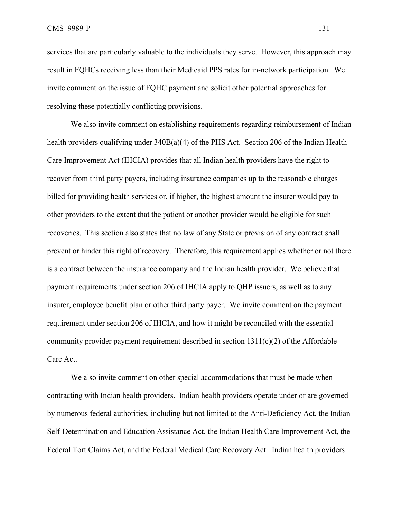services that are particularly valuable to the individuals they serve. However, this approach may result in FQHCs receiving less than their Medicaid PPS rates for in-network participation. We invite comment on the issue of FQHC payment and solicit other potential approaches for resolving these potentially conflicting provisions.

 We also invite comment on establishing requirements regarding reimbursement of Indian health providers qualifying under  $340B(a)(4)$  of the PHS Act. Section 206 of the Indian Health Care Improvement Act (IHCIA) provides that all Indian health providers have the right to recover from third party payers, including insurance companies up to the reasonable charges billed for providing health services or, if higher, the highest amount the insurer would pay to other providers to the extent that the patient or another provider would be eligible for such recoveries. This section also states that no law of any State or provision of any contract shall prevent or hinder this right of recovery. Therefore, this requirement applies whether or not there is a contract between the insurance company and the Indian health provider. We believe that payment requirements under section 206 of IHCIA apply to QHP issuers, as well as to any insurer, employee benefit plan or other third party payer. We invite comment on the payment requirement under section 206 of IHCIA, and how it might be reconciled with the essential community provider payment requirement described in section 1311(c)(2) of the Affordable Care Act.

We also invite comment on other special accommodations that must be made when contracting with Indian health providers. Indian health providers operate under or are governed by numerous federal authorities, including but not limited to the Anti-Deficiency Act, the Indian Self-Determination and Education Assistance Act, the Indian Health Care Improvement Act, the Federal Tort Claims Act, and the Federal Medical Care Recovery Act. Indian health providers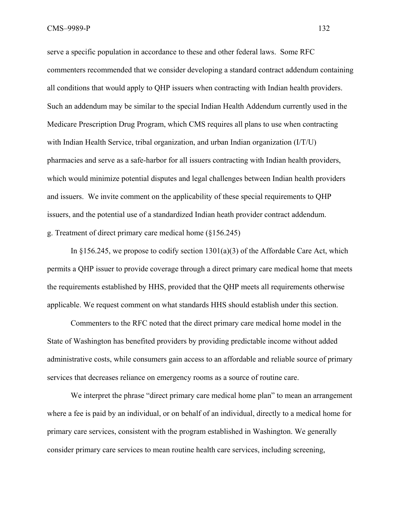serve a specific population in accordance to these and other federal laws. Some RFC commenters recommended that we consider developing a standard contract addendum containing all conditions that would apply to QHP issuers when contracting with Indian health providers. Such an addendum may be similar to the special Indian Health Addendum currently used in the Medicare Prescription Drug Program, which CMS requires all plans to use when contracting with Indian Health Service, tribal organization, and urban Indian organization (I/T/U) pharmacies and serve as a safe-harbor for all issuers contracting with Indian health providers, which would minimize potential disputes and legal challenges between Indian health providers and issuers. We invite comment on the applicability of these special requirements to QHP issuers, and the potential use of a standardized Indian heath provider contract addendum. g. Treatment of direct primary care medical home (§156.245)

In  $\S 156.245$ , we propose to codify section  $1301(a)(3)$  of the Affordable Care Act, which permits a QHP issuer to provide coverage through a direct primary care medical home that meets the requirements established by HHS, provided that the QHP meets all requirements otherwise applicable. We request comment on what standards HHS should establish under this section.

Commenters to the RFC noted that the direct primary care medical home model in the State of Washington has benefited providers by providing predictable income without added administrative costs, while consumers gain access to an affordable and reliable source of primary services that decreases reliance on emergency rooms as a source of routine care.

We interpret the phrase "direct primary care medical home plan" to mean an arrangement where a fee is paid by an individual, or on behalf of an individual, directly to a medical home for primary care services, consistent with the program established in Washington. We generally consider primary care services to mean routine health care services, including screening,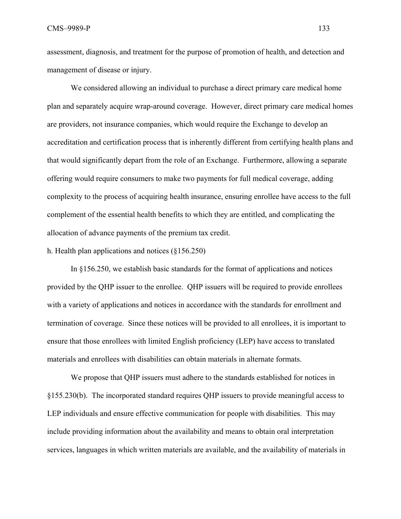assessment, diagnosis, and treatment for the purpose of promotion of health, and detection and management of disease or injury.

We considered allowing an individual to purchase a direct primary care medical home plan and separately acquire wrap-around coverage. However, direct primary care medical homes are providers, not insurance companies, which would require the Exchange to develop an accreditation and certification process that is inherently different from certifying health plans and that would significantly depart from the role of an Exchange. Furthermore, allowing a separate offering would require consumers to make two payments for full medical coverage, adding complexity to the process of acquiring health insurance, ensuring enrollee have access to the full complement of the essential health benefits to which they are entitled, and complicating the allocation of advance payments of the premium tax credit.

h. Health plan applications and notices (§156.250)

In §156.250, we establish basic standards for the format of applications and notices provided by the QHP issuer to the enrollee. QHP issuers will be required to provide enrollees with a variety of applications and notices in accordance with the standards for enrollment and termination of coverage. Since these notices will be provided to all enrollees, it is important to ensure that those enrollees with limited English proficiency (LEP) have access to translated materials and enrollees with disabilities can obtain materials in alternate formats.

We propose that QHP issuers must adhere to the standards established for notices in §155.230(b). The incorporated standard requires QHP issuers to provide meaningful access to LEP individuals and ensure effective communication for people with disabilities. This may include providing information about the availability and means to obtain oral interpretation services, languages in which written materials are available, and the availability of materials in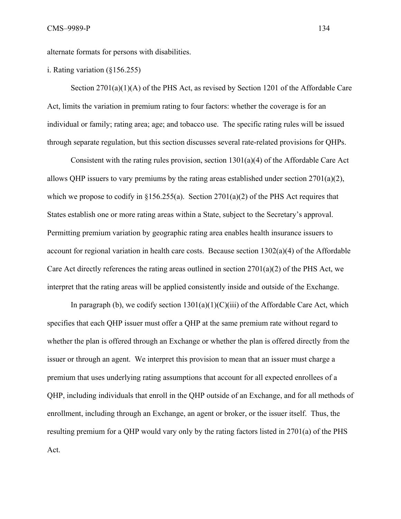alternate formats for persons with disabilities.

i. Rating variation (§156.255)

Section 2701(a)(1)(A) of the PHS Act, as revised by Section 1201 of the Affordable Care Act, limits the variation in premium rating to four factors: whether the coverage is for an individual or family; rating area; age; and tobacco use. The specific rating rules will be issued through separate regulation, but this section discusses several rate-related provisions for QHPs.

Consistent with the rating rules provision, section 1301(a)(4) of the Affordable Care Act allows QHP issuers to vary premiums by the rating areas established under section  $2701(a)(2)$ , which we propose to codify in  $\S 156.255(a)$ . Section 2701(a)(2) of the PHS Act requires that States establish one or more rating areas within a State, subject to the Secretary's approval. Permitting premium variation by geographic rating area enables health insurance issuers to account for regional variation in health care costs. Because section 1302(a)(4) of the Affordable Care Act directly references the rating areas outlined in section 2701(a)(2) of the PHS Act, we interpret that the rating areas will be applied consistently inside and outside of the Exchange.

In paragraph (b), we codify section  $1301(a)(1)(C)(iii)$  of the Affordable Care Act, which specifies that each QHP issuer must offer a QHP at the same premium rate without regard to whether the plan is offered through an Exchange or whether the plan is offered directly from the issuer or through an agent. We interpret this provision to mean that an issuer must charge a premium that uses underlying rating assumptions that account for all expected enrollees of a QHP, including individuals that enroll in the QHP outside of an Exchange, and for all methods of enrollment, including through an Exchange, an agent or broker, or the issuer itself. Thus, the resulting premium for a QHP would vary only by the rating factors listed in 2701(a) of the PHS Act.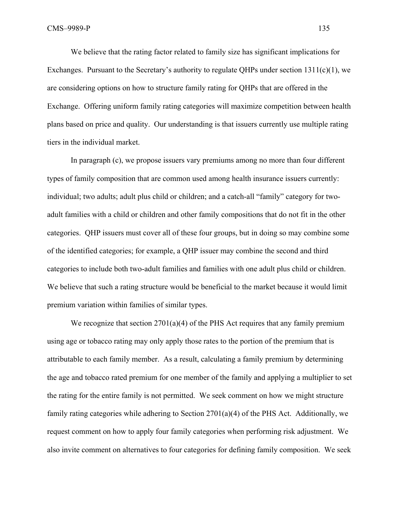We believe that the rating factor related to family size has significant implications for Exchanges. Pursuant to the Secretary's authority to regulate QHPs under section 1311(c)(1), we are considering options on how to structure family rating for QHPs that are offered in the Exchange. Offering uniform family rating categories will maximize competition between health plans based on price and quality. Our understanding is that issuers currently use multiple rating tiers in the individual market.

In paragraph (c), we propose issuers vary premiums among no more than four different types of family composition that are common used among health insurance issuers currently: individual; two adults; adult plus child or children; and a catch-all "family" category for twoadult families with a child or children and other family compositions that do not fit in the other categories. QHP issuers must cover all of these four groups, but in doing so may combine some of the identified categories; for example, a QHP issuer may combine the second and third categories to include both two-adult families and families with one adult plus child or children. We believe that such a rating structure would be beneficial to the market because it would limit premium variation within families of similar types.

We recognize that section  $2701(a)(4)$  of the PHS Act requires that any family premium using age or tobacco rating may only apply those rates to the portion of the premium that is attributable to each family member. As a result, calculating a family premium by determining the age and tobacco rated premium for one member of the family and applying a multiplier to set the rating for the entire family is not permitted. We seek comment on how we might structure family rating categories while adhering to Section 2701(a)(4) of the PHS Act. Additionally, we request comment on how to apply four family categories when performing risk adjustment. We also invite comment on alternatives to four categories for defining family composition. We seek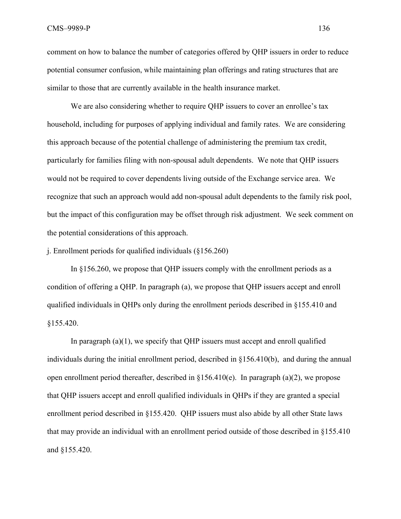comment on how to balance the number of categories offered by QHP issuers in order to reduce potential consumer confusion, while maintaining plan offerings and rating structures that are similar to those that are currently available in the health insurance market.

We are also considering whether to require QHP issuers to cover an enrollee's tax household, including for purposes of applying individual and family rates. We are considering this approach because of the potential challenge of administering the premium tax credit, particularly for families filing with non-spousal adult dependents. We note that QHP issuers would not be required to cover dependents living outside of the Exchange service area. We recognize that such an approach would add non-spousal adult dependents to the family risk pool, but the impact of this configuration may be offset through risk adjustment. We seek comment on the potential considerations of this approach.

j. Enrollment periods for qualified individuals (§156.260)

In §156.260, we propose that QHP issuers comply with the enrollment periods as a condition of offering a QHP. In paragraph (a), we propose that QHP issuers accept and enroll qualified individuals in QHPs only during the enrollment periods described in §155.410 and §155.420.

In paragraph  $(a)(1)$ , we specify that QHP issuers must accept and enroll qualified individuals during the initial enrollment period, described in §156.410(b), and during the annual open enrollment period thereafter, described in  $\S 156.410(e)$ . In paragraph (a)(2), we propose that QHP issuers accept and enroll qualified individuals in QHPs if they are granted a special enrollment period described in §155.420. QHP issuers must also abide by all other State laws that may provide an individual with an enrollment period outside of those described in §155.410 and §155.420.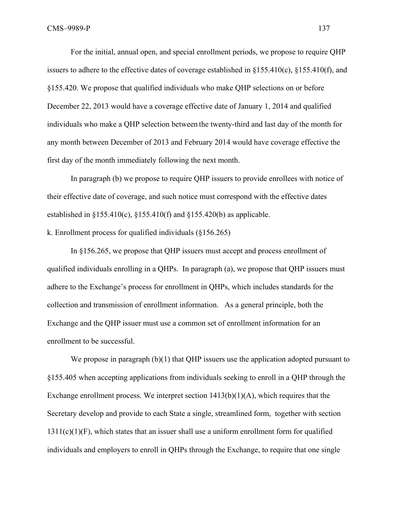For the initial, annual open, and special enrollment periods, we propose to require QHP issuers to adhere to the effective dates of coverage established in §155.410(c), §155.410(f), and §155.420. We propose that qualified individuals who make QHP selections on or before December 22, 2013 would have a coverage effective date of January 1, 2014 and qualified individuals who make a QHP selection between the twenty-third and last day of the month for any month between December of 2013 and February 2014 would have coverage effective the first day of the month immediately following the next month.

In paragraph (b) we propose to require QHP issuers to provide enrollees with notice of their effective date of coverage, and such notice must correspond with the effective dates established in  $\S 155.410(c)$ ,  $\S 155.410(f)$  and  $\S 155.420(b)$  as applicable.

k. Enrollment process for qualified individuals (§156.265)

 In §156.265, we propose that QHP issuers must accept and process enrollment of qualified individuals enrolling in a QHPs. In paragraph (a), we propose that QHP issuers must adhere to the Exchange's process for enrollment in QHPs, which includes standards for the collection and transmission of enrollment information. As a general principle, both the Exchange and the QHP issuer must use a common set of enrollment information for an enrollment to be successful.

We propose in paragraph  $(b)(1)$  that QHP issuers use the application adopted pursuant to §155.405 when accepting applications from individuals seeking to enroll in a QHP through the Exchange enrollment process. We interpret section  $1413(b)(1)(A)$ , which requires that the Secretary develop and provide to each State a single, streamlined form, together with section  $1311(c)(1)(F)$ , which states that an issuer shall use a uniform enrollment form for qualified individuals and employers to enroll in QHPs through the Exchange, to require that one single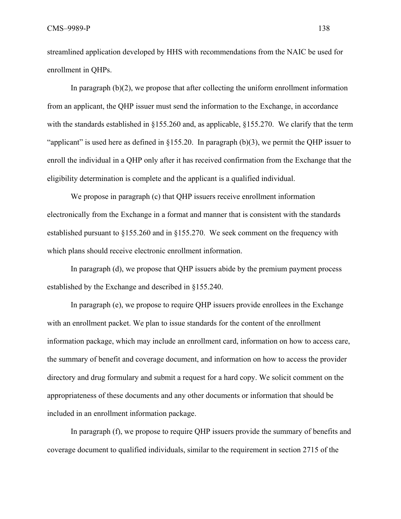streamlined application developed by HHS with recommendations from the NAIC be used for enrollment in QHPs.

In paragraph (b)(2), we propose that after collecting the uniform enrollment information from an applicant, the QHP issuer must send the information to the Exchange, in accordance with the standards established in §155.260 and, as applicable, §155.270. We clarify that the term "applicant" is used here as defined in  $\S155.20$ . In paragraph (b)(3), we permit the QHP issuer to enroll the individual in a QHP only after it has received confirmation from the Exchange that the eligibility determination is complete and the applicant is a qualified individual.

We propose in paragraph (c) that QHP issuers receive enrollment information electronically from the Exchange in a format and manner that is consistent with the standards established pursuant to §155.260 and in §155.270. We seek comment on the frequency with which plans should receive electronic enrollment information.

In paragraph (d), we propose that QHP issuers abide by the premium payment process established by the Exchange and described in §155.240.

In paragraph (e), we propose to require QHP issuers provide enrollees in the Exchange with an enrollment packet. We plan to issue standards for the content of the enrollment information package, which may include an enrollment card, information on how to access care, the summary of benefit and coverage document, and information on how to access the provider directory and drug formulary and submit a request for a hard copy. We solicit comment on the appropriateness of these documents and any other documents or information that should be included in an enrollment information package.

In paragraph (f), we propose to require QHP issuers provide the summary of benefits and coverage document to qualified individuals, similar to the requirement in section 2715 of the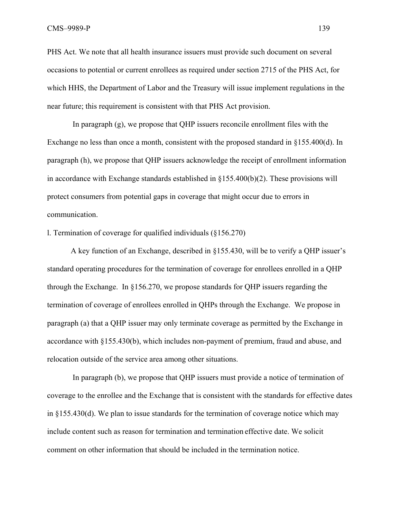PHS Act. We note that all health insurance issuers must provide such document on several occasions to potential or current enrollees as required under section 2715 of the PHS Act, for which HHS, the Department of Labor and the Treasury will issue implement regulations in the near future; this requirement is consistent with that PHS Act provision.

 In paragraph (g), we propose that QHP issuers reconcile enrollment files with the Exchange no less than once a month, consistent with the proposed standard in §155.400(d). In paragraph (h), we propose that QHP issuers acknowledge the receipt of enrollment information in accordance with Exchange standards established in  $\S155.400(b)(2)$ . These provisions will protect consumers from potential gaps in coverage that might occur due to errors in communication.

l. Termination of coverage for qualified individuals (§156.270)

A key function of an Exchange, described in §155.430, will be to verify a QHP issuer's standard operating procedures for the termination of coverage for enrollees enrolled in a QHP through the Exchange. In §156.270, we propose standards for QHP issuers regarding the termination of coverage of enrollees enrolled in QHPs through the Exchange. We propose in paragraph (a) that a QHP issuer may only terminate coverage as permitted by the Exchange in accordance with §155.430(b), which includes non-payment of premium, fraud and abuse, and relocation outside of the service area among other situations.

 In paragraph (b), we propose that QHP issuers must provide a notice of termination of coverage to the enrollee and the Exchange that is consistent with the standards for effective dates in §155.430(d). We plan to issue standards for the termination of coverage notice which may include content such as reason for termination and termination effective date. We solicit comment on other information that should be included in the termination notice.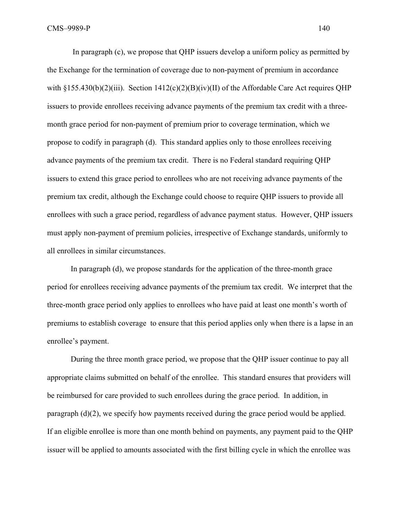In paragraph (c), we propose that QHP issuers develop a uniform policy as permitted by the Exchange for the termination of coverage due to non-payment of premium in accordance with  $\S 155.430(b)(2)(iii)$ . Section  $1412(c)(2)(B)(iv)(II)$  of the Affordable Care Act requires OHP issuers to provide enrollees receiving advance payments of the premium tax credit with a threemonth grace period for non-payment of premium prior to coverage termination, which we propose to codify in paragraph (d). This standard applies only to those enrollees receiving advance payments of the premium tax credit. There is no Federal standard requiring QHP issuers to extend this grace period to enrollees who are not receiving advance payments of the premium tax credit, although the Exchange could choose to require QHP issuers to provide all enrollees with such a grace period, regardless of advance payment status. However, QHP issuers must apply non-payment of premium policies, irrespective of Exchange standards, uniformly to all enrollees in similar circumstances.

In paragraph (d), we propose standards for the application of the three-month grace period for enrollees receiving advance payments of the premium tax credit. We interpret that the three-month grace period only applies to enrollees who have paid at least one month's worth of premiums to establish coverage to ensure that this period applies only when there is a lapse in an enrollee's payment.

During the three month grace period, we propose that the QHP issuer continue to pay all appropriate claims submitted on behalf of the enrollee. This standard ensures that providers will be reimbursed for care provided to such enrollees during the grace period. In addition, in paragraph (d)(2), we specify how payments received during the grace period would be applied. If an eligible enrollee is more than one month behind on payments, any payment paid to the QHP issuer will be applied to amounts associated with the first billing cycle in which the enrollee was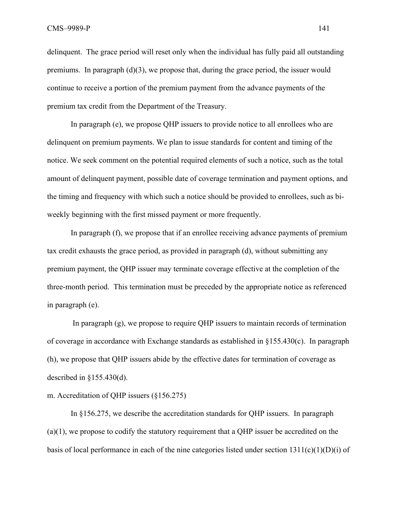delinquent. The grace period will reset only when the individual has fully paid all outstanding premiums. In paragraph  $(d)(3)$ , we propose that, during the grace period, the issuer would continue to receive a portion of the premium payment from the advance payments of the premium tax credit from the Department of the Treasury.

In paragraph (e), we propose QHP issuers to provide notice to all enrollees who are delinquent on premium payments. We plan to issue standards for content and timing of the notice. We seek comment on the potential required elements of such a notice, such as the total amount of delinquent payment, possible date of coverage termination and payment options, and the timing and frequency with which such a notice should be provided to enrollees, such as biweekly beginning with the first missed payment or more frequently.

In paragraph (f), we propose that if an enrollee receiving advance payments of premium tax credit exhausts the grace period, as provided in paragraph (d), without submitting any premium payment, the QHP issuer may terminate coverage effective at the completion of the three-month period. This termination must be preceded by the appropriate notice as referenced in paragraph (e).

 In paragraph (g), we propose to require QHP issuers to maintain records of termination of coverage in accordance with Exchange standards as established in §155.430(c). In paragraph (h), we propose that QHP issuers abide by the effective dates for termination of coverage as described in  $\S 155.430(d)$ .

### m. Accreditation of QHP issuers (§156.275)

 In §156.275, we describe the accreditation standards for QHP issuers. In paragraph (a)(1), we propose to codify the statutory requirement that a QHP issuer be accredited on the basis of local performance in each of the nine categories listed under section  $1311(c)(1)(D)(i)$  of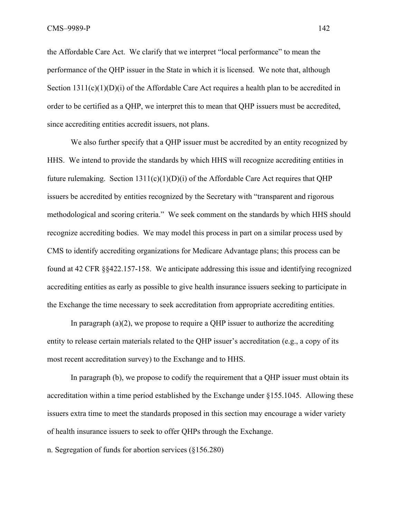the Affordable Care Act. We clarify that we interpret "local performance" to mean the performance of the QHP issuer in the State in which it is licensed. We note that, although Section  $1311(c)(1)(D)(i)$  of the Affordable Care Act requires a health plan to be accredited in order to be certified as a QHP, we interpret this to mean that QHP issuers must be accredited, since accrediting entities accredit issuers, not plans.

We also further specify that a QHP issuer must be accredited by an entity recognized by HHS. We intend to provide the standards by which HHS will recognize accrediting entities in future rulemaking. Section  $1311(c)(1)(D)(i)$  of the Affordable Care Act requires that QHP issuers be accredited by entities recognized by the Secretary with "transparent and rigorous methodological and scoring criteria." We seek comment on the standards by which HHS should recognize accrediting bodies. We may model this process in part on a similar process used by CMS to identify accrediting organizations for Medicare Advantage plans; this process can be found at 42 CFR §§422.157-158. We anticipate addressing this issue and identifying recognized accrediting entities as early as possible to give health insurance issuers seeking to participate in the Exchange the time necessary to seek accreditation from appropriate accrediting entities.

In paragraph  $(a)(2)$ , we propose to require a QHP issuer to authorize the accrediting entity to release certain materials related to the QHP issuer's accreditation (e.g., a copy of its most recent accreditation survey) to the Exchange and to HHS.

In paragraph (b), we propose to codify the requirement that a QHP issuer must obtain its accreditation within a time period established by the Exchange under §155.1045. Allowing these issuers extra time to meet the standards proposed in this section may encourage a wider variety of health insurance issuers to seek to offer QHPs through the Exchange.

n. Segregation of funds for abortion services (§156.280)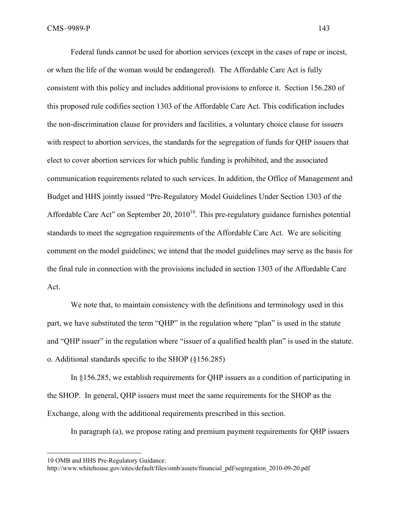Federal funds cannot be used for abortion services (except in the cases of rape or incest, or when the life of the woman would be endangered). The Affordable Care Act is fully consistent with this policy and includes additional provisions to enforce it. Section 156.280 of this proposed rule codifies section 1303 of the Affordable Care Act. This codification includes the non-discrimination clause for providers and facilities, a voluntary choice clause for issuers with respect to abortion services, the standards for the segregation of funds for QHP issuers that elect to cover abortion services for which public funding is prohibited, and the associated communication requirements related to such services. In addition, the Office of Management and Budget and HHS jointly issued "Pre-Regulatory Model Guidelines Under Section 1303 of the Affordable Care Act" on September 20,  $2010^{10}$ . This pre-regulatory guidance furnishes potential standards to meet the segregation requirements of the Affordable Care Act. We are soliciting comment on the model guidelines; we intend that the model guidelines may serve as the basis for the final rule in connection with the provisions included in section 1303 of the Affordable Care Act.

We note that, to maintain consistency with the definitions and terminology used in this part, we have substituted the term "QHP" in the regulation where "plan" is used in the statute and "QHP issuer" in the regulation where "issuer of a qualified health plan" is used in the statute. o. Additional standards specific to the SHOP (§156.285)

In §156.285, we establish requirements for QHP issuers as a condition of participating in the SHOP. In general, QHP issuers must meet the same requirements for the SHOP as the Exchange, along with the additional requirements prescribed in this section.

In paragraph (a), we propose rating and premium payment requirements for QHP issuers

 $\overline{a}$ 

<sup>10</sup> OMB and HHS Pre-Regulatory Guidance:

http://www.whitehouse.gov/sites/default/files/omb/assets/financial\_pdf/segregation\_2010-09-20.pdf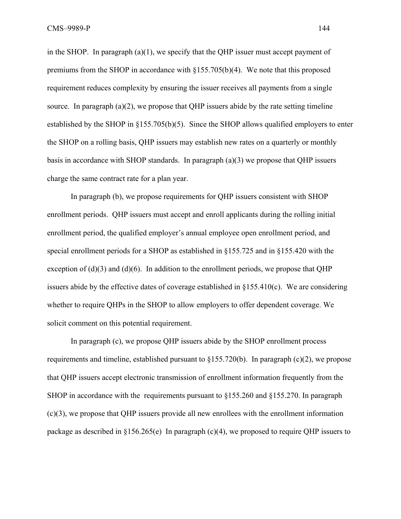in the SHOP. In paragraph  $(a)(1)$ , we specify that the QHP issuer must accept payment of premiums from the SHOP in accordance with §155.705(b)(4). We note that this proposed requirement reduces complexity by ensuring the issuer receives all payments from a single source. In paragraph  $(a)(2)$ , we propose that QHP issuers abide by the rate setting timeline established by the SHOP in §155.705(b)(5). Since the SHOP allows qualified employers to enter the SHOP on a rolling basis, QHP issuers may establish new rates on a quarterly or monthly basis in accordance with SHOP standards. In paragraph (a)(3) we propose that QHP issuers charge the same contract rate for a plan year.

 In paragraph (b), we propose requirements for QHP issuers consistent with SHOP enrollment periods. QHP issuers must accept and enroll applicants during the rolling initial enrollment period, the qualified employer's annual employee open enrollment period, and special enrollment periods for a SHOP as established in §155.725 and in §155.420 with the exception of  $(d)(3)$  and  $(d)(6)$ . In addition to the enrollment periods, we propose that QHP issuers abide by the effective dates of coverage established in §155.410(c). We are considering whether to require QHPs in the SHOP to allow employers to offer dependent coverage. We solicit comment on this potential requirement.

 In paragraph (c), we propose QHP issuers abide by the SHOP enrollment process requirements and timeline, established pursuant to  $\S155.720(b)$ . In paragraph (c)(2), we propose that QHP issuers accept electronic transmission of enrollment information frequently from the SHOP in accordance with the requirements pursuant to  $§155.260$  and  $§155.270$ . In paragraph (c)(3), we propose that QHP issuers provide all new enrollees with the enrollment information package as described in §156.265(e) In paragraph (c)(4), we proposed to require QHP issuers to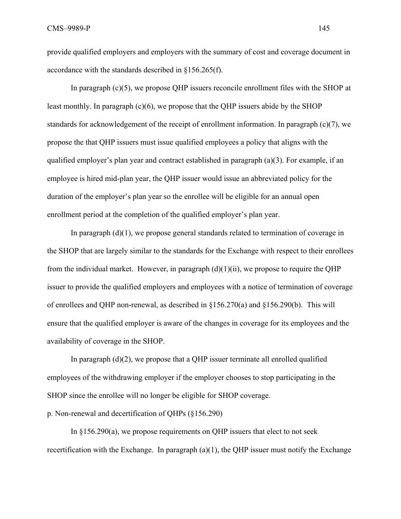provide qualified employers and employers with the summary of cost and coverage document in accordance with the standards described in §156.265(f).

In paragraph (c)(5), we propose QHP issuers reconcile enrollment files with the SHOP at least monthly. In paragraph (c)(6), we propose that the QHP issuers abide by the SHOP standards for acknowledgement of the receipt of enrollment information. In paragraph (c)(7), we propose the that QHP issuers must issue qualified employees a policy that aligns with the qualified employer's plan year and contract established in paragraph  $(a)(3)$ . For example, if an employee is hired mid-plan year, the QHP issuer would issue an abbreviated policy for the duration of the employer's plan year so the enrollee will be eligible for an annual open enrollment period at the completion of the qualified employer's plan year.

In paragraph  $(d)(1)$ , we propose general standards related to termination of coverage in the SHOP that are largely similar to the standards for the Exchange with respect to their enrollees from the individual market. However, in paragraph  $(d)(1)(ii)$ , we propose to require the QHP issuer to provide the qualified employers and employees with a notice of termination of coverage of enrollees and QHP non-renewal, as described in §156.270(a) and §156.290(b). This will ensure that the qualified employer is aware of the changes in coverage for its employees and the availability of coverage in the SHOP.

In paragraph  $(d)(2)$ , we propose that a QHP issuer terminate all enrolled qualified employees of the withdrawing employer if the employer chooses to stop participating in the SHOP since the enrollee will no longer be eligible for SHOP coverage.

p. Non-renewal and decertification of QHPs (§156.290)

In §156.290(a), we propose requirements on QHP issuers that elect to not seek recertification with the Exchange. In paragraph  $(a)(1)$ , the OHP issuer must notify the Exchange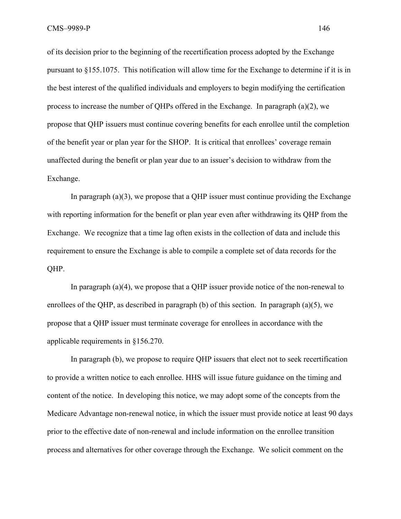of its decision prior to the beginning of the recertification process adopted by the Exchange pursuant to §155.1075. This notification will allow time for the Exchange to determine if it is in the best interest of the qualified individuals and employers to begin modifying the certification process to increase the number of QHPs offered in the Exchange. In paragraph (a)(2), we propose that QHP issuers must continue covering benefits for each enrollee until the completion of the benefit year or plan year for the SHOP. It is critical that enrollees' coverage remain unaffected during the benefit or plan year due to an issuer's decision to withdraw from the Exchange.

In paragraph  $(a)(3)$ , we propose that a QHP issuer must continue providing the Exchange with reporting information for the benefit or plan year even after withdrawing its QHP from the Exchange. We recognize that a time lag often exists in the collection of data and include this requirement to ensure the Exchange is able to compile a complete set of data records for the QHP.

In paragraph  $(a)(4)$ , we propose that a OHP issuer provide notice of the non-renewal to enrollees of the QHP, as described in paragraph (b) of this section. In paragraph (a)(5), we propose that a QHP issuer must terminate coverage for enrollees in accordance with the applicable requirements in §156.270.

In paragraph (b), we propose to require QHP issuers that elect not to seek recertification to provide a written notice to each enrollee. HHS will issue future guidance on the timing and content of the notice. In developing this notice, we may adopt some of the concepts from the Medicare Advantage non-renewal notice, in which the issuer must provide notice at least 90 days prior to the effective date of non-renewal and include information on the enrollee transition process and alternatives for other coverage through the Exchange. We solicit comment on the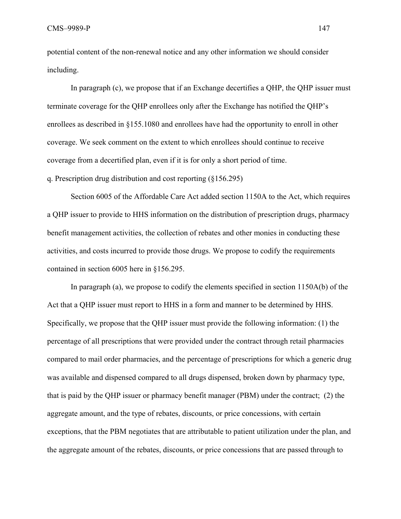CMS–9989-P 147

potential content of the non-renewal notice and any other information we should consider including.

In paragraph (c), we propose that if an Exchange decertifies a OHP, the OHP issuer must terminate coverage for the QHP enrollees only after the Exchange has notified the QHP's enrollees as described in §155.1080 and enrollees have had the opportunity to enroll in other coverage. We seek comment on the extent to which enrollees should continue to receive coverage from a decertified plan, even if it is for only a short period of time.

q. Prescription drug distribution and cost reporting (§156.295)

Section 6005 of the Affordable Care Act added section 1150A to the Act, which requires a QHP issuer to provide to HHS information on the distribution of prescription drugs, pharmacy benefit management activities, the collection of rebates and other monies in conducting these activities, and costs incurred to provide those drugs. We propose to codify the requirements contained in section 6005 here in §156.295.

In paragraph (a), we propose to codify the elements specified in section 1150A(b) of the Act that a QHP issuer must report to HHS in a form and manner to be determined by HHS. Specifically, we propose that the QHP issuer must provide the following information: (1) the percentage of all prescriptions that were provided under the contract through retail pharmacies compared to mail order pharmacies, and the percentage of prescriptions for which a generic drug was available and dispensed compared to all drugs dispensed, broken down by pharmacy type, that is paid by the QHP issuer or pharmacy benefit manager (PBM) under the contract; (2) the aggregate amount, and the type of rebates, discounts, or price concessions, with certain exceptions, that the PBM negotiates that are attributable to patient utilization under the plan, and the aggregate amount of the rebates, discounts, or price concessions that are passed through to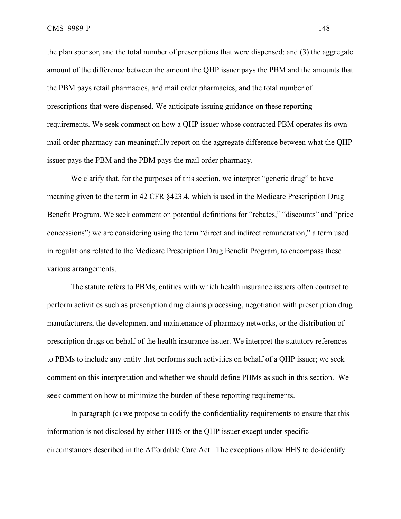the plan sponsor, and the total number of prescriptions that were dispensed; and (3) the aggregate amount of the difference between the amount the QHP issuer pays the PBM and the amounts that the PBM pays retail pharmacies, and mail order pharmacies, and the total number of prescriptions that were dispensed. We anticipate issuing guidance on these reporting requirements. We seek comment on how a QHP issuer whose contracted PBM operates its own mail order pharmacy can meaningfully report on the aggregate difference between what the QHP issuer pays the PBM and the PBM pays the mail order pharmacy.

We clarify that, for the purposes of this section, we interpret "generic drug" to have meaning given to the term in 42 CFR §423.4, which is used in the Medicare Prescription Drug Benefit Program. We seek comment on potential definitions for "rebates," "discounts" and "price concessions"; we are considering using the term "direct and indirect remuneration," a term used in regulations related to the Medicare Prescription Drug Benefit Program, to encompass these various arrangements.

The statute refers to PBMs, entities with which health insurance issuers often contract to perform activities such as prescription drug claims processing, negotiation with prescription drug manufacturers, the development and maintenance of pharmacy networks, or the distribution of prescription drugs on behalf of the health insurance issuer. We interpret the statutory references to PBMs to include any entity that performs such activities on behalf of a QHP issuer; we seek comment on this interpretation and whether we should define PBMs as such in this section. We seek comment on how to minimize the burden of these reporting requirements.

In paragraph (c) we propose to codify the confidentiality requirements to ensure that this information is not disclosed by either HHS or the QHP issuer except under specific circumstances described in the Affordable Care Act. The exceptions allow HHS to de-identify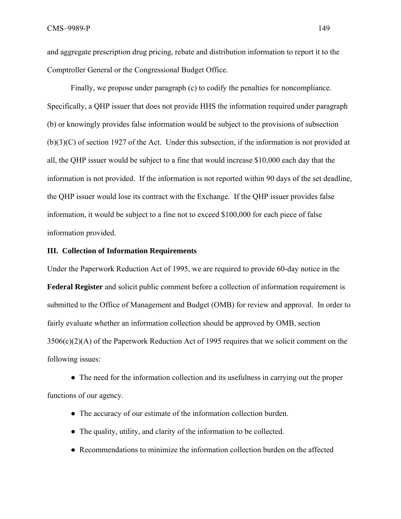and aggregate prescription drug pricing, rebate and distribution information to report it to the Comptroller General or the Congressional Budget Office.

Finally, we propose under paragraph (c) to codify the penalties for noncompliance. Specifically, a QHP issuer that does not provide HHS the information required under paragraph (b) or knowingly provides false information would be subject to the provisions of subsection (b)(3)(C) of section 1927 of the Act. Under this subsection, if the information is not provided at all, the QHP issuer would be subject to a fine that would increase \$10,000 each day that the information is not provided. If the information is not reported within 90 days of the set deadline, the QHP issuer would lose its contract with the Exchange. If the QHP issuer provides false information, it would be subject to a fine not to exceed \$100,000 for each piece of false information provided.

### **III. Collection of Information Requirements**

Under the Paperwork Reduction Act of 1995, we are required to provide 60-day notice in the **Federal Register** and solicit public comment before a collection of information requirement is submitted to the Office of Management and Budget (OMB) for review and approval. In order to fairly evaluate whether an information collection should be approved by OMB, section 3506(c)(2)(A) of the Paperwork Reduction Act of 1995 requires that we solicit comment on the following issues:

• The need for the information collection and its usefulness in carrying out the proper functions of our agency.

- The accuracy of our estimate of the information collection burden.
- The quality, utility, and clarity of the information to be collected.
- Recommendations to minimize the information collection burden on the affected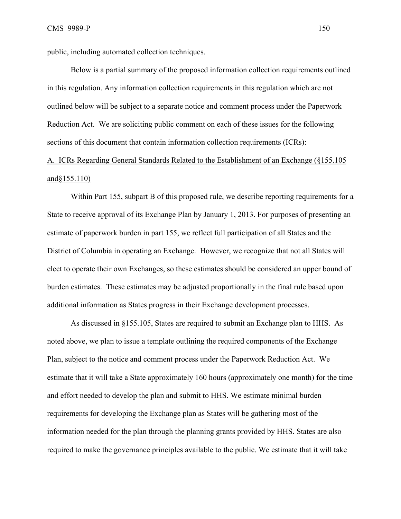public, including automated collection techniques.

Below is a partial summary of the proposed information collection requirements outlined in this regulation. Any information collection requirements in this regulation which are not outlined below will be subject to a separate notice and comment process under the Paperwork Reduction Act. We are soliciting public comment on each of these issues for the following sections of this document that contain information collection requirements (ICRs):

# A. ICRs Regarding General Standards Related to the Establishment of an Exchange (§155.105 and§155.110)

 Within Part 155, subpart B of this proposed rule, we describe reporting requirements for a State to receive approval of its Exchange Plan by January 1, 2013. For purposes of presenting an estimate of paperwork burden in part 155, we reflect full participation of all States and the District of Columbia in operating an Exchange. However, we recognize that not all States will elect to operate their own Exchanges, so these estimates should be considered an upper bound of burden estimates. These estimates may be adjusted proportionally in the final rule based upon additional information as States progress in their Exchange development processes.

 As discussed in §155.105, States are required to submit an Exchange plan to HHS. As noted above, we plan to issue a template outlining the required components of the Exchange Plan, subject to the notice and comment process under the Paperwork Reduction Act. We estimate that it will take a State approximately 160 hours (approximately one month) for the time and effort needed to develop the plan and submit to HHS. We estimate minimal burden requirements for developing the Exchange plan as States will be gathering most of the information needed for the plan through the planning grants provided by HHS. States are also required to make the governance principles available to the public. We estimate that it will take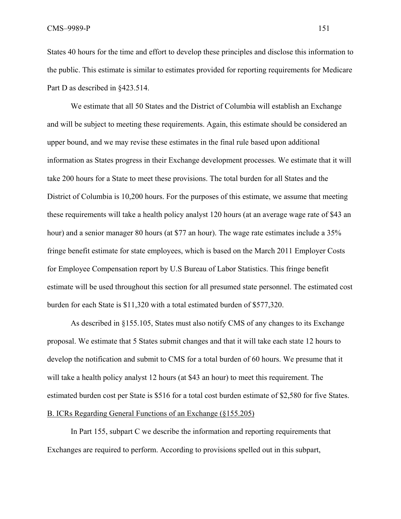States 40 hours for the time and effort to develop these principles and disclose this information to the public. This estimate is similar to estimates provided for reporting requirements for Medicare Part D as described in §423.514.

 We estimate that all 50 States and the District of Columbia will establish an Exchange and will be subject to meeting these requirements. Again, this estimate should be considered an upper bound, and we may revise these estimates in the final rule based upon additional information as States progress in their Exchange development processes. We estimate that it will take 200 hours for a State to meet these provisions. The total burden for all States and the District of Columbia is 10,200 hours. For the purposes of this estimate, we assume that meeting these requirements will take a health policy analyst 120 hours (at an average wage rate of \$43 an hour) and a senior manager 80 hours (at \$77 an hour). The wage rate estimates include a 35% fringe benefit estimate for state employees, which is based on the March 2011 Employer Costs for Employee Compensation report by U.S Bureau of Labor Statistics. This fringe benefit estimate will be used throughout this section for all presumed state personnel. The estimated cost burden for each State is \$11,320 with a total estimated burden of \$577,320.

 As described in §155.105, States must also notify CMS of any changes to its Exchange proposal. We estimate that 5 States submit changes and that it will take each state 12 hours to develop the notification and submit to CMS for a total burden of 60 hours. We presume that it will take a health policy analyst 12 hours (at \$43 an hour) to meet this requirement. The estimated burden cost per State is \$516 for a total cost burden estimate of \$2,580 for five States. B. ICRs Regarding General Functions of an Exchange (§155.205)

In Part 155, subpart C we describe the information and reporting requirements that Exchanges are required to perform. According to provisions spelled out in this subpart,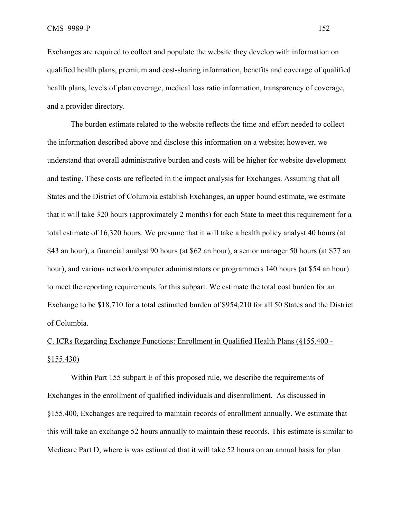Exchanges are required to collect and populate the website they develop with information on qualified health plans, premium and cost-sharing information, benefits and coverage of qualified health plans, levels of plan coverage, medical loss ratio information, transparency of coverage, and a provider directory.

The burden estimate related to the website reflects the time and effort needed to collect the information described above and disclose this information on a website; however, we understand that overall administrative burden and costs will be higher for website development and testing. These costs are reflected in the impact analysis for Exchanges. Assuming that all States and the District of Columbia establish Exchanges, an upper bound estimate, we estimate that it will take 320 hours (approximately 2 months) for each State to meet this requirement for a total estimate of 16,320 hours. We presume that it will take a health policy analyst 40 hours (at \$43 an hour), a financial analyst 90 hours (at \$62 an hour), a senior manager 50 hours (at \$77 an hour), and various network/computer administrators or programmers 140 hours (at \$54 an hour) to meet the reporting requirements for this subpart. We estimate the total cost burden for an Exchange to be \$18,710 for a total estimated burden of \$954,210 for all 50 States and the District of Columbia.

# C. ICRs Regarding Exchange Functions: Enrollment in Qualified Health Plans (§155.400 - §155.430)

Within Part 155 subpart E of this proposed rule, we describe the requirements of Exchanges in the enrollment of qualified individuals and disenrollment. As discussed in §155.400, Exchanges are required to maintain records of enrollment annually. We estimate that this will take an exchange 52 hours annually to maintain these records. This estimate is similar to Medicare Part D, where is was estimated that it will take 52 hours on an annual basis for plan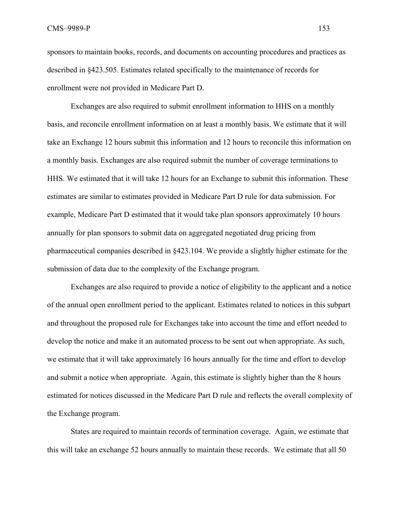sponsors to maintain books, records, and documents on accounting procedures and practices as described in §423.505. Estimates related specifically to the maintenance of records for enrollment were not provided in Medicare Part D.

Exchanges are also required to submit enrollment information to HHS on a monthly basis, and reconcile enrollment information on at least a monthly basis. We estimate that it will take an Exchange 12 hours submit this information and 12 hours to reconcile this information on a monthly basis. Exchanges are also required submit the number of coverage terminations to HHS. We estimated that it will take 12 hours for an Exchange to submit this information. These estimates are similar to estimates provided in Medicare Part D rule for data submission. For example, Medicare Part D estimated that it would take plan sponsors approximately 10 hours annually for plan sponsors to submit data on aggregated negotiated drug pricing from pharmaceutical companies described in §423.104. We provide a slightly higher estimate for the submission of data due to the complexity of the Exchange program.

Exchanges are also required to provide a notice of eligibility to the applicant and a notice of the annual open enrollment period to the applicant. Estimates related to notices in this subpart and throughout the proposed rule for Exchanges take into account the time and effort needed to develop the notice and make it an automated process to be sent out when appropriate. As such, we estimate that it will take approximately 16 hours annually for the time and effort to develop and submit a notice when appropriate. Again, this estimate is slightly higher than the 8 hours estimated for notices discussed in the Medicare Part D rule and reflects the overall complexity of the Exchange program.

States are required to maintain records of termination coverage. Again, we estimate that this will take an exchange 52 hours annually to maintain these records. We estimate that all 50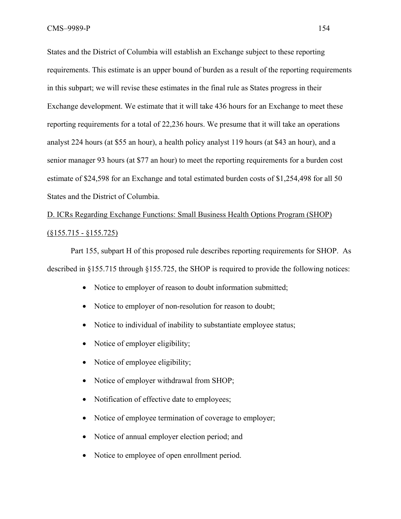States and the District of Columbia will establish an Exchange subject to these reporting requirements. This estimate is an upper bound of burden as a result of the reporting requirements in this subpart; we will revise these estimates in the final rule as States progress in their Exchange development. We estimate that it will take 436 hours for an Exchange to meet these reporting requirements for a total of 22,236 hours. We presume that it will take an operations analyst 224 hours (at \$55 an hour), a health policy analyst 119 hours (at \$43 an hour), and a senior manager 93 hours (at \$77 an hour) to meet the reporting requirements for a burden cost estimate of \$24,598 for an Exchange and total estimated burden costs of \$1,254,498 for all 50 States and the District of Columbia.

# D. ICRs Regarding Exchange Functions: Small Business Health Options Program (SHOP) (§155.715 - §155.725)

Part 155, subpart H of this proposed rule describes reporting requirements for SHOP. As described in §155.715 through §155.725, the SHOP is required to provide the following notices:

- Notice to employer of reason to doubt information submitted;
- Notice to employer of non-resolution for reason to doubt:
- Notice to individual of inability to substantiate employee status;
- Notice of employer eligibility;
- Notice of employee eligibility;
- Notice of employer withdrawal from SHOP;
- Notification of effective date to employees;
- Notice of employee termination of coverage to employer;
- Notice of annual employer election period; and
- Notice to employee of open enrollment period.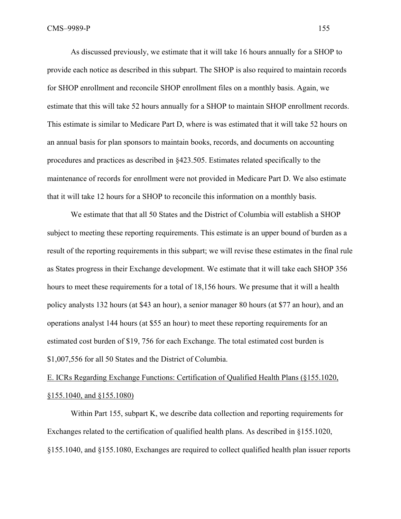As discussed previously, we estimate that it will take 16 hours annually for a SHOP to provide each notice as described in this subpart. The SHOP is also required to maintain records for SHOP enrollment and reconcile SHOP enrollment files on a monthly basis. Again, we estimate that this will take 52 hours annually for a SHOP to maintain SHOP enrollment records. This estimate is similar to Medicare Part D, where is was estimated that it will take 52 hours on an annual basis for plan sponsors to maintain books, records, and documents on accounting procedures and practices as described in §423.505. Estimates related specifically to the maintenance of records for enrollment were not provided in Medicare Part D. We also estimate that it will take 12 hours for a SHOP to reconcile this information on a monthly basis.

We estimate that that all 50 States and the District of Columbia will establish a SHOP subject to meeting these reporting requirements. This estimate is an upper bound of burden as a result of the reporting requirements in this subpart; we will revise these estimates in the final rule as States progress in their Exchange development. We estimate that it will take each SHOP 356 hours to meet these requirements for a total of 18,156 hours. We presume that it will a health policy analysts 132 hours (at \$43 an hour), a senior manager 80 hours (at \$77 an hour), and an operations analyst 144 hours (at \$55 an hour) to meet these reporting requirements for an estimated cost burden of \$19, 756 for each Exchange. The total estimated cost burden is \$1,007,556 for all 50 States and the District of Columbia.

# E. ICRs Regarding Exchange Functions: Certification of Qualified Health Plans (§155.1020, §155.1040, and §155.1080)

Within Part 155, subpart K, we describe data collection and reporting requirements for Exchanges related to the certification of qualified health plans. As described in §155.1020, §155.1040, and §155.1080, Exchanges are required to collect qualified health plan issuer reports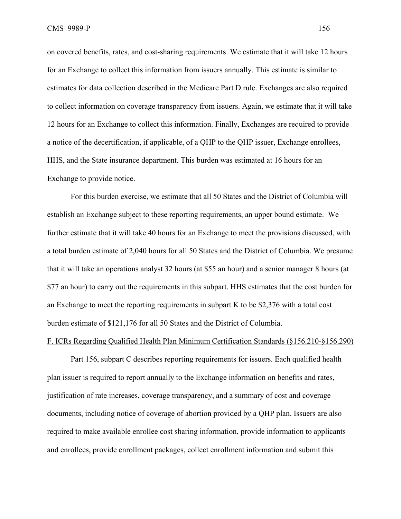on covered benefits, rates, and cost-sharing requirements. We estimate that it will take 12 hours for an Exchange to collect this information from issuers annually. This estimate is similar to estimates for data collection described in the Medicare Part D rule. Exchanges are also required to collect information on coverage transparency from issuers. Again, we estimate that it will take 12 hours for an Exchange to collect this information. Finally, Exchanges are required to provide a notice of the decertification, if applicable, of a QHP to the QHP issuer, Exchange enrollees, HHS, and the State insurance department. This burden was estimated at 16 hours for an Exchange to provide notice.

For this burden exercise, we estimate that all 50 States and the District of Columbia will establish an Exchange subject to these reporting requirements, an upper bound estimate. We further estimate that it will take 40 hours for an Exchange to meet the provisions discussed, with a total burden estimate of 2,040 hours for all 50 States and the District of Columbia. We presume that it will take an operations analyst 32 hours (at \$55 an hour) and a senior manager 8 hours (at \$77 an hour) to carry out the requirements in this subpart. HHS estimates that the cost burden for an Exchange to meet the reporting requirements in subpart K to be \$2,376 with a total cost burden estimate of \$121,176 for all 50 States and the District of Columbia.

### F. ICRs Regarding Qualified Health Plan Minimum Certification Standards (§156.210-§156.290)

Part 156, subpart C describes reporting requirements for issuers. Each qualified health plan issuer is required to report annually to the Exchange information on benefits and rates, justification of rate increases, coverage transparency, and a summary of cost and coverage documents, including notice of coverage of abortion provided by a QHP plan. Issuers are also required to make available enrollee cost sharing information, provide information to applicants and enrollees, provide enrollment packages, collect enrollment information and submit this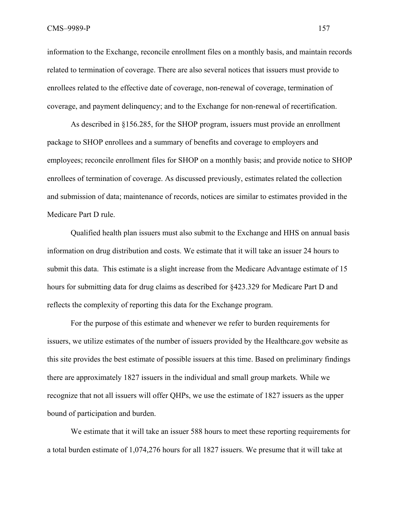CMS–9989-P 157

information to the Exchange, reconcile enrollment files on a monthly basis, and maintain records related to termination of coverage. There are also several notices that issuers must provide to enrollees related to the effective date of coverage, non-renewal of coverage, termination of coverage, and payment delinquency; and to the Exchange for non-renewal of recertification.

 As described in §156.285, for the SHOP program, issuers must provide an enrollment package to SHOP enrollees and a summary of benefits and coverage to employers and employees; reconcile enrollment files for SHOP on a monthly basis; and provide notice to SHOP enrollees of termination of coverage. As discussed previously, estimates related the collection and submission of data; maintenance of records, notices are similar to estimates provided in the Medicare Part D rule.

Qualified health plan issuers must also submit to the Exchange and HHS on annual basis information on drug distribution and costs. We estimate that it will take an issuer 24 hours to submit this data. This estimate is a slight increase from the Medicare Advantage estimate of 15 hours for submitting data for drug claims as described for §423.329 for Medicare Part D and reflects the complexity of reporting this data for the Exchange program.

 For the purpose of this estimate and whenever we refer to burden requirements for issuers, we utilize estimates of the number of issuers provided by the Healthcare.gov website as this site provides the best estimate of possible issuers at this time. Based on preliminary findings there are approximately 1827 issuers in the individual and small group markets. While we recognize that not all issuers will offer QHPs, we use the estimate of 1827 issuers as the upper bound of participation and burden.

We estimate that it will take an issuer 588 hours to meet these reporting requirements for a total burden estimate of 1,074,276 hours for all 1827 issuers. We presume that it will take at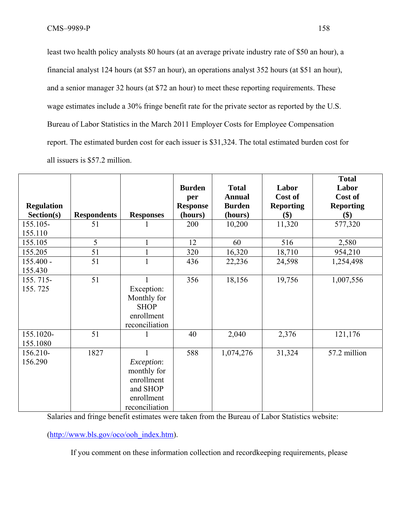least two health policy analysts 80 hours (at an average private industry rate of \$50 an hour), a financial analyst 124 hours (at \$57 an hour), an operations analyst 352 hours (at \$51 an hour), and a senior manager 32 hours (at \$72 an hour) to meet these reporting requirements. These wage estimates include a 30% fringe benefit rate for the private sector as reported by the U.S. Bureau of Labor Statistics in the March 2011 Employer Costs for Employee Compensation report. The estimated burden cost for each issuer is \$31,324. The total estimated burden cost for all issuers is \$57.2 million.

|                   |                    |                   |                 |               |                  | <b>Total</b>     |
|-------------------|--------------------|-------------------|-----------------|---------------|------------------|------------------|
|                   |                    |                   | <b>Burden</b>   | <b>Total</b>  | Labor            | Labor            |
|                   |                    |                   | per             | <b>Annual</b> | Cost of          | Cost of          |
| <b>Regulation</b> |                    |                   | <b>Response</b> | <b>Burden</b> | <b>Reporting</b> | <b>Reporting</b> |
| Section(s)        | <b>Respondents</b> | <b>Responses</b>  | (hours)         | (hours)       | \$)              | \$)              |
| 155.105-          | 51                 |                   | 200             | 10,200        | 11,320           | 577,320          |
| 155.110           |                    |                   |                 |               |                  |                  |
| 155.105           | 5                  | $\mathbf{1}$      | 12              | 60            | 516              | 2,580            |
| 155.205           | 51                 | $\mathbf{1}$      | 320             | 16,320        | 18,710           | 954,210          |
| $155.400 -$       | 51                 | $\mathbf{1}$      | 436             | 22,236        | 24,598           | 1,254,498        |
| 155.430           |                    |                   |                 |               |                  |                  |
| 155.715-          | 51                 |                   | 356             | 18,156        | 19,756           | 1,007,556        |
| 155.725           |                    | Exception:        |                 |               |                  |                  |
|                   |                    | Monthly for       |                 |               |                  |                  |
|                   |                    | <b>SHOP</b>       |                 |               |                  |                  |
|                   |                    | enrollment        |                 |               |                  |                  |
|                   |                    | reconciliation    |                 |               |                  |                  |
| 155.1020-         | 51                 |                   | 40              | 2,040         | 2,376            | 121,176          |
| 155.1080          |                    |                   |                 |               |                  |                  |
| 156.210-          | 1827               | $\mathbf{1}$      | 588             | 1,074,276     | 31,324           | 57.2 million     |
| 156.290           |                    | <i>Exception:</i> |                 |               |                  |                  |
|                   |                    | monthly for       |                 |               |                  |                  |
|                   |                    | enrollment        |                 |               |                  |                  |
|                   |                    | and SHOP          |                 |               |                  |                  |
|                   |                    | enrollment        |                 |               |                  |                  |
|                   |                    | reconciliation    |                 |               |                  |                  |

Salaries and fringe benefit estimates were taken from the Bureau of Labor Statistics website:

(http://www.bls.gov/oco/ooh\_index.htm).

If you comment on these information collection and recordkeeping requirements, please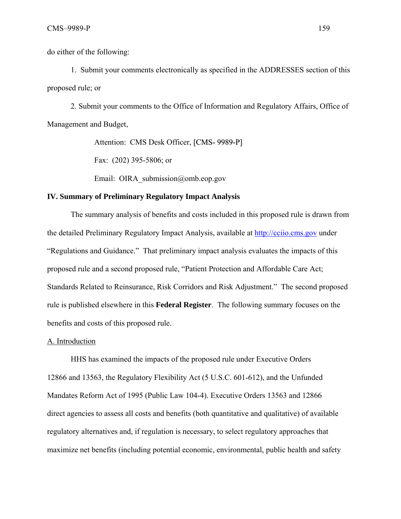do either of the following:

 1. Submit your comments electronically as specified in the ADDRESSES section of this proposed rule; or

 2. Submit your comments to the Office of Information and Regulatory Affairs, Office of Management and Budget,

Attention: CMS Desk Officer, [CMS- 9989-P]

Fax: (202) 395-5806; or

Email: OIRA submission@omb.eop.gov

#### **IV. Summary of Preliminary Regulatory Impact Analysis**

The summary analysis of benefits and costs included in this proposed rule is drawn from the detailed Preliminary Regulatory Impact Analysis, available at http://cciio.cms.gov under "Regulations and Guidance." That preliminary impact analysis evaluates the impacts of this proposed rule and a second proposed rule, "Patient Protection and Affordable Care Act; Standards Related to Reinsurance, Risk Corridors and Risk Adjustment." The second proposed rule is published elsewhere in this **Federal Register**. The following summary focuses on the benefits and costs of this proposed rule.

#### A. Introduction

HHS has examined the impacts of the proposed rule under Executive Orders 12866 and 13563, the Regulatory Flexibility Act (5 U.S.C. 601-612), and the Unfunded Mandates Reform Act of 1995 (Public Law 104-4). Executive Orders 13563 and 12866 direct agencies to assess all costs and benefits (both quantitative and qualitative) of available regulatory alternatives and, if regulation is necessary, to select regulatory approaches that maximize net benefits (including potential economic, environmental, public health and safety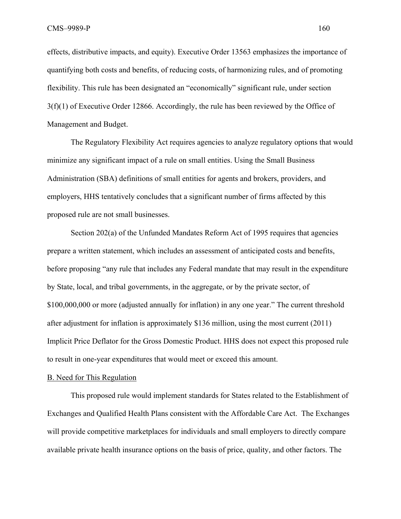effects, distributive impacts, and equity). Executive Order 13563 emphasizes the importance of quantifying both costs and benefits, of reducing costs, of harmonizing rules, and of promoting flexibility. This rule has been designated an "economically" significant rule, under section 3(f)(1) of Executive Order 12866. Accordingly, the rule has been reviewed by the Office of Management and Budget.

The Regulatory Flexibility Act requires agencies to analyze regulatory options that would minimize any significant impact of a rule on small entities. Using the Small Business Administration (SBA) definitions of small entities for agents and brokers, providers, and employers, HHS tentatively concludes that a significant number of firms affected by this proposed rule are not small businesses.

Section 202(a) of the Unfunded Mandates Reform Act of 1995 requires that agencies prepare a written statement, which includes an assessment of anticipated costs and benefits, before proposing "any rule that includes any Federal mandate that may result in the expenditure by State, local, and tribal governments, in the aggregate, or by the private sector, of \$100,000,000 or more (adjusted annually for inflation) in any one year." The current threshold after adjustment for inflation is approximately \$136 million, using the most current (2011) Implicit Price Deflator for the Gross Domestic Product. HHS does not expect this proposed rule to result in one-year expenditures that would meet or exceed this amount.

#### B. Need for This Regulation

This proposed rule would implement standards for States related to the Establishment of Exchanges and Qualified Health Plans consistent with the Affordable Care Act. The Exchanges will provide competitive marketplaces for individuals and small employers to directly compare available private health insurance options on the basis of price, quality, and other factors. The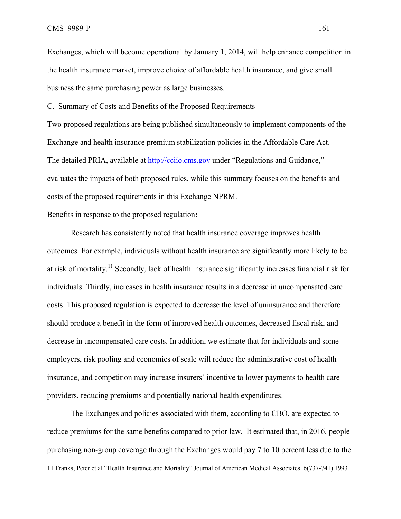Exchanges, which will become operational by January 1, 2014, will help enhance competition in the health insurance market, improve choice of affordable health insurance, and give small business the same purchasing power as large businesses.

C. Summary of Costs and Benefits of the Proposed Requirements

Two proposed regulations are being published simultaneously to implement components of the Exchange and health insurance premium stabilization policies in the Affordable Care Act. The detailed PRIA, available at http://cciio.cms.gov under "Regulations and Guidance," evaluates the impacts of both proposed rules, while this summary focuses on the benefits and costs of the proposed requirements in this Exchange NPRM.

## Benefits in response to the proposed regulation**:**

Research has consistently noted that health insurance coverage improves health outcomes. For example, individuals without health insurance are significantly more likely to be at risk of mortality.<sup>11</sup> Secondly, lack of health insurance significantly increases financial risk for individuals. Thirdly, increases in health insurance results in a decrease in uncompensated care costs. This proposed regulation is expected to decrease the level of uninsurance and therefore should produce a benefit in the form of improved health outcomes, decreased fiscal risk, and decrease in uncompensated care costs. In addition, we estimate that for individuals and some employers, risk pooling and economies of scale will reduce the administrative cost of health insurance, and competition may increase insurers' incentive to lower payments to health care providers, reducing premiums and potentially national health expenditures.

The Exchanges and policies associated with them, according to CBO, are expected to reduce premiums for the same benefits compared to prior law. It estimated that, in 2016, people purchasing non-group coverage through the Exchanges would pay 7 to 10 percent less due to the <u>.</u> 11 Franks, Peter et al "Health Insurance and Mortality" Journal of American Medical Associates. 6(737-741) 1993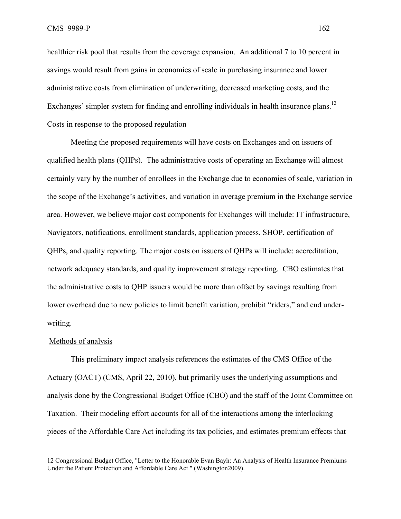healthier risk pool that results from the coverage expansion. An additional 7 to 10 percent in savings would result from gains in economies of scale in purchasing insurance and lower administrative costs from elimination of underwriting, decreased marketing costs, and the Exchanges' simpler system for finding and enrolling individuals in health insurance plans.<sup>12</sup> Costs in response to the proposed regulation

Meeting the proposed requirements will have costs on Exchanges and on issuers of qualified health plans (QHPs). The administrative costs of operating an Exchange will almost certainly vary by the number of enrollees in the Exchange due to economies of scale, variation in the scope of the Exchange's activities, and variation in average premium in the Exchange service area. However, we believe major cost components for Exchanges will include: IT infrastructure, Navigators, notifications, enrollment standards, application process, SHOP, certification of QHPs, and quality reporting. The major costs on issuers of QHPs will include: accreditation, network adequacy standards, and quality improvement strategy reporting. CBO estimates that the administrative costs to QHP issuers would be more than offset by savings resulting from lower overhead due to new policies to limit benefit variation, prohibit "riders," and end underwriting.

#### Methods of analysis

 $\overline{a}$ 

This preliminary impact analysis references the estimates of the CMS Office of the Actuary (OACT) (CMS, April 22, 2010), but primarily uses the underlying assumptions and analysis done by the Congressional Budget Office (CBO) and the staff of the Joint Committee on Taxation. Their modeling effort accounts for all of the interactions among the interlocking pieces of the Affordable Care Act including its tax policies, and estimates premium effects that

<sup>12</sup> Congressional Budget Office, "Letter to the Honorable Evan Bayh: An Analysis of Health Insurance Premiums Under the Patient Protection and Affordable Care Act " (Washington2009).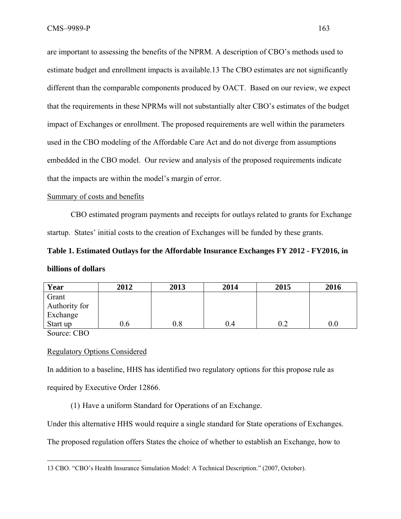are important to assessing the benefits of the NPRM. A description of CBO's methods used to estimate budget and enrollment impacts is available.13 The CBO estimates are not significantly different than the comparable components produced by OACT. Based on our review, we expect that the requirements in these NPRMs will not substantially alter CBO's estimates of the budget impact of Exchanges or enrollment. The proposed requirements are well within the parameters used in the CBO modeling of the Affordable Care Act and do not diverge from assumptions embedded in the CBO model. Our review and analysis of the proposed requirements indicate that the impacts are within the model's margin of error.

### Summary of costs and benefits

CBO estimated program payments and receipts for outlays related to grants for Exchange startup. States' initial costs to the creation of Exchanges will be funded by these grants.

# **Table 1. Estimated Outlays for the Affordable Insurance Exchanges FY 2012 - FY2016, in billions of dollars**

| Year                                       | 2012 | 2013    | 2014 | 2015 | 2016 |
|--------------------------------------------|------|---------|------|------|------|
| Grant                                      |      |         |      |      |      |
| Authority for                              |      |         |      |      |      |
| Exchange                                   |      |         |      |      |      |
| Start up                                   |      | $0.8\,$ | 0.4  |      |      |
| $-$<br>and the contract of the contract of |      |         |      |      |      |

Source: CBO

 $\overline{a}$ 

## Regulatory Options Considered

In addition to a baseline, HHS has identified two regulatory options for this propose rule as required by Executive Order 12866.

(1) Have a uniform Standard for Operations of an Exchange.

Under this alternative HHS would require a single standard for State operations of Exchanges.

The proposed regulation offers States the choice of whether to establish an Exchange, how to

<sup>13</sup> CBO. "CBO's Health Insurance Simulation Model: A Technical Description." (2007, October).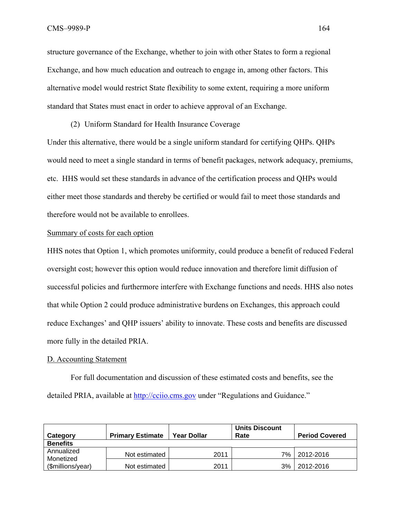structure governance of the Exchange, whether to join with other States to form a regional Exchange, and how much education and outreach to engage in, among other factors. This alternative model would restrict State flexibility to some extent, requiring a more uniform standard that States must enact in order to achieve approval of an Exchange.

(2) Uniform Standard for Health Insurance Coverage Under this alternative, there would be a single uniform standard for certifying QHPs. QHPs would need to meet a single standard in terms of benefit packages, network adequacy, premiums, etc. HHS would set these standards in advance of the certification process and QHPs would either meet those standards and thereby be certified or would fail to meet those standards and therefore would not be available to enrollees.

#### Summary of costs for each option

HHS notes that Option 1, which promotes uniformity, could produce a benefit of reduced Federal oversight cost; however this option would reduce innovation and therefore limit diffusion of successful policies and furthermore interfere with Exchange functions and needs. HHS also notes that while Option 2 could produce administrative burdens on Exchanges, this approach could reduce Exchanges' and QHP issuers' ability to innovate. These costs and benefits are discussed more fully in the detailed PRIA.

#### D. Accounting Statement

For full documentation and discussion of these estimated costs and benefits, see the detailed PRIA, available at http://cciio.cms.gov under "Regulations and Guidance."

| Category                       | <b>Primary Estimate</b> | <b>Year Dollar</b> | <b>Units Discount</b><br>Rate | <b>Period Covered</b> |
|--------------------------------|-------------------------|--------------------|-------------------------------|-----------------------|
| <b>Benefits</b>                |                         |                    |                               |                       |
| Annualized                     | Not estimated           | 2011               | 7%                            | 2012-2016             |
| Monetized<br>(\$millions/year) | Not estimated           | 2011               | 3%                            | 2012-2016             |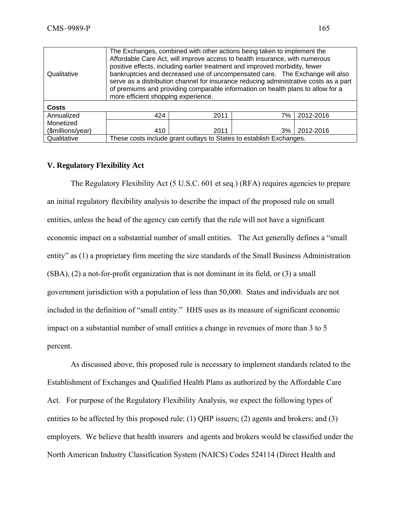| Qualitative       | The Exchanges, combined with other actions being taken to implement the<br>Affordable Care Act, will improve access to health insurance, with numerous<br>positive effects, including earlier treatment and improved morbidity, fewer<br>bankruptcies and decreased use of uncompensated care. The Exchange will also<br>serve as a distribution channel for insurance reducing administrative costs as a part<br>of premiums and providing comparable information on health plans to allow for a<br>more efficient shopping experience. |      |    |           |  |  |
|-------------------|------------------------------------------------------------------------------------------------------------------------------------------------------------------------------------------------------------------------------------------------------------------------------------------------------------------------------------------------------------------------------------------------------------------------------------------------------------------------------------------------------------------------------------------|------|----|-----------|--|--|
| <b>Costs</b>      |                                                                                                                                                                                                                                                                                                                                                                                                                                                                                                                                          |      |    |           |  |  |
| Annualized        | 424                                                                                                                                                                                                                                                                                                                                                                                                                                                                                                                                      | 2011 | 7% | 2012-2016 |  |  |
| Monetized         |                                                                                                                                                                                                                                                                                                                                                                                                                                                                                                                                          |      |    |           |  |  |
| (\$millions/year) | 410                                                                                                                                                                                                                                                                                                                                                                                                                                                                                                                                      | 2011 | 3% | 2012-2016 |  |  |
| Qualitative       | These costs include grant outlays to States to establish Exchanges.                                                                                                                                                                                                                                                                                                                                                                                                                                                                      |      |    |           |  |  |

## **V. Regulatory Flexibility Act**

The Regulatory Flexibility Act (5 U.S.C. 601 et seq.) (RFA) requires agencies to prepare an initial regulatory flexibility analysis to describe the impact of the proposed rule on small entities, unless the head of the agency can certify that the rule will not have a significant economic impact on a substantial number of small entities. The Act generally defines a "small entity" as (1) a proprietary firm meeting the size standards of the Small Business Administration (SBA), (2) a not-for-profit organization that is not dominant in its field, or (3) a small government jurisdiction with a population of less than 50,000. States and individuals are not included in the definition of "small entity." HHS uses as its measure of significant economic impact on a substantial number of small entities a change in revenues of more than 3 to 5 percent.

As discussed above, this proposed rule is necessary to implement standards related to the Establishment of Exchanges and Qualified Health Plans as authorized by the Affordable Care Act. For purpose of the Regulatory Flexibility Analysis, we expect the following types of entities to be affected by this proposed rule: (1) QHP issuers; (2) agents and brokers; and (3) employers. We believe that health insurers and agents and brokers would be classified under the North American Industry Classification System (NAICS) Codes 524114 (Direct Health and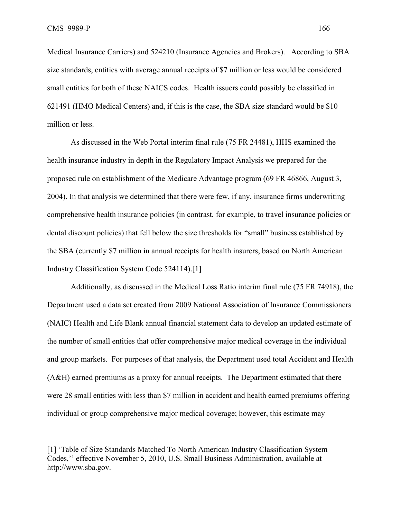1

Medical Insurance Carriers) and 524210 (Insurance Agencies and Brokers). According to SBA size standards, entities with average annual receipts of \$7 million or less would be considered small entities for both of these NAICS codes. Health issuers could possibly be classified in 621491 (HMO Medical Centers) and, if this is the case, the SBA size standard would be \$10 million or less.

As discussed in the Web Portal interim final rule (75 FR 24481), HHS examined the health insurance industry in depth in the Regulatory Impact Analysis we prepared for the proposed rule on establishment of the Medicare Advantage program (69 FR 46866, August 3, 2004). In that analysis we determined that there were few, if any, insurance firms underwriting comprehensive health insurance policies (in contrast, for example, to travel insurance policies or dental discount policies) that fell below the size thresholds for "small" business established by the SBA (currently \$7 million in annual receipts for health insurers, based on North American Industry Classification System Code 524114).[1]

Additionally, as discussed in the Medical Loss Ratio interim final rule (75 FR 74918), the Department used a data set created from 2009 National Association of Insurance Commissioners (NAIC) Health and Life Blank annual financial statement data to develop an updated estimate of the number of small entities that offer comprehensive major medical coverage in the individual and group markets. For purposes of that analysis, the Department used total Accident and Health (A&H) earned premiums as a proxy for annual receipts. The Department estimated that there were 28 small entities with less than \$7 million in accident and health earned premiums offering individual or group comprehensive major medical coverage; however, this estimate may

<sup>[1] &#</sup>x27;Table of Size Standards Matched To North American Industry Classification System Codes,'' effective November 5, 2010, U.S. Small Business Administration, available at http://www.sba.gov.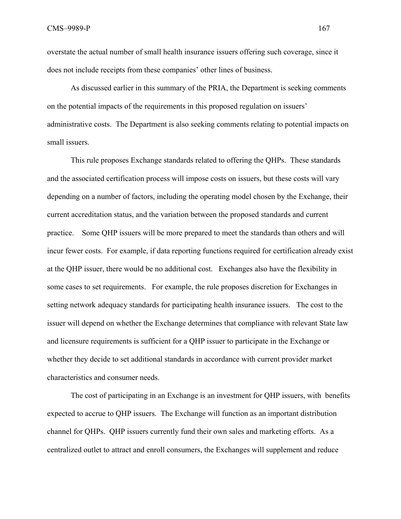overstate the actual number of small health insurance issuers offering such coverage, since it does not include receipts from these companies' other lines of business.

As discussed earlier in this summary of the PRIA, the Department is seeking comments on the potential impacts of the requirements in this proposed regulation on issuers' administrative costs. The Department is also seeking comments relating to potential impacts on small issuers.

This rule proposes Exchange standards related to offering the QHPs. These standards and the associated certification process will impose costs on issuers, but these costs will vary depending on a number of factors, including the operating model chosen by the Exchange, their current accreditation status, and the variation between the proposed standards and current practice. Some QHP issuers will be more prepared to meet the standards than others and will incur fewer costs. For example, if data reporting functions required for certification already exist at the QHP issuer, there would be no additional cost. Exchanges also have the flexibility in some cases to set requirements. For example, the rule proposes discretion for Exchanges in setting network adequacy standards for participating health insurance issuers. The cost to the issuer will depend on whether the Exchange determines that compliance with relevant State law and licensure requirements is sufficient for a QHP issuer to participate in the Exchange or whether they decide to set additional standards in accordance with current provider market characteristics and consumer needs.

The cost of participating in an Exchange is an investment for QHP issuers, with benefits expected to accrue to QHP issuers. The Exchange will function as an important distribution channel for QHPs. QHP issuers currently fund their own sales and marketing efforts. As a centralized outlet to attract and enroll consumers, the Exchanges will supplement and reduce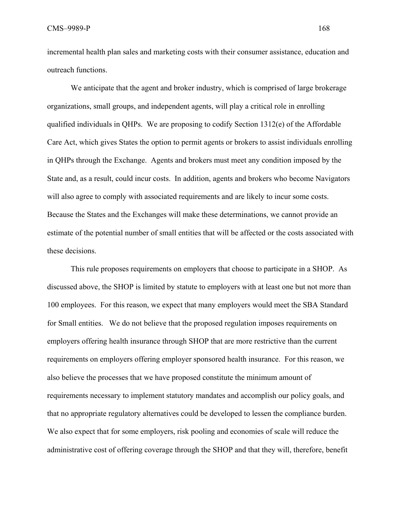incremental health plan sales and marketing costs with their consumer assistance, education and outreach functions.

We anticipate that the agent and broker industry, which is comprised of large brokerage organizations, small groups, and independent agents, will play a critical role in enrolling qualified individuals in QHPs. We are proposing to codify Section 1312(e) of the Affordable Care Act, which gives States the option to permit agents or brokers to assist individuals enrolling in QHPs through the Exchange. Agents and brokers must meet any condition imposed by the State and, as a result, could incur costs. In addition, agents and brokers who become Navigators will also agree to comply with associated requirements and are likely to incur some costs. Because the States and the Exchanges will make these determinations, we cannot provide an estimate of the potential number of small entities that will be affected or the costs associated with these decisions.

This rule proposes requirements on employers that choose to participate in a SHOP. As discussed above, the SHOP is limited by statute to employers with at least one but not more than 100 employees. For this reason, we expect that many employers would meet the SBA Standard for Small entities. We do not believe that the proposed regulation imposes requirements on employers offering health insurance through SHOP that are more restrictive than the current requirements on employers offering employer sponsored health insurance. For this reason, we also believe the processes that we have proposed constitute the minimum amount of requirements necessary to implement statutory mandates and accomplish our policy goals, and that no appropriate regulatory alternatives could be developed to lessen the compliance burden. We also expect that for some employers, risk pooling and economies of scale will reduce the administrative cost of offering coverage through the SHOP and that they will, therefore, benefit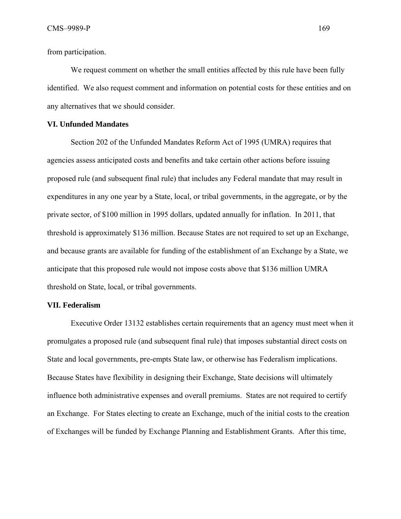from participation.

We request comment on whether the small entities affected by this rule have been fully identified. We also request comment and information on potential costs for these entities and on any alternatives that we should consider.

## **VI. Unfunded Mandates**

Section 202 of the Unfunded Mandates Reform Act of 1995 (UMRA) requires that agencies assess anticipated costs and benefits and take certain other actions before issuing proposed rule (and subsequent final rule) that includes any Federal mandate that may result in expenditures in any one year by a State, local, or tribal governments, in the aggregate, or by the private sector, of \$100 million in 1995 dollars, updated annually for inflation. In 2011, that threshold is approximately \$136 million. Because States are not required to set up an Exchange, and because grants are available for funding of the establishment of an Exchange by a State, we anticipate that this proposed rule would not impose costs above that \$136 million UMRA threshold on State, local, or tribal governments.

#### **VII. Federalism**

Executive Order 13132 establishes certain requirements that an agency must meet when it promulgates a proposed rule (and subsequent final rule) that imposes substantial direct costs on State and local governments, pre-empts State law, or otherwise has Federalism implications. Because States have flexibility in designing their Exchange, State decisions will ultimately influence both administrative expenses and overall premiums. States are not required to certify an Exchange. For States electing to create an Exchange, much of the initial costs to the creation of Exchanges will be funded by Exchange Planning and Establishment Grants. After this time,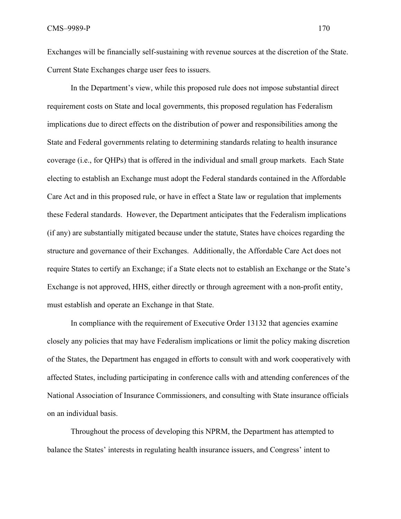Exchanges will be financially self-sustaining with revenue sources at the discretion of the State. Current State Exchanges charge user fees to issuers.

In the Department's view, while this proposed rule does not impose substantial direct requirement costs on State and local governments, this proposed regulation has Federalism implications due to direct effects on the distribution of power and responsibilities among the State and Federal governments relating to determining standards relating to health insurance coverage (i.e., for QHPs) that is offered in the individual and small group markets. Each State electing to establish an Exchange must adopt the Federal standards contained in the Affordable Care Act and in this proposed rule, or have in effect a State law or regulation that implements these Federal standards. However, the Department anticipates that the Federalism implications (if any) are substantially mitigated because under the statute, States have choices regarding the structure and governance of their Exchanges. Additionally, the Affordable Care Act does not require States to certify an Exchange; if a State elects not to establish an Exchange or the State's Exchange is not approved, HHS, either directly or through agreement with a non-profit entity, must establish and operate an Exchange in that State.

In compliance with the requirement of Executive Order 13132 that agencies examine closely any policies that may have Federalism implications or limit the policy making discretion of the States, the Department has engaged in efforts to consult with and work cooperatively with affected States, including participating in conference calls with and attending conferences of the National Association of Insurance Commissioners, and consulting with State insurance officials on an individual basis.

Throughout the process of developing this NPRM, the Department has attempted to balance the States' interests in regulating health insurance issuers, and Congress' intent to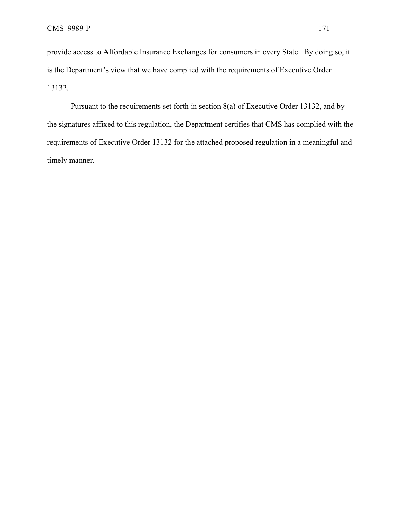provide access to Affordable Insurance Exchanges for consumers in every State. By doing so, it is the Department's view that we have complied with the requirements of Executive Order 13132.

Pursuant to the requirements set forth in section 8(a) of Executive Order 13132, and by the signatures affixed to this regulation, the Department certifies that CMS has complied with the requirements of Executive Order 13132 for the attached proposed regulation in a meaningful and timely manner.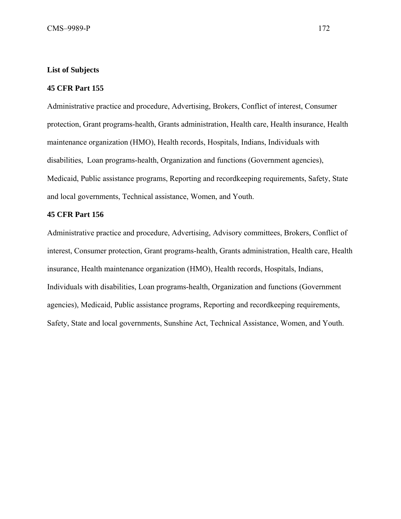## **List of Subjects**

## **45 CFR Part 155**

Administrative practice and procedure, Advertising, Brokers, Conflict of interest, Consumer protection, Grant programs-health, Grants administration, Health care, Health insurance, Health maintenance organization (HMO), Health records, Hospitals, Indians, Individuals with disabilities, Loan programs-health, Organization and functions (Government agencies), Medicaid, Public assistance programs, Reporting and recordkeeping requirements, Safety, State and local governments, Technical assistance, Women, and Youth.

### **45 CFR Part 156**

Administrative practice and procedure, Advertising, Advisory committees, Brokers, Conflict of interest, Consumer protection, Grant programs-health, Grants administration, Health care, Health insurance, Health maintenance organization (HMO), Health records, Hospitals, Indians, Individuals with disabilities, Loan programs-health, Organization and functions (Government agencies), Medicaid, Public assistance programs, Reporting and recordkeeping requirements, Safety, State and local governments, Sunshine Act, Technical Assistance, Women, and Youth.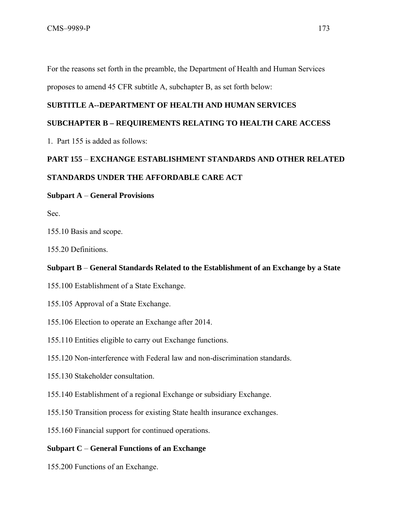For the reasons set forth in the preamble, the Department of Health and Human Services

proposes to amend 45 CFR subtitle A, subchapter B, as set forth below:

# **SUBTITLE A--DEPARTMENT OF HEALTH AND HUMAN SERVICES**

# **SUBCHAPTER B – REQUIREMENTS RELATING TO HEALTH CARE ACCESS**

1. Part 155 is added as follows:

# **PART 155** – **EXCHANGE ESTABLISHMENT STANDARDS AND OTHER RELATED**

# **STANDARDS UNDER THE AFFORDABLE CARE ACT**

## **Subpart A** – **General Provisions**

Sec.

155.10 Basis and scope.

155.20 Definitions.

## **Subpart B** – **General Standards Related to the Establishment of an Exchange by a State**

- 155.100 Establishment of a State Exchange.
- 155.105 Approval of a State Exchange.
- 155.106 Election to operate an Exchange after 2014.
- 155.110 Entities eligible to carry out Exchange functions.
- 155.120 Non-interference with Federal law and non-discrimination standards.
- 155.130 Stakeholder consultation.
- 155.140 Establishment of a regional Exchange or subsidiary Exchange.
- 155.150 Transition process for existing State health insurance exchanges.
- 155.160 Financial support for continued operations.

# **Subpart C** – **General Functions of an Exchange**

155.200 Functions of an Exchange.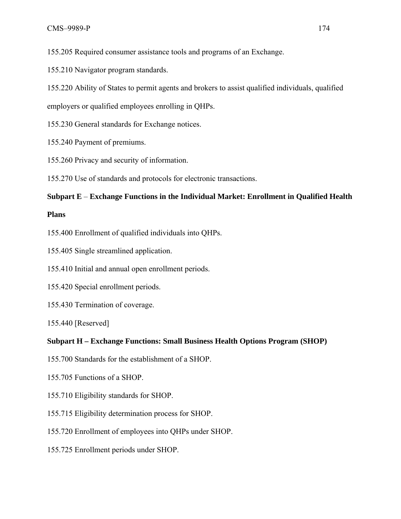155.205 Required consumer assistance tools and programs of an Exchange.

155.210 Navigator program standards.

155.220 Ability of States to permit agents and brokers to assist qualified individuals, qualified

employers or qualified employees enrolling in QHPs.

155.230 General standards for Exchange notices.

155.240 Payment of premiums.

155.260 Privacy and security of information.

155.270 Use of standards and protocols for electronic transactions.

# **Subpart E** – **Exchange Functions in the Individual Market: Enrollment in Qualified Health**

# **Plans**

155.400 Enrollment of qualified individuals into QHPs.

155.405 Single streamlined application.

155.410 Initial and annual open enrollment periods.

- 155.420 Special enrollment periods.
- 155.430 Termination of coverage.

155.440 [Reserved]

# **Subpart H – Exchange Functions: Small Business Health Options Program (SHOP)**

- 155.700 Standards for the establishment of a SHOP.
- 155.705 Functions of a SHOP.
- 155.710 Eligibility standards for SHOP.
- 155.715 Eligibility determination process for SHOP.
- 155.720 Enrollment of employees into QHPs under SHOP.
- 155.725 Enrollment periods under SHOP.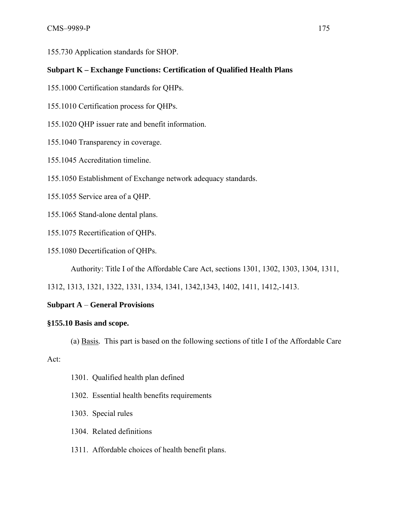155.730 Application standards for SHOP.

# **Subpart K – Exchange Functions: Certification of Qualified Health Plans**

- 155.1000 Certification standards for QHPs.
- 155.1010 Certification process for QHPs.
- 155.1020 QHP issuer rate and benefit information.
- 155.1040 Transparency in coverage.
- 155.1045 Accreditation timeline.
- 155.1050 Establishment of Exchange network adequacy standards.
- 155.1055 Service area of a QHP.
- 155.1065 Stand-alone dental plans.
- 155.1075 Recertification of QHPs.
- 155.1080 Decertification of QHPs.

Authority: Title I of the Affordable Care Act, sections 1301, 1302, 1303, 1304, 1311,

1312, 1313, 1321, 1322, 1331, 1334, 1341, 1342,1343, 1402, 1411, 1412,-1413.

# **Subpart A** – **General Provisions**

# **§155.10 Basis and scope.**

(a) Basis*.* This part is based on the following sections of title I of the Affordable Care

Act:

- 1301. Qualified health plan defined
- 1302. Essential health benefits requirements
- 1303. Special rules
- 1304. Related definitions
- 1311. Affordable choices of health benefit plans.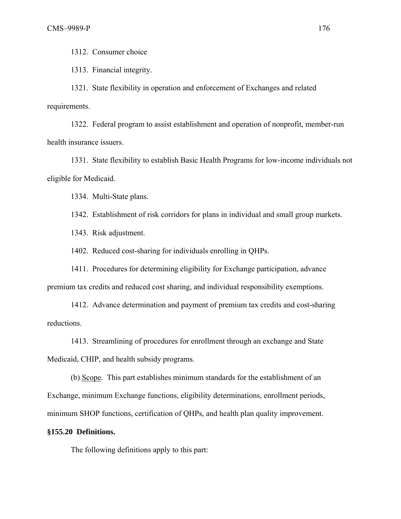1312. Consumer choice

1313. Financial integrity.

 1321. State flexibility in operation and enforcement of Exchanges and related requirements.

1322. Federal program to assist establishment and operation of nonprofit, member-run health insurance issuers.

1331. State flexibility to establish Basic Health Programs for low-income individuals not eligible for Medicaid.

1334. Multi-State plans.

1342. Establishment of risk corridors for plans in individual and small group markets.

1343. Risk adjustment.

1402. Reduced cost-sharing for individuals enrolling in QHPs.

1411. Procedures for determining eligibility for Exchange participation, advance premium tax credits and reduced cost sharing, and individual responsibility exemptions.

1412. Advance determination and payment of premium tax credits and cost-sharing reductions.

1413. Streamlining of procedures for enrollment through an exchange and State Medicaid, CHIP, and health subsidy programs.

 (b) Scope*.* This part establishes minimum standards for the establishment of an Exchange, minimum Exchange functions, eligibility determinations, enrollment periods, minimum SHOP functions, certification of QHPs, and health plan quality improvement.

#### **§155.20 Definitions.**

The following definitions apply to this part: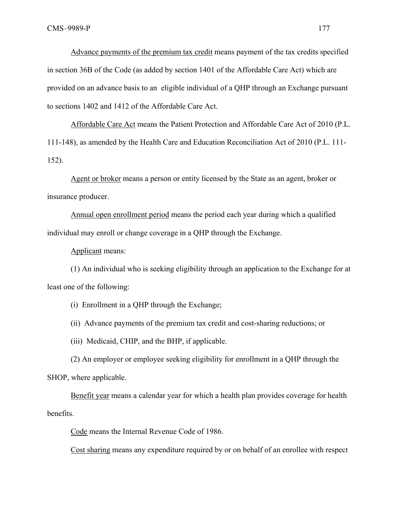Advance payments of the premium tax credit means payment of the tax credits specified in section 36B of the Code (as added by section 1401 of the Affordable Care Act) which are provided on an advance basis to an eligible individual of a QHP through an Exchange pursuant to sections 1402 and 1412 of the Affordable Care Act.

Affordable Care Act means the Patient Protection and Affordable Care Act of 2010 (P.L. 111-148), as amended by the Health Care and Education Reconciliation Act of 2010 (P.L. 111- 152).

Agent or broker means a person or entity licensed by the State as an agent, broker or insurance producer.

Annual open enrollment period means the period each year during which a qualified individual may enroll or change coverage in a QHP through the Exchange.

Applicant means:

(1) An individual who is seeking eligibility through an application to the Exchange for at least one of the following:

(i) Enrollment in a QHP through the Exchange;

(ii) Advance payments of the premium tax credit and cost-sharing reductions; or

(iii) Medicaid, CHIP, and the BHP, if applicable.

(2) An employer or employee seeking eligibility for enrollment in a QHP through the SHOP, where applicable.

Benefit year means a calendar year for which a health plan provides coverage for health benefits.

Code means the Internal Revenue Code of 1986.

Cost sharing means any expenditure required by or on behalf of an enrollee with respect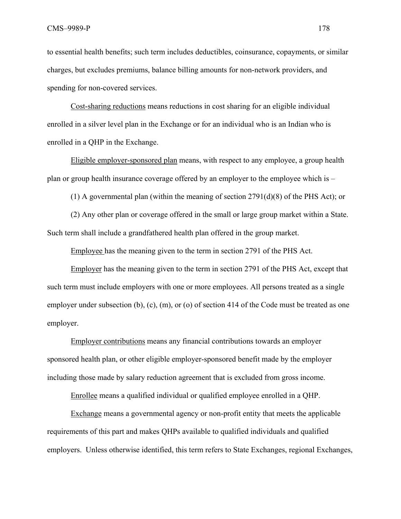to essential health benefits; such term includes deductibles, coinsurance, copayments, or similar charges, but excludes premiums, balance billing amounts for non-network providers, and spending for non-covered services.

 Cost-sharing reductions means reductions in cost sharing for an eligible individual enrolled in a silver level plan in the Exchange or for an individual who is an Indian who is enrolled in a QHP in the Exchange.

 Eligible employer-sponsored plan means, with respect to any employee, a group health plan or group health insurance coverage offered by an employer to the employee which is –

(1) A governmental plan (within the meaning of section 2791(d)(8) of the PHS Act); or

 (2) Any other plan or coverage offered in the small or large group market within a State. Such term shall include a grandfathered health plan offered in the group market.

Employee has the meaning given to the term in section 2791 of the PHS Act.

Employer has the meaning given to the term in section 2791 of the PHS Act, except that such term must include employers with one or more employees. All persons treated as a single employer under subsection (b), (c), (m), or (o) of section 414 of the Code must be treated as one employer.

Employer contributions means any financial contributions towards an employer sponsored health plan, or other eligible employer-sponsored benefit made by the employer including those made by salary reduction agreement that is excluded from gross income.

Enrollee means a qualified individual or qualified employee enrolled in a QHP.

Exchange means a governmental agency or non-profit entity that meets the applicable requirements of this part and makes QHPs available to qualified individuals and qualified employers. Unless otherwise identified, this term refers to State Exchanges, regional Exchanges,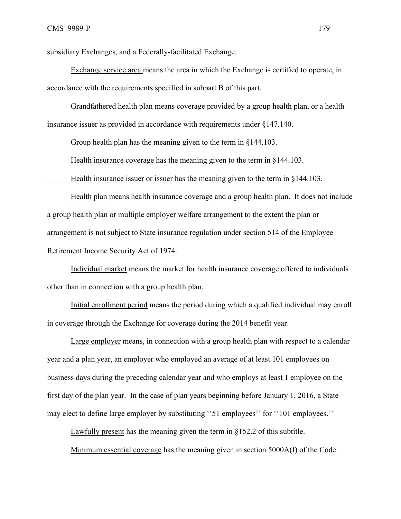subsidiary Exchanges, and a Federally-facilitated Exchange.

 Exchange service area means the area in which the Exchange is certified to operate, in accordance with the requirements specified in subpart B of this part.

 Grandfathered health plan means coverage provided by a group health plan, or a health insurance issuer as provided in accordance with requirements under §147.140.

Group health plan has the meaning given to the term in §144.103.

Health insurance coverage has the meaning given to the term in §144.103.

Health insurance issuer or issuer has the meaning given to the term in §144.103.

Health plan means health insurance coverage and a group health plan. It does not include a group health plan or multiple employer welfare arrangement to the extent the plan or arrangement is not subject to State insurance regulation under section 514 of the Employee Retirement Income Security Act of 1974.

Individual market means the market for health insurance coverage offered to individuals other than in connection with a group health plan.

Initial enrollment period means the period during which a qualified individual may enroll in coverage through the Exchange for coverage during the 2014 benefit year.

Large employer means, in connection with a group health plan with respect to a calendar year and a plan year, an employer who employed an average of at least 101 employees on business days during the preceding calendar year and who employs at least 1 employee on the first day of the plan year. In the case of plan years beginning before January 1, 2016, a State may elect to define large employer by substituting ''51 employees'' for ''101 employees.''

Lawfully present has the meaning given the term in §152.2 of this subtitle.

Minimum essential coverage has the meaning given in section 5000A(f) of the Code.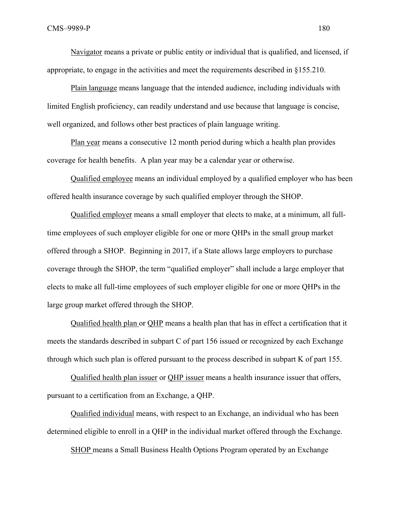Navigator means a private or public entity or individual that is qualified, and licensed, if appropriate, to engage in the activities and meet the requirements described in §155.210.

Plain language means language that the intended audience, including individuals with limited English proficiency, can readily understand and use because that language is concise, well organized, and follows other best practices of plain language writing.

Plan year means a consecutive 12 month period during which a health plan provides coverage for health benefits. A plan year may be a calendar year or otherwise.

Qualified employee means an individual employed by a qualified employer who has been offered health insurance coverage by such qualified employer through the SHOP.

Qualified employer means a small employer that elects to make, at a minimum, all fulltime employees of such employer eligible for one or more QHPs in the small group market offered through a SHOP. Beginning in 2017, if a State allows large employers to purchase coverage through the SHOP, the term "qualified employer" shall include a large employer that elects to make all full-time employees of such employer eligible for one or more QHPs in the large group market offered through the SHOP.

Qualified health plan or QHP means a health plan that has in effect a certification that it meets the standards described in subpart C of part 156 issued or recognized by each Exchange through which such plan is offered pursuant to the process described in subpart K of part 155.

Qualified health plan issuer or QHP issuer means a health insurance issuer that offers, pursuant to a certification from an Exchange, a QHP.

Qualified individual means, with respect to an Exchange, an individual who has been determined eligible to enroll in a QHP in the individual market offered through the Exchange.

SHOP means a Small Business Health Options Program operated by an Exchange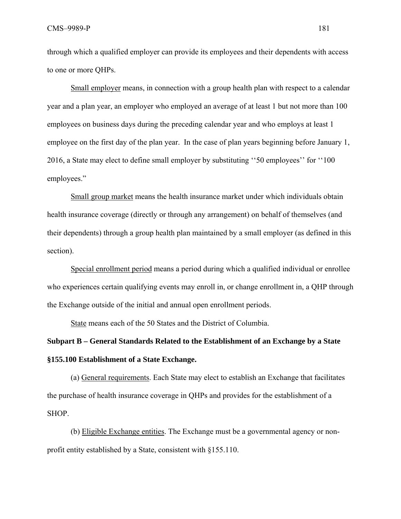CMS–9989-P 181

through which a qualified employer can provide its employees and their dependents with access to one or more QHPs.

Small employer means, in connection with a group health plan with respect to a calendar year and a plan year, an employer who employed an average of at least 1 but not more than 100 employees on business days during the preceding calendar year and who employs at least 1 employee on the first day of the plan year. In the case of plan years beginning before January 1, 2016, a State may elect to define small employer by substituting ''50 employees'' for ''100 employees."

Small group market means the health insurance market under which individuals obtain health insurance coverage (directly or through any arrangement) on behalf of themselves (and their dependents) through a group health plan maintained by a small employer (as defined in this section).

Special enrollment period means a period during which a qualified individual or enrollee who experiences certain qualifying events may enroll in, or change enrollment in, a OHP through the Exchange outside of the initial and annual open enrollment periods.

State means each of the 50 States and the District of Columbia.

## **Subpart B – General Standards Related to the Establishment of an Exchange by a State §155.100 Establishment of a State Exchange.**

(a) General requirements. Each State may elect to establish an Exchange that facilitates the purchase of health insurance coverage in QHPs and provides for the establishment of a SHOP.

(b) Eligible Exchange entities. The Exchange must be a governmental agency or nonprofit entity established by a State, consistent with §155.110.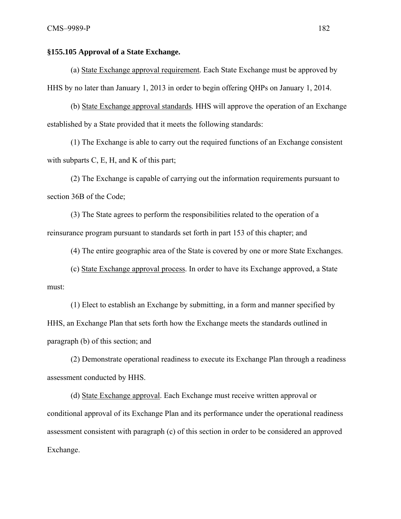## **§155.105 Approval of a State Exchange.**

(a) State Exchange approval requirement*.* Each State Exchange must be approved by HHS by no later than January 1, 2013 in order to begin offering QHPs on January 1, 2014.

(b) State Exchange approval standards*.* HHS will approve the operation of an Exchange established by a State provided that it meets the following standards:

(1) The Exchange is able to carry out the required functions of an Exchange consistent with subparts  $C$ ,  $E$ ,  $H$ , and  $K$  of this part;

(2) The Exchange is capable of carrying out the information requirements pursuant to section 36B of the Code;

(3) The State agrees to perform the responsibilities related to the operation of a reinsurance program pursuant to standards set forth in part 153 of this chapter; and

(4) The entire geographic area of the State is covered by one or more State Exchanges.

(c) State Exchange approval process. In order to have its Exchange approved, a State must:

(1) Elect to establish an Exchange by submitting, in a form and manner specified by HHS, an Exchange Plan that sets forth how the Exchange meets the standards outlined in paragraph (b) of this section; and

(2) Demonstrate operational readiness to execute its Exchange Plan through a readiness assessment conducted by HHS.

(d) State Exchange approval. Each Exchange must receive written approval or conditional approval of its Exchange Plan and its performance under the operational readiness assessment consistent with paragraph (c) of this section in order to be considered an approved Exchange.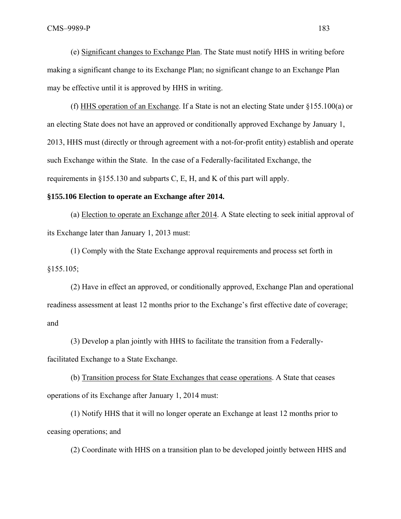(e) Significant changes to Exchange Plan. The State must notify HHS in writing before making a significant change to its Exchange Plan; no significant change to an Exchange Plan may be effective until it is approved by HHS in writing.

(f) HHS operation of an Exchange. If a State is not an electing State under §155.100(a) or an electing State does not have an approved or conditionally approved Exchange by January 1, 2013, HHS must (directly or through agreement with a not-for-profit entity) establish and operate such Exchange within the State. In the case of a Federally-facilitated Exchange, the requirements in §155.130 and subparts C, E, H, and K of this part will apply.

#### **§155.106 Election to operate an Exchange after 2014.**

(a) Election to operate an Exchange after 2014. A State electing to seek initial approval of its Exchange later than January 1, 2013 must:

(1) Comply with the State Exchange approval requirements and process set forth in §155.105;

(2) Have in effect an approved, or conditionally approved, Exchange Plan and operational readiness assessment at least 12 months prior to the Exchange's first effective date of coverage; and

(3) Develop a plan jointly with HHS to facilitate the transition from a Federallyfacilitated Exchange to a State Exchange.

(b) Transition process for State Exchanges that cease operations. A State that ceases operations of its Exchange after January 1, 2014 must:

(1) Notify HHS that it will no longer operate an Exchange at least 12 months prior to ceasing operations; and

(2) Coordinate with HHS on a transition plan to be developed jointly between HHS and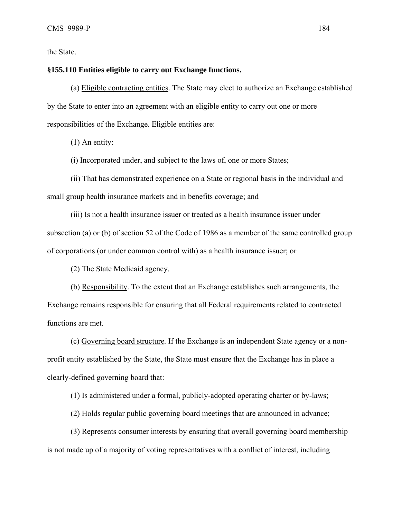the State.

## **§155.110 Entities eligible to carry out Exchange functions.**

(a) Eligible contracting entities. The State may elect to authorize an Exchange established by the State to enter into an agreement with an eligible entity to carry out one or more responsibilities of the Exchange. Eligible entities are:

(1) An entity:

(i) Incorporated under, and subject to the laws of, one or more States;

(ii) That has demonstrated experience on a State or regional basis in the individual and small group health insurance markets and in benefits coverage; and

(iii) Is not a health insurance issuer or treated as a health insurance issuer under subsection (a) or (b) of section 52 of the Code of 1986 as a member of the same controlled group of corporations (or under common control with) as a health insurance issuer; or

(2) The State Medicaid agency.

(b) Responsibility. To the extent that an Exchange establishes such arrangements, the Exchange remains responsible for ensuring that all Federal requirements related to contracted functions are met.

(c) Governing board structure*.* If the Exchange is an independent State agency or a nonprofit entity established by the State, the State must ensure that the Exchange has in place a clearly-defined governing board that:

(1) Is administered under a formal, publicly-adopted operating charter or by-laws;

(2) Holds regular public governing board meetings that are announced in advance;

(3) Represents consumer interests by ensuring that overall governing board membership is not made up of a majority of voting representatives with a conflict of interest, including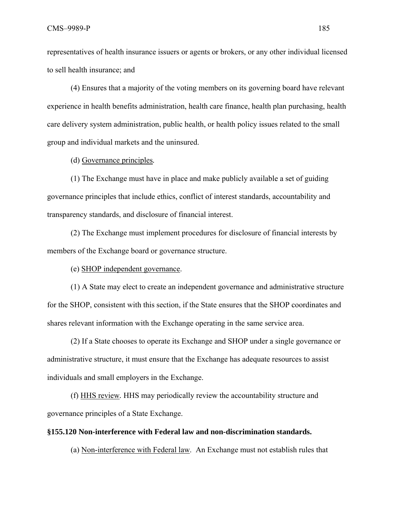representatives of health insurance issuers or agents or brokers, or any other individual licensed to sell health insurance; and

(4) Ensures that a majority of the voting members on its governing board have relevant experience in health benefits administration, health care finance, health plan purchasing, health care delivery system administration, public health, or health policy issues related to the small group and individual markets and the uninsured.

(d) Governance principles*.*

(1) The Exchange must have in place and make publicly available a set of guiding governance principles that include ethics, conflict of interest standards, accountability and transparency standards, and disclosure of financial interest.

(2) The Exchange must implement procedures for disclosure of financial interests by members of the Exchange board or governance structure.

(e) SHOP independent governance.

(1) A State may elect to create an independent governance and administrative structure for the SHOP, consistent with this section, if the State ensures that the SHOP coordinates and shares relevant information with the Exchange operating in the same service area.

(2) If a State chooses to operate its Exchange and SHOP under a single governance or administrative structure, it must ensure that the Exchange has adequate resources to assist individuals and small employers in the Exchange.

(f) HHS review*.* HHS may periodically review the accountability structure and governance principles of a State Exchange.

## **§155.120 Non-interference with Federal law and non-discrimination standards.**

(a) Non-interference with Federal law. An Exchange must not establish rules that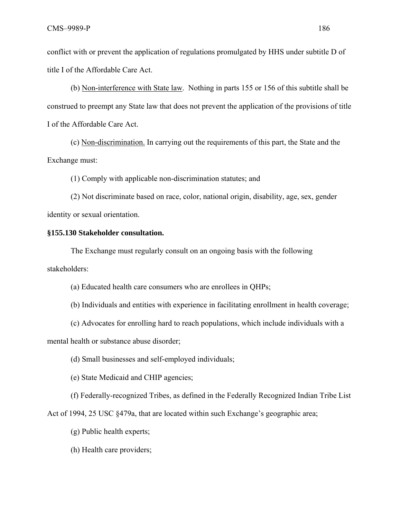conflict with or prevent the application of regulations promulgated by HHS under subtitle D of title I of the Affordable Care Act.

 (b) Non-interference with State law. Nothing in parts 155 or 156 of this subtitle shall be construed to preempt any State law that does not prevent the application of the provisions of title I of the Affordable Care Act.

 (c) Non-discrimination. In carrying out the requirements of this part, the State and the Exchange must:

(1) Comply with applicable non-discrimination statutes; and

(2) Not discriminate based on race, color, national origin, disability, age, sex, gender identity or sexual orientation.

#### **§155.130 Stakeholder consultation.**

The Exchange must regularly consult on an ongoing basis with the following stakeholders:

(a) Educated health care consumers who are enrollees in QHPs;

(b) Individuals and entities with experience in facilitating enrollment in health coverage;

(c) Advocates for enrolling hard to reach populations, which include individuals with a

mental health or substance abuse disorder;

(d) Small businesses and self-employed individuals;

(e) State Medicaid and CHIP agencies;

(f) Federally-recognized Tribes, as defined in the Federally Recognized Indian Tribe List

Act of 1994, 25 USC §479a, that are located within such Exchange's geographic area;

(g) Public health experts;

(h) Health care providers;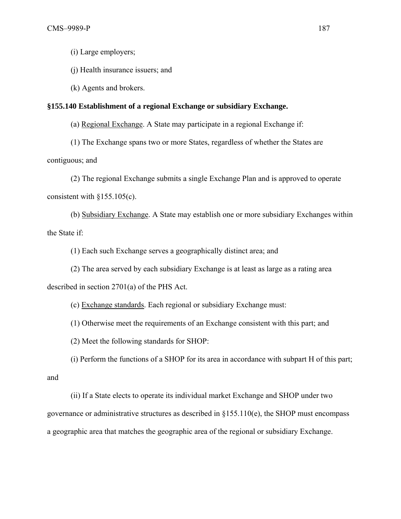(i) Large employers;

(j) Health insurance issuers; and

(k) Agents and brokers.

#### **§155.140 Establishment of a regional Exchange or subsidiary Exchange.**

(a) Regional Exchange. A State may participate in a regional Exchange if:

(1) The Exchange spans two or more States, regardless of whether the States are contiguous; and

(2) The regional Exchange submits a single Exchange Plan and is approved to operate consistent with  $§155.105(c)$ .

(b) Subsidiary Exchange. A State may establish one or more subsidiary Exchanges within the State if:

(1) Each such Exchange serves a geographically distinct area; and

(2) The area served by each subsidiary Exchange is at least as large as a rating area described in section 2701(a) of the PHS Act.

(c) Exchange standards. Each regional or subsidiary Exchange must:

(1) Otherwise meet the requirements of an Exchange consistent with this part; and

(2) Meet the following standards for SHOP:

 (i) Perform the functions of a SHOP for its area in accordance with subpart H of this part; and

 (ii) If a State elects to operate its individual market Exchange and SHOP under two governance or administrative structures as described in §155.110(e), the SHOP must encompass a geographic area that matches the geographic area of the regional or subsidiary Exchange.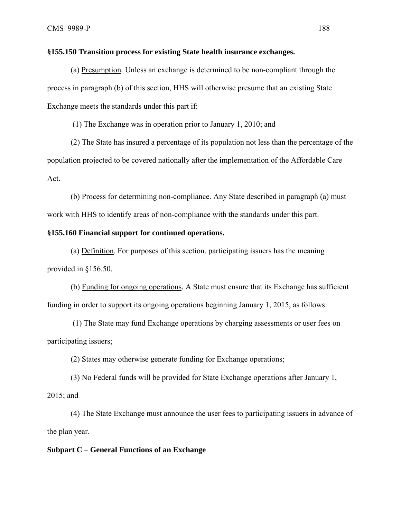#### **§155.150 Transition process for existing State health insurance exchanges.**

(a) Presumption*.* Unless an exchange is determined to be non-compliant through the process in paragraph (b) of this section, HHS will otherwise presume that an existing State Exchange meets the standards under this part if:

(1) The Exchange was in operation prior to January 1, 2010; and

(2) The State has insured a percentage of its population not less than the percentage of the population projected to be covered nationally after the implementation of the Affordable Care Act.

 (b) Process for determining non-compliance*.* Any State described in paragraph (a) must work with HHS to identify areas of non-compliance with the standards under this part.

#### **§155.160 Financial support for continued operations.**

(a) Definition. For purposes of this section, participating issuers has the meaning provided in §156.50.

(b) Funding for ongoing operations*.* A State must ensure that its Exchange has sufficient funding in order to support its ongoing operations beginning January 1, 2015, as follows:

 (1) The State may fund Exchange operations by charging assessments or user fees on participating issuers;

(2) States may otherwise generate funding for Exchange operations;

(3) No Federal funds will be provided for State Exchange operations after January 1, 2015; and

(4) The State Exchange must announce the user fees to participating issuers in advance of the plan year.

## **Subpart C** – **General Functions of an Exchange**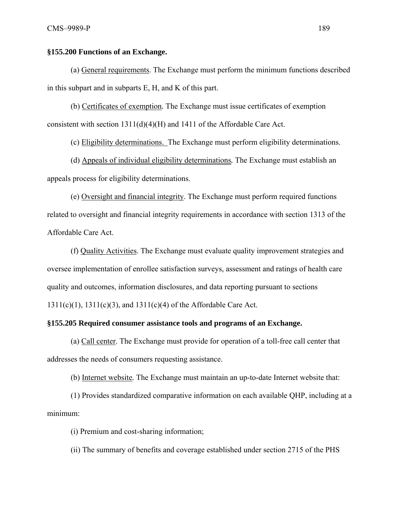## **§155.200 Functions of an Exchange.**

(a) General requirements. The Exchange must perform the minimum functions described in this subpart and in subparts E, H, and K of this part.

(b) Certificates of exemption*.* The Exchange must issue certificates of exemption consistent with section 1311(d)(4)(H) and 1411 of the Affordable Care Act.

(c) Eligibility determinations. The Exchange must perform eligibility determinations.

(d) Appeals of individual eligibility determinations*.* The Exchange must establish an appeals process for eligibility determinations.

(e) Oversight and financial integrity. The Exchange must perform required functions related to oversight and financial integrity requirements in accordance with section 1313 of the Affordable Care Act.

(f) Quality Activities. The Exchange must evaluate quality improvement strategies and oversee implementation of enrollee satisfaction surveys, assessment and ratings of health care quality and outcomes, information disclosures, and data reporting pursuant to sections 1311(c)(1), 1311(c)(3), and 1311(c)(4) of the Affordable Care Act.

## **§155.205 Required consumer assistance tools and programs of an Exchange.**

(a) Call center. The Exchange must provide for operation of a toll-free call center that addresses the needs of consumers requesting assistance.

(b) Internet website*.* The Exchange must maintain an up-to-date Internet website that:

(1) Provides standardized comparative information on each available QHP, including at a minimum:

(i) Premium and cost-sharing information;

(ii) The summary of benefits and coverage established under section 2715 of the PHS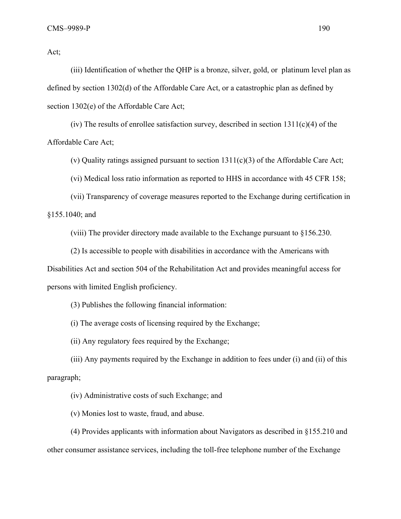Act;

(iii) Identification of whether the QHP is a bronze, silver, gold, or platinum level plan as defined by section 1302(d) of the Affordable Care Act, or a catastrophic plan as defined by section 1302(e) of the Affordable Care Act;

(iv) The results of enrollee satisfaction survey, described in section  $1311(c)(4)$  of the Affordable Care Act;

(v) Quality ratings assigned pursuant to section  $1311(c)(3)$  of the Affordable Care Act;

(vi) Medical loss ratio information as reported to HHS in accordance with 45 CFR 158;

(vii) Transparency of coverage measures reported to the Exchange during certification in §155.1040; and

(viii) The provider directory made available to the Exchange pursuant to §156.230.

(2) Is accessible to people with disabilities in accordance with the Americans with Disabilities Act and section 504 of the Rehabilitation Act and provides meaningful access for persons with limited English proficiency.

(3) Publishes the following financial information:

(i) The average costs of licensing required by the Exchange;

(ii) Any regulatory fees required by the Exchange;

(iii) Any payments required by the Exchange in addition to fees under (i) and (ii) of this paragraph;

(iv) Administrative costs of such Exchange; and

(v) Monies lost to waste, fraud, and abuse.

(4) Provides applicants with information about Navigators as described in §155.210 and other consumer assistance services, including the toll-free telephone number of the Exchange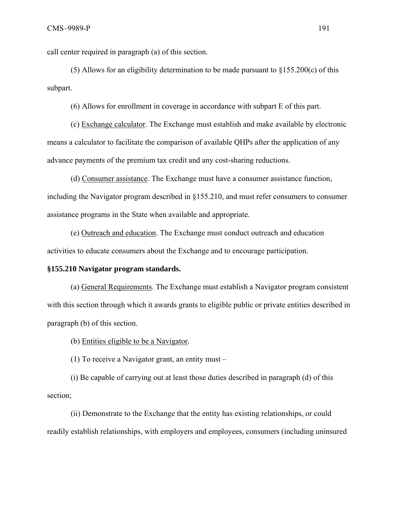call center required in paragraph (a) of this section.

(5) Allows for an eligibility determination to be made pursuant to  $\S 155.200(c)$  of this subpart.

(6) Allows for enrollment in coverage in accordance with subpart E of this part.

 (c) Exchange calculator. The Exchange must establish and make available by electronic means a calculator to facilitate the comparison of available QHPs after the application of any advance payments of the premium tax credit and any cost-sharing reductions.

(d) Consumer assistance. The Exchange must have a consumer assistance function, including the Navigator program described in §155.210, and must refer consumers to consumer assistance programs in the State when available and appropriate.

(e) Outreach and education. The Exchange must conduct outreach and education activities to educate consumers about the Exchange and to encourage participation.

## **§155.210 Navigator program standards.**

(a) General Requirements. The Exchange must establish a Navigator program consistent with this section through which it awards grants to eligible public or private entities described in paragraph (b) of this section.

(b) Entities eligible to be a Navigator*.* 

(1) To receive a Navigator grant, an entity must –

(i) Be capable of carrying out at least those duties described in paragraph (d) of this section;

(ii) Demonstrate to the Exchange that the entity has existing relationships, or could readily establish relationships, with employers and employees, consumers (including uninsured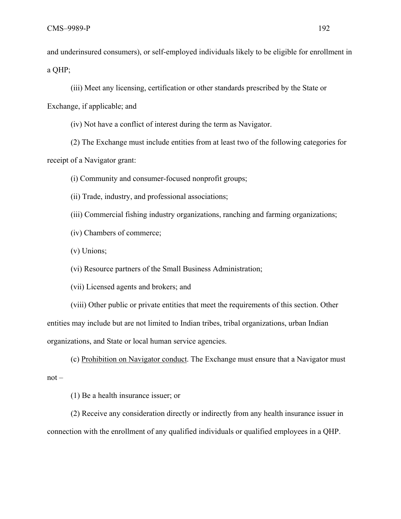and underinsured consumers), or self-employed individuals likely to be eligible for enrollment in a QHP;

(iii) Meet any licensing, certification or other standards prescribed by the State or

Exchange, if applicable; and

(iv) Not have a conflict of interest during the term as Navigator.

(2) The Exchange must include entities from at least two of the following categories for receipt of a Navigator grant:

(i) Community and consumer-focused nonprofit groups;

(ii) Trade, industry, and professional associations;

(iii) Commercial fishing industry organizations, ranching and farming organizations;

(iv) Chambers of commerce;

(v) Unions;

(vi) Resource partners of the Small Business Administration;

(vii) Licensed agents and brokers; and

(viii) Other public or private entities that meet the requirements of this section. Other entities may include but are not limited to Indian tribes, tribal organizations, urban Indian organizations, and State or local human service agencies.

(c) Prohibition on Navigator conduct. The Exchange must ensure that a Navigator must not –

(1) Be a health insurance issuer; or

(2) Receive any consideration directly or indirectly from any health insurance issuer in connection with the enrollment of any qualified individuals or qualified employees in a QHP.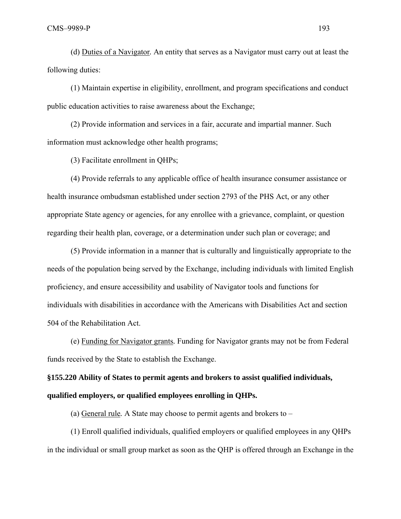(d) Duties of a Navigator*.* An entity that serves as a Navigator must carry out at least the following duties:

(1) Maintain expertise in eligibility, enrollment, and program specifications and conduct public education activities to raise awareness about the Exchange;

(2) Provide information and services in a fair, accurate and impartial manner. Such information must acknowledge other health programs;

(3) Facilitate enrollment in QHPs;

(4) Provide referrals to any applicable office of health insurance consumer assistance or health insurance ombudsman established under section 2793 of the PHS Act, or any other appropriate State agency or agencies, for any enrollee with a grievance, complaint, or question regarding their health plan, coverage, or a determination under such plan or coverage; and

(5) Provide information in a manner that is culturally and linguistically appropriate to the needs of the population being served by the Exchange, including individuals with limited English proficiency, and ensure accessibility and usability of Navigator tools and functions for individuals with disabilities in accordance with the Americans with Disabilities Act and section 504 of the Rehabilitation Act.

(e) Funding for Navigator grants*.* Funding for Navigator grants may not be from Federal funds received by the State to establish the Exchange.

**§155.220 Ability of States to permit agents and brokers to assist qualified individuals, qualified employers, or qualified employees enrolling in QHPs.** 

(a) General rule*.* A State may choose to permit agents and brokers to –

(1) Enroll qualified individuals, qualified employers or qualified employees in any QHPs in the individual or small group market as soon as the QHP is offered through an Exchange in the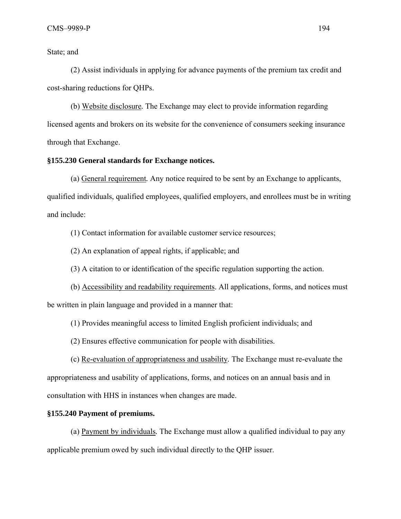State; and

(2) Assist individuals in applying for advance payments of the premium tax credit and cost-sharing reductions for QHPs.

(b) Website disclosure*.* The Exchange may elect to provide information regarding licensed agents and brokers on its website for the convenience of consumers seeking insurance through that Exchange.

## **§155.230 General standards for Exchange notices.**

(a) General requirement*.* Any notice required to be sent by an Exchange to applicants, qualified individuals, qualified employees, qualified employers, and enrollees must be in writing and include:

(1) Contact information for available customer service resources;

(2) An explanation of appeal rights, if applicable; and

(3) A citation to or identification of the specific regulation supporting the action.

(b) Accessibility and readability requirements. All applications, forms, and notices must be written in plain language and provided in a manner that:

(1) Provides meaningful access to limited English proficient individuals; and

(2) Ensures effective communication for people with disabilities.

 (c) Re-evaluation of appropriateness and usability*.* The Exchange must re-evaluate the appropriateness and usability of applications, forms, and notices on an annual basis and in consultation with HHS in instances when changes are made.

## **§155.240 Payment of premiums.**

(a) Payment by individuals*.* The Exchange must allow a qualified individual to pay any applicable premium owed by such individual directly to the QHP issuer.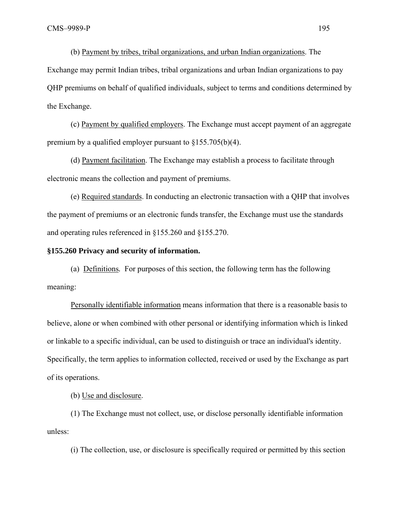(b) Payment by tribes, tribal organizations, and urban Indian organizations. The Exchange may permit Indian tribes, tribal organizations and urban Indian organizations to pay QHP premiums on behalf of qualified individuals, subject to terms and conditions determined by the Exchange.

 (c) Payment by qualified employers. The Exchange must accept payment of an aggregate premium by a qualified employer pursuant to §155.705(b)(4).

 (d) Payment facilitation. The Exchange may establish a process to facilitate through electronic means the collection and payment of premiums.

(e) Required standards. In conducting an electronic transaction with a QHP that involves the payment of premiums or an electronic funds transfer, the Exchange must use the standards and operating rules referenced in §155.260 and §155.270.

#### **§155.260 Privacy and security of information.**

(a) Definitions*.* For purposes of this section, the following term has the following meaning:

Personally identifiable information means information that there is a reasonable basis to believe, alone or when combined with other personal or identifying information which is linked or linkable to a specific individual, can be used to distinguish or trace an individual's identity. Specifically, the term applies to information collected, received or used by the Exchange as part of its operations.

(b) Use and disclosure.

(1) The Exchange must not collect, use, or disclose personally identifiable information unless:

(i) The collection, use, or disclosure is specifically required or permitted by this section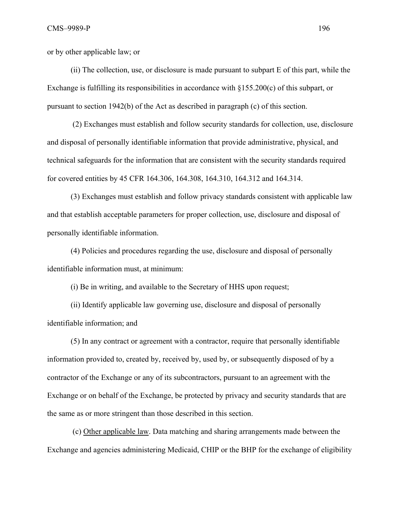or by other applicable law; or

(ii) The collection, use, or disclosure is made pursuant to subpart E of this part, while the Exchange is fulfilling its responsibilities in accordance with §155.200(c) of this subpart, or pursuant to section 1942(b) of the Act as described in paragraph (c) of this section.

 (2) Exchanges must establish and follow security standards for collection, use, disclosure and disposal of personally identifiable information that provide administrative, physical, and technical safeguards for the information that are consistent with the security standards required for covered entities by 45 CFR 164.306, 164.308, 164.310, 164.312 and 164.314.

(3) Exchanges must establish and follow privacy standards consistent with applicable law and that establish acceptable parameters for proper collection, use, disclosure and disposal of personally identifiable information.

(4) Policies and procedures regarding the use, disclosure and disposal of personally identifiable information must, at minimum:

(i) Be in writing, and available to the Secretary of HHS upon request;

(ii) Identify applicable law governing use, disclosure and disposal of personally identifiable information; and

(5) In any contract or agreement with a contractor, require that personally identifiable information provided to, created by, received by, used by, or subsequently disposed of by a contractor of the Exchange or any of its subcontractors, pursuant to an agreement with the Exchange or on behalf of the Exchange, be protected by privacy and security standards that are the same as or more stringent than those described in this section.

 (c) Other applicable law. Data matching and sharing arrangements made between the Exchange and agencies administering Medicaid, CHIP or the BHP for the exchange of eligibility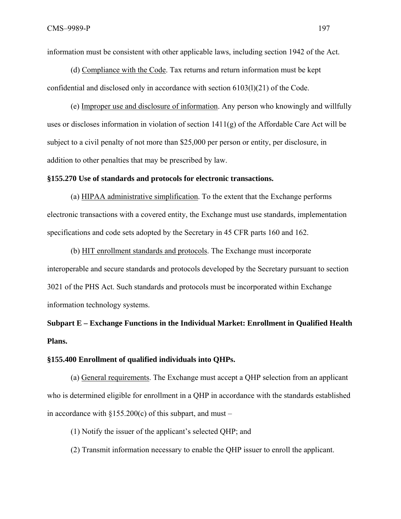information must be consistent with other applicable laws, including section 1942 of the Act.

(d) Compliance with the Code. Tax returns and return information must be kept confidential and disclosed only in accordance with section 6103(l)(21) of the Code.

(e) Improper use and disclosure of information. Any person who knowingly and willfully uses or discloses information in violation of section 1411(g) of the Affordable Care Act will be subject to a civil penalty of not more than \$25,000 per person or entity, per disclosure, in addition to other penalties that may be prescribed by law.

#### **§155.270 Use of standards and protocols for electronic transactions.**

(a) HIPAA administrative simplification. To the extent that the Exchange performs electronic transactions with a covered entity, the Exchange must use standards, implementation specifications and code sets adopted by the Secretary in 45 CFR parts 160 and 162.

(b) HIT enrollment standards and protocols. The Exchange must incorporate interoperable and secure standards and protocols developed by the Secretary pursuant to section 3021 of the PHS Act. Such standards and protocols must be incorporated within Exchange information technology systems.

**Subpart E – Exchange Functions in the Individual Market: Enrollment in Qualified Health Plans.** 

#### **§155.400 Enrollment of qualified individuals into QHPs.**

(a) General requirements. The Exchange must accept a QHP selection from an applicant who is determined eligible for enrollment in a QHP in accordance with the standards established in accordance with  $\S 155.200(c)$  of this subpart, and must –

(1) Notify the issuer of the applicant's selected QHP; and

(2) Transmit information necessary to enable the QHP issuer to enroll the applicant.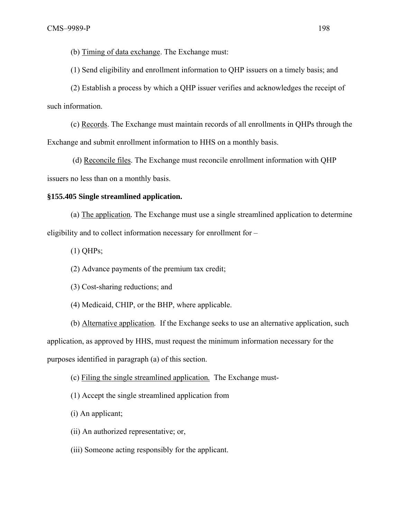(b) Timing of data exchange. The Exchange must:

(1) Send eligibility and enrollment information to QHP issuers on a timely basis; and

(2) Establish a process by which a QHP issuer verifies and acknowledges the receipt of such information.

(c) Records. The Exchange must maintain records of all enrollments in QHPs through the Exchange and submit enrollment information to HHS on a monthly basis.

 (d) Reconcile files. The Exchange must reconcile enrollment information with QHP issuers no less than on a monthly basis.

#### **§155.405 Single streamlined application.**

(a) The application*.* The Exchange must use a single streamlined application to determine eligibility and to collect information necessary for enrollment for –

(1) QHPs;

(2) Advance payments of the premium tax credit;

(3) Cost-sharing reductions; and

(4) Medicaid, CHIP, or the BHP, where applicable.

(b) Alternative application*.* If the Exchange seeks to use an alternative application, such application, as approved by HHS, must request the minimum information necessary for the purposes identified in paragraph (a) of this section.

(c) Filing the single streamlined application*.* The Exchange must-

(1) Accept the single streamlined application from

(i) An applicant;

(ii) An authorized representative; or,

(iii) Someone acting responsibly for the applicant.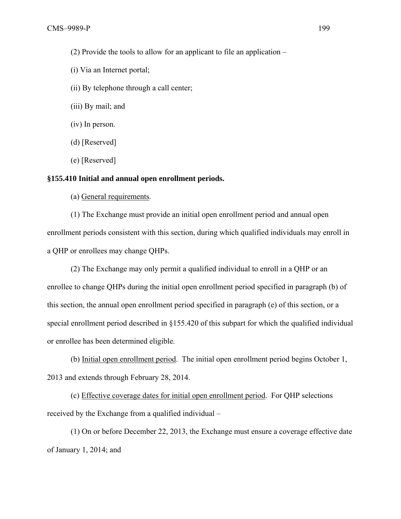- (2) Provide the tools to allow for an applicant to file an application –
- (i) Via an Internet portal;
- (ii) By telephone through a call center;
- (iii) By mail; and
- (iv) In person.
- (d) [Reserved]
- (e) [Reserved]

## **§155.410 Initial and annual open enrollment periods.**

(a) General requirements.

(1) The Exchange must provide an initial open enrollment period and annual open enrollment periods consistent with this section, during which qualified individuals may enroll in a QHP or enrollees may change QHPs.

(2) The Exchange may only permit a qualified individual to enroll in a QHP or an enrollee to change QHPs during the initial open enrollment period specified in paragraph (b) of this section, the annual open enrollment period specified in paragraph (e) of this section, or a special enrollment period described in §155.420 of this subpart for which the qualified individual or enrollee has been determined eligible.

(b) Initial open enrollment period. The initial open enrollment period begins October 1, 2013 and extends through February 28, 2014.

(c) Effective coverage dates for initial open enrollment period. For QHP selections received by the Exchange from a qualified individual –

(1) On or before December 22, 2013, the Exchange must ensure a coverage effective date of January 1, 2014; and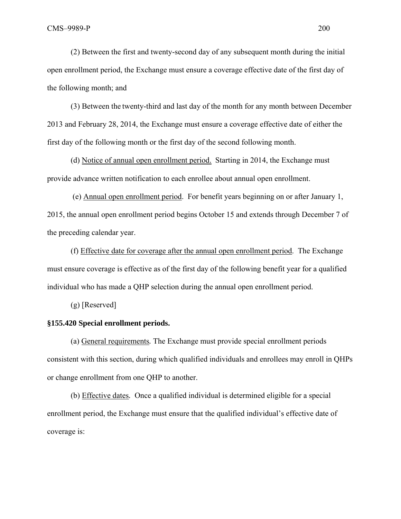(2) Between the first and twenty-second day of any subsequent month during the initial open enrollment period, the Exchange must ensure a coverage effective date of the first day of the following month; and

(3) Between the twenty-third and last day of the month for any month between December 2013 and February 28, 2014, the Exchange must ensure a coverage effective date of either the first day of the following month or the first day of the second following month.

(d) Notice of annual open enrollment period. Starting in 2014, the Exchange must provide advance written notification to each enrollee about annual open enrollment.

 (e) Annual open enrollment period. For benefit years beginning on or after January 1, 2015, the annual open enrollment period begins October 15 and extends through December 7 of the preceding calendar year.

(f) Effective date for coverage after the annual open enrollment period. The Exchange must ensure coverage is effective as of the first day of the following benefit year for a qualified individual who has made a QHP selection during the annual open enrollment period.

(g) [Reserved]

## **§155.420 Special enrollment periods.**

(a) General requirements*.* The Exchange must provide special enrollment periods consistent with this section, during which qualified individuals and enrollees may enroll in QHPs or change enrollment from one QHP to another.

(b) Effective dates*.* Once a qualified individual is determined eligible for a special enrollment period, the Exchange must ensure that the qualified individual's effective date of coverage is: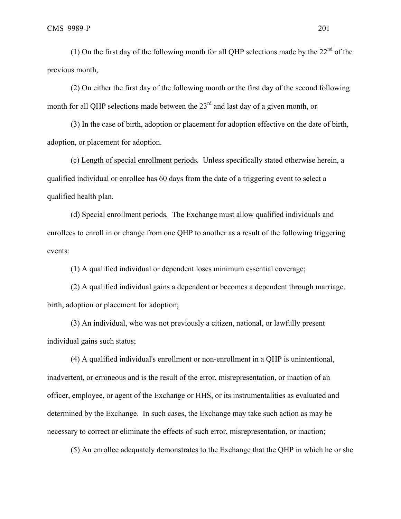(1) On the first day of the following month for all QHP selections made by the  $22<sup>nd</sup>$  of the previous month,

(2) On either the first day of the following month or the first day of the second following month for all QHP selections made between the 23<sup>rd</sup> and last day of a given month, or

(3) In the case of birth, adoption or placement for adoption effective on the date of birth, adoption, or placement for adoption.

(c) Length of special enrollment periods*.* Unless specifically stated otherwise herein, a qualified individual or enrollee has 60 days from the date of a triggering event to select a qualified health plan.

(d) Special enrollment periods*.* The Exchange must allow qualified individuals and enrollees to enroll in or change from one QHP to another as a result of the following triggering events:

(1) A qualified individual or dependent loses minimum essential coverage;

(2) A qualified individual gains a dependent or becomes a dependent through marriage, birth, adoption or placement for adoption;

(3) An individual, who was not previously a citizen, national, or lawfully present individual gains such status;

(4) A qualified individual's enrollment or non-enrollment in a QHP is unintentional, inadvertent, or erroneous and is the result of the error, misrepresentation, or inaction of an officer, employee, or agent of the Exchange or HHS, or its instrumentalities as evaluated and determined by the Exchange. In such cases, the Exchange may take such action as may be necessary to correct or eliminate the effects of such error, misrepresentation, or inaction;

(5) An enrollee adequately demonstrates to the Exchange that the QHP in which he or she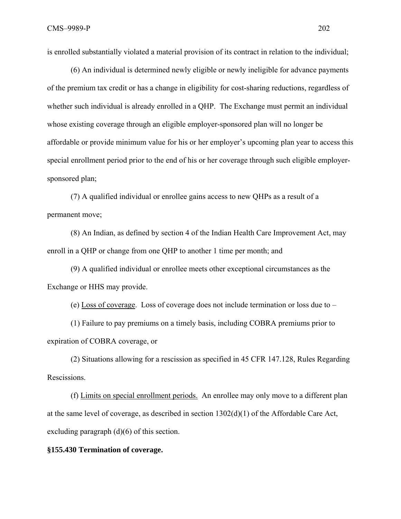is enrolled substantially violated a material provision of its contract in relation to the individual;

(6) An individual is determined newly eligible or newly ineligible for advance payments of the premium tax credit or has a change in eligibility for cost-sharing reductions, regardless of whether such individual is already enrolled in a QHP. The Exchange must permit an individual whose existing coverage through an eligible employer-sponsored plan will no longer be affordable or provide minimum value for his or her employer's upcoming plan year to access this special enrollment period prior to the end of his or her coverage through such eligible employersponsored plan;

(7) A qualified individual or enrollee gains access to new QHPs as a result of a permanent move;

(8) An Indian, as defined by section 4 of the Indian Health Care Improvement Act, may enroll in a QHP or change from one QHP to another 1 time per month; and

(9) A qualified individual or enrollee meets other exceptional circumstances as the Exchange or HHS may provide.

(e) Loss of coverage. Loss of coverage does not include termination or loss due to –

(1) Failure to pay premiums on a timely basis, including COBRA premiums prior to expiration of COBRA coverage, or

(2) Situations allowing for a rescission as specified in 45 CFR 147.128, Rules Regarding Rescissions.

(f) Limits on special enrollment periods. An enrollee may only move to a different plan at the same level of coverage, as described in section 1302(d)(1) of the Affordable Care Act, excluding paragraph (d)(6) of this section.

#### **§155.430 Termination of coverage.**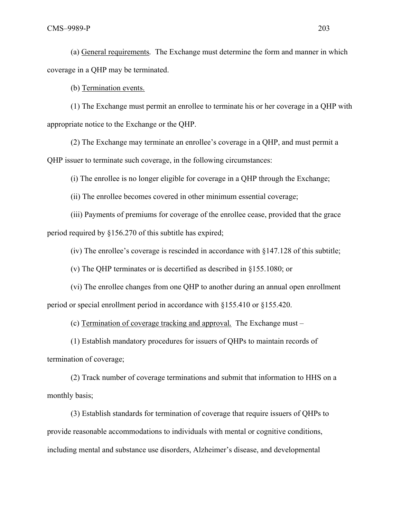(a) General requirements*.* The Exchange must determine the form and manner in which coverage in a QHP may be terminated.

(b) Termination events.

(1) The Exchange must permit an enrollee to terminate his or her coverage in a QHP with appropriate notice to the Exchange or the QHP.

(2) The Exchange may terminate an enrollee's coverage in a QHP, and must permit a QHP issuer to terminate such coverage, in the following circumstances:

(i) The enrollee is no longer eligible for coverage in a QHP through the Exchange;

(ii) The enrollee becomes covered in other minimum essential coverage;

(iii) Payments of premiums for coverage of the enrollee cease, provided that the grace period required by §156.270 of this subtitle has expired;

(iv) The enrollee's coverage is rescinded in accordance with §147.128 of this subtitle;

(v) The QHP terminates or is decertified as described in §155.1080; or

(vi) The enrollee changes from one QHP to another during an annual open enrollment period or special enrollment period in accordance with §155.410 or §155.420.

(c) Termination of coverage tracking and approval*.* The Exchange must –

(1) Establish mandatory procedures for issuers of QHPs to maintain records of termination of coverage;

(2) Track number of coverage terminations and submit that information to HHS on a monthly basis;

(3) Establish standards for termination of coverage that require issuers of QHPs to provide reasonable accommodations to individuals with mental or cognitive conditions, including mental and substance use disorders, Alzheimer's disease, and developmental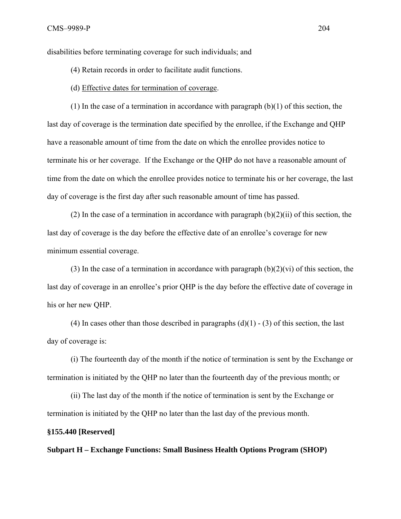disabilities before terminating coverage for such individuals; and

(4) Retain records in order to facilitate audit functions.

(d) Effective dates for termination of coverage.

(1) In the case of a termination in accordance with paragraph  $(b)(1)$  of this section, the last day of coverage is the termination date specified by the enrollee, if the Exchange and QHP have a reasonable amount of time from the date on which the enrollee provides notice to terminate his or her coverage. If the Exchange or the QHP do not have a reasonable amount of time from the date on which the enrollee provides notice to terminate his or her coverage, the last day of coverage is the first day after such reasonable amount of time has passed.

(2) In the case of a termination in accordance with paragraph  $(b)(2)(ii)$  of this section, the last day of coverage is the day before the effective date of an enrollee's coverage for new minimum essential coverage.

(3) In the case of a termination in accordance with paragraph  $(b)(2)(vi)$  of this section, the last day of coverage in an enrollee's prior QHP is the day before the effective date of coverage in his or her new QHP.

(4) In cases other than those described in paragraphs  $(d)(1) - (3)$  of this section, the last day of coverage is:

(i) The fourteenth day of the month if the notice of termination is sent by the Exchange or termination is initiated by the QHP no later than the fourteenth day of the previous month; or

(ii) The last day of the month if the notice of termination is sent by the Exchange or termination is initiated by the QHP no later than the last day of the previous month.

#### **§155.440 [Reserved]**

**Subpart H – Exchange Functions: Small Business Health Options Program (SHOP)**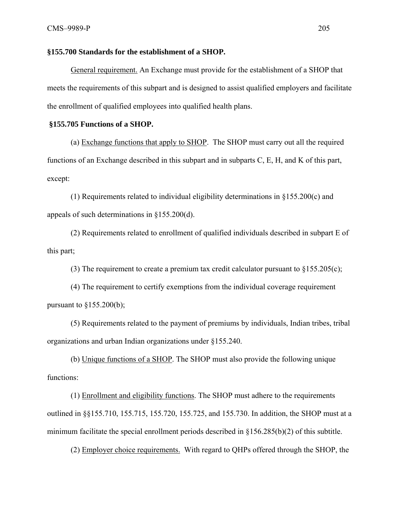#### **§155.700 Standards for the establishment of a SHOP.**

General requirement. An Exchange must provide for the establishment of a SHOP that meets the requirements of this subpart and is designed to assist qualified employers and facilitate the enrollment of qualified employees into qualified health plans.

#### **§155.705 Functions of a SHOP.**

(a) Exchange functions that apply to SHOP. The SHOP must carry out all the required functions of an Exchange described in this subpart and in subparts C, E, H, and K of this part, except:

(1) Requirements related to individual eligibility determinations in §155.200(c) and appeals of such determinations in §155.200(d).

(2) Requirements related to enrollment of qualified individuals described in subpart E of this part;

(3) The requirement to create a premium tax credit calculator pursuant to §155.205(c);

(4) The requirement to certify exemptions from the individual coverage requirement pursuant to  $§155.200(b);$ 

(5) Requirements related to the payment of premiums by individuals, Indian tribes, tribal organizations and urban Indian organizations under §155.240.

(b) Unique functions of a SHOP. The SHOP must also provide the following unique functions:

(1) Enrollment and eligibility functions. The SHOP must adhere to the requirements outlined in §§155.710, 155.715, 155.720, 155.725, and 155.730. In addition, the SHOP must at a minimum facilitate the special enrollment periods described in §156.285(b)(2) of this subtitle.

(2) Employer choice requirements. With regard to QHPs offered through the SHOP, the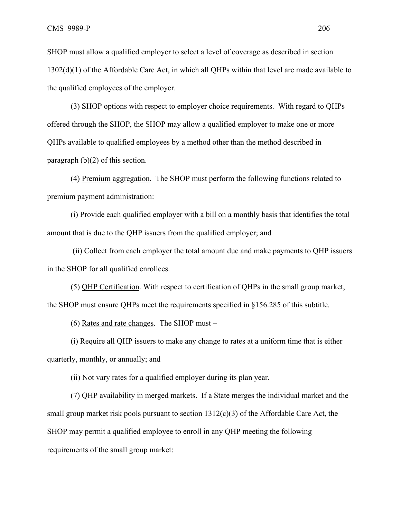SHOP must allow a qualified employer to select a level of coverage as described in section 1302(d)(1) of the Affordable Care Act, in which all QHPs within that level are made available to the qualified employees of the employer.

(3) SHOP options with respect to employer choice requirements. With regard to QHPs offered through the SHOP, the SHOP may allow a qualified employer to make one or more QHPs available to qualified employees by a method other than the method described in paragraph (b)(2) of this section.

(4) Premium aggregation. The SHOP must perform the following functions related to premium payment administration:

(i) Provide each qualified employer with a bill on a monthly basis that identifies the total amount that is due to the QHP issuers from the qualified employer; and

 (ii) Collect from each employer the total amount due and make payments to QHP issuers in the SHOP for all qualified enrollees.

(5) QHP Certification. With respect to certification of QHPs in the small group market, the SHOP must ensure QHPs meet the requirements specified in §156.285 of this subtitle.

(6) Rates and rate changes. The SHOP must –

(i) Require all QHP issuers to make any change to rates at a uniform time that is either quarterly, monthly, or annually; and

(ii) Not vary rates for a qualified employer during its plan year.

(7) QHP availability in merged markets. If a State merges the individual market and the small group market risk pools pursuant to section  $1312(c)(3)$  of the Affordable Care Act, the SHOP may permit a qualified employee to enroll in any QHP meeting the following requirements of the small group market: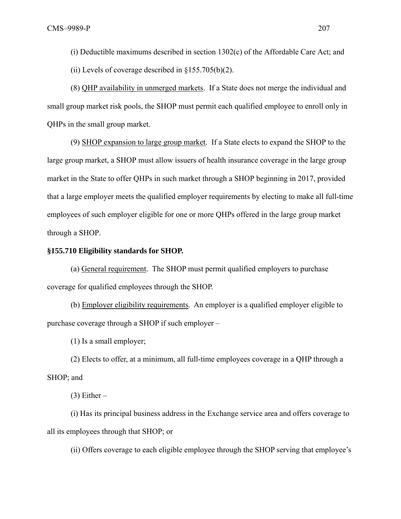(i) Deductible maximums described in section 1302(c) of the Affordable Care Act; and

(ii) Levels of coverage described in  $\S 155.705(b)(2)$ .

(8) QHP availability in unmerged markets. If a State does not merge the individual and small group market risk pools, the SHOP must permit each qualified employee to enroll only in QHPs in the small group market.

(9) SHOP expansion to large group market. If a State elects to expand the SHOP to the large group market, a SHOP must allow issuers of health insurance coverage in the large group market in the State to offer QHPs in such market through a SHOP beginning in 2017, provided that a large employer meets the qualified employer requirements by electing to make all full-time employees of such employer eligible for one or more QHPs offered in the large group market through a SHOP.

#### **§155.710 Eligibility standards for SHOP.**

(a) General requirement. The SHOP must permit qualified employers to purchase coverage for qualified employees through the SHOP.

(b) Employer eligibility requirements. An employer is a qualified employer eligible to purchase coverage through a SHOP if such employer –

(1) Is a small employer;

(2) Elects to offer, at a minimum, all full-time employees coverage in a QHP through a SHOP; and

 $(3)$  Either –

(i) Has its principal business address in the Exchange service area and offers coverage to all its employees through that SHOP; or

(ii) Offers coverage to each eligible employee through the SHOP serving that employee's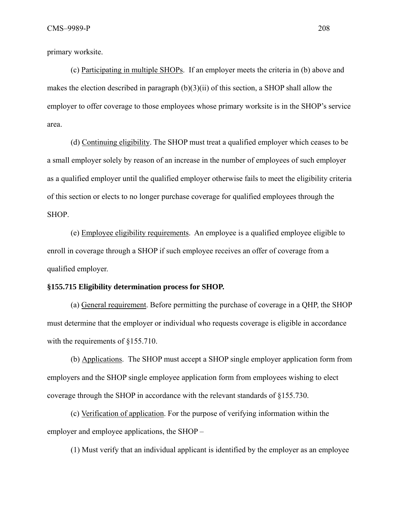primary worksite.

(c) Participating in multiple SHOPs. If an employer meets the criteria in (b) above and makes the election described in paragraph  $(b)(3)(ii)$  of this section, a SHOP shall allow the employer to offer coverage to those employees whose primary worksite is in the SHOP's service area.

(d) Continuing eligibility. The SHOP must treat a qualified employer which ceases to be a small employer solely by reason of an increase in the number of employees of such employer as a qualified employer until the qualified employer otherwise fails to meet the eligibility criteria of this section or elects to no longer purchase coverage for qualified employees through the SHOP.

(e) Employee eligibility requirements. An employee is a qualified employee eligible to enroll in coverage through a SHOP if such employee receives an offer of coverage from a qualified employer.

#### **§155.715 Eligibility determination process for SHOP.**

(a) General requirement. Before permitting the purchase of coverage in a QHP, the SHOP must determine that the employer or individual who requests coverage is eligible in accordance with the requirements of §155.710.

(b) Applications. The SHOP must accept a SHOP single employer application form from employers and the SHOP single employee application form from employees wishing to elect coverage through the SHOP in accordance with the relevant standards of §155.730.

(c) Verification of application. For the purpose of verifying information within the employer and employee applications, the SHOP –

(1) Must verify that an individual applicant is identified by the employer as an employee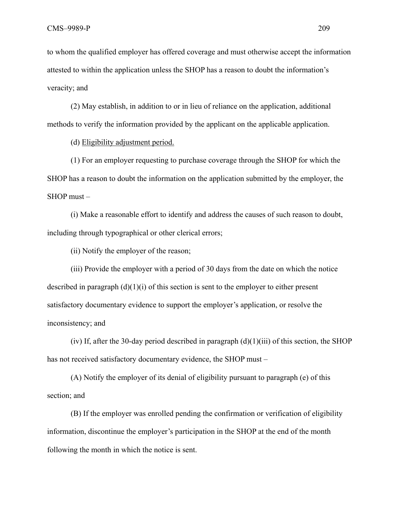to whom the qualified employer has offered coverage and must otherwise accept the information attested to within the application unless the SHOP has a reason to doubt the information's veracity; and

(2) May establish, in addition to or in lieu of reliance on the application, additional methods to verify the information provided by the applicant on the applicable application.

(d) Eligibility adjustment period.

(1) For an employer requesting to purchase coverage through the SHOP for which the SHOP has a reason to doubt the information on the application submitted by the employer, the SHOP must –

(i) Make a reasonable effort to identify and address the causes of such reason to doubt, including through typographical or other clerical errors;

(ii) Notify the employer of the reason;

(iii) Provide the employer with a period of 30 days from the date on which the notice described in paragraph  $(d)(1)(i)$  of this section is sent to the employer to either present satisfactory documentary evidence to support the employer's application, or resolve the inconsistency; and

(iv) If, after the 30-day period described in paragraph  $(d)(1)(iii)$  of this section, the SHOP has not received satisfactory documentary evidence, the SHOP must –

(A) Notify the employer of its denial of eligibility pursuant to paragraph (e) of this section; and

(B) If the employer was enrolled pending the confirmation or verification of eligibility information, discontinue the employer's participation in the SHOP at the end of the month following the month in which the notice is sent.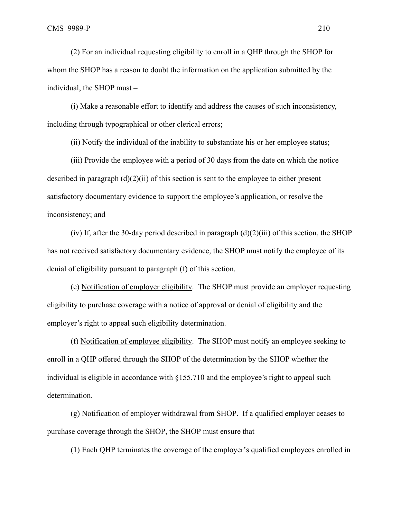(2) For an individual requesting eligibility to enroll in a QHP through the SHOP for whom the SHOP has a reason to doubt the information on the application submitted by the individual, the SHOP must –

(i) Make a reasonable effort to identify and address the causes of such inconsistency, including through typographical or other clerical errors;

(ii) Notify the individual of the inability to substantiate his or her employee status;

(iii) Provide the employee with a period of 30 days from the date on which the notice described in paragraph  $(d)(2)(ii)$  of this section is sent to the employee to either present satisfactory documentary evidence to support the employee's application, or resolve the inconsistency; and

(iv) If, after the 30-day period described in paragraph  $(d)(2)(iii)$  of this section, the SHOP has not received satisfactory documentary evidence, the SHOP must notify the employee of its denial of eligibility pursuant to paragraph (f) of this section.

(e) Notification of employer eligibility. The SHOP must provide an employer requesting eligibility to purchase coverage with a notice of approval or denial of eligibility and the employer's right to appeal such eligibility determination.

(f) Notification of employee eligibility. The SHOP must notify an employee seeking to enroll in a QHP offered through the SHOP of the determination by the SHOP whether the individual is eligible in accordance with §155.710 and the employee's right to appeal such determination.

(g) Notification of employer withdrawal from SHOP. If a qualified employer ceases to purchase coverage through the SHOP, the SHOP must ensure that –

(1) Each QHP terminates the coverage of the employer's qualified employees enrolled in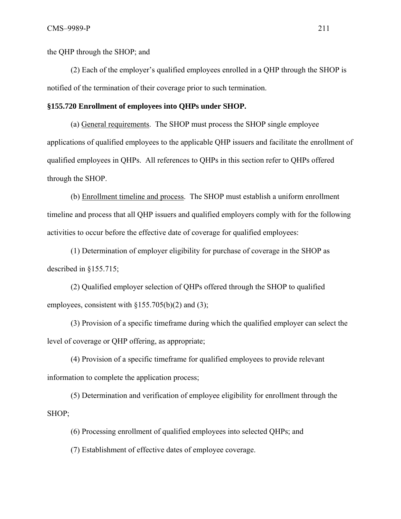the QHP through the SHOP; and

(2) Each of the employer's qualified employees enrolled in a QHP through the SHOP is notified of the termination of their coverage prior to such termination.

#### **§155.720 Enrollment of employees into QHPs under SHOP.**

(a) General requirements. The SHOP must process the SHOP single employee applications of qualified employees to the applicable QHP issuers and facilitate the enrollment of qualified employees in QHPs. All references to QHPs in this section refer to QHPs offered through the SHOP.

(b) Enrollment timeline and process. The SHOP must establish a uniform enrollment timeline and process that all QHP issuers and qualified employers comply with for the following activities to occur before the effective date of coverage for qualified employees:

(1) Determination of employer eligibility for purchase of coverage in the SHOP as described in §155.715;

(2) Qualified employer selection of QHPs offered through the SHOP to qualified employees, consistent with  $\S 155.705(b)(2)$  and (3);

(3) Provision of a specific timeframe during which the qualified employer can select the level of coverage or QHP offering, as appropriate;

(4) Provision of a specific timeframe for qualified employees to provide relevant information to complete the application process;

(5) Determination and verification of employee eligibility for enrollment through the SHOP;

(6) Processing enrollment of qualified employees into selected QHPs; and

(7) Establishment of effective dates of employee coverage.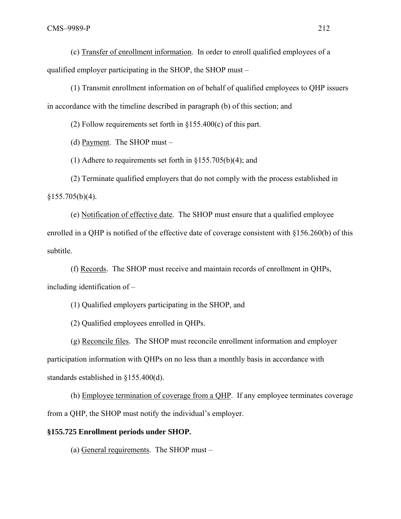(c) Transfer of enrollment information. In order to enroll qualified employees of a qualified employer participating in the SHOP, the SHOP must –

(1) Transmit enrollment information on of behalf of qualified employees to QHP issuers in accordance with the timeline described in paragraph (b) of this section; and

(2) Follow requirements set forth in  $\S 155.400(c)$  of this part.

(d) Payment. The SHOP must –

(1) Adhere to requirements set forth in §155.705(b)(4); and

(2) Terminate qualified employers that do not comply with the process established in  $§155.705(b)(4).$ 

(e) Notification of effective date. The SHOP must ensure that a qualified employee enrolled in a QHP is notified of the effective date of coverage consistent with §156.260(b) of this subtitle.

(f) Records. The SHOP must receive and maintain records of enrollment in QHPs, including identification of –

(1) Qualified employers participating in the SHOP, and

(2) Qualified employees enrolled in QHPs.

(g) Reconcile files. The SHOP must reconcile enrollment information and employer participation information with QHPs on no less than a monthly basis in accordance with standards established in §155.400(d).

(h) Employee termination of coverage from a QHP. If any employee terminates coverage from a QHP, the SHOP must notify the individual's employer.

## **§155.725 Enrollment periods under SHOP.**

(a) General requirements. The SHOP must –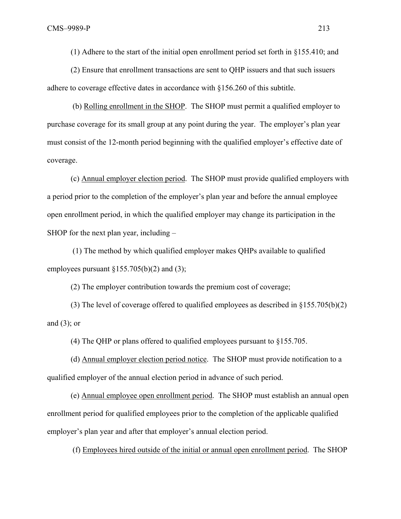(1) Adhere to the start of the initial open enrollment period set forth in §155.410; and

(2) Ensure that enrollment transactions are sent to QHP issuers and that such issuers adhere to coverage effective dates in accordance with §156.260 of this subtitle.

 (b) Rolling enrollment in the SHOP. The SHOP must permit a qualified employer to purchase coverage for its small group at any point during the year. The employer's plan year must consist of the 12-month period beginning with the qualified employer's effective date of coverage.

(c) Annual employer election period. The SHOP must provide qualified employers with a period prior to the completion of the employer's plan year and before the annual employee open enrollment period, in which the qualified employer may change its participation in the SHOP for the next plan year, including –

 (1) The method by which qualified employer makes QHPs available to qualified employees pursuant  $\S 155.705(b)(2)$  and (3);

(2) The employer contribution towards the premium cost of coverage;

(3) The level of coverage offered to qualified employees as described in §155.705(b)(2) and  $(3)$ ; or

(4) The QHP or plans offered to qualified employees pursuant to §155.705.

(d) Annual employer election period notice. The SHOP must provide notification to a qualified employer of the annual election period in advance of such period.

(e) Annual employee open enrollment period. The SHOP must establish an annual open enrollment period for qualified employees prior to the completion of the applicable qualified employer's plan year and after that employer's annual election period.

(f) Employees hired outside of the initial or annual open enrollment period. The SHOP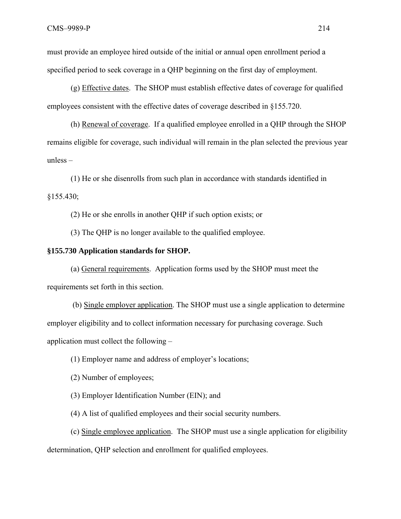must provide an employee hired outside of the initial or annual open enrollment period a specified period to seek coverage in a QHP beginning on the first day of employment.

(g) Effective dates. The SHOP must establish effective dates of coverage for qualified employees consistent with the effective dates of coverage described in §155.720.

(h) Renewal of coverage. If a qualified employee enrolled in a QHP through the SHOP remains eligible for coverage, such individual will remain in the plan selected the previous year unless –

(1) He or she disenrolls from such plan in accordance with standards identified in §155.430;

(2) He or she enrolls in another QHP if such option exists; or

(3) The QHP is no longer available to the qualified employee.

#### **§155.730 Application standards for SHOP.**

(a) General requirements. Application forms used by the SHOP must meet the requirements set forth in this section.

 (b) Single employer application. The SHOP must use a single application to determine employer eligibility and to collect information necessary for purchasing coverage. Such application must collect the following –

(1) Employer name and address of employer's locations;

(2) Number of employees;

(3) Employer Identification Number (EIN); and

(4) A list of qualified employees and their social security numbers.

(c) Single employee application. The SHOP must use a single application for eligibility determination, QHP selection and enrollment for qualified employees.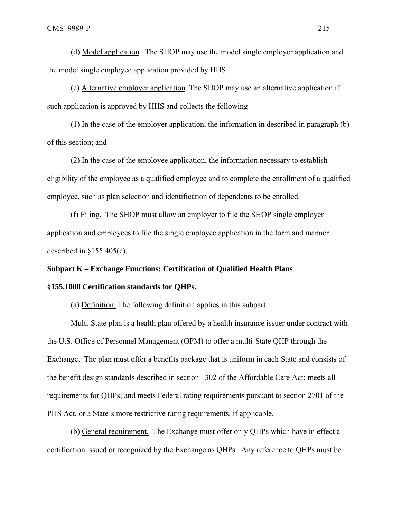(d) Model application. The SHOP may use the model single employer application and the model single employee application provided by HHS.

(e) Alternative employer application. The SHOP may use an alternative application if such application is approved by HHS and collects the following–

(1) In the case of the employer application, the information in described in paragraph (b) of this section; and

(2) In the case of the employee application, the information necessary to establish eligibility of the employee as a qualified employee and to complete the enrollment of a qualified employee, such as plan selection and identification of dependents to be enrolled.

(f) Filing. The SHOP must allow an employer to file the SHOP single employer application and employees to file the single employee application in the form and manner described in  $§155.405(c)$ .

# **Subpart K – Exchange Functions: Certification of Qualified Health Plans**

## **§155.1000 Certification standards for QHPs.**

(a) Definition. The following definition applies in this subpart:

Multi-State plan is a health plan offered by a health insurance issuer under contract with the U.S. Office of Personnel Management (OPM) to offer a multi-State QHP through the Exchange. The plan must offer a benefits package that is uniform in each State and consists of the benefit design standards described in section 1302 of the Affordable Care Act; meets all requirements for QHPs; and meets Federal rating requirements pursuant to section 2701 of the PHS Act, or a State's more restrictive rating requirements, if applicable.

(b) General requirement. The Exchange must offer only QHPs which have in effect a certification issued or recognized by the Exchange as QHPs. Any reference to QHPs must be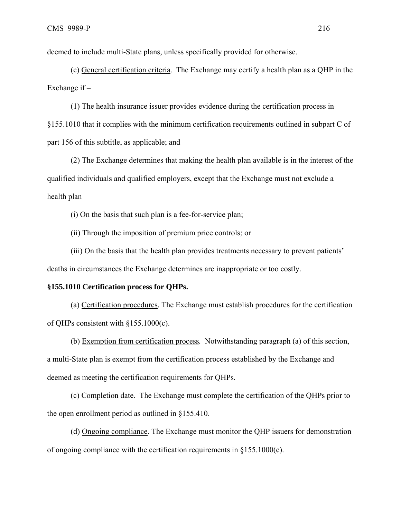deemed to include multi-State plans, unless specifically provided for otherwise.

(c) General certification criteria. The Exchange may certify a health plan as a QHP in the Exchange if –

(1) The health insurance issuer provides evidence during the certification process in §155.1010 that it complies with the minimum certification requirements outlined in subpart C of part 156 of this subtitle, as applicable; and

(2) The Exchange determines that making the health plan available is in the interest of the qualified individuals and qualified employers, except that the Exchange must not exclude a health plan –

(i) On the basis that such plan is a fee-for-service plan;

(ii) Through the imposition of premium price controls; or

(iii) On the basis that the health plan provides treatments necessary to prevent patients' deaths in circumstances the Exchange determines are inappropriate or too costly.

#### **§155.1010 Certification process for QHPs.**

(a) Certification procedures*.* The Exchange must establish procedures for the certification of QHPs consistent with §155.1000(c).

(b) Exemption from certification process*.* Notwithstanding paragraph (a) of this section, a multi-State plan is exempt from the certification process established by the Exchange and deemed as meeting the certification requirements for QHPs.

(c) Completion date*.* The Exchange must complete the certification of the QHPs prior to the open enrollment period as outlined in §155.410.

(d) Ongoing compliance. The Exchange must monitor the QHP issuers for demonstration of ongoing compliance with the certification requirements in §155.1000(c).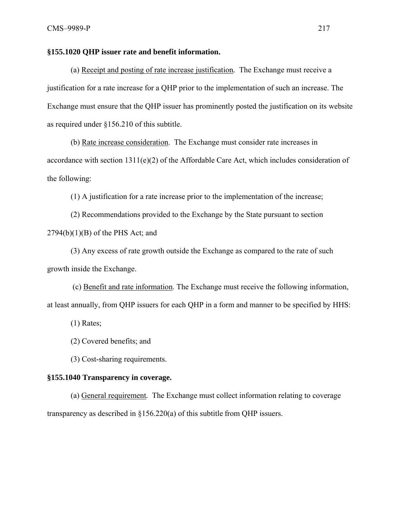#### **§155.1020 QHP issuer rate and benefit information.**

(a) Receipt and posting of rate increase justification*.* The Exchange must receive a justification for a rate increase for a QHP prior to the implementation of such an increase. The Exchange must ensure that the QHP issuer has prominently posted the justification on its website as required under §156.210 of this subtitle.

(b) Rate increase consideration. The Exchange must consider rate increases in accordance with section  $1311(e)(2)$  of the Affordable Care Act, which includes consideration of the following:

(1) A justification for a rate increase prior to the implementation of the increase;

(2) Recommendations provided to the Exchange by the State pursuant to section  $2794(b)(1)(B)$  of the PHS Act; and

(3) Any excess of rate growth outside the Exchange as compared to the rate of such growth inside the Exchange.

 (c) Benefit and rate information. The Exchange must receive the following information, at least annually, from QHP issuers for each QHP in a form and manner to be specified by HHS:

(1) Rates;

(2) Covered benefits; and

(3) Cost-sharing requirements.

#### **§155.1040 Transparency in coverage.**

(a) General requirement*.* The Exchange must collect information relating to coverage transparency as described in §156.220(a) of this subtitle from QHP issuers.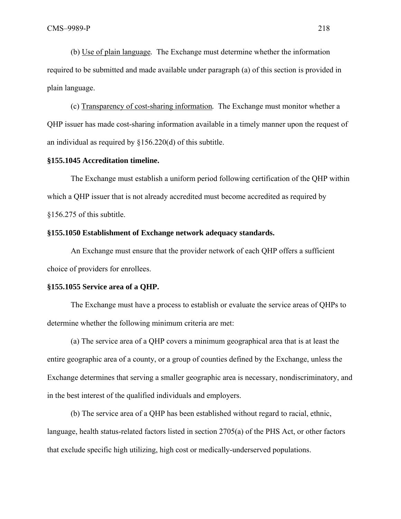(b) Use of plain language*.* The Exchange must determine whether the information required to be submitted and made available under paragraph (a) of this section is provided in plain language.

(c) Transparency of cost-sharing information*.* The Exchange must monitor whether a QHP issuer has made cost-sharing information available in a timely manner upon the request of an individual as required by §156.220(d) of this subtitle.

# **§155.1045 Accreditation timeline.**

The Exchange must establish a uniform period following certification of the QHP within which a QHP issuer that is not already accredited must become accredited as required by §156.275 of this subtitle.

#### **§155.1050 Establishment of Exchange network adequacy standards.**

An Exchange must ensure that the provider network of each QHP offers a sufficient choice of providers for enrollees.

#### **§155.1055 Service area of a QHP.**

The Exchange must have a process to establish or evaluate the service areas of QHPs to determine whether the following minimum criteria are met:

(a) The service area of a QHP covers a minimum geographical area that is at least the entire geographic area of a county, or a group of counties defined by the Exchange, unless the Exchange determines that serving a smaller geographic area is necessary, nondiscriminatory, and in the best interest of the qualified individuals and employers.

(b) The service area of a QHP has been established without regard to racial, ethnic, language, health status-related factors listed in section 2705(a) of the PHS Act, or other factors that exclude specific high utilizing, high cost or medically-underserved populations.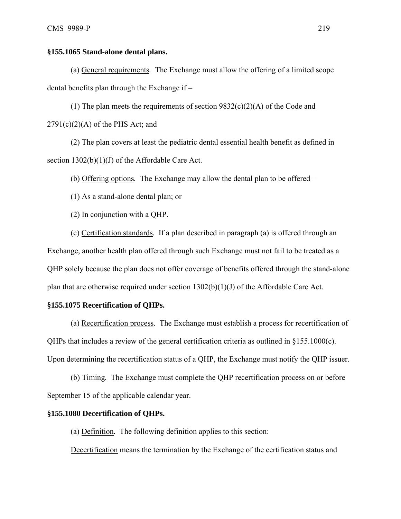## **§155.1065 Stand-alone dental plans.**

(a) General requirements*.* The Exchange must allow the offering of a limited scope dental benefits plan through the Exchange if –

(1) The plan meets the requirements of section  $9832(c)(2)(A)$  of the Code and  $2791(c)(2)(A)$  of the PHS Act; and

(2) The plan covers at least the pediatric dental essential health benefit as defined in section 1302(b)(1)(J) of the Affordable Care Act.

(b) Offering options*.* The Exchange may allow the dental plan to be offered –

(1) As a stand-alone dental plan; or

(2) In conjunction with a QHP.

(c) Certification standards*.* If a plan described in paragraph (a) is offered through an Exchange, another health plan offered through such Exchange must not fail to be treated as a QHP solely because the plan does not offer coverage of benefits offered through the stand-alone plan that are otherwise required under section  $1302(b)(1)(J)$  of the Affordable Care Act.

#### **§155.1075 Recertification of QHPs.**

(a) Recertification process. The Exchange must establish a process for recertification of QHPs that includes a review of the general certification criteria as outlined in §155.1000(c). Upon determining the recertification status of a QHP, the Exchange must notify the QHP issuer.

(b) Timing*.* The Exchange must complete the QHP recertification process on or before September 15 of the applicable calendar year.

#### **§155.1080 Decertification of QHPs.**

(a) Definition*.* The following definition applies to this section:

Decertification means the termination by the Exchange of the certification status and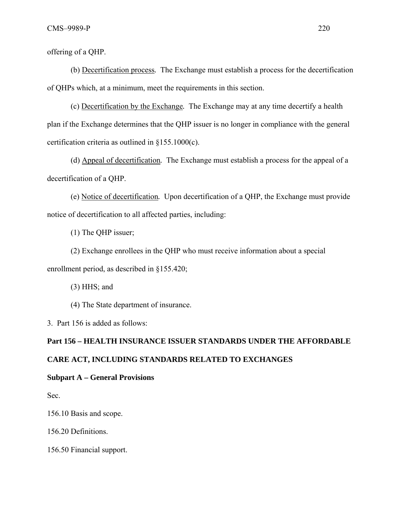offering of a QHP.

(b) Decertification process*.* The Exchange must establish a process for the decertification of QHPs which, at a minimum, meet the requirements in this section.

(c) Decertification by the Exchange*.* The Exchange may at any time decertify a health plan if the Exchange determines that the QHP issuer is no longer in compliance with the general certification criteria as outlined in §155.1000(c).

(d) Appeal of decertification*.* The Exchange must establish a process for the appeal of a decertification of a QHP.

(e) Notice of decertification*.* Upon decertification of a QHP, the Exchange must provide notice of decertification to all affected parties, including:

(1) The QHP issuer;

(2) Exchange enrollees in the QHP who must receive information about a special enrollment period, as described in §155.420;

(3) HHS; and

(4) The State department of insurance.

3. Part 156 is added as follows:

# **Part 156 – HEALTH INSURANCE ISSUER STANDARDS UNDER THE AFFORDABLE CARE ACT, INCLUDING STANDARDS RELATED TO EXCHANGES**

# **Subpart A – General Provisions**

Sec.

156.10 Basis and scope.

156.20 Definitions.

156.50 Financial support.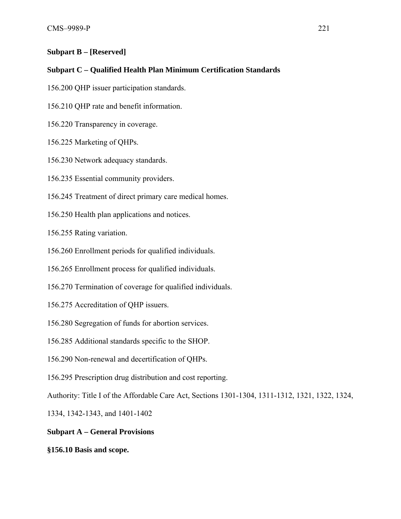# **Subpart B – [Reserved]**

# **Subpart C – Qualified Health Plan Minimum Certification Standards**

- 156.200 QHP issuer participation standards.
- 156.210 QHP rate and benefit information.
- 156.220 Transparency in coverage.
- 156.225 Marketing of QHPs.
- 156.230 Network adequacy standards.
- 156.235 Essential community providers.
- 156.245 Treatment of direct primary care medical homes.
- 156.250 Health plan applications and notices.

156.255 Rating variation.

- 156.260 Enrollment periods for qualified individuals.
- 156.265 Enrollment process for qualified individuals.
- 156.270 Termination of coverage for qualified individuals.
- 156.275 Accreditation of QHP issuers.
- 156.280 Segregation of funds for abortion services.
- 156.285 Additional standards specific to the SHOP.
- 156.290 Non-renewal and decertification of QHPs.
- 156.295 Prescription drug distribution and cost reporting.

Authority: Title I of the Affordable Care Act, Sections 1301-1304, 1311-1312, 1321, 1322, 1324,

1334, 1342-1343, and 1401-1402

# **Subpart A – General Provisions**

**§156.10 Basis and scope.**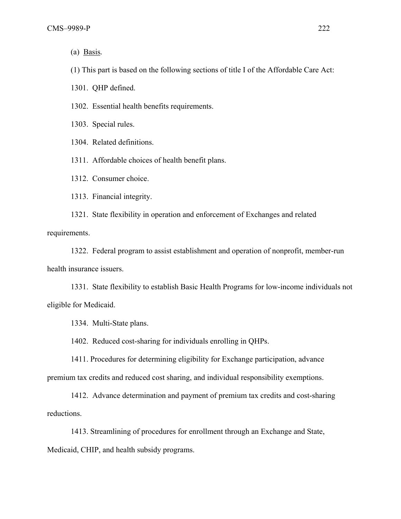(a) Basis*.* 

(1) This part is based on the following sections of title I of the Affordable Care Act:

1301. QHP defined.

1302. Essential health benefits requirements.

1303. Special rules.

1304. Related definitions.

1311. Affordable choices of health benefit plans.

1312. Consumer choice.

1313. Financial integrity.

1321. State flexibility in operation and enforcement of Exchanges and related requirements.

1322. Federal program to assist establishment and operation of nonprofit, member-run health insurance issuers.

1331. State flexibility to establish Basic Health Programs for low-income individuals not eligible for Medicaid.

1334. Multi-State plans.

1402. Reduced cost-sharing for individuals enrolling in QHPs.

1411. Procedures for determining eligibility for Exchange participation, advance premium tax credits and reduced cost sharing, and individual responsibility exemptions.

1412. Advance determination and payment of premium tax credits and cost-sharing reductions.

1413. Streamlining of procedures for enrollment through an Exchange and State, Medicaid, CHIP, and health subsidy programs.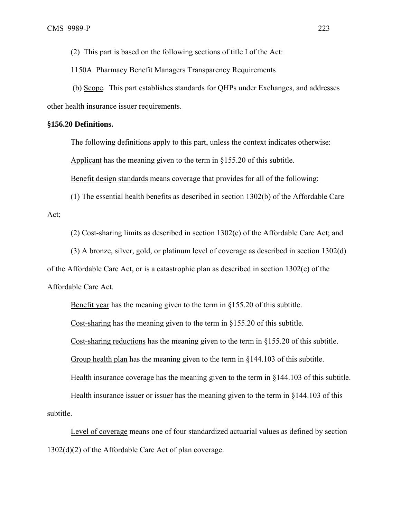(2) This part is based on the following sections of title I of the Act:

1150A. Pharmacy Benefit Managers Transparency Requirements

 (b) Scope*.* This part establishes standards for QHPs under Exchanges, and addresses other health insurance issuer requirements.

# **§156.20 Definitions.**

The following definitions apply to this part, unless the context indicates otherwise:

Applicant has the meaning given to the term in §155.20 of this subtitle.

Benefit design standards means coverage that provides for all of the following:

(1) The essential health benefits as described in section 1302(b) of the Affordable Care Act;

(2) Cost-sharing limits as described in section 1302(c) of the Affordable Care Act; and

(3) A bronze, silver, gold, or platinum level of coverage as described in section 1302(d) of the Affordable Care Act, or is a catastrophic plan as described in section 1302(e) of the Affordable Care Act.

Benefit year has the meaning given to the term in §155.20 of this subtitle.

Cost-sharing has the meaning given to the term in §155.20 of this subtitle.

Cost-sharing reductions has the meaning given to the term in §155.20 of this subtitle.

Group health plan has the meaning given to the term in §144.103 of this subtitle.

Health insurance coverage has the meaning given to the term in §144.103 of this subtitle.

Health insurance issuer or issuer has the meaning given to the term in §144.103 of this subtitle.

Level of coverage means one of four standardized actuarial values as defined by section 1302(d)(2) of the Affordable Care Act of plan coverage.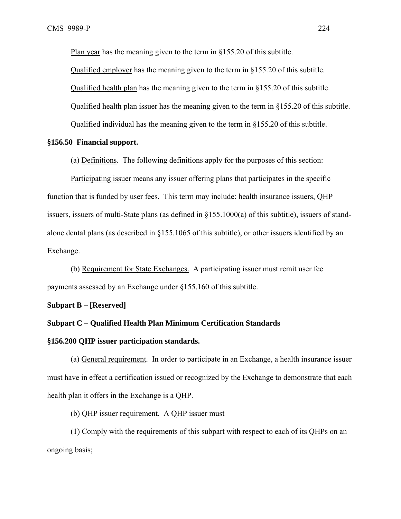Plan year has the meaning given to the term in §155.20 of this subtitle.

Qualified employer has the meaning given to the term in §155.20 of this subtitle.

Qualified health plan has the meaning given to the term in §155.20 of this subtitle.

Qualified health plan issuer has the meaning given to the term in §155.20 of this subtitle.

Qualified individual has the meaning given to the term in §155.20 of this subtitle.

#### **§156.50 Financial support.**

(a) Definitions. The following definitions apply for the purposes of this section:

Participating issuer means any issuer offering plans that participates in the specific function that is funded by user fees. This term may include: health insurance issuers, QHP issuers, issuers of multi-State plans (as defined in  $\S155.1000(a)$  of this subtitle), issuers of standalone dental plans (as described in §155.1065 of this subtitle), or other issuers identified by an Exchange.

(b) Requirement for State Exchanges. A participating issuer must remit user fee payments assessed by an Exchange under §155.160 of this subtitle.

#### **Subpart B – [Reserved]**

#### **Subpart C – Qualified Health Plan Minimum Certification Standards**

#### **§156.200 QHP issuer participation standards.**

(a) General requirement*.* In order to participate in an Exchange, a health insurance issuer must have in effect a certification issued or recognized by the Exchange to demonstrate that each health plan it offers in the Exchange is a QHP.

(b) QHP issuer requirement. A QHP issuer must –

(1) Comply with the requirements of this subpart with respect to each of its QHPs on an ongoing basis;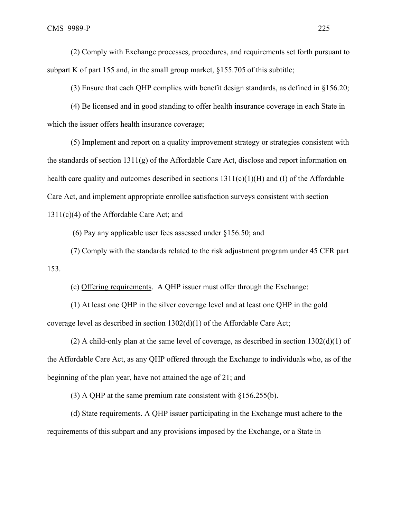(2) Comply with Exchange processes, procedures, and requirements set forth pursuant to subpart K of part 155 and, in the small group market, §155.705 of this subtitle;

(3) Ensure that each QHP complies with benefit design standards, as defined in §156.20;

(4) Be licensed and in good standing to offer health insurance coverage in each State in which the issuer offers health insurance coverage;

(5) Implement and report on a quality improvement strategy or strategies consistent with the standards of section 1311(g) of the Affordable Care Act, disclose and report information on health care quality and outcomes described in sections  $1311(c)(1)(H)$  and (I) of the Affordable Care Act, and implement appropriate enrollee satisfaction surveys consistent with section 1311(c)(4) of the Affordable Care Act; and

(6) Pay any applicable user fees assessed under §156.50; and

(7) Comply with the standards related to the risk adjustment program under 45 CFR part 153.

(c) Offering requirements. A QHP issuer must offer through the Exchange:

(1) At least one QHP in the silver coverage level and at least one QHP in the gold coverage level as described in section 1302(d)(1) of the Affordable Care Act;

(2) A child-only plan at the same level of coverage, as described in section 1302(d)(1) of the Affordable Care Act, as any QHP offered through the Exchange to individuals who, as of the beginning of the plan year, have not attained the age of 21; and

(3) A QHP at the same premium rate consistent with §156.255(b).

(d) State requirements. A QHP issuer participating in the Exchange must adhere to the requirements of this subpart and any provisions imposed by the Exchange, or a State in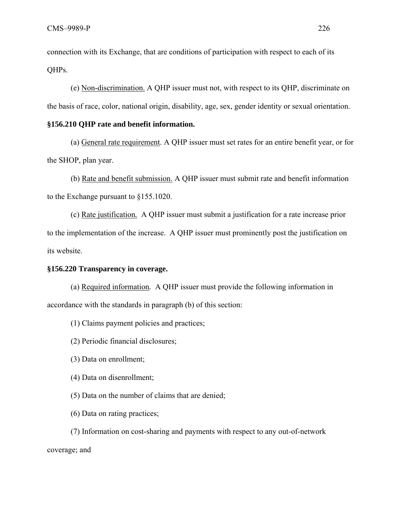connection with its Exchange, that are conditions of participation with respect to each of its QHPs.

(e) Non-discrimination. A QHP issuer must not, with respect to its QHP, discriminate on the basis of race, color, national origin, disability, age, sex, gender identity or sexual orientation.

# **§156.210 QHP rate and benefit information.**

(a) General rate requirement. A QHP issuer must set rates for an entire benefit year, or for the SHOP, plan year.

(b) Rate and benefit submission. A QHP issuer must submit rate and benefit information to the Exchange pursuant to §155.1020.

(c) Rate justification*.* A QHP issuer must submit a justification for a rate increase prior to the implementation of the increase. A QHP issuer must prominently post the justification on its website.

#### **§156.220 Transparency in coverage.**

(a) Required information*.* A QHP issuer must provide the following information in accordance with the standards in paragraph (b) of this section:

(1) Claims payment policies and practices;

(2) Periodic financial disclosures;

- (3) Data on enrollment;
- (4) Data on disenrollment;
- (5) Data on the number of claims that are denied;
- (6) Data on rating practices;

(7) Information on cost-sharing and payments with respect to any out-of-network coverage; and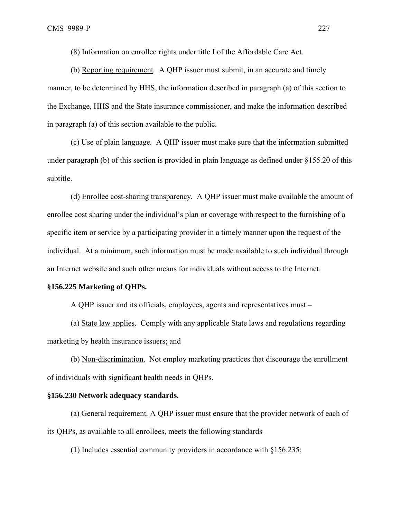(8) Information on enrollee rights under title I of the Affordable Care Act.

(b) Reporting requirement*.* A QHP issuer must submit, in an accurate and timely manner, to be determined by HHS, the information described in paragraph (a) of this section to the Exchange, HHS and the State insurance commissioner, and make the information described in paragraph (a) of this section available to the public.

(c) Use of plain language*.* A QHP issuer must make sure that the information submitted under paragraph (b) of this section is provided in plain language as defined under §155.20 of this subtitle.

(d) Enrollee cost-sharing transparency*.* A QHP issuer must make available the amount of enrollee cost sharing under the individual's plan or coverage with respect to the furnishing of a specific item or service by a participating provider in a timely manner upon the request of the individual. At a minimum, such information must be made available to such individual through an Internet website and such other means for individuals without access to the Internet.

#### **§156.225 Marketing of QHPs.**

A QHP issuer and its officials, employees, agents and representatives must –

(a) State law applies*.* Comply with any applicable State laws and regulations regarding marketing by health insurance issuers; and

(b) Non-discrimination. Not employ marketing practices that discourage the enrollment of individuals with significant health needs in QHPs.

#### **§156.230 Network adequacy standards.**

(a) General requirement*.* A QHP issuer must ensure that the provider network of each of its QHPs, as available to all enrollees, meets the following standards –

(1) Includes essential community providers in accordance with §156.235;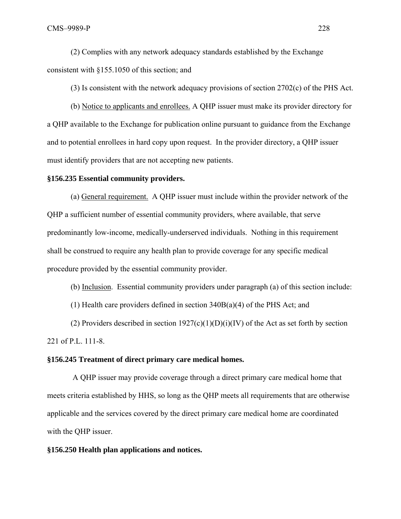(2) Complies with any network adequacy standards established by the Exchange consistent with §155.1050 of this section; and

(3) Is consistent with the network adequacy provisions of section 2702(c) of the PHS Act.

(b) Notice to applicants and enrollees. A QHP issuer must make its provider directory for a QHP available to the Exchange for publication online pursuant to guidance from the Exchange and to potential enrollees in hard copy upon request. In the provider directory, a QHP issuer must identify providers that are not accepting new patients.

#### **§156.235 Essential community providers.**

(a) General requirement. A QHP issuer must include within the provider network of the QHP a sufficient number of essential community providers, where available, that serve predominantly low-income, medically-underserved individuals. Nothing in this requirement shall be construed to require any health plan to provide coverage for any specific medical procedure provided by the essential community provider.

(b) Inclusion. Essential community providers under paragraph (a) of this section include:

(1) Health care providers defined in section 340B(a)(4) of the PHS Act; and

(2) Providers described in section  $1927(c)(1)(D)(i)(IV)$  of the Act as set forth by section 221 of P.L. 111-8.

#### **§156.245 Treatment of direct primary care medical homes.**

 A QHP issuer may provide coverage through a direct primary care medical home that meets criteria established by HHS, so long as the QHP meets all requirements that are otherwise applicable and the services covered by the direct primary care medical home are coordinated with the QHP issuer.

#### **§156.250 Health plan applications and notices.**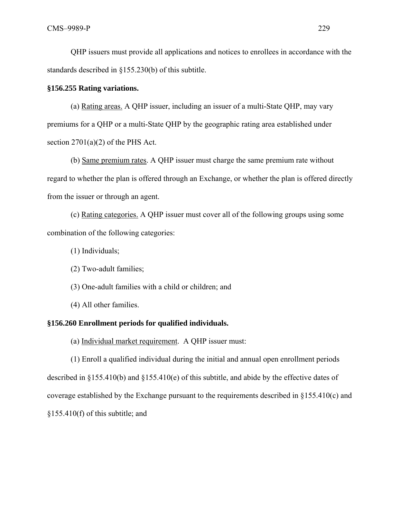QHP issuers must provide all applications and notices to enrollees in accordance with the standards described in §155.230(b) of this subtitle.

#### **§156.255 Rating variations.**

(a) Rating areas. A QHP issuer, including an issuer of a multi-State QHP, may vary premiums for a QHP or a multi-State QHP by the geographic rating area established under section  $2701(a)(2)$  of the PHS Act.

(b) Same premium rates. A QHP issuer must charge the same premium rate without regard to whether the plan is offered through an Exchange, or whether the plan is offered directly from the issuer or through an agent.

(c) Rating categories. A QHP issuer must cover all of the following groups using some combination of the following categories:

(1) Individuals;

(2) Two-adult families;

(3) One-adult families with a child or children; and

(4) All other families.

# **§156.260 Enrollment periods for qualified individuals.**

(a) Individual market requirement. A QHP issuer must:

(1) Enroll a qualified individual during the initial and annual open enrollment periods described in §155.410(b) and §155.410(e) of this subtitle, and abide by the effective dates of coverage established by the Exchange pursuant to the requirements described in §155.410(c) and §155.410(f) of this subtitle; and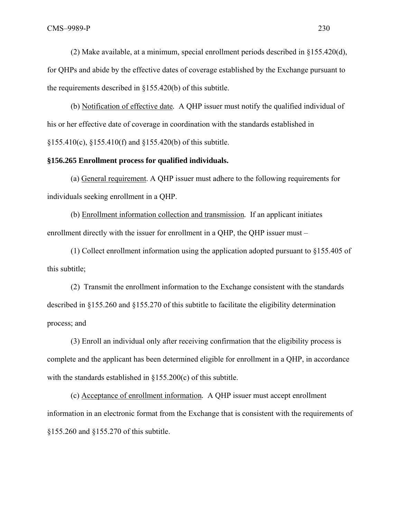(2) Make available, at a minimum, special enrollment periods described in §155.420(d), for QHPs and abide by the effective dates of coverage established by the Exchange pursuant to the requirements described in §155.420(b) of this subtitle.

(b) Notification of effective date*.* A QHP issuer must notify the qualified individual of his or her effective date of coverage in coordination with the standards established in §155.410(c), §155.410(f) and §155.420(b) of this subtitle.

# **§156.265 Enrollment process for qualified individuals.**

(a) General requirement. A QHP issuer must adhere to the following requirements for individuals seeking enrollment in a QHP.

(b) Enrollment information collection and transmission*.* If an applicant initiates enrollment directly with the issuer for enrollment in a QHP, the QHP issuer must –

(1) Collect enrollment information using the application adopted pursuant to §155.405 of this subtitle;

(2) Transmit the enrollment information to the Exchange consistent with the standards described in §155.260 and §155.270 of this subtitle to facilitate the eligibility determination process; and

(3) Enroll an individual only after receiving confirmation that the eligibility process is complete and the applicant has been determined eligible for enrollment in a QHP, in accordance with the standards established in §155.200(c) of this subtitle.

(c) Acceptance of enrollment information*.* A QHP issuer must accept enrollment information in an electronic format from the Exchange that is consistent with the requirements of §155.260 and §155.270 of this subtitle.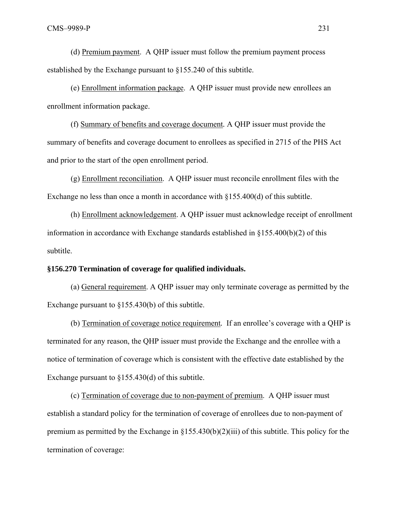(d) Premium payment. A QHP issuer must follow the premium payment process established by the Exchange pursuant to §155.240 of this subtitle.

(e) Enrollment information package. A QHP issuer must provide new enrollees an enrollment information package.

(f) Summary of benefits and coverage document*.* A QHP issuer must provide the summary of benefits and coverage document to enrollees as specified in 2715 of the PHS Act and prior to the start of the open enrollment period.

(g) Enrollment reconciliation. A QHP issuer must reconcile enrollment files with the Exchange no less than once a month in accordance with §155.400(d) of this subtitle.

(h) Enrollment acknowledgement. A QHP issuer must acknowledge receipt of enrollment information in accordance with Exchange standards established in §155.400(b)(2) of this subtitle.

#### **§156.270 Termination of coverage for qualified individuals.**

(a) General requirement. A QHP issuer may only terminate coverage as permitted by the Exchange pursuant to §155.430(b) of this subtitle.

(b) Termination of coverage notice requirement*.* If an enrollee's coverage with a QHP is terminated for any reason, the QHP issuer must provide the Exchange and the enrollee with a notice of termination of coverage which is consistent with the effective date established by the Exchange pursuant to  $\S 155.430(d)$  of this subtitle.

(c) Termination of coverage due to non-payment of premium. A QHP issuer must establish a standard policy for the termination of coverage of enrollees due to non-payment of premium as permitted by the Exchange in §155.430(b)(2)(iii) of this subtitle. This policy for the termination of coverage: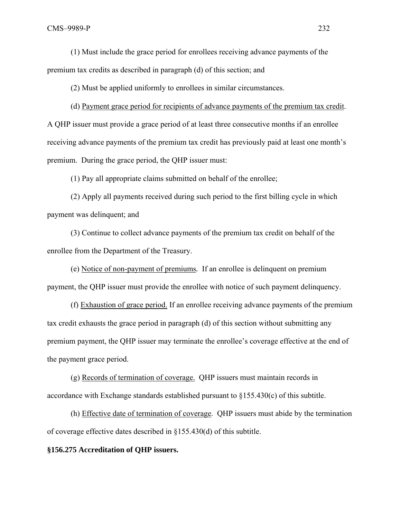(1) Must include the grace period for enrollees receiving advance payments of the premium tax credits as described in paragraph (d) of this section; and

(2) Must be applied uniformly to enrollees in similar circumstances.

(d) Payment grace period for recipients of advance payments of the premium tax credit. A QHP issuer must provide a grace period of at least three consecutive months if an enrollee receiving advance payments of the premium tax credit has previously paid at least one month's premium. During the grace period, the QHP issuer must:

(1) Pay all appropriate claims submitted on behalf of the enrollee;

(2) Apply all payments received during such period to the first billing cycle in which payment was delinquent; and

(3) Continue to collect advance payments of the premium tax credit on behalf of the enrollee from the Department of the Treasury.

(e) Notice of non-payment of premiums*.* If an enrollee is delinquent on premium payment, the QHP issuer must provide the enrollee with notice of such payment delinquency.

(f) Exhaustion of grace period. If an enrollee receiving advance payments of the premium tax credit exhausts the grace period in paragraph (d) of this section without submitting any premium payment, the QHP issuer may terminate the enrollee's coverage effective at the end of the payment grace period.

(g) Records of termination of coverage. QHP issuers must maintain records in accordance with Exchange standards established pursuant to §155.430(c) of this subtitle.

(h) Effective date of termination of coverage. QHP issuers must abide by the termination of coverage effective dates described in §155.430(d) of this subtitle.

#### **§156.275 Accreditation of QHP issuers.**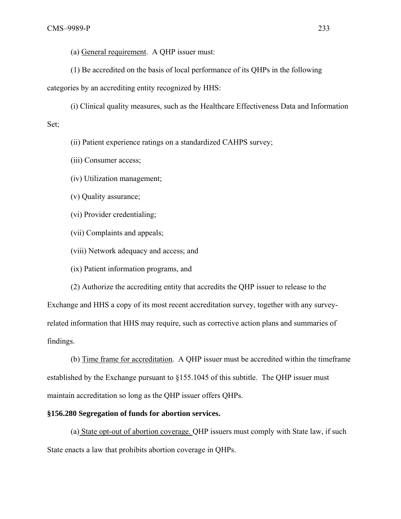(a) General requirement. A QHP issuer must:

(1) Be accredited on the basis of local performance of its QHPs in the following

categories by an accrediting entity recognized by HHS:

(i) Clinical quality measures, such as the Healthcare Effectiveness Data and Information

#### Set;

(ii) Patient experience ratings on a standardized CAHPS survey;

(iii) Consumer access;

(iv) Utilization management;

(v) Quality assurance;

(vi) Provider credentialing;

(vii) Complaints and appeals;

(viii) Network adequacy and access; and

(ix) Patient information programs, and

(2) Authorize the accrediting entity that accredits the QHP issuer to release to the Exchange and HHS a copy of its most recent accreditation survey, together with any surveyrelated information that HHS may require, such as corrective action plans and summaries of findings.

(b) Time frame for accreditation*.* A QHP issuer must be accredited within the timeframe established by the Exchange pursuant to §155.1045 of this subtitle. The QHP issuer must maintain accreditation so long as the QHP issuer offers QHPs.

# **§156.280 Segregation of funds for abortion services.**

(a) State opt-out of abortion coverage. QHP issuers must comply with State law, if such State enacts a law that prohibits abortion coverage in QHPs.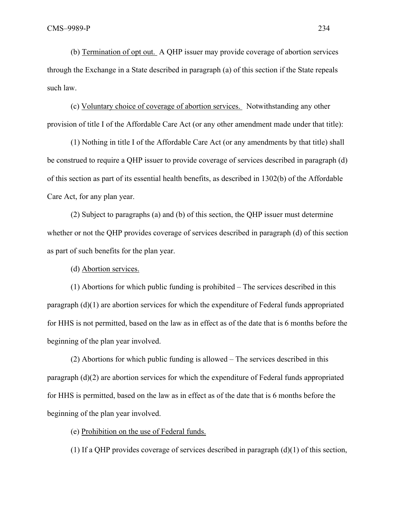(b) Termination of opt out. A QHP issuer may provide coverage of abortion services through the Exchange in a State described in paragraph (a) of this section if the State repeals such law.

(c) Voluntary choice of coverage of abortion services. Notwithstanding any other provision of title I of the Affordable Care Act (or any other amendment made under that title):

(1) Nothing in title I of the Affordable Care Act (or any amendments by that title) shall be construed to require a QHP issuer to provide coverage of services described in paragraph (d) of this section as part of its essential health benefits, as described in 1302(b) of the Affordable Care Act, for any plan year.

(2) Subject to paragraphs (a) and (b) of this section, the QHP issuer must determine whether or not the QHP provides coverage of services described in paragraph (d) of this section as part of such benefits for the plan year.

(d) Abortion services.

(1) Abortions for which public funding is prohibited – The services described in this paragraph (d)(1) are abortion services for which the expenditure of Federal funds appropriated for HHS is not permitted, based on the law as in effect as of the date that is 6 months before the beginning of the plan year involved.

(2) Abortions for which public funding is allowed – The services described in this paragraph (d)(2) are abortion services for which the expenditure of Federal funds appropriated for HHS is permitted, based on the law as in effect as of the date that is 6 months before the beginning of the plan year involved.

(e) Prohibition on the use of Federal funds.

(1) If a QHP provides coverage of services described in paragraph (d)(1) of this section,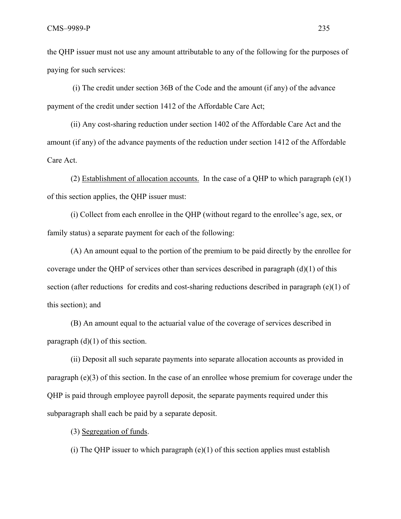the QHP issuer must not use any amount attributable to any of the following for the purposes of paying for such services:

 (i) The credit under section 36B of the Code and the amount (if any) of the advance payment of the credit under section 1412 of the Affordable Care Act;

(ii) Any cost-sharing reduction under section 1402 of the Affordable Care Act and the amount (if any) of the advance payments of the reduction under section 1412 of the Affordable Care Act.

(2) Establishment of allocation accounts. In the case of a OHP to which paragraph  $(e)(1)$ of this section applies, the QHP issuer must:

(i) Collect from each enrollee in the QHP (without regard to the enrollee's age, sex, or family status) a separate payment for each of the following:

(A) An amount equal to the portion of the premium to be paid directly by the enrollee for coverage under the QHP of services other than services described in paragraph (d)(1) of this section (after reductions for credits and cost-sharing reductions described in paragraph  $(e)(1)$  of this section); and

(B) An amount equal to the actuarial value of the coverage of services described in paragraph  $(d)(1)$  of this section.

(ii) Deposit all such separate payments into separate allocation accounts as provided in paragraph (e)(3) of this section. In the case of an enrollee whose premium for coverage under the QHP is paid through employee payroll deposit, the separate payments required under this subparagraph shall each be paid by a separate deposit.

(3) Segregation of funds.

(i) The QHP issuer to which paragraph  $(e)(1)$  of this section applies must establish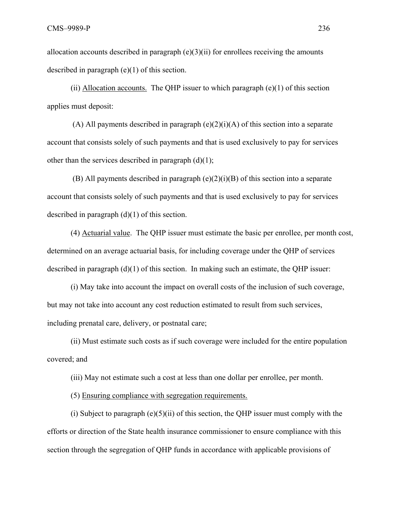allocation accounts described in paragraph  $(e)(3)(ii)$  for enrollees receiving the amounts described in paragraph (e)(1) of this section.

(ii) Allocation accounts. The OHP issuer to which paragraph  $(e)(1)$  of this section applies must deposit:

(A) All payments described in paragraph  $(e)(2)(i)(A)$  of this section into a separate account that consists solely of such payments and that is used exclusively to pay for services other than the services described in paragraph  $(d)(1)$ ;

 (B) All payments described in paragraph (e)(2)(i)(B) of this section into a separate account that consists solely of such payments and that is used exclusively to pay for services described in paragraph (d)(1) of this section.

(4) Actuarial value. The QHP issuer must estimate the basic per enrollee, per month cost, determined on an average actuarial basis, for including coverage under the QHP of services described in paragraph (d)(1) of this section. In making such an estimate, the QHP issuer:

(i) May take into account the impact on overall costs of the inclusion of such coverage, but may not take into account any cost reduction estimated to result from such services, including prenatal care, delivery, or postnatal care;

(ii) Must estimate such costs as if such coverage were included for the entire population covered; and

(iii) May not estimate such a cost at less than one dollar per enrollee, per month.

(5) Ensuring compliance with segregation requirements.

(i) Subject to paragraph  $(e)(5)(ii)$  of this section, the QHP issuer must comply with the efforts or direction of the State health insurance commissioner to ensure compliance with this section through the segregation of QHP funds in accordance with applicable provisions of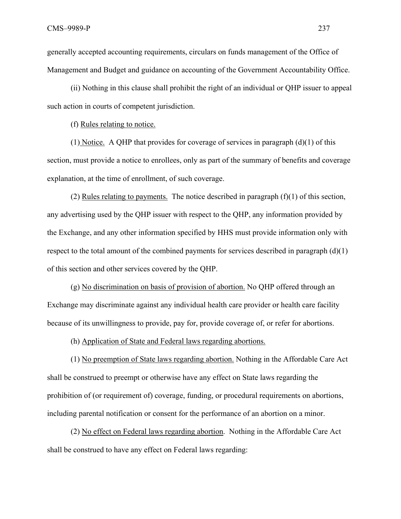generally accepted accounting requirements, circulars on funds management of the Office of Management and Budget and guidance on accounting of the Government Accountability Office.

(ii) Nothing in this clause shall prohibit the right of an individual or QHP issuer to appeal such action in courts of competent jurisdiction.

(f) Rules relating to notice.

(1) Notice. A QHP that provides for coverage of services in paragraph (d)(1) of this section, must provide a notice to enrollees, only as part of the summary of benefits and coverage explanation, at the time of enrollment, of such coverage.

(2) Rules relating to payments. The notice described in paragraph (f)(1) of this section, any advertising used by the QHP issuer with respect to the QHP, any information provided by the Exchange, and any other information specified by HHS must provide information only with respect to the total amount of the combined payments for services described in paragraph  $(d)(1)$ of this section and other services covered by the QHP.

(g) No discrimination on basis of provision of abortion. No QHP offered through an Exchange may discriminate against any individual health care provider or health care facility because of its unwillingness to provide, pay for, provide coverage of, or refer for abortions.

(h) Application of State and Federal laws regarding abortions.

(1) No preemption of State laws regarding abortion. Nothing in the Affordable Care Act shall be construed to preempt or otherwise have any effect on State laws regarding the prohibition of (or requirement of) coverage, funding, or procedural requirements on abortions, including parental notification or consent for the performance of an abortion on a minor.

(2) No effect on Federal laws regarding abortion. Nothing in the Affordable Care Act shall be construed to have any effect on Federal laws regarding: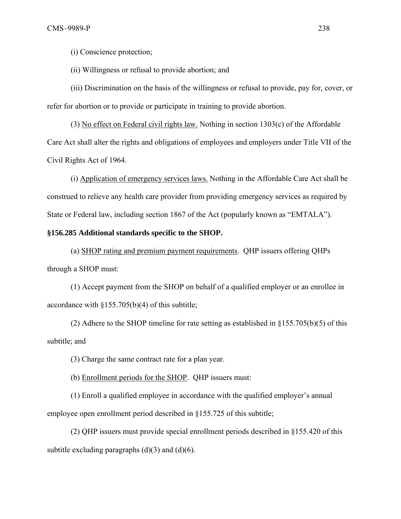(i) Conscience protection;

(ii) Willingness or refusal to provide abortion; and

(iii) Discrimination on the basis of the willingness or refusal to provide, pay for, cover, or refer for abortion or to provide or participate in training to provide abortion.

(3) No effect on Federal civil rights law. Nothing in section 1303(c) of the Affordable Care Act shall alter the rights and obligations of employees and employers under Title VII of the Civil Rights Act of 1964.

(i) Application of emergency services laws. Nothing in the Affordable Care Act shall be construed to relieve any health care provider from providing emergency services as required by State or Federal law, including section 1867 of the Act (popularly known as "EMTALA").

#### **§156.285 Additional standards specific to the SHOP.**

(a) SHOP rating and premium payment requirements. QHP issuers offering QHPs through a SHOP must:

(1) Accept payment from the SHOP on behalf of a qualified employer or an enrollee in accordance with §155.705(b)(4) of this subtitle;

(2) Adhere to the SHOP timeline for rate setting as established in  $\S 155.705(b)(5)$  of this subtitle; and

(3) Charge the same contract rate for a plan year.

(b) Enrollment periods for the SHOP*.* QHP issuers must:

(1) Enroll a qualified employee in accordance with the qualified employer's annual employee open enrollment period described in §155.725 of this subtitle;

(2) QHP issuers must provide special enrollment periods described in §155.420 of this subtitle excluding paragraphs  $(d)(3)$  and  $(d)(6)$ .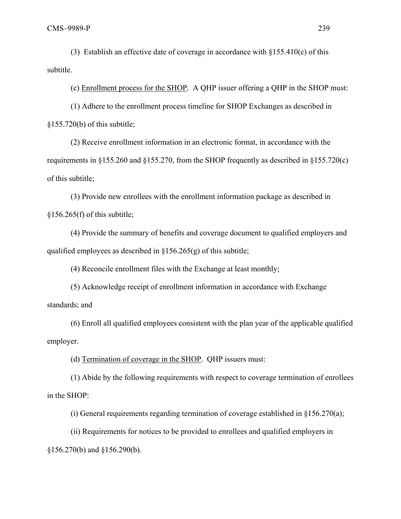(3) Establish an effective date of coverage in accordance with  $\S 155.410(c)$  of this subtitle.

(c) Enrollment process for the SHOP*.* A QHP issuer offering a QHP in the SHOP must:

(1) Adhere to the enrollment process timeline for SHOP Exchanges as described in  $$155.720(b)$  of this subtitle;

(2) Receive enrollment information in an electronic format, in accordance with the requirements in §155.260 and §155.270, from the SHOP frequently as described in §155.720(c) of this subtitle;

(3) Provide new enrollees with the enrollment information package as described in  $$156.265(f)$  of this subtitle;

(4) Provide the summary of benefits and coverage document to qualified employers and qualified employees as described in §156.265(g) of this subtitle;

(4) Reconcile enrollment files with the Exchange at least monthly;

(5) Acknowledge receipt of enrollment information in accordance with Exchange standards; and

(6) Enroll all qualified employees consistent with the plan year of the applicable qualified employer.

(d) Termination of coverage in the SHOP. QHP issuers must:

(1) Abide by the following requirements with respect to coverage termination of enrollees in the SHOP:

(i) General requirements regarding termination of coverage established in  $\S 156.270(a)$ ;

(ii) Requirements for notices to be provided to enrollees and qualified employers in

§156.270(b) and §156.290(b).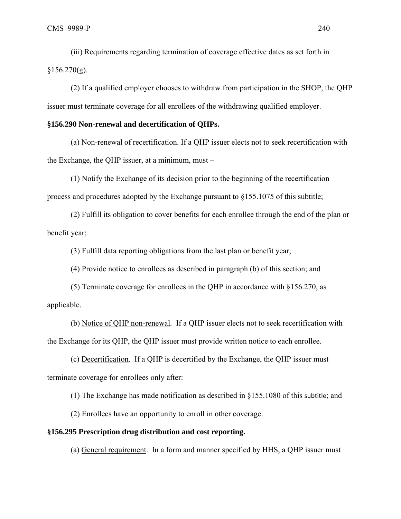(iii) Requirements regarding termination of coverage effective dates as set forth in  $§156.270(g).$ 

(2) If a qualified employer chooses to withdraw from participation in the SHOP, the QHP issuer must terminate coverage for all enrollees of the withdrawing qualified employer.

# **§156.290 Non-renewal and decertification of QHPs.**

(a) Non-renewal of recertification. If a QHP issuer elects not to seek recertification with the Exchange, the QHP issuer, at a minimum, must –

(1) Notify the Exchange of its decision prior to the beginning of the recertification process and procedures adopted by the Exchange pursuant to §155.1075 of this subtitle;

(2) Fulfill its obligation to cover benefits for each enrollee through the end of the plan or benefit year;

(3) Fulfill data reporting obligations from the last plan or benefit year;

(4) Provide notice to enrollees as described in paragraph (b) of this section; and

(5) Terminate coverage for enrollees in the QHP in accordance with §156.270, as applicable.

(b) Notice of QHP non-renewal*.* If a QHP issuer elects not to seek recertification with the Exchange for its QHP, the QHP issuer must provide written notice to each enrollee.

(c) Decertification. If a QHP is decertified by the Exchange, the QHP issuer must terminate coverage for enrollees only after:

(1) The Exchange has made notification as described in §155.1080 of this subtitle; and

(2) Enrollees have an opportunity to enroll in other coverage.

#### **§156.295 Prescription drug distribution and cost reporting.**

(a) General requirement. In a form and manner specified by HHS, a QHP issuer must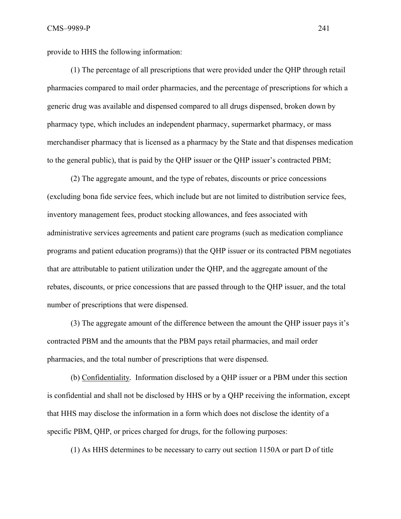provide to HHS the following information:

(1) The percentage of all prescriptions that were provided under the QHP through retail pharmacies compared to mail order pharmacies, and the percentage of prescriptions for which a generic drug was available and dispensed compared to all drugs dispensed, broken down by pharmacy type, which includes an independent pharmacy, supermarket pharmacy, or mass merchandiser pharmacy that is licensed as a pharmacy by the State and that dispenses medication to the general public), that is paid by the QHP issuer or the QHP issuer's contracted PBM;

(2) The aggregate amount, and the type of rebates, discounts or price concessions (excluding bona fide service fees, which include but are not limited to distribution service fees, inventory management fees, product stocking allowances, and fees associated with administrative services agreements and patient care programs (such as medication compliance programs and patient education programs)) that the QHP issuer or its contracted PBM negotiates that are attributable to patient utilization under the QHP, and the aggregate amount of the rebates, discounts, or price concessions that are passed through to the QHP issuer, and the total number of prescriptions that were dispensed.

(3) The aggregate amount of the difference between the amount the QHP issuer pays it's contracted PBM and the amounts that the PBM pays retail pharmacies, and mail order pharmacies, and the total number of prescriptions that were dispensed.

(b) Confidentiality*.* Information disclosed by a QHP issuer or a PBM under this section is confidential and shall not be disclosed by HHS or by a QHP receiving the information, except that HHS may disclose the information in a form which does not disclose the identity of a specific PBM, QHP, or prices charged for drugs, for the following purposes:

(1) As HHS determines to be necessary to carry out section 1150A or part D of title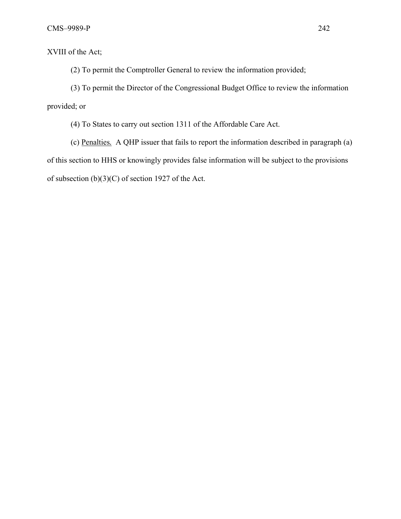XVIII of the Act;

(2) To permit the Comptroller General to review the information provided;

(3) To permit the Director of the Congressional Budget Office to review the information provided; or

(4) To States to carry out section 1311 of the Affordable Care Act.

(c) Penalties*.* A QHP issuer that fails to report the information described in paragraph (a) of this section to HHS or knowingly provides false information will be subject to the provisions of subsection (b)(3)(C) of section 1927 of the Act.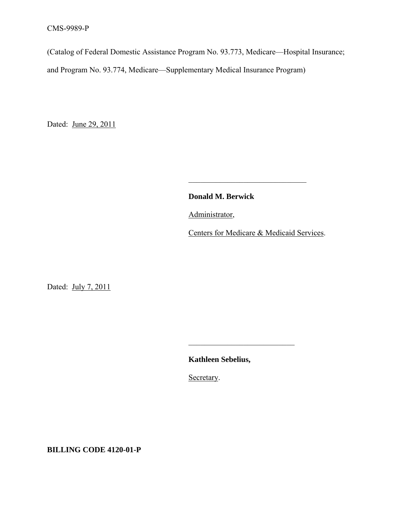(Catalog of Federal Domestic Assistance Program No. 93.773, Medicare—Hospital Insurance;

and Program No. 93.774, Medicare—Supplementary Medical Insurance Program)

 $\mathcal{L}_\text{max}$  and the contract of the contract of the contract of the contract of the contract of the contract of the contract of the contract of the contract of the contract of the contract of the contract of the contrac

 $\mathcal{L}_\text{max}$  and  $\mathcal{L}_\text{max}$  and  $\mathcal{L}_\text{max}$  and  $\mathcal{L}_\text{max}$  and  $\mathcal{L}_\text{max}$  and  $\mathcal{L}_\text{max}$ 

Dated: June 29, 2011

**Donald M. Berwick**

Administrator,

Centers for Medicare & Medicaid Services.

Dated: July 7, 2011

**Kathleen Sebelius,**

Secretary.

**BILLING CODE 4120-01-P**